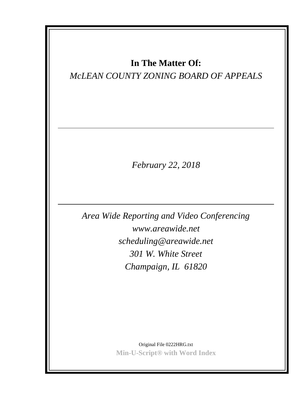# **In The Matter Of:**

# *McLEAN COUNTY ZONING BOARD OF APPEALS*

*February 22, 2018*

*Area Wide Reporting and Video Conferencing www.areawide.net scheduling@areawide.net 301 W. White Street Champaign, IL 61820*

> Original File 0222HRG.txt **Min-U-Script® with Word Index**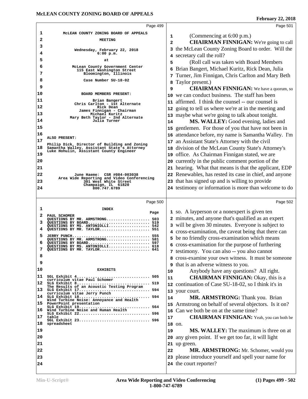|    | Page 499                                                                                    |                              | Page 501                                                                                                          |
|----|---------------------------------------------------------------------------------------------|------------------------------|-------------------------------------------------------------------------------------------------------------------|
| 1  | MCLEAN COUNTY ZONING BOARD OF APPEALS                                                       |                              |                                                                                                                   |
| 2  | <b>MEETING</b>                                                                              | 1<br>$\overline{\mathbf{2}}$ | (Commencing at 6:00 p.m.)<br><b>CHAIRMAN FINNIGAN:</b> We're going to call                                        |
| 3  |                                                                                             |                              | the McLean County Zoning Board to order. Will the                                                                 |
| 4  | Wednesday, February 22, 2018<br>$6:00$ p.m.                                                 | 3                            | secretary call the roll?                                                                                          |
| 5  | at                                                                                          | 4                            | (Roll call was taken with Board Members                                                                           |
| 6  | McLean County Government Center                                                             | 5                            | Brian Bangert, Michael Kuritz, Rick Dean, Julia                                                                   |
| 7  | 115 East Washington Street<br>Bloomington, Illinois                                         | 6                            |                                                                                                                   |
| 8  | Case Number SU-18-02                                                                        | 7                            | Turner, Jim Finnigan, Chris Carlton and Mary Beth                                                                 |
| 9  |                                                                                             | 8<br>9                       | Taylor present.)<br><b>CHAIRMAN FINNIGAN:</b> We have a quorum, so                                                |
| 10 | BOARD MEMBERS PRESENT:                                                                      | 10                           | we can conduct business. The staff has been                                                                       |
| 11 | Brian Bangert                                                                               |                              | 11 affirmed. I think the counsel -- our counsel is                                                                |
| 12 | Chris Carlton - 1st Alternate<br>Rick Dean                                                  |                              | going to tell us where we're at in the meeting and                                                                |
| 13 | James Finnigan - Chairman<br>Michael Kuritz                                                 | 12                           |                                                                                                                   |
| 14 | Mary Beth Taylor - 2nd Alternate<br>Julia Turner                                            |                              | 13 maybe what we're going to talk about tonight.<br>MS. WALLEY: Good evening, ladies and                          |
| 15 |                                                                                             | 14                           | gentlemen. For those of you that have not been in                                                                 |
| 16 |                                                                                             | 15                           |                                                                                                                   |
| 17 | ALSO PRESENT:                                                                               | 16                           | attendance before, my name is Samantha Walley. I'm<br>an Assistant State's Attorney with the civil                |
| 18 | Philip Dick, Director of Building and Zoning<br>Samantha Walley, Assistant State's Attorney | 17                           |                                                                                                                   |
| 19 | Luke Hohulin, Assistant County Engineer                                                     | 18                           | division of the McLean County State's Attorney's                                                                  |
| 20 |                                                                                             |                              | 19 office. As Chairman Finnigan stated, we are                                                                    |
| 21 |                                                                                             |                              | 20 currently in the public comment portion of the                                                                 |
|    |                                                                                             |                              | 21 hearing. What that means is that the applicant, EDP<br>22 Renewables, has rested its case in chief, and anyone |
| 22 | June Haeme: CSR #084-003038<br>Area Wide Reporting and Video Conferencing                   |                              |                                                                                                                   |
| 23 | 301 West White Street<br>Champaign, IL 61820                                                |                              | 23 that has signed up and is willing to provide                                                                   |
| 24 | 800.747.6789                                                                                |                              | 24 testimony or information is more than welcome to do                                                            |
|    |                                                                                             |                              | Page 502                                                                                                          |
|    | Page 500                                                                                    |                              |                                                                                                                   |
|    |                                                                                             |                              |                                                                                                                   |
| 1  | <b>INDEX</b><br>Page                                                                        |                              | 1 so. A layperson or a nonexpert is given ten                                                                     |
| 2  | PAUL SCHOMER<br>QUESTIONS BY MR. ARMSTRONG<br>503                                           |                              | 2 minutes, and anyone that's qualified as an expert                                                               |
| 3  | QUESTIONS BY BOARD 519<br>QUESTIONS BY MS. ANTONIOLLI 542                                   | 3                            | will be given 30 minutes. Everyone is subject to                                                                  |
| 4  | QUESTIONS BY MR. TAYLOR 551                                                                 |                              | 4 cross-examination, the caveat being that there can                                                              |
| 5  | JERRY PUNCH<br>555<br>QUESTIONS BY MR. ARMSTRONG<br>581                                     |                              | 5 be no friendly cross-examination which means                                                                    |
| 6  | QUESTIONS BY BOARD<br>597<br>QUESTIONS BY MS. ANTONIOLLI 618                                |                              | 6 cross-examination for the purpose of furthering                                                                 |
|    | QUESTIONS BY MR. TAYLOR                                                                     |                              | 7 testimony. You can also -- you also cannot                                                                      |
| 8  |                                                                                             | 8                            | cross-examine your own witness. It must be someone                                                                |
| 9  |                                                                                             | 9                            | that is an adverse witness to you.                                                                                |
| 10 | <b>EXHIBITS</b>                                                                             | 10                           | Anybody have any questions? All right.                                                                            |
| 11 | SGL Exhibit 4 505<br>curriculum vitae Paul Schomer                                          | 11                           | <b>CHAIRMAN FINNIGAN: Okay, this is a</b>                                                                         |
| 12 | SLG Exhibit 8 519<br>The Results of an Acoustic Testing Program                             |                              | 12 continuation of Case SU-18-02, so I think it's in                                                              |
|    | curriculum vitae Jerry Punch                                                                |                              | 13 your court.                                                                                                    |
|    | 14 SLG Exhibit 18 594<br>Wind Turbine Noise: Annoyance and Health                           | 14                           | MR. ARMSTRONG: Thank you. Brian                                                                                   |
| 15 | PowerPoint presentation                                                                     | 15                           | Armstrong on behalf of several objectors. Is it on?                                                               |
| 16 | SLG Exhibit 19 564<br>Wind Turbine Noise and Human Health<br>SLG Exhibit 22 596             | 16                           | Can we both be on at the same time?                                                                               |
| 17 | table                                                                                       | 17                           |                                                                                                                   |
| 18 | SGL Exhibit 23 596<br>spreadsheet                                                           |                              | 18 on.                                                                                                            |
| 19 |                                                                                             | 19                           | <b>MS. WALLEY:</b> The maximum is three on at                                                                     |
| 20 |                                                                                             | 20                           | <b>CHAIRMAN FINNIGAN:</b> Yeah, you can both be<br>any given point. If we get too far, it will light              |
| 21 |                                                                                             | 21                           | up green.                                                                                                         |
| 22 |                                                                                             | 22                           | MR. ARMSTRONG: Mr. Schomer, would you                                                                             |
| 23 |                                                                                             |                              | 23 please introduce yourself and spell your name for                                                              |
| 24 |                                                                                             |                              | 24 the court reporter?                                                                                            |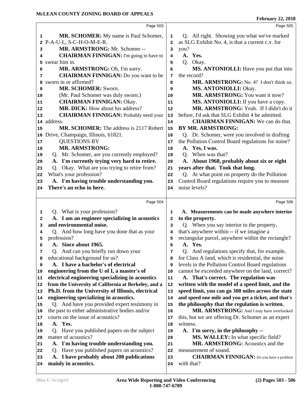|          | Page 503                                                                                        |                         | Page 505                                                                                   |
|----------|-------------------------------------------------------------------------------------------------|-------------------------|--------------------------------------------------------------------------------------------|
| 1        | <b>MR. SCHOMER:</b> My name is Paul Schomer,                                                    | 1                       | Q. All right. Showing you what we've marked                                                |
| 2        | P-A-U-L, S-C-H-O-M-E-R.                                                                         | $\overline{a}$          | as SLG Exhibit No. 4, is that a current c.v. for                                           |
| 3        | MR. ARMSTRONG: Mr. Schomer --                                                                   | 3                       | you?                                                                                       |
| 4        | <b>CHAIRMAN FINNIGAN:</b> I'm going to have to                                                  | 4                       | A. Yes.                                                                                    |
| 5        | swear him in.                                                                                   | 5                       | Q. Okay.                                                                                   |
| 6        | MR. ARMSTRONG: Oh, I'm sorry.                                                                   | 6                       | MS. ANTONIOLLI: Have you put that into                                                     |
| 7        | <b>CHAIRMAN FINNIGAN:</b> Do you want to be                                                     | 7                       | the record?                                                                                |
| 8        | sworn in or affirmed?                                                                           | 8                       | MR. ARMSTRONG: No. 4? I don't think so.                                                    |
| 9        | MR. SCHOMER: Sworn.                                                                             | 9                       | MS. ANTONIOLLI: Okay.                                                                      |
| 10       | (Mr. Paul Schomer was duly sworn.)                                                              | 10                      | MR. ARMSTRONG: You want it now?                                                            |
| 11       | <b>CHAIRMAN FINNIGAN: Okay.</b>                                                                 | 11                      | MS. ANTONIOLLI: If you have a copy.                                                        |
| 12       | <b>MR. DICK:</b> How about his address?                                                         | 12                      | MR. ARMSTRONG: Yeah. If I didn't do it                                                     |
| 13       | <b>CHAIRMAN FINNIGAN:</b> Probably need your                                                    | 13                      | before, I'd ask that SLG Exhibit 4 be admitted.                                            |
| 14       | address.                                                                                        | 14                      | <b>CHAIRMAN FINNIGAN:</b> We can do that.                                                  |
| 15       | MR. SCHOMER: The address is 2117 Robert                                                         | 15                      | <b>BY MR. ARMSTRONG:</b>                                                                   |
| 16       | Drive, Champaign, Illinois, 61821.                                                              | 16                      | Q. Dr. Schomer, were you involved in drafting                                              |
| 17       | <b>QUESTIONS BY</b>                                                                             | 17                      | the Pollution Control Board regulations for noise?                                         |
| 18       | <b>MR. ARMSTRONG:</b>                                                                           | 18                      | A. Yes, I was.                                                                             |
| 19       | Q. Mr. Schomer, are you currently employed?                                                     | 19                      | Q. When was that?                                                                          |
| 20       | A. I'm currently trying very hard to retire.                                                    | 20                      | A. About 1968, probably about six or eight                                                 |
| 21       | Q. Okay. What are you trying to retire from?                                                    | 21                      | years after that. Took that long.                                                          |
| 22       | What's your profession?                                                                         | 22                      | Q. At what point on property do the Pollution                                              |
| 23       | A. I'm having trouble understanding you.                                                        | 23                      | Control Board regulations require you to measure                                           |
| 24       | There's an echo in here.                                                                        | 24                      | noise levels?                                                                              |
|          |                                                                                                 |                         |                                                                                            |
|          | Page 504                                                                                        |                         | Page 506                                                                                   |
| 1        | Q. What is your profession?                                                                     | 1                       | A. Measurements can be made anywhere interior                                              |
| 2        | A. I am an engineer specializing in acoustics                                                   | $\overline{\mathbf{2}}$ | to the property.                                                                           |
| 3        | and environmental noise.                                                                        | 3                       | Q. When you say interior to the property,                                                  |
| 4        | Q. And how long have you done that as your                                                      | 4                       | that's anywhere within -- if we imagine a                                                  |
| 5        | profession?                                                                                     | 5                       | rectangular parcel, anywhere within the rectangle?                                         |
| 6        | A. Since about 1965.                                                                            | 6                       | A. Yes.                                                                                    |
| 7        | Q. And can you briefly run down your                                                            | 7                       | Q. And regulations specify that, for example,                                              |
| 8        | educational background for us?                                                                  | 8                       | for Class A land, which is residential, the noise                                          |
| 9        | A. I have a bachelor's of electrical                                                            | 9                       | levels in the Pollution Control Board regulations                                          |
| 10       | engineering from the U of I, a master's of                                                      | 10                      | cannot be exceeded anywhere on the land, correct?                                          |
| 11       | electrical engineering specializing in acoustics                                                | ${\bf 11}$              | A. That's correct. The regulation was                                                      |
| 12       | from the University of California at Berkeley, and a                                            | 12                      | written with the model of a speed limit, and the                                           |
| 13       | Ph.D. from the University of Illinois, electrical                                               | 13                      | speed limit, you can go 300 miles across the state                                         |
| 14       | engineering specializing in acoustics.                                                          | 14                      | and speed one mile and you get a ticket, and that's                                        |
| 15       | Q. And have you provided expert testimony in<br>the past to either administrative bodies and/or | 15                      | the philosophy that the regulation is written.<br>MR. ARMSTRONG: And I may have overlooked |
| 16       | courts on the issue of acoustics?                                                               | 16                      |                                                                                            |
| 17       | A. Yes.                                                                                         | 17                      | this, but we are offering Dr. Schomer as an expert<br>witness.                             |
| 18       |                                                                                                 | 18                      |                                                                                            |
| 19       | Have you published papers on the subject<br>O.<br>matter of acoustics?                          | 19                      | A. I'm sorry, in the philosophy --                                                         |
| 20       |                                                                                                 | 20                      | MS. WALLEY: In what specific field?<br>MR. ARMSTRONG: Acoustics and the                    |
| 21       |                                                                                                 |                         |                                                                                            |
|          | A. I'm having trouble understanding you.                                                        | 21                      |                                                                                            |
| 22       | Q. Have you published papers on acoustics?                                                      | 22                      | measurement of sound.                                                                      |
| 23<br>24 | A. I have probably about 200 publications<br>mainly in acoustics.                               | 23<br>24                | <b>CHAIRMAN FINNIGAN:</b> Do you have a problem<br>with that?                              |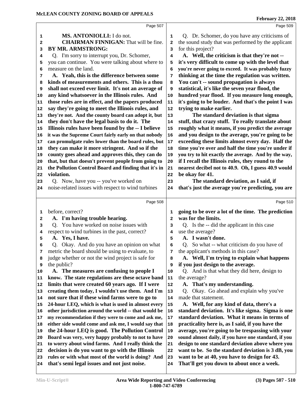|    | Page 507                                             |              | Page 509                                             |
|----|------------------------------------------------------|--------------|------------------------------------------------------|
| 1  | MS. ANTONIOLLI: I do not.                            | 1            | Q. Dr. Schomer, do you have any criticisms of        |
| 2  | <b>CHAIRMAN FINNIGAN:</b> That will be fine.         | 2            | the sound study that was performed by the applicant  |
| 3  | <b>BY MR. ARMSTRONG:</b>                             | 3            | for this project?                                    |
| 4  | Q. I'm sorry to interrupt you, Dr. Schomer,          | 4            | A. Well, the criticism is that they're not --        |
| 5  | you can continue. You were talking about where to    | 5            | it's very difficult to come up with the level that   |
| 6  | measure on the land.                                 | 6            | you're never going to exceed. It was probably fuzzy  |
| 7  | A. Yeah, this is the difference between some         | 7            | thinking at the time the regulation was written.     |
| 8  | kinds of measurements and others. This is a thou     | 8            | You can't -- sound propagation is always             |
| 9  | shall not exceed ever limit. It's not an average of  | 9            | statistical, it's like the seven year flood, the     |
| 10 | any kind whatsoever in the Illinois rules. And       | 10           | hundred year flood. If you measure long enough,      |
| 11 | those rules are in effect, and the papers produced   | 11           | it's going to be louder. And that's the point I was  |
| 12 | say they're going to meet the Illinois rules, and    | 12           | trying to make earlier.                              |
| 13 | they're not. And the county board can adopt it, but  | 13           | The standard deviation is that sigma                 |
| 14 | they don't have the legal basis to do it. The        | 14           | stuff, that crazy stuff. To really translate about   |
| 15 | Illinois rules have been found by the -- I believe   | 15           | roughly what it means, if you predict the average    |
| 16 | it was the Supreme Court fairly early on that nobody | 16           | and you design to the average, you're going to be    |
| 17 | can promulgate rules lower than the board rules, but | $17\,$       | exceeding these limits almost every day. Half the    |
| 18 | they can make it more stringent. And so if the       | 18           | time you're over and half the time you're under if   |
| 19 | county goes ahead and approves this, they can do     | 19           | you try to hit exactly the average. And by the way,  |
| 20 | that, but that doesn't prevent people from going to  | 20           | if I recall the Illinois rules, they round to the    |
| 21 | the Pollution Control Board and finding that it's in | 21           | nearest decibel not to 40.9. Oh, I guess 40.9 would  |
| 22 | violation.                                           | 22           | be okay for 41.                                      |
| 23 | Q. Now, have you -- you've worked on                 | 23           | The standard deviation, as I said, if                |
| 24 | noise-related issues with respect to wind turbines   | 24           | that's just the average you're predicting, you are   |
|    |                                                      |              |                                                      |
|    | Page 508                                             |              | Page 510                                             |
| 1  | before, correct?                                     | 1            | going to be over a lot of the time. The prediction   |
| 2  |                                                      |              | was for the limits.                                  |
|    |                                                      |              |                                                      |
| з  | A. I'm having trouble hearing.                       | $\mathbf{2}$ |                                                      |
|    | Q. You have worked on noise issues with              | 3            | Q. Is the -- did the applicant in this case          |
| 4  | respect to wind turbines in the past, correct?       | 4            | use the average?                                     |
| 5  | A. Yes, I have.                                      | 5            | A. I wasn't done.                                    |
| 6  | Q. Okay. And do you have an opinion on what          | 6            | Q. So what -- what criticism do you have of          |
| 7  | metric the board should be using to evaluate, to     | 7            | the applicant's methods in this case?                |
| 8  | judge whether or not the wind project is safe for    | 8            | A. Well, I'm trying to explain what happens          |
| 9  | the public?                                          | 9            | if you just design to the average.                   |
| 10 | A. The measures are confusing to people I            | 10           | Q. And is that what they did here, design to         |
| 11 | know. The state regulations are these octave band    | 11           | the average?                                         |
| 12 | limits that were created 60 years ago. If I were     | 12           | A. That's my understanding.                          |
| 13 | creating them today, I wouldn't use them. And I'm    | 13           | Q. Okay. Go ahead and explain why you've             |
| 14 | not sure that if these wind farms were to go to      | 14           | made that statement.                                 |
| 15 | 24-hour LEQ, which is what is used in almost every   | 15           | A. Well, for any kind of data, there's a             |
| 16 | other jurisdiction around the world -- that would be | 16           | standard deviation. It's like sigma. Sigma is one    |
| 17 | my recommendation if they were to come and ask me,   | 17           | standard deviation. What it means in terms of        |
| 18 | either side would come and ask me, I would say that  | 18           | practicality here is, as I said, if you have the     |
| 19 | the 24-hour LEQ is good. The Pollution Control       | 19           | average, you're going to be trespassing with your    |
| 20 | Board was very, very happy probably to not to have   | 20           | sound almost daily, if you have one standard, if you |
| 21 | to worry about wind farms. And I really think the    | 21           | design to one standard deviation above where you     |
| 22 | decision is do you want to go with the Illinois      | 22           | want to be. So the standard deviation is 3 dB, you   |
| 23 | rules or with what most of the world is doing? And   | 23           | want to be at 40, you have to design for 43.         |
| 24 | that's semi legal issues and not just noise.         | 24           | That'll get you down to about once a week.           |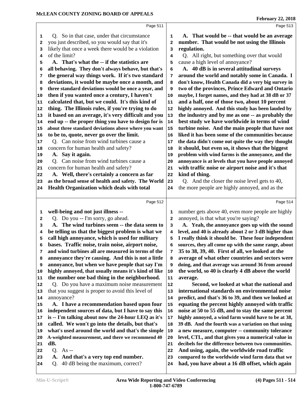|              | Page 511                                                 |                | Page 513                                                                                                |
|--------------|----------------------------------------------------------|----------------|---------------------------------------------------------------------------------------------------------|
| 1            | Q. So in that case, under that circumstance              | 1              | A. That would be -- that would be an average                                                            |
| 2            | you just described, so you would say that it's           | $\overline{a}$ | number. That would be not using the Illinois                                                            |
| 3            | likely that once a week there would be a violation       | 3              | regulation.                                                                                             |
| 4            | of the limit?                                            | 4              | Q. All right, but something over that would                                                             |
| 5            | A. That's what the -- if the statistics are              | 5              | cause a high level of annoyance?                                                                        |
| 6            | all behaving. They don't always behave, but that's       | 6              | A. 40 dB is in several attitudinal surveys                                                              |
| 7            | the general way things work. If it's two standard        | 7              | around the world and notably some in Canada. I                                                          |
| 8            | deviations, it would be maybe once a month, and          | 8              | don't know, Health Canada did a very big survey in                                                      |
| 9            | three standard deviations would be once a year, and      | 9              | two of the provinces, Prince Edward and Ontario                                                         |
| 10           | then if you wanted once a century, I haven't             | 10             | maybe, I forget names, and they had at 38 dB or 37                                                      |
| 11           | calculated that, but we could. It's this kind of         | 11             | and a half, one of those two, about 10 percent                                                          |
| 12           | thing. The Illinois rules, if you're trying to do        | 12             | highly annoyed. And this study has been lauded by                                                       |
| 13           | it based on an average, it's very difficult and you      | 13             | the industry and by me as one -- as probably the                                                        |
| 14           | end up -- the proper thing you have to design for is     | 14             | best study we have worldwide in terms of wind                                                           |
| 15           | about three standard deviations above where you want     | 15             | turbine noise. And the main people that have not                                                        |
| 16           | to be to, quote, never go over the limit.                | 16             | liked it has been some of the communities because                                                       |
| 17           | Q. Can noise from wind turbines cause a                  | 17             | the data didn't come out quite the way they thought                                                     |
| 18           | concern for human health and safety?                     | 18             | it should, but even so, it shows that the biggest                                                       |
| 19           | A. Say it again.                                         | 19             | problem with wind farms is the annoyance, and the                                                       |
| 20           | Q. Can noise from wind turbines cause a                  | 20             | annoyance is at levels that you have people annoyed                                                     |
| 21           | concern for human health and safety?                     | 21             | with traffic noise or airport noise and it's that                                                       |
| 22           | A. Well, there's certainly a concern as far              | 22             | kind of thing.                                                                                          |
| 23           | as the broad sense of health and safety. The World       | 23             | Q. And the closer the noise level gets to 40,                                                           |
| 24           | Health Organization which deals with total               | 24             | the more people are highly annoyed, and as the                                                          |
|              |                                                          |                |                                                                                                         |
|              |                                                          |                |                                                                                                         |
|              | Page 512                                                 |                | Page 514                                                                                                |
|              |                                                          |                |                                                                                                         |
| 1            | well-being and not just illness --                       | 1              | number gets above 40, even more people are highly                                                       |
| $\mathbf{2}$ | Q. Do you -- I'm sorry, go ahead.                        | $\overline{a}$ | annoyed, is that what you're saying?                                                                    |
| 3            | A. The wind turbines seem -- the data seem to            | 3              | A. Yeah, the annoyance goes up with the sound                                                           |
| 4            | be telling us that the biggest problem is what we        | 4              | level, and 40 is already about 2 or 3 dB higher than                                                    |
| 5            | call high annoyance, which is used for military          | 5              | I really think it should be. These four independent                                                     |
| 6            | bases. Traffic noise, train noise, airport noise,        | 6              | sources, they all come up with the same range, about                                                    |
| 7            | and wind turbines all are measured in terms of the       | 7              | 35 to 38, 39, 40. First of all, we looked at the                                                        |
| 8            | annoyance they're causing. And this is not a little      | 8              | average of what other countries and sectors were                                                        |
| 9            | annoyance, but when we have people that say I'm          | 9              | doing, and that average was around 36 from around                                                       |
| 10           | highly annoyed, that usually means it's kind of like     | 10             | the world, so 40 is clearly 4 dB above the world                                                        |
| 11<br>12     | the number one bad thing in the neighborhood.            | 11<br>12       | average.                                                                                                |
| 13           | Q. Do you have a maximum noise measurement               | 13             | Second, we looked at what the national and<br>international standards on environmental noise            |
| 14           | that you suggest is proper to avoid this level of        | 14             |                                                                                                         |
| 15           | annoyance?<br>A. I have a recommendation based upon four | 15             | predict, and that's 36 to 39, and then we looked at<br>equating the percent highly annoyed with traffic |
| 16           | independent sources of data, but I have to say this      | 16             | noise at 50 to 55 dB, and to stay the same percent                                                      |
| 17           | is -- I'm talking about now the 24-hour LEQ as it's      | 17             | highly annoyed, a wind farm would have to be at 38,                                                     |
| 18           | called. We won't go into the details, but that's         | 18             | 39 dB. And the fourth was a variation on that using                                                     |
| 19           | what's used around the world and that's the simple       | 19             | a new measure, computer -- community tolerance                                                          |
| 20           | A-weighted measurement, and there we recommend 40        | 20             | level, CTL, and that gives you a numerical value in                                                     |
| 21           | dB.                                                      | 21             | decibels for the difference between two communities.                                                    |
| 22           | Q. As $-$                                                | 22             | And using, again, the worldwide road traffic                                                            |
| 23           | A. And that's a very top end number.                     | 23             | compared to the worldwide wind farm data that we                                                        |
| 24           | 40 dB being the maximum, correct?<br>Q.                  | 24             | had, you have about a 16 dB offset, which again                                                         |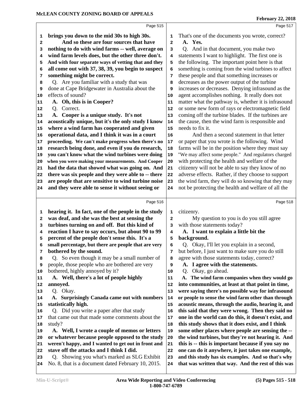|    | Page 515                                               |              | Page 517                                             |
|----|--------------------------------------------------------|--------------|------------------------------------------------------|
| 1  | brings you down to the mid 30s to high 30s.            | 1            | That's one of the documents you wrote, correct?      |
| 2  | And so these are four sources that have                | $\mathbf{2}$ | A. Yes.                                              |
| з  | nothing to do with wind farms -- well, average on      | 3            | Q. And in that document, you make two                |
| 4  | wind farm levels does, but the other three don't.      | 4            | statements I want to highlight. The first one is     |
| 5  | And with four separate ways of vetting that and they   | 5            | the following. The important point here is that      |
| 6  | all come out with 37, 38, 39, you begin to suspect     | 6            | something is coming from the wind turbines to affect |
| 7  | something might be correct.                            | 7            | these people and that something increases or         |
| 8  | Q. Are you familiar with a study that was              | 8            | decreases as the power output of the turbine         |
| 9  | done at Cape Bridgewater in Australia about the        | 9            | increases or decreases. Denying infrasound as the    |
| 10 | effects of sound?                                      | 10           | agent accomplishes nothing. It really does not       |
| 11 | A. Oh, this is in Cooper?                              | 11           | matter what the pathway is, whether it is infrasound |
| 12 | Q. Correct.                                            | 12           | or some new form of rays or electromagnetic field    |
| 13 | A. Cooper is a unique study. It's not                  | 13           | coming off the turbine blades. If the turbines are   |
| 14 | acoustically unique, but it's the only study I know    | 14           | the cause, then the wind farm is responsible and     |
| 15 | where a wind farm has cooperated and given             | 15           | needs to fix it.                                     |
| 16 | operational data, and I think it was in a court        | 16           | And then a second statement in that letter           |
| 17 | proceeding. We can't make progress when there's no     | 17           | or paper that you wrote is the following. Wind       |
| 18 | research being done, and even if you do research,      | 18           | farms will be in the position where they must say    |
| 19 | you can't know what the wind turbines were doing       | 19           | "We may affect some people." And regulators charged  |
| 20 | when you were making your measurements. And Cooper     | 20           | with protecting the health and welfare of the        |
| 21 | had the data that showed what was going on. And        | 21           | citizenry will not be able to say they know of no    |
| 22 | there was six people and they were able to -- there    | 22           | adverse effects. Rather, if they choose to support   |
| 23 | are people that are sensitive to wind turbine noise    | 23           | the wind farm, they will do so knowing that they may |
| 24 | and they were able to sense it without seeing or       | 24           | not be protecting the health and welfare of all the  |
|    |                                                        |              |                                                      |
|    | Page 516                                               |              | Page 518                                             |
| 1  | hearing it. In fact, one of the people in the study    | 1            | citizenry.                                           |
| 2  | was deaf, and she was the best at sensing the          | $\mathbf{2}$ | My question to you is do you still agree             |
| 3  | turbines turning on and off. But this kind of          | 3            | with those statements today?                         |
| 4  | reaction I have to say occurs, but about 90 to 99      | 4            | A. I want to explain a little bit the                |
|    |                                                        |              |                                                      |
|    |                                                        |              |                                                      |
| 5  | percent of the people don't sense this. It's a         | 5            | background.                                          |
| 6  | small percentage, but there are people that are very   | 6            | Q. Okay, I'll let you explain in a second,           |
| 7  | bothered by the sound.                                 | 7            | but before, I just want to make sure you do still    |
| 8  | So even though it may be a small number of<br>Q.       | 8            | agree with those statements today, correct?          |
| 9  | people, those people who are bothered are very         | 9            | A. I agree with the statements.                      |
| 10 | bothered, highly annoyed by it?                        | 10           | Okay, go ahead.<br>Q.                                |
| 11 | A. Well, there's a lot of people highly                | 11           | A. The wind farm companies when they would go        |
| 12 | annoyed.                                               | 12           | into communities, at least at that point in time,    |
| 13 | Q. Okay.                                               | 13           | were saying there's no possible way for infrasound   |
| 14 | <b>Surprisingly Canada came out with numbers</b><br>А. | 14           | or people to sense the wind farm other than through  |
| 15 | statistically high.                                    | 15           | acoustic means, through the audio, hearing it, and   |
| 16 | Q. Did you write a paper after that study              | 16           | this said that they were wrong. Then they said no    |
| 17 | that came out that made some comments about the        | 17           | one in the world can do this, it doesn't exist, and  |
| 18 | study?                                                 | 18           | this study shows that it does exist, and I think     |
| 19 | A. Well, I wrote a couple of memos or letters          | 19           | some other places where people are sensing the --    |
| 20 | or whatever because people opposed to the study        | 20           | the wind turbines, but they're not hearing it. And   |
| 21 | weren't happy, and I wanted to get out in front and    | 21           | this is -- this is important because if you say no   |
| 22 | stave off the attacks and I think I did.               | 22           | one can do it anywhere, it just takes one example,   |
| 23 | Q. Showing you what's marked as SLG Exhibit            | 23           | and this study has six examples. And so that's why   |
| 24 | No. 8, that is a document dated February 10, 2015.     | 24           | that was written that way. And the rest of this was  |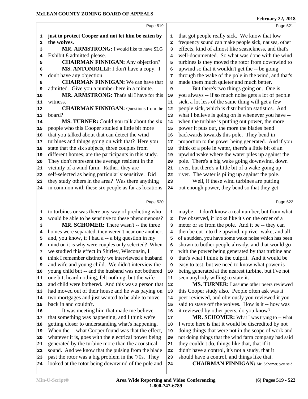|              | Page 519                                             |              | Page 521                                             |
|--------------|------------------------------------------------------|--------------|------------------------------------------------------|
| 1            | just to protect Cooper and not let him be eaten by   | 1            | that got people really sick. We know that low        |
| $\mathbf{2}$ | the wolves.                                          | $\mathbf{2}$ | frequency sound can make people sick, nausea, other  |
| 3            | MR. ARMSTRONG: I would like to have SLG              | 3            | effects, kind of almost like seasickness, and that's |
| 4            | Exhibit 8 admitted please.                           | 4            | well-documented. So what was done with the wind      |
| 5            | <b>CHAIRMAN FINNIGAN:</b> Any objection?             | 5            | turbines is they moved the rotor from downwind to    |
| 6            | MS. ANTONIOLLI: I don't have a copy. I               | 6            | upwind so that it wouldn't get the -- be going       |
| 7            | don't have any objection.                            | 7            | through the wake of the pole in the wind, and that's |
| 8            | <b>CHAIRMAN FINNIGAN:</b> We can have that           | 8            | made them much quieter and much better.              |
| 9            | admitted. Give you a number here in a minute.        | 9            | But there's two things going on. One is              |
| 10           | MR. ARMSTRONG: That's all I have for this            | 10           | you always -- if so much noise gets a lot of people  |
| 11           | witness.                                             | 11           | sick, a lot less of the same thing will get a few    |
| 12           | <b>CHAIRMAN FINNIGAN:</b> Questions from the         | 12           | people sick, which is distribution statistics. And   |
| 13           | board?                                               | 13           | what I believe is going on is whenever you have --   |
| 14           | MS. TURNER: Could you talk about the six             | 14           | when the turbine is putting out power, the more      |
| 15           | people who this Cooper studied a little bit more     | 15           | power it puts out, the more the blades bend          |
| 16           | that you talked about that can detect the wind       | 16           | backwards towards this pole. They bend in            |
| 17           | turbines and things going on with that? Here you     | 17           | proportion to the power being generated. And if you  |
| 18           | state that the six subjects, three couples from      | 18           | think of a pole in water, there's a little bit of an |
| 19           | different homes, are the participants in this study. | 19           | upwind wake where the water piles up against the     |
| 20           | They don't represent the average resident in the     | 20           | pole. There's a big wake going downwind, down        |
| 21           | vicinity of a wind farm. Rather, they are            | 21           | river, but there's a little bit of a wake going up   |
| 22           | self-selected as being particularly sensitive. Did   | 22           | river. The water is piling up against the pole.      |
| 23           | they study others in the area? Was there anything    | 23           | Well, if these wind turbines are putting             |
| 24           | in common with these six people as far as locations  | 24           | out enough power, they bend so that they get         |
|              |                                                      |              |                                                      |
|              | Page 520                                             |              | Page 522                                             |
| 1            | to turbines or was there any way of predicting who   | 1            | maybe -- I don't know a real number, but from what   |
| 2            | would be able to be sensitive to these phenomenons?  | $\mathbf{z}$ | I've observed, it looks like it's on the order of a  |
| 3            | MR. SCHOMER: There wasn't -- the three               | з            | meter or so from the pole. And it be -- they can     |
| 4            | homes were separated, they weren't near one another, | 4            | then be cut into the upwind, up river wake, and all  |
| 5            | and, you know, if I had a -- a big question in my    | 5            | of a sudden, you have some wake noise which has been |
| 6            | mind on it is why were couples only selected? When   | 6            | shown to bother people already, and that would go    |
| 7            | we studied this effect in Shirley, Wisconsin, I      | 7            | with the power being generated by that turbine and   |
| 8            | think I remember distinctly we interviewed a husband | 8            | that's what I think is the culprit. And it would be  |
| 9            | and wife and young child. We didn't interview the    | 9            | easy to test, but we need to know what power is      |
| 10           | young child but -- and the husband was not bothered  | 10           | being generated at the nearest turbine, but I've not |
| 11           | one bit, heard nothing, felt nothing, but the wife   | 11           | seen anybody willing to state it.                    |
| 12           | and child were bothered. And this was a person that  | 12           | MS. TURNER: I assume other peers reviewed            |
| 13           | had moved out of their house and he was paying on    | 13           | this Cooper study also. People often ask was it      |
| 14           | two mortgages and just wanted to be able to move     | 14           | peer reviewed, and obviously you reviewed it you     |
| 15           | back in and couldn't.                                | 15           | said to stave off the wolves. How is it -- how was   |
| 16           | It was meeting him that made me believe              | 16           | it reviewed by other peers, do you know?             |
| 17           | that something was happening, and I think we're      | 17           | MR. SCHOMER: What I was trying to -- what            |
| 18           | getting closer to understanding what's happening.    | 18           | I wrote here is that it would be discredited by not  |
| 19           | When the -- what Cooper found was that the effect,   | 19           | doing things that were not in the scope of work and  |
| 20           | whatever it is, goes with the electrical power being | 20           | not doing things that the wind farm company had said |
| 21           | generated by the turbine more than the acoustical    | 21           | they couldn't do, things like that, that if it       |
| 22           | sound. And we know that the pulsing from the blade   | 22           | didn't have a control, it's not a study, that it     |
| 23           | past the rotor was a big problem in the '70s. They   | 23           | should have a control, and things like that.         |
| 24           | looked at the rotor being downwind of the pole and   | 24           | <b>CHAIRMAN FINNIGAN:</b> Mr. Schomer, you said      |
|              |                                                      |              |                                                      |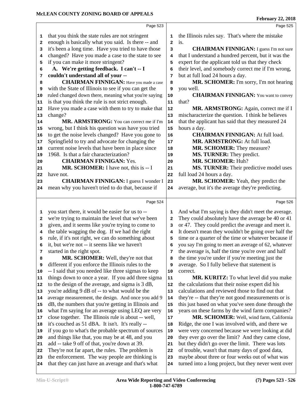that you think the state rules are not stringent

 **A. We're getting feedback. I can't -- I**

is that you think the rule is not strict enough.

if you can make it more stringent?

 **couldn't understand all of your --**

change?

 enough is basically what you said. Is there -- and 2 it's been a long time. Have you tried to have those **3** changed? Have you made a case to the state to see | **4** 

 **CHAIRMAN FINNIGAN:** Have you made a case | 8 with the State of Illinois to see if you can get the ruled changed down there, meaning what you're saying 10

Have you made a case with them to try to make that | **12** 

 MR. ARMSTRONG: You can correct me if I'm 14 wrong, but I think his question was have you tried to get the noise levels changed? Have you gone to 16

| 17           | Springfield to try and advocate for changing the     | 17                      | MR. ARMSTRONG: At full load.                         |
|--------------|------------------------------------------------------|-------------------------|------------------------------------------------------|
| 18           | current noise levels that have been in place since   | 18                      | MR. SCHOMER: They measure?                           |
| 19           | 1968. Is that a fair characterization?               | 19                      | MS. TURNER: They predict.                            |
| 20           | <b>CHAIRMAN FINNIGAN: Yes.</b>                       | 20                      | MR. SCHOMER: Huh?                                    |
| 21           | MR. SCHOMER: I have not, this is -- I                | 21                      | MS. TURNER: Their predictive model uses              |
| 22           | have not.                                            | 22                      | full load 24 hours a day.                            |
| 23           | <b>CHAIRMAN FINNIGAN:</b> I guess I wonder I         | 23                      | MR. SCHOMER: Yeah, they predict the                  |
| 24           | mean why you haven't tried to do that, because if    | 24                      | average, but it's the average they're predicting.    |
|              | Page 524                                             |                         | Page 526                                             |
| 1            | you start there, it would be easier for us to --     | 1                       | And what I'm saying is they didn't meet the average. |
| $\mathbf{2}$ | we're trying to maintain the level that we've been   | 2                       | They could absolutely have the average be 40 or 41   |
| 3            | given, and it seems like you're trying to come to    | 3                       | or 47. They could predict the average and meet it.   |
| 4            | the table wagging the dog. If we had the right       | $\overline{\mathbf{4}}$ | It doesn't mean they wouldn't be going over half the |
| 5            | rule, if it's not right, we can do something about   | 5                       | time or a quarter of the time or whatever because if |
| 6            | it, but we're not -- it seems like we haven't        | 6                       | you say I'm going to meet an average of 62, whatever |
| 7            | started in the right spot.                           | 7                       | the average is, half the time you're over and half   |
| 8            | MR. SCHOMER: Well, they're not that                  | 8                       | the time you're under if you're meeting just the     |
| 9            | different if you enforce the Illinois rules to the   | 9                       | average. So I fully believe that statement is        |
| 10           | -- I said that you needed like three sigmas to keep  | 10                      | correct.                                             |
| 11           | things down to once a year. If you add three sigma   | 11                      | MR. KURITZ: To what level did you make               |
| 12           | to the design of the average, and sigma is 3 dB,     | 12                      | the calculations that their noise expert did his     |
| 13           | you're adding 9 dB of -- to what would be the        | 13                      | calculations and reviewed those to find out that     |
| 14           | average measurement, the design. And once you add 9  | 14                      | they're -- that they're not good measurements or is  |
| 15           | dB, the numbers that you're getting in Illinois and  | 15                      | this just based on what you've seen done through the |
| 16           | what I'm saying for an average using LEQ are very    | 16                      | years on these farms by the wind farm companies?     |
| 17           | close together. The Illinois rule is about -- well,  | 17                      | MR. SCHOMER: Well, wind farm, California             |
| 18           | it's couched as 51 dBA. It isn't. It's really --     | 18                      | Ridge, the one I was involved with, and there we     |
| 19           | if you go to what's the probable spectrum of sources | 19                      | were very concerned because we were looking at did   |
| 20           | and things like that, you may be at 48, and you      | 20                      | they ever go over the limit? And they came close,    |
| 21           | add -- take 9 off of that, you're down at 39.        | 21                      | but they didn't go over the limit. There was lots    |
| 22           | They're not far apart, the rules. The problem is     | 22                      | of trouble, wasn't that many days of good data,      |
| 23           | the enforcement. The way people are thinking is      | 23                      | maybe about three or four weeks out of what was      |

Page 523

is.

you well.

hours a day.

that?

that they can just have an average and that's what 24

turned into a long project, but they never went over

the Illinois rules say. That's where the mistake

 expert for the applicant told us that they check their level, and somebody correct me if I'm wrong,

 mischaracterize the question. I think he believes that the applicant has said that they measured 24

but at full load 24 hours a day.

**CHAIRMAN FINNIGAN:** I guess I'm not sure

 **MR. SCHOMER:** I'm sorry, I'm not hearing

**CHAIRMAN FINNIGAN:** You want to convey

**MR. ARMSTRONG:** Again, correct me if I

 **CHAIRMAN FINNIGAN:** At full load. **MD. ADMCTDONC:**  $A + 6$ <sup>11</sup> load.

that I understand a hundred percent, but it was the

Page 525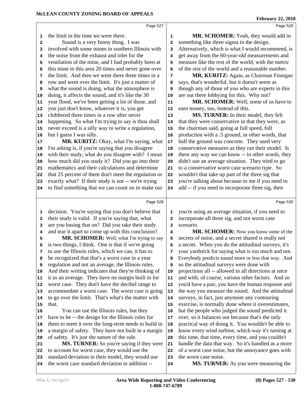|              | Page 527                                                                                                 |              | Page 529                                                       |  |
|--------------|----------------------------------------------------------------------------------------------------------|--------------|----------------------------------------------------------------|--|
| 1            | the limit in the time we were there.                                                                     | 1            | MR. SCHOMER: Yeah, they would add in                           |  |
| $\mathbf{2}$ | Sound is a very funny thing. I was                                                                       | $\mathbf{2}$ | something like three sigma in the design.                      |  |
| 3            | involved with some mines in southern Illinois with                                                       | 3            | Alternatively, which is what I would recommend, is             |  |
| 4            | the noise from the exhaust and inlet for the                                                             | 4            | get away from the 60-year-old measurements and                 |  |
| 5            | ventilation of the mine, and I had probably been at                                                      | 5            | measure like the rest of the world, with the metric            |  |
| 6            | this mine in this area 20 times and never gone over                                                      | 6            | of the rest of the world and a reasonable number.              |  |
| 7            | the limit. And then we went there three times in a                                                       | 7            | MR. KURITZ: Again, as Chairman Finnigan                        |  |
| 8            | row and went over the limit. It's just a matter of                                                       | 8            | says, that's wonderful, but it doesn't seem as                 |  |
| 9            | what the sound is doing, what the atmosphere is                                                          | 9            | though any of those of you who are experts in this             |  |
| 10           | doing, it affects the sound, and it's like the 30                                                        | 10           | are out there lobbying for this. Why not?                      |  |
| 11           | year flood, we've been getting a lot of those, and                                                       | 11           | MR. SCHOMER: Well, some of us have to                          |  |
| 12           | you just don't know, whatever it is, you get                                                             | 12           | earn money, too, instead of this.                              |  |
| 13           | clobbered three times in a row after never                                                               | 13           | MS. TURNER: In their model, they felt                          |  |
| 14           | happening. So what I'm trying to say is thou shall                                                       | 14           | that they were conservative in that they were, as              |  |
| 15           | never exceed is a silly way to write a regulation,                                                       | 15           | the chairman said, going at full speed, full                   |  |
| 16           | but I guess I was silly.                                                                                 | 16           | production with a .5 ground, in other words, that              |  |
| 17           | MR. KURITZ: Okay, what I'm saying, what                                                                  | 17           | half the ground was concrete. They used very                   |  |
| 18           | I'm asking is, if you're saying that you disagree                                                        | 18           | conservative measures as they ran their model. Is              |  |
| 19           | with their study, what do you disagree with? I mean                                                      | 19           | there any way we can know -- in other words, they              |  |
| 20           | how much did you study it? Did you go into their                                                         | 20           | didn't use an average situation. They tried to go              |  |
| 21           | mathematics and their calculations and determine                                                         | 21           | to a conservative worst case scenario type. So                 |  |
| 22           | that 25 percent of them don't meet the regulation or                                                     | 22           | wouldn't that take up part of the three sig that               |  |
| 23           | exactly what? If their study is not -- we're trying                                                      | 23           | you're talking about because to me if you need to              |  |
| 24           | to find something that we can count on to make our                                                       | 24           | add -- if you need to incorporate three sig, then              |  |
|              |                                                                                                          |              |                                                                |  |
|              | Page 528                                                                                                 |              | Page 530                                                       |  |
| 1            |                                                                                                          | 1            |                                                                |  |
| $\mathbf{2}$ | decision. You're saying that you don't believe that<br>their study is valid. If you're saying that, what | $\mathbf{2}$ | you're using an average situation, if you need to              |  |
| 3            |                                                                                                          | 3            | incorporate all three sig, and not worst case<br>scenario.     |  |
| 4            | are you basing that on? Did you take their study<br>and tear it apart to come up with this conclusion?   | 4            | MR. SCHOMER: Now you know some of the                          |  |
| 5            | MR. SCHOMER: Well, what I'm trying to say                                                                | 5            | secrets of noise, and a secret shared is really not            |  |
| 6            | is two things, I think. One is that if we're going                                                       | 6            | a secret. When you do the attitudinal surveys, it's            |  |
| 7            | to use the Illinois rules, which we can, it has to                                                       | 7            | your yardstick for saying what is too much and not.            |  |
| 8            | be recognized that that's a worst case in a year                                                         | 8            | Everybody predicts sound more or less that way. And            |  |
| 9            | regulation and not an average, the Illinois rules.                                                       | 9            | so the attitudinal surveys were done with                      |  |
| 10           | And their writing indicates that they're thinking of                                                     | 10           | projections all -- allowed in all directions at once           |  |
| 11           | it as an average. They have no margin built in for                                                       | 11           | and with, of course, various other factors. And so             |  |
| 12           | worst case. They don't have the decibel range to                                                         | 12           | you'd have a pair, you have the human response and             |  |
| 13           | accommodate a worst case. The worst case is going                                                        | 13           | the way you measure the sound. And the attitudinal             |  |
| 14           | to go over the limit. That's what's the matter with                                                      | 14           | surveys, in fact, just anymore any contouring                  |  |
| 15           | that.                                                                                                    | 15           | exercise, is normally done where it overestimates,             |  |
| 16           | You can use the Illinois rules, but they                                                                 | 16           | but the people who judged the sound predicted it               |  |
| 17           | have to be -- the design for the Illinois rules for                                                      | 17           | over, so it balances out because that's the only               |  |
| 18           | them to meet it over the long-term needs to build in                                                     | 18           | practical way of doing it. You wouldn't be able to             |  |
| 19           | a margin of safety. They have not built in a margin                                                      | 19           | know every wind turbine, which way it's turning at             |  |
| 20           | of safety. It's just the nature of the rule.                                                             | 20           | this time, that time, every time, and you couldn't             |  |
| 21           | MS. TURNER: So you're saying if they were                                                                | 21           | handle the data that way. So it's handled as a more            |  |
| 22           | to account for worst case, they would use the                                                            | 22           | of a worst case noise, but the annoyance goes with             |  |
| 23<br>24     | standard deviation in their model, they would use<br>the worst case standard deviation in addition --    | 23<br>24     | the worst case noise.<br>MS. TURNER: As you were measuring the |  |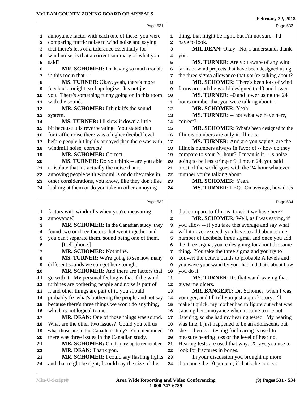|    | Page 531                                             |              | Page 533                                             |  |
|----|------------------------------------------------------|--------------|------------------------------------------------------|--|
|    |                                                      |              |                                                      |  |
| 1  | annoyance factor with each one of these, you were    | 1            | thing, that might be right, but I'm not sure. I'd    |  |
| 2  | comparing traffic noise to wind noise and saying     | $\mathbf{2}$ | have to look.                                        |  |
| 3  | that there's less of a tolerance essentially for     | 3            | MR. DEAN: Okay. No, I understand, thank              |  |
| 4  | wind noise, is that a correct summary of what you    | 4            | you.                                                 |  |
| 5  | said?                                                | 5            | MS. TURNER: Are you aware of any wind                |  |
| 6  | MR. SCHOMER: I'm having so much trouble              | 6            | farms or wind projects that have been designed using |  |
| 7  | in this room that --                                 | 7            | the three sigma allowance that you're talking about? |  |
| 8  | MS. TURNER: Okay, yeah, there's more                 | 8            | MR. SCHOMER: There's been lots of wind               |  |
| 9  | feedback tonight, so I apologize. It's not just      | 9            | farms around the world designed to 40 and lower.     |  |
| 10 | you. There's something funny going on in this room   | 10           | MS. TURNER: 40 and lower using the 24                |  |
| 11 | with the sound.                                      | 11           | hours number that you were talking about --          |  |
| 12 | MR. SCHOMER: I think it's the sound                  | 12           | MR. SCHOMER: Yeah.                                   |  |
| 13 | system.                                              | 13           | MS. TURNER: -- not what we have here,                |  |
| 14 | <b>MS. TURNER:</b> I'll slow it down a little        | 14           | correct?                                             |  |
| 15 | bit because it is reverberating. You stated that     | 15           | MR. SCHOMER: What's been designed to the             |  |
| 16 | for traffic noise there was a higher decibel level   | 16           | Illinois numbers are only in Illinois.               |  |
| 17 | before people hit highly annoyed than there was with | $17\,$       | MS. TURNER: And are you saying, are the              |  |
| 18 | windmill noise, correct?                             | 18           | Illinois numbers always in favor of -- how do they   |  |
| 19 | <b>MR. SCHOMER: Correct.</b>                         | 19           | compare to your 24-hour? I mean is it -- is noise    |  |
| 20 | MS. TURNER: Do you think -- are you able             | 20           | going to be less stringent? I mean 24, you said      |  |
| 21 | to isolate that it's actually the noise that is      | 21           | most of the world goes with the 24-hour whatever     |  |
| 22 | annoying people with windmills or do they take in    | 22           | number you're talking about.                         |  |
| 23 | other considerations, you know, like they don't like | 23           | MR. SCHOMER: Yeah.                                   |  |
| 24 | looking at them or do you take in other annoying     | 24           | MS. TURNER: LEQ. On average, how does                |  |
|    |                                                      |              |                                                      |  |
|    | Page 532                                             |              | Page 534                                             |  |
| 1  | factors with windmills when you're measuring         | 1            | that compare to Illinois, to what we have here?      |  |
| 2  | annoyance?                                           | $\mathbf{2}$ | MR. SCHOMER: Well, as I was saying, if               |  |
| 3  | MR. SCHOMER: In the Canadian study, they             | з            | you allow -- if you take this average and say what   |  |
| 4  | found two or three factors that went together and    | 4            | will it never exceed, you have to add about some     |  |
| 5  | you can't separate them, sound being one of them.    | 5            | number of decibels, three sigma, and once you add    |  |
| 6  | [Cell phone.]                                        | 6            | the three sigma, you're designing for about the same |  |
| 7  | MR. SCHOMER: Not mine.                               | 7            | thing. You take the three sigma and you try to       |  |
| 8  | <b>MS. TURNER:</b> We're going to see how many       | 8            | convert the octave bands to probable A levels and    |  |
| 9  | different sounds we can get here tonight.            | 9            | you wave your wand by your hat and that's about how  |  |
| 10 | MR. SCHOMER: And there are factors that              | 10           | you do it.                                           |  |
| 11 | go with it. My personal feeling is that if the wind  | 11           | <b>MS. TURNER:</b> It's that wand waving that        |  |
| 12 | turbines are bothering people and noise is part of   | 12           | gives me ulcers.                                     |  |
| 13 | it and other things are part of it, you should       | 13           | MR. BANGERT: Dr. Schomer, when I was                 |  |
| 14 | probably fix what's bothering the people and not say | 14           | younger, and I'll tell you just a quick story, I'll  |  |
| 15 | because there's three things we won't do anything,   | 15           | make it quick, my mother had to figure out what was  |  |
| 16 | which is not logical to me.                          | 16           | causing her annoyance when it came to me not         |  |
| 17 | MR. DEAN: One of those things was sound.             | 17           | listening, so she had my hearing tested. My hearing  |  |
| 18 | What are the other two issues? Could you tell us     | 18           | was fine, I just happened to be an adolescent, but   |  |
| 19 | what those are in the Canadian study? You mentioned  | 19           | she -- there's -- testing for hearing is used to     |  |
| 20 | there was three issues in the Canadian study.        | 20           | measure hearing loss or the level of hearing.        |  |
| 21 | MR. SCHOMER: Oh, I'm trying to remember.             | 21           | Hearing tests are used that way. X rays you use to   |  |
| 22 | MR. DEAN: Thank you.                                 | 22           | look for fractures in bones.                         |  |
| 23 | MR. SCHOMER: I could say flashing lights             | 23           | In your discussion you brought up more               |  |
| 24 | and that might be right, I could say the size of the | 24           | than once the 10 percent, if that's the correct      |  |
|    |                                                      |              |                                                      |  |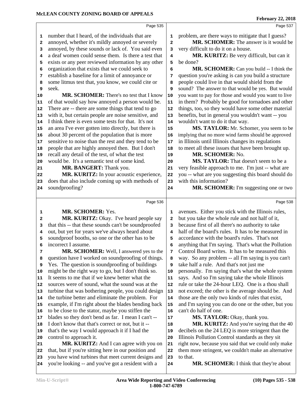|              | Page 535                                             |                | Page 537                                             |
|--------------|------------------------------------------------------|----------------|------------------------------------------------------|
| 1            | number that I heard, of the individuals that are     | 1              | problem, are there ways to mitigate that I guess?    |
| 2            | annoyed, whether it's mildly annoyed or severely     | $\overline{a}$ | MR. SCHOMER: The answer is it would be               |
| 3            | annoyed, by these sounds or lack of. You said even   | 3              | very difficult to do it on a house.                  |
| 4            | a deaf women could sense them. Is there a test that  | 4              | MR. KURITZ: Be very difficult, but can it            |
| 5            | exists or any peer reviewed information by any other | 5              | be done?                                             |
| 6            | organization that exists that we could seek to       | 6              | MR. SCHOMER: Can you build -- I think the            |
| 7            | establish a baseline for a limit of annoyance or     | 7              | question you're asking is can you build a structure  |
| 8            | some litmus test that, you know, we could cite or    | 8              | people could live in that would shield from the      |
| 9            | seek.                                                | 9              | sound? The answer to that would be yes. But would    |
| 10           | MR. SCHOMER: There's no test that I know             | 10             | you want to pay for those and would you want to live |
| 11           | of that would say how annoyed a person would be.     | 11             | in them? Probably be good for tornadoes and other    |
| 12           | There are -- there are some things that tend to go   | 12             | things, too, so they would have some other material  |
| 13           | with it, but certain people are noise sensitive, and | 13             | benefits, but in general you wouldn't want -- you    |
| 14           | I think there is even some tests for that. It's not  | 14             | wouldn't want to do it that way.                     |
| 15           | an area I've ever gotten into directly, but there is | 15             | MS. TAYLOR: Mr. Schomer, you seem to be              |
| 16           | about 30 percent of the population that is more      | 16             | implying that no more wind farms should be approved  |
| 17           | sensitive to noise than the rest and they tend to be | 17             | in Illinois until Illinois changes its regulations   |
| 18           | people that are highly annoyed then. But I don't     | 18             | to meet all these issues that have been brought up.  |
| 19           | recall any detail of the test, of what the test      | 19             | MR. SCHOMER: No.                                     |
| 20           | would be. It's a semantic test of some kind.         | 20             | MS. TAYLOR: That doesn't seem to be a                |
| 21           | MR. BANGERT: Thank you.                              | 21             | very feasible approach to me. I'm just -- what are   |
| 22           | MR. KURITZ: In your acoustic experience,             | 22             | you -- what are you suggesting this board should do  |
| 23           | does that also include coming up with methods of     | 23             | with this information?                               |
| 24           | soundproofing?                                       | 24             | MR. SCHOMER: I'm suggesting one or two               |
|              |                                                      |                |                                                      |
|              | Page 536                                             |                | Page 538                                             |
| 1            | <b>MR. SCHOMER: Yes.</b>                             | 1              | avenues. Either you stick with the Illinois rules,   |
| $\mathbf{2}$ | MR. KURITZ: Okay. I've heard people say              | $\mathbf{2}$   | but you take the whole rule and not half of it,      |
| 3            | that this -- that these sounds can't be soundproofed | 3              | because first of all there's no authority to take    |
| 4            | out, but yet for years we've always heard about      | 4              | half of the board's rules. It has to be measured in  |
| 5            | soundproof booths, so one or the other has to be     | 5              | accordance with the board's rules. That's not        |
| 6            | incorrect I assume.                                  | 6              | anything that I'm saying. That's what the Pollution  |
| 7            | MR. SCHOMER: Well, I answered yes to the             | 7              | Control Board writes. It has to be measured this     |
| 8            | question have I worked on soundproofing of things.   | 8              | way. So any problem -- all I'm saying is you can't   |
| 9            | Yes. The question is sound proofing of buildings     | 9              | take half a rule. And that's not just me             |
| 10           | might be the right way to go, but I don't think so.  | 10             | personally. I'm saying that's what the whole system  |
| 11           | It seems to me that if we knew better what the       | 11             | says. And so I'm saying take the whole Illinois      |
| 12           | sources were of sound, what the sound was at the     | 12             | rule or take the 24-hour LEQ. One is a thou shall    |
| 13           | turbine that was bothering people, you could design  | 13             | not exceed; the other is the average should be. And  |
| 14           | the turbine better and eliminate the problem. For    | 14             | those are the only two kinds of rules that exist,    |
| 15           | example, if I'm right about the blades bending back  | 15             | and I'm saying you can do one or the other, but you  |
| 16           | to be close to the stator, maybe you stiffen the     | 16             | can't do half of one.                                |
| 17           | blades so they don't bend as far. I mean I can't --  | 17             | MS. TAYLOR: Okay, thank you.                         |
| 18           | I don't know that that's correct or not, but it --   | 18             | MR. KURITZ: And you're saying that the 40            |
| 19           | that's the way I would approach it if I had the      | 19             | decibels on the 24 LEQ is more stringent than the    |
| 20           | control to approach it.                              | 20             | Illinois Pollution Control standards as they sit     |
| 21           | MR. KURITZ: And I can agree with you on              | 21             | right now, because you said that we could only make  |
| 22           | that, but if you're sitting here in our position and | 22             | them more stringent, we couldn't make an alternative |
| 23           | you have wind turbines that meet current designs and | 23             | to that.<br>MR. SCHOMER: I think that they're about  |
| 24           | you're looking -- and you've got a resident with a   | 24             |                                                      |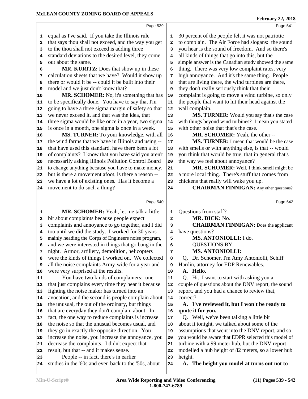**February 22, 2018**

|    | Page 539                                             |              | Page 541                                             |
|----|------------------------------------------------------|--------------|------------------------------------------------------|
| 1  | equal as I've said. If you take the Illinois rule    | 1            | 30 percent of the people felt it was not patriotic   |
| 2  | that says thou shall not exceed, and the way you get | $\mathbf{2}$ | to complain. The Air Force had slogans: the sound    |
| 3  | to the thou shall not exceed is adding three         | 3            | you hear is the sound of freedom. And so there's     |
| 4  | standard deviations to the desired level, they come  | 4            | all kinds of things that go into this, but the       |
| 5  | out about the same.                                  | 5            | simple answer is the Canadian study showed the same  |
| 6  | MR. KURITZ: Does that show up in these               | 6            | thing. There was very low complaint rates, very      |
| 7  | calculation sheets that we have? Would it show up    | 7            | high annoyance. And it's the same thing. People      |
| 8  | there or would it be -- could it be built into their | 8            | that are living there, the wind turbines are there,  |
| 9  | model and we just don't know that?                   | 9            | they don't really seriously think that their         |
| 10 | MR. SCHOMER: No, it's something that has             | 10           | complaint is going to move a wind turbine, so only   |
| 11 | to be specifically done. You have to say that I'm    | 11           | the people that want to hit their head against the   |
| 12 | going to have a three sigma margin of safety so that | 12           | wall complain.                                       |
| 13 | we never exceed it, and that was the idea, that      | 13           | MS. TURNER: Would you say that's the case            |
| 14 | three sigma would be like once in a year, two sigma  | 14           | with things beyond wind turbines? I mean you stated  |
| 15 | is once in a month, one sigma is once in a week.     | 15           | with other noise that that's the case.               |
| 16 | MS. TURNER: To your knowledge, with all              | 16           | MR. SCHOMER: Yeah, the other --                      |
| 17 | the wind farms that we have in Illinois and using -- | 17           | MS. TURNER: I mean that would be the case            |
| 18 | that have used this standard, have there been a lot  | 18           | with smells or with anything else, is that -- would  |
| 19 | of complaints? I know that you have said you aren't  | 19           | you think that would be true, that in general that's |
| 20 | necessarily asking Illinois Pollution Control Board  | 20           | the way we feel about annoyance?                     |
| 21 | to change anything because you have to make money,   | 21           | MR. SCHOMER: Well, I think smell might be            |
| 22 | but is there a movement afoot, is there a reason --  | 22           | a more local thing. There's stuff that comes from    |
| 23 | we have a lot of existing ones. Has it become a      | 23           | chickens that really will wake you up.               |
| 24 | movement to do such a thing?                         | 24           | <b>CHAIRMAN FINNIGAN:</b> Any other questions?       |
|    |                                                      |              |                                                      |
|    | Page 540                                             |              | Page 542                                             |
| 1  | MR. SCHOMER: Yeah, let me talk a little              | 1            | Questions from staff?                                |
| 2  | bit about complaints because people expect           | $\mathbf{2}$ | MR. DICK: No.                                        |
| 3  | complaints and annoyance to go together, and I did   | 3            | <b>CHAIRMAN FINNIGAN:</b> Does the applicant         |
| 4  | too until we did the study. I worked for 30 years    | 4            | have questions?                                      |
| 5  | mainly heading the Corps of Engineers noise program, | 5            | MS. ANTONIOLLI: I do.                                |
| 6  | and we were interested in things that go bang in the | 6            | <b>QUESTIONS BY.</b>                                 |
| 7  | night. Armor, artillery, demolition, helicopters     | 7            | <b>MS. ANTONIOLLI:</b>                               |
| 8  | were the kinds of things I worked on. We collected   | 8            | Q. Dr. Schomer, I'm Amy Antoniolli, Schiff           |
| 9  | all the noise complaints Army-wide for a year and    | 9            | Hardin, attorney for EDP Renewables.                 |
| 10 | were very surprised at the results.                  | 10           | A. Hello.                                            |
| 11 | You have two kinds of complainers: one               | 11           | Q. Hi. I want to start with asking you a             |
| 12 | that just complains every time they hear it because  | 12           | couple of questions about the DNV report, the sound  |
| 13 | fighting the noise maker has turned into an          | 13           | report, and you had a chance to review that,         |
| 14 | avocation, and the second is people complain about   | 14           | correct?                                             |
| 15 | the unusual, the out of the ordinary, but things     | 15           | A. I've reviewed it, but I won't be ready to         |
| 16 | that are everyday they don't complain about. In      | 16           | quote it for you.                                    |
| 17 | fact, the one way to reduce complaints is increase   | 17           | Q. Well, we've been talking a little bit             |
| 18 | the noise so that the unusual becomes usual, and     | 18           | about it tonight, we talked about some of the        |
| 19 | they go in exactly the opposite direction. You       | 19           | assumptions that went into the DNV report, and so    |
| 20 | increase the noise, you increase the annoyance, you  | 20           | you would be aware that EDPR selected this model of  |
| 21 | decrease the complaints. I didn't expect that        | 21           | turbine with a 99 meter hub, but the DNV report      |
| 22 | result, but that -- and it makes sense.              | 22           | modelled a hub height of 82 meters, so a lower hub   |
| 23 | People -- in fact, there's in earlier                | 23           | height.                                              |
| 24 | studies in the '60s and even back to the '50s, about | 24           | A. The height you model at turns out not to          |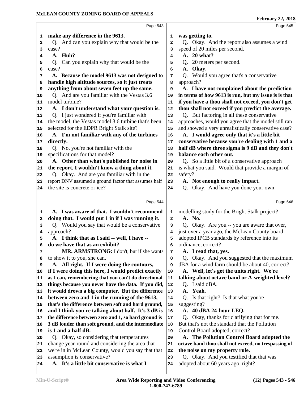| Page 543                                                                               |                | Page 545                                                                                      |
|----------------------------------------------------------------------------------------|----------------|-----------------------------------------------------------------------------------------------|
| make any difference in the 9613.                                                       | 1              | was getting to.                                                                               |
| 1<br>Q. And can you explain why that would be the                                      | $\mathbf{2}$   | Q. Okay. And the report also assumes a wind                                                   |
| 2<br>case?<br>3                                                                        | 3              | speed of 20 miles per second.                                                                 |
| A. Huh?<br>4                                                                           | 4              | A. 20 what?                                                                                   |
| Q. Can you explain why that would be the<br>5                                          | 5              | Q. 20 meters per second.                                                                      |
| case?<br>6                                                                             | 6              | A. Okay.                                                                                      |
| A. Because the model 9613 was not designed to<br>7                                     | 7              | Q. Would you agree that's a conservative                                                      |
| handle high altitude sources, so it just treats<br>8                                   | 8              | approach?                                                                                     |
| anything from about seven feet up the same.<br>9                                       | 9              | A. I have not complained about the prediction                                                 |
| Q. And are you familiar with the Vestas 3.6<br>10                                      | 10             | in terms of how 9613 is run, but my issue is is that                                          |
| model turbine?<br>11                                                                   | 11             | if you have a thou shall not exceed, you don't get                                            |
| A. I don't understand what your question is.<br>12                                     | 12             | thou shall not exceed if you predict the average.                                             |
| Q. I just wondered if you're familiar with<br>13                                       | $13$           | Q. But factoring in all these conservative                                                    |
| the model, the Vestas model 3.6 turbine that's been<br>14                              | 14             | approaches, would you agree that the model still ran                                          |
| selected for the EDPR Bright Stalk site?<br>15                                         | 15             | and showed a very unrealistically conservative case?                                          |
| A. I'm not familiar with any of the turbines<br>16                                     | 16             | A. I would agree only that it's a little bit                                                  |
| directly.<br>17                                                                        | 17             | conservative because you're dealing with 1 and a                                              |
| Q. No, you're not familiar with the<br>18                                              | 18             | half dB where three sigma is 9 dB and they don't                                              |
| specifications for that model?<br>19                                                   | 19             | balance each other out.                                                                       |
| A. Other than what's published for noise in<br>20                                      | 20             | Q. So a little bit of a conservative approach                                                 |
| the report, I wouldn't know a thing about it.<br>21                                    | 21             | is what you said. Would that provide a margin of                                              |
| Q. Okay. And are you familiar with in the<br>22                                        | 22             | safety?                                                                                       |
| report DNV assumed a ground factor that assumes half<br>23                             | 23             | A. Not enough to really impact.                                                               |
| the site is concrete or ice?<br>24                                                     | 24             | Q. Okay. And have you done your own                                                           |
|                                                                                        |                |                                                                                               |
| Page 544                                                                               |                | Page 546                                                                                      |
| A. I was aware of that. I wouldn't recommend<br>1                                      | 1              | modelling study for the Bright Stalk project?                                                 |
| doing that. I would put 1 in if I was running it.<br>2                                 | $\overline{a}$ | A. No.                                                                                        |
| Q. Would you say that would be a conservative<br>3                                     | 3              | Q. Okay. Are you -- you are aware that over,                                                  |
| approach?<br>4                                                                         | 4              | just over a year ago, the McLean County board                                                 |
| A. I think that as I said -- well, I have --<br>5                                      | 5              | adopted IPCB standards by reference into its                                                  |
| do we have that as an exhibit?<br>6                                                    | 6              | ordinance, correct?                                                                           |
| MR. ARMSTRONG: I don't, but if she wants<br>$\overline{7}$                             | 7              | A. I read that, yes.                                                                          |
| to show it to you, she can.<br>8                                                       | 8              | Q. Okay. And you suggested that the maximum                                                   |
| A. All right. If I were doing the contours,<br>9                                       | 9              | dBA for a wind farm should be about 40, correct?                                              |
| if I were doing this here, I would predict exactly<br>10                               | 10             | A. Well, let's get the units right. We're                                                     |
| as I can, remembering that you can't do directional<br>11                              | 11             | talking about octave band or A-weighted level?                                                |
| things because you never have the data. If you did,<br>12                              | 12             | Q. I said dBA.                                                                                |
| it would drown a big computer. But the difference<br>13                                | 13             | A. Yeah.                                                                                      |
| between zero and 1 in the running of the 9613,<br>14                                   | 14             | Is that right? Is that what you're<br>O.                                                      |
| that's the difference between soft and hard ground,<br>15                              | 15             | suggesting?                                                                                   |
| and I think you're talking about half. It's 3 dB is<br>16                              | 16             | A. 40 dBA 24-hour LEQ.                                                                        |
| the difference between zero and 1, so hard ground is<br>17                             | 17             | Q. Okay, thanks for clarifying that for me.<br>But that's not the standard that the Pollution |
| 3 dB louder than soft ground, and the intermediate<br>18<br>is 1 and a half dB.        | 18             |                                                                                               |
| 19                                                                                     | 19             | Control Board adopted, correct?                                                               |
|                                                                                        |                |                                                                                               |
| Q. Okay, so considering that temperatures<br>20                                        | 20             | A. The Pollution Control Board adopted the                                                    |
| change year-round and considering the area that                                        | 21             | octave band thou shall not exceed, no trespassing of                                          |
| 21<br>we're in in McLean County, would you say that that<br>22                         | 22             | the noise on my property rule.                                                                |
| assumption is conservative?<br>23<br>A. It's a little bit conservative is what I<br>24 | 23<br>24       | Q. Okay. And you testified that that was<br>adopted about 60 years ago, right?                |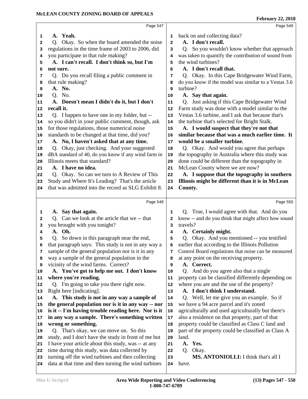|                                  | Page 547                                             |              | Page 549                                             |
|----------------------------------|------------------------------------------------------|--------------|------------------------------------------------------|
| 1                                | A. Yeah.                                             | 1            | back on and collecting data?                         |
| 2                                | Okay. So when the board amended the noise<br>Q.      | $\mathbf{2}$ | A. I don't recall.                                   |
| 3                                | regulations in the time frame of 2003 to 2006, did   | 3            | Q. So you wouldn't know whether that approach        |
| 4                                | you participate in that rule making?                 | 4            | was taken to quantify the contribution of sound from |
| 5                                | A. I can't recall. I don't think so, but I'm         | 5            | the wind turbines?                                   |
| 6                                | not sure.                                            | 6            | A. I don't recall that.                              |
| 7                                | Q. Do you recall filing a public comment in          | 7            | Q. Okay. In this Cape Bridgewater Wind Farm,         |
| 8                                | that rule making?                                    | 8            | do you know if the model was similar to a Vestas 3.6 |
| 9                                | A. No.                                               | 9            | turbine?                                             |
| 10                               | Q. No.                                               | 10           | A. Say that again.                                   |
| 11                               | A. Doesn't mean I didn't do it, but I don't          | 11           | Q. Just asking if this Cape Bridgewater Wind         |
| 12                               | recall it.                                           | 12           | Farm study was done with a model similar to the      |
| 13                               | Q. I happen to have one in my folder, but --         | 13           | Vestas 3.6 turbine, and I ask that because that's    |
| 14                               | so you didn't in your public comment, though, ask    | 14           | the turbine that's selected for Bright Stalk.        |
| 15                               | for those regulations, those numerical noise         | 15           | A. I would suspect that they're not that             |
| 16                               | standards to be changed at that time, did you?       | 16           | similar because that was a much earlier time. It     |
| 17                               | A. No, I haven't asked that at any time.             | 17           | would be a smaller turbine.                          |
| 18                               | Q. Okay, just checking. And your suggested           | 18           | Q. Okay. And would you agree that perhaps            |
| 19                               | dBA standard of 40, do you know if any wind farm in  | 19           | the topography in Australia where this study was     |
| 20                               | Illinois meets that standard?                        | 20           | done could be different than the topography in       |
| 21                               | A. I have no idea.                                   | 21           | McLean County where we are now?                      |
| 22                               | Q. Okay. So can we turn to A Review of This          | 22           | A. I suppose that the topography in southern         |
| 23                               | Study and Where It's Leading? That's the article     | 23           | Illinois might be different than it is in McLean     |
| 24                               | that was admitted into the record as SLG Exhibit 8.  | 24           | County.                                              |
|                                  |                                                      |              |                                                      |
|                                  | Page 548                                             |              | Page 550                                             |
|                                  |                                                      |              |                                                      |
| 1                                | A. Say that again.                                   | 1            | True, I would agree with that. And do you<br>O.      |
| 2                                | Q. Can we look at the article that we -- that        | $\mathbf{2}$ | know -- and do you think that might affect how sound |
| з                                | you brought with you tonight?                        | 3            | travels?                                             |
| 4                                | A. Oh.                                               | 4            | A. Certainly might.                                  |
| 5                                | Q. So down in this paragraph near the end,           | 5            | Q. Okay. And you mentioned -- you testified          |
| 6                                | that paragraph says: This study is not in any way a  | 6            | earlier that according to the Illinois Pollution     |
| 7                                | sample of the general population nor is it in any    | 7            | Control Board regulations that noise can be measured |
| 8                                | way a sample of the general population in the        | 8            | at any point on the receiving property.              |
| 9                                | vicinity of the wind farms. Correct?                 | 9            | A. Correct.                                          |
| 10                               | A. You've got to help me out. I don't know           | 10           | Q. And do you agree also that a single               |
|                                  | where you're reading.                                | 11           | property can be classified differently depending on  |
|                                  | Q. I'm going to take you there right now.            | 12           | where you are and the use of the property?           |
|                                  | Right here [indicating].                             | 13           | A. I don't think I understand.                       |
|                                  | A. This study is not in any way a sample of          | 14           | Q. Well, let me give you an example. So if           |
|                                  | the general population nor is it in any way -- nor   | 15           | we have a 94 acre parcel and it's zoned              |
|                                  | is it -- I'm having trouble reading here. Nor is it  | 16           | agriculturally and used agriculturally but there's   |
|                                  | in any way a sample. There's something written       | $17\,$       | also a residence on that property, part of that      |
|                                  | wrong or something.                                  | 18           | property could be classified as Class C land and     |
|                                  | Q. That's okay, we can move on. So this              | 19           | part of the property could be classified as Class A  |
| 12<br>14<br>15<br>16<br>18<br>20 | study, and I don't have the study in front of me but | 20           | land.                                                |
| 21                               | I have your article about this study, was -- at any  | 21           | Yes.<br>A.                                           |
|                                  | time during this study, was data collected by        | 22           | Q. Okay.                                             |
| 11<br>13<br>17<br>19<br>22<br>23 | turning off the wind turbines and then collecting    | 23           | MS. ANTONIOLLI: I think that's all I                 |
| 24                               | data at that time and then turning the wind turbines | 24           | have.                                                |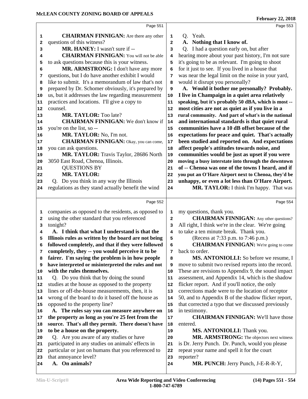|    | Page 551                                             |                | Page 553                                             |  |
|----|------------------------------------------------------|----------------|------------------------------------------------------|--|
| 1  | <b>CHAIRMAN FINNIGAN:</b> Are there any other        | 1              | Q. Yeah.                                             |  |
| 2  | questions of this witness?                           | $\mathbf{z}$   | A. Nothing that I know of.                           |  |
| 3  | MR. HANEY: I wasn't sure if --                       | 3              | Q. I had a question early on, but after              |  |
| 4  | <b>CHAIRMAN FINNIGAN:</b> You will not be able       | 4              | hearing more about your past history, I'm not sure   |  |
| 5  | to ask questions because this is your witness.       | 5              | it's going to be as relevant. I'm going to shoot     |  |
| 6  | MR. ARMSTRONG: I don't have any more                 | 6              | for it just to see. If you lived in a house that     |  |
| 7  | questions, but I do have another exhibit I would     | 7              | was near the legal limit on the noise in your yard,  |  |
| 8  | like to submit. It's a memorandum of law that's not  | 8              | would it disrupt you personally?                     |  |
| 9  | prepared by Dr. Schomer obviously, it's prepared by  | 9              | A. Would it bother me personally? Probably.          |  |
| 10 | us, but it addresses the law regarding measurement   | 10             | I live in Champaign in a quiet area relatively       |  |
| 11 | practices and locations. I'll give a copy to         | 11             | speaking, but it's probably 50 dBA, which is most -- |  |
| 12 | counsel.                                             | 12             | most cities are not as quiet as if you live in a     |  |
| 13 | MR. TAYLOR: Too late?                                | 13             | rural community. And part of what's in the national  |  |
| 14 | <b>CHAIRMAN FINNIGAN:</b> We don't know if           | 14             | and international standards is that quiet rural      |  |
| 15 | you're on the list, so --                            | 15             | communities have a 10 dB offset because of the       |  |
| 16 | MR. TAYLOR: No, I'm not.                             | 16             | expectations for peace and quiet. That's actually    |  |
| 17 | <b>CHAIRMAN FINNIGAN:</b> Okay, you can come,        | 17             | been studied and reported on. And expectations       |  |
| 18 | you can ask questions.                               | 18             | affect people's attitudes towards noise, and         |  |
| 19 | MR. TAYLOR: Travis Taylor, 28686 North               | 19             | communities would be just as upset if you were       |  |
| 20 | 3050 East Road, Chenoa, Illinois.                    | 20             | moving a busy interstate into through the downtown   |  |
| 21 | <b>QUESTIONS BY</b>                                  | 21             | of -- Chenoa was one of the towns I heard, and if    |  |
| 22 | <b>MR. TAYLOR:</b>                                   | 22             | you put an O'Hare Airport next to Chenoa, they'd be  |  |
| 23 | Q. Do you think in any way the Illinois              | 23             | unhappy, or even a lot less than O'Hare Airport.     |  |
| 24 | regulations as they stand actually benefit the wind  | 24             | MR. TAYLOR: I think I'm happy. That was              |  |
|    |                                                      |                |                                                      |  |
|    | Page 552                                             |                | Page 554                                             |  |
| 1  | companies as opposed to the residents, as opposed to | 1              | my questions, thank you.                             |  |
| 2  | using the other standard that you referenced         | $\overline{a}$ | <b>CHAIRMAN FINNIGAN:</b> Any other questions?       |  |
| 3  | tonight?                                             | 3              | All right, I think we're in the clear. We're going   |  |
| 4  | A. I think that what I understand is that the        | 4              | to take a ten minute break. Thank you.               |  |
| 5  | Illinois rules as written by the board are not being | 5              | (Recess at 7:33 p.m. to 7:46 p.m.)                   |  |
| 6  | followed completely, and that if they were followed  | 6              | <b>CHAIRMAN FINNIGAN:</b> We're going to come        |  |
| 7  | completely, they -- you would perceive it to be      | 7              | back to order.                                       |  |
| 8  | fairer. I'm saying the problem is in how people      | 8              | MS. ANTONIOLLI: So before we resume, I               |  |
| 9  | have interpreted or misinterpreted the rules and not | 9              | move to submit two revised reports into the record.  |  |
| 10 | with the rules themselves.                           | 10             | These are revisions to Appendix 9, the sound impact  |  |
| 11 | Q. Do you think that by doing the sound              | 11             | assessment, and Appendix 14, which is the shadow     |  |
| 12 | studies at the house as opposed to the property      | 12             | flicker report. And if you'll notice, the only       |  |
| 13 | lines or off-the-house measurements, then, it is     | 13             | corrections made were to the location of receptor    |  |
| 14 | wrong of the board to do it based off the house as   | 14             | 50, and to Appendix B of the shadow flicker report,  |  |
| 15 | opposed to the property line?                        | 15             | that corrected a typo that we discussed previously   |  |
| 16 | A. The rules say you can measure anywhere on         | 16             | in testimony.                                        |  |
| 17 | the property as long as you're 25 feet from the      | 17             | <b>CHAIRMAN FINNIGAN:</b> We'll have those           |  |
| 18 | source. That's all they permit. There doesn't have   | 18             | entered.                                             |  |
| 19 | to be a house on the property.                       | 19             | MS. ANTONIOLLI: Thank you.                           |  |
| 20 | Q. Are you aware of any studies or have              | 20             | MR. ARMSTRONG: The objectors next witness            |  |
| 21 | participated in any studies on animals' effects in   | 21             | is Dr. Jerry Punch. Dr. Punch, would you please      |  |
| 22 | particular or just on humans that you referenced to  | 22             | repeat your name and spell it for the court          |  |
| 23 | that annoyance level?                                | 23             | reporter?                                            |  |
| 24 | A. On animals?                                       | ${\bf 24}$     | MR. PUNCH: Jerry Punch, J-E-R-R-Y,                   |  |
|    |                                                      |                |                                                      |  |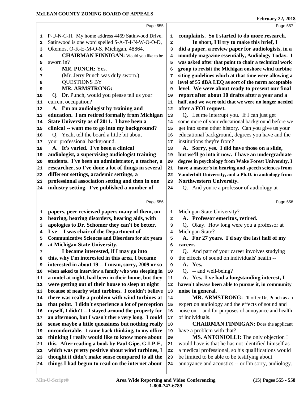|          | Page 555                                                                                                    |            | Page 557                                                                |
|----------|-------------------------------------------------------------------------------------------------------------|------------|-------------------------------------------------------------------------|
| 1        | P-U-N-C-H. My home address 4469 Satinwood Drive,                                                            | 1          | complaints. So I started to do more research.                           |
| 2        | Satinwood is one word spelled S-A-T-I-N-W-O-O-D,                                                            | 2          | In short, I'll try to make this brief, I                                |
| 3        | Okemos, O-K-E-M-O-S, Michigan, 48864.                                                                       | 3          | did a paper, a review paper for audiologists, in a                      |
| 4        | <b>CHAIRMAN FINNIGAN:</b> Would you like to be                                                              | 4          | monthly magazine essentially, Audiology Today. I                        |
| 5        | sworn in?                                                                                                   | 5          | was asked after that point to chair a technical work                    |
| 6        | MR. PUNCH: Yes.                                                                                             | 6          | group to revisit the Michigan onshore wind turbine                      |
| 7        | (Mr. Jerry Punch was duly sworn.)                                                                           | 7          | siting guidelines which at that time were allowing a                    |
| 8        | <b>QUESTIONS BY</b>                                                                                         | 8          | level of 55 dBA LEQ as sort of the norm acceptable                      |
| 9        | <b>MR. ARMSTRONG:</b>                                                                                       | 9          | level. We were about ready to present our final                         |
| 10       | Dr. Punch, would you please tell us your<br>O.                                                              | 10         | report after about 10 drafts after a year and a                         |
| 11       | current occupation?                                                                                         | 11         | half, and we were told that we were no longer needed                    |
| 12       | A. I'm an audiologist by training and                                                                       | ${\bf 12}$ | after a FOI request.                                                    |
| 13       | education. I am retired formally from Michigan                                                              | 13         | Q. Let me interrupt you. If I can just get                              |
| 14       | State University as of 2011. I have been a                                                                  | 14         | some more of your educational background before we                      |
| 15       | clinical -- want me to go into my background?                                                               | 15         | get into some other history. Can you give us your                       |
| 16       | Q. Yeah, tell the board a little bit about                                                                  | 16         | educational background, degrees you have and the                        |
| 17       | your professional background.                                                                               | $17\,$     | institutions they're from?                                              |
| 18       | A. It's varied. I've been a clinical                                                                        | 18         | A. Sorry, yes. I did have those on a slide,                             |
| 19       | audiologist, a supervising audiologist training                                                             | 19         | but we'll go into it now. I have an undergraduate                       |
| 20       | students. I've been an administrator, a teacher, a                                                          | 20         | degree in psychology from Wake Forest University, I                     |
| 21       | researcher, so I've done a lot of things in several                                                         | 21         | have a master's in hearing and speech sciences from                     |
| 22       | different settings, academic settings, a                                                                    | 22         | Vanderbilt University, and a Ph.D. in audiology from                    |
| 23       | professional association setting and then in one                                                            | 23         | Northwestern University.                                                |
| 24       | industry setting. I've published a number of                                                                | 24         | Q. And you're a professor of audiology at                               |
|          |                                                                                                             |            |                                                                         |
|          |                                                                                                             |            |                                                                         |
|          | Page 556                                                                                                    |            | Page 558                                                                |
| 1        | papers, peer reviewed papers many of them, on                                                               | 1          | Michigan State University?                                              |
| 2        | hearing, hearing disorders, hearing aids, with                                                              | 2          | A. Professor emeritus, retired.                                         |
| 3        | apologies to Dr. Schomer they can't be better.                                                              | 3          | Q. Okay. How long were you a professor at                               |
| 4        | I've -- I was chair of the Department of                                                                    | 4          | Michigan State?                                                         |
| 5        | <b>Communicative Sciences and Disorders for six years</b>                                                   | 5          | A. For 27 years. I'd say the last half of my                            |
| 6        | at Michigan State University.                                                                               | 6          | career.                                                                 |
| 7        | I became interested, if I may go into                                                                       | 7          | Q. And part of your career involves studying                            |
| 8        | this, why I'm interested in this area, I became                                                             | 8          | the effects of sound on individuals' health --                          |
| 9        | interested in about 19 -- I mean, sorry, 2009 or so                                                         | 9          | A. Yes.                                                                 |
| 10       | when asked to interview a family who was sleeping in                                                        | 10         | $Q.$ -- and well-being?                                                 |
| 11       | a motel at night, had been in their home, but they                                                          | 11         | A. Yes. I've had a longstanding interest, I                             |
| 12       | were getting out of their house to sleep at night                                                           | 12         | haven't always been able to pursue it, in community                     |
| 13       | because of nearby wind turbines. I couldn't believe                                                         | 13         | noise in general.                                                       |
| 14<br>15 | there was really a problem with wind turbines at                                                            | 14<br>15   | MR. ARMSTRONG: I'll offer Dr. Punch as an                               |
| 16       | that point. I didn't experience a lot of perception                                                         | 16         | expert on audiology and the effects of sound and                        |
| 17       | myself, I didn't -- I stayed around the property for<br>an afternoon, but I wasn't there very long. I could | 17         | noise on -- and for purposes of annoyance and health<br>of individuals. |
| 18       | sense maybe a little queasiness but nothing really                                                          | 18         | <b>CHAIRMAN FINNIGAN:</b> Does the applicant                            |
| 19       | uncomfortable. I came back thinking, to my office                                                           | 19         | have a problem with that?                                               |
| 20       | thinking I really would like to know more about                                                             | 20         | MS. ANTONIOLLI: The only objection I                                    |
| 21       | this. After reading a book by Paul Gipe, G-I-P-E,                                                           | 21         | would have is that he has not identified himself as                     |
| 22       | which was pretty positive about wind turbines, I                                                            | 22         | a medical professional, so his qualifications would                     |
| 23       | thought it didn't make sense compared to all the                                                            | 23         | be limited to be able to be testifying about                            |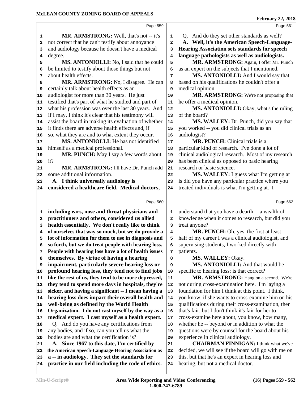|          | Page 559                                                                                             |                         | Page 561                                                                                |
|----------|------------------------------------------------------------------------------------------------------|-------------------------|-----------------------------------------------------------------------------------------|
| 1        | MR. ARMSTRONG: Well, that's not -- it's                                                              | 1                       | Q. And do they set other standards as well?                                             |
| 2        | not correct that he can't testify about annoyance                                                    | $\overline{\mathbf{2}}$ | A. Well, it's the American Speech-Language-                                             |
| з        | and audiology because he doesn't have a medical                                                      | 3                       | <b>Hearing Association sets standards for speech</b>                                    |
| 4        | degree.                                                                                              | 4                       | language pathologists as well as audiologists.                                          |
| 5        | MS. ANTONIOLLI: No, I said that he could                                                             | 5                       | MR. ARMSTRONG: Again, I offer Mr. Punch                                                 |
| 6        | be limited to testify about those things but not                                                     | 6                       | as an expert on the subjects that I mentioned.                                          |
| 7        | about health effects.                                                                                | 7                       | MS. ANTONIOLLI: And I would say that                                                    |
| 8        | MR. ARMSTRONG: No, I disagree. He can                                                                | 8                       | based on his qualifications he couldn't offer a                                         |
| 9        | certainly talk about health effects as an                                                            | 9                       | medical opinion.                                                                        |
| 10       | audiologist for more than 30 years. He just                                                          | 10                      | MR. ARMSTRONG: We're not proposing that                                                 |
| 11       | testified that's part of what he studied and part of                                                 | 11                      | he offer a medical opinion.                                                             |
| 12       | what his profession was over the last 30 years. And                                                  | 12                      | MS. ANTONIOLLI: Okay, what's the ruling                                                 |
| 13       | if I may, I think it's clear that his testimony will                                                 | 13                      | of the board?                                                                           |
| 14       | assist the board in making its evaluation of whether                                                 | 14                      | MS. WALLEY: Dr. Punch, did you say that                                                 |
| 15       | it finds there are adverse health effects and, if                                                    | 15                      | you worked -- you did clinical trials as an                                             |
| 16       | so, what they are and to what extent they occur.                                                     | 16                      | audiologist?                                                                            |
| 17       | MS. ANTONIOLLI: He has not identified                                                                | 17                      | MR. PUNCH: Clinical trials is a                                                         |
| 18       | himself as a medical professional.                                                                   | 18                      | particular kind of research. I've done a lot of                                         |
| 19       | MR. PUNCH: May I say a few words about                                                               | 19                      | clinical audiological research. Most of my research                                     |
| 20       | it?                                                                                                  | 20                      | has been clinical as opposed to basic hearing                                           |
| 21       | MR. ARMSTRONG: I'll have Dr. Punch add                                                               | 21                      | research or basic science.                                                              |
| 22       | some additional information.                                                                         | 22                      | MS. WALLEY: I guess what I'm getting at                                                 |
| 23       | A. I think universally audiology is                                                                  | 23                      | is did you have any particular practice where you                                       |
| 24       | considered a healthcare field. Medical doctors,                                                      | 24                      | treated individuals is what I'm getting at. I                                           |
|          |                                                                                                      |                         |                                                                                         |
|          | Page 560                                                                                             |                         | Page 562                                                                                |
|          |                                                                                                      |                         |                                                                                         |
| 1        | including ears, nose and throat physicians and                                                       | 1                       | understand that you have a dearth -- a wealth of                                        |
| 2        | practitioners and others, considered us allied                                                       | 2                       | knowledge when it comes to research, but did you                                        |
| 3        | health essentially. We don't really like to think                                                    | 3                       | treat anyone?                                                                           |
| 4        | of ourselves that way so much, but we do provide a                                                   | 4                       | MR. PUNCH: Oh, yes, the first at least                                                  |
| 5        | lot of information for them to use in diagnosis and                                                  | 5                       | half of my career I was a clinical audiologist, and                                     |
| 6<br>7   | so forth, but we do treat people with hearing loss.                                                  | 6                       | supervising students, I worked directly with                                            |
| 8        | People with hearing loss have a lot of health issues                                                 | 7<br>8                  | patients.                                                                               |
| 9        | themselves. By virtue of having a hearing                                                            | 9                       | MS. WALLEY: Okay.<br>MS. ANTONIOLLI: And that would be                                  |
| 10       | impairment, particularly severe hearing loss or<br>profound hearing loss, they tend not to find jobs | 10                      | specific to hearing loss; is that correct?                                              |
| 11       | like the rest of us, they tend to be more depressed,                                                 | 11                      | MR. ARMSTRONG: Hang on a second. We're                                                  |
|          | they tend to spend more days in hospitals, they're                                                   | 12                      | not during cross-examination here. I'm laying a                                         |
| 13       | sicker, and having a significant -- I mean having a                                                  | 13                      | foundation for him I think at this point. I think,                                      |
| 12<br>14 | hearing loss does impact their overall health and                                                    | 14                      | you know, if she wants to cross-examine him on his                                      |
| 15       | well-being as defined by the World Health                                                            | 15                      | qualifications during their cross-examination, then                                     |
| 16       | Organization. I do not cast myself by the way as a                                                   | 16                      | that's fair, but I don't think it's fair for her to                                     |
| 17       | medical expert. I cast myself as a health expert.                                                    | 17                      | cross-examine here about, you know, how many,                                           |
| 18       | Q. And do you have any certifications from                                                           | 18                      | whether he -- beyond or in addition to what the                                         |
| 19       | any bodies, and if so, can you tell us what the                                                      | 19                      | questions were by counsel for the board about his                                       |
| 20       | bodies are and what the certification is?                                                            | 20                      | experience in clinical audiology.                                                       |
| 21       | A. Since 1967 to this date, I'm certified by                                                         | 21                      | <b>CHAIRMAN FINNIGAN: I think what we've</b>                                            |
| 22       | the American Speech-Language-Hearing Association as                                                  | 22                      | decided, we will see if the board will go with me on                                    |
| 23<br>24 | a -- in audiology. They set the standards for<br>practice in our field including the code of ethics. | 23<br>24                | this, but that he's an expert in hearing loss and<br>hearing, but not a medical doctor. |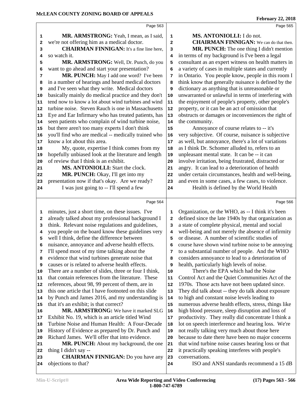|              | Page 563                                             |    | Page 565                                             |
|--------------|------------------------------------------------------|----|------------------------------------------------------|
|              |                                                      |    |                                                      |
| 1            | MR. ARMSTRONG: Yeah, I mean, as I said,              | 1  | MS. ANTONIOLLI: I do not.                            |
| 2            | we're not offering him as a medical doctor.          | 2  | <b>CHAIRMAN FINNIGAN:</b> We can do that then.       |
| 3            | <b>CHAIRMAN FINNIGAN:</b> It's a fine line here,     | 3  | MR. PUNCH: The one thing I didn't mention            |
| 4            | so watch it.                                         | 4  | in terms of my background is I've been a legal       |
| 5            | MR. ARMSTRONG: Well, Dr. Punch, do you               | 5  | consultant as an expert witness on health matters in |
| 6            | want to go ahead and start your presentation?        | 6  | a variety of cases in multiple states and currently  |
| 7            | MR. PUNCH: May I add one word? I've been             | 7  | in Ontario. You people know, people in this room I   |
| 8            | in a number of hearings and heard medical doctors    | 8  | think know that generally nuisance is defined by the |
| 9            | and I've seen what they write. Medical doctors       | 9  | dictionary as anything that is unreasonable or       |
| 10           | basically mainly do medical practice and they don't  | 10 | unwarranted or unlawful in terms of interfering with |
| 11           | tend now to know a lot about wind turbines and wind  | 11 | the enjoyment of people's property, other people's   |
| 12           | turbine noise. Steven Rauch is one in Massachusetts  | 12 | property, or it can be an act of omission that       |
| 13           | Eye and Ear Infirmary who has treated patients, has  | 13 | obstructs or damages or inconveniences the right of  |
| 14           | seen patients who complain of wind turbine noise,    | 14 | the community.                                       |
| 15           | but there aren't too many experts I don't think      | 15 | Annoyance of course relates to -- it's               |
| 16           | you'll find who are medical -- medically trained who | 16 | very subjective. Of course, nuisance is subjective   |
| 17           | know a lot about this area.                          | 17 | as well, but annoyance, there's a lot of variations  |
| 18           | My, quote, expertise I think comes from my           | 18 | as I think Dr. Schomer alluded to, refers to an      |
| 19           | hopefully unbiased look at the literature and length | 19 | unpleasant mental state. It can be -- it can         |
| 20           | of review that I think is an exhibit.                | 20 | involve irritation, being frustrated, distracted or  |
| 21           | MS. ANTONIOLLI: Start the clock.                     | 21 | angry. It can lead to a deterioration of health      |
| 22           | MR. PUNCH: Okay, I'll get into my                    | 22 | under certain circumstances, health and well-being,  |
| 23           | presentation now if that's okay. Are we ready?       | 23 | and even in some cases, a few cases, to violence.    |
| 24           | I was just going to -- I'll spend a few              | 24 | Health is defined by the World Health                |
|              |                                                      |    |                                                      |
|              | Page 564                                             |    | Page 566                                             |
| 1            | minutes, just a short time, on these issues. I've    | 1  | Organization, or the WHO, as -- I think it's been    |
| $\mathbf{2}$ | already talked about my professional background I    | 2  | defined since the late 1940s by that organization as |
| 3            | think. Relevant noise regulations and guidelines,    | 3  | a state of complete physical, mental and social      |
| 4            | you people on the board know these guidelines very   | 4  | well-being and not merely the absence of infirmity   |
| 5            | well I think, define the difference between          | 5  | or disease. A number of scientific studies of        |
| 6            | nuisance, annoyance and adverse health effects.      | 6  | course have shown wind turbine noise to be annoying  |
| 7            | I'll spend most of my time talking about the         | 7  | to a substantial number of people. And the WHO       |
| 8            | evidence that wind turbines generate noise that      | 8  | considers annoyance to lead to a deterioration of    |
| 9            | causes or is related to adverse health effects.      | 9  | health, particularly high levels of noise.           |
| 10           | There are a number of slides, three or four I think, | 10 | There's the EPA which had the Noise                  |
| 11           | that contain references from the literature. These   | 11 | Control Act and the Quiet Communities Act of the     |
| 12           | references, about 98, 99 percent of them, are in     | 12 | 1970s. Those acts have not been updated since.       |
| 13           | this one article that I have footnoted on this slide | 13 | They did talk about -- they do talk about exposure   |
| 14           | by Punch and James 2016, and my understanding is     | 14 | to high and constant noise levels leading to         |
| 15           | that it's an exhibit; is that correct?               | 15 | numerous adverse health effects, stress, things like |
| 16           | MR. ARMSTRONG: We have it marked SLG                 | 16 | high blood pressure, sleep disruption and loss of    |
| 17           | Exhibit No. 19, which is an article titled Wind      | 17 | productivity. They really did concentrate I think a  |
| 18           | Turbine Noise and Human Health: A Four-Decade        | 18 | lot on speech interference and hearing loss. We're   |
| 19           | History of Evidence as prepared by Dr. Punch and     | 19 | not really talking very much about those here        |
| 20           | Richard James. We'll offer that into evidence.       | 20 | because to date there have been no major concerns    |
| 21           | MR. PUNCH: About my background, the one              | 21 | that wind turbine noise causes hearing loss or that  |
| 22           | thing I didn't say --                                | 22 | it practically speaking interferes with people's     |
| 23           | <b>CHAIRMAN FINNIGAN:</b> Do you have any            | 23 | conversations.                                       |
| 24           | objections to that?                                  | 24 | ISO and ANSI standards recommend a 15 dB             |
|              |                                                      |    |                                                      |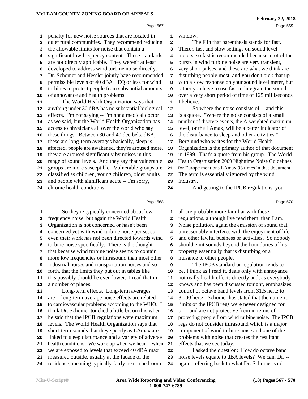|          | Page 567                                                                                             |                | Page 569                                                                                            |
|----------|------------------------------------------------------------------------------------------------------|----------------|-----------------------------------------------------------------------------------------------------|
|          | penalty for new noise sources that are located in                                                    | 1              | window.                                                                                             |
| 1        | quiet rural communities. They recommend reducing                                                     | $\mathbf{z}$   | The F in that parenthesis stands for fast.                                                          |
| 2<br>3   | the allowable limits for noise that contain a                                                        | 3              | There's fast and slow settings on sound level                                                       |
| 4        | significant low frequency content. These standards                                                   | 4              | meters, so fast is recommended because a lot of the                                                 |
| 5        | are not directly applicable. They weren't at least                                                   | 5              | bursts in wind turbine noise are very transient,                                                    |
| 6        | developed to address wind turbine noise directly.                                                    | 6              | very short pulses, and these are what we think are                                                  |
| 7        | Dr. Schomer and Hessler jointly have recommended                                                     | 7              | disturbing people most, and you don't pick that up                                                  |
| 8        | permissible levels of 40 dBA LEQ or less for wind                                                    | 8              | with a slow response on your sound level meter, but                                                 |
| 9        | turbines to protect people from substantial amounts                                                  | 9              | rather you have to use fast to integrate the sound                                                  |
| 10       | of annoyance and health problems.                                                                    | 10             | over a very short period of time of 125 milliseconds                                                |
| 11       | The World Health Organization says that                                                              | 11             | I believe.                                                                                          |
| 12       | anything under 30 dBA has no substantial biological                                                  | 12             | So where the noise consists of -- and this                                                          |
| 13       | effects. I'm not saying -- I'm not a medical doctor                                                  | 13             | is a quote. "Where the noise consists of a small                                                    |
| 14       | as we said, but the World Health Organization has                                                    | 14             | number of discrete events, the A-weighted maximum                                                   |
| 15       | access to physicians all over the world who say                                                      | 15             | level, or the LAmax, will be a better indicator of                                                  |
| 16       | these things. Between 30 and 40 decibels, dBA,                                                       | 16             | the disturbance to sleep and other activities."                                                     |
| 17       | these are long-term averages basically, sleep is                                                     | 17             | Berglund who writes for the World Health                                                            |
| 18       | affected, people are awakened, they're aroused more,                                                 | 18             | Organization is the primary author of that document                                                 |
| 19       | they are aroused significantly by noises in this                                                     | 19             | in 1999. That's a quote from his group. The World                                                   |
| 20       | range of sound levels. And they say that vulnerable                                                  | 20             | Health Organization 2009 Nighttime Noise Guidelines                                                 |
| 21       | groups are more susceptible. Vulnerable groups are                                                   | 21             | for Europe mentions LAmax 93 times in that document.                                                |
| 22       | classified as children, young children, older adults                                                 | 22             | The term is essentially ignored by the wind                                                         |
| 23       | and people with significant acute -- I'm sorry,                                                      | 23             | industry.                                                                                           |
| 24       | chronic health conditions.                                                                           | 24             | And getting to the IPCB regulations, you                                                            |
|          |                                                                                                      |                |                                                                                                     |
|          | Page 568                                                                                             |                | Page 570                                                                                            |
| 1        | So they're typically concerned about low                                                             | 1              | all are probably more familiar with these                                                           |
| 2        | frequency noise, but again the World Health                                                          | $\overline{a}$ | regulations, although I've read them, than I am.                                                    |
| 3        | Organization is not concerned or hasn't been                                                         | 3              | Noise pollution, again the emission of sound that                                                   |
| 4        | concerned yet with wind turbine noise per se, so                                                     | 4              | unreasonably interferes with the enjoyment of life                                                  |
| 5        | even their work has not been directed towards wind                                                   | 5              | and other lawful business or activities. So nobody                                                  |
| 6        | turbine noise specifically. There is the thought                                                     | 6              | should emit sounds beyond the boundaries of his                                                     |
| 7        | that because wind turbine noise seems to contain                                                     | 7              | property essentially that is disturbing or a                                                        |
| 8        | more low frequencies or infrasound than most other                                                   | 8              | nuisance to other people.                                                                           |
| 9        | industrial noises and transportation noises and so                                                   | 9              | The IPCB standard or regulation tends to                                                            |
| 10       | forth, that the limits they put out in tables like                                                   | 10             | be, I think as I read it, deals only with annoyance                                                 |
| 11       | this possibly should be even lower. I read that in                                                   | 11             | not really health effects directly and, as everybody                                                |
| 12       |                                                                                                      |                | knows and has been discussed tonight, emphasizes                                                    |
| 13       | a number of places.                                                                                  | 12             |                                                                                                     |
|          | Long-term effects. Long-term averages                                                                | 13             | control of octave band levels from 31.5 hertz to                                                    |
| 14       | are -- long-term average noise effects are related                                                   | 14             | 8,000 hertz. Schomer has stated that the numeric                                                    |
| 15       | to cardiovascular problems according to the WHO. I                                                   | 15             | limits of the IPCB regs were never designed for                                                     |
| 16       | think Dr. Schomer touched a little bit on this when                                                  | 16             | or -- and are not protective from in terms of                                                       |
| 17       | he said that the IPCB regulations were maximum                                                       | 17             | protecting people from wind turbine noise. The IPCB                                                 |
| 18       | levels. The World Health Organization says that                                                      | 18             | regs do not consider infrasound which is a major                                                    |
| 19       | short-term sounds that they specify as LAmax are                                                     | 19             | component of wind turbine noise and one of the                                                      |
| 20       | linked to sleep disturbance and a variety of adverse                                                 | 20             | problems with noise that creates the resultant                                                      |
| 21       | health conditions. We wake up when we hear -- when                                                   | 21             | effects that we see today.                                                                          |
| 22       | we are exposed to levels that exceed 40 dBA max                                                      | 22             | I asked the question: How do octave band                                                            |
| 23<br>24 | measured outside, usually at the facade of the<br>residence, meaning typically fairly near a bedroom | 23<br>24       | noise levels equate to dBA levels? We can, Dr. --<br>again, referring back to what Dr. Schomer said |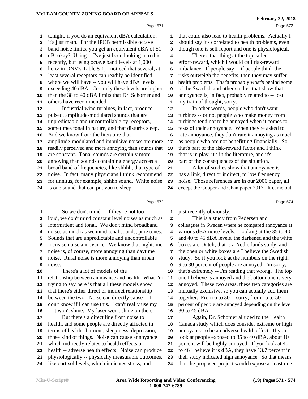|                                                                  |                                                                                                         |                         | <b>February 22, 2018</b>                                                                                   |
|------------------------------------------------------------------|---------------------------------------------------------------------------------------------------------|-------------------------|------------------------------------------------------------------------------------------------------------|
|                                                                  | Page 571                                                                                                |                         | Page 573                                                                                                   |
| 1                                                                | tonight, if you do an equivalent dBA calculation,                                                       | 1                       | that could also lead to health problems. Actually I                                                        |
| 2                                                                | it's just math. For the IPCB permissible octave                                                         | $\overline{\mathbf{2}}$ | should say it's correlated to health problems, even                                                        |
| 3                                                                | band noise limits, you get an equivalent dBA of 51                                                      | 3                       | though one is self report and one is physiological.                                                        |
| 4                                                                | dB, okay? Using -- I've just been looking into this                                                     | 4                       | There's that thing at the top called                                                                       |
| 5                                                                | recently, but using octave band levels at 1,000                                                         | 5                       | effort-reward, which I would call risk-reward                                                              |
| 6                                                                | hertz in DNV's Table 5-1, I noticed that several, at                                                    | 6                       | imbalance. If people say -- if people think the                                                            |
| 7                                                                | least several receptors can readily be identified                                                       | 7                       | risks outweigh the benefits, then they may suffer                                                          |
| 8                                                                | where we will have -- you will have dBA levels                                                          | 8                       | health problems. That's probably what's behind some                                                        |
| 9                                                                | exceeding 40 dBA. Certainly these levels are higher                                                     | 9                       | of the Swedish and other studies that show that                                                            |
| 10                                                               | than the 38 to 40 dBA limits that Dr. Schomer and                                                       | 10                      | annoyance is, in fact, probably related to -- lost                                                         |
| 11                                                               | others have recommended.                                                                                | 11                      | my train of thought, sorry.                                                                                |
| 12                                                               | Industrial wind turbines, in fact, produce                                                              | 12                      | In other words, people who don't want                                                                      |
| 13                                                               | pulsed, amplitude-modulated sounds that are                                                             | 13                      | turbines -- or no, people who make money from                                                              |
| 14                                                               | unpredictable and uncontrollable by receptors,                                                          | 14                      | turbines tend not to be annoyed when it comes to                                                           |
| 15                                                               | sometimes tonal in nature, and that disturbs sleep.                                                     | 15                      | tests of their annoyance. When they're asked to                                                            |
| 16                                                               | And we know from the literature that                                                                    | 16                      | rate annoyance, they don't rate it annoying as much                                                        |
| 17                                                               | amplitude-modulated and impulsive noises are more                                                       | 17                      | as people who are not benefitting financially. So                                                          |
| 18                                                               | readily perceived and more annoying than sounds that                                                    | 18                      | that's part of the risk-reward factor and I think                                                          |
| 19                                                               | are constant. Tonal sounds are certainly more                                                           | 19                      | that is in play, it's in the literature, and it's                                                          |
| 20                                                               | annoying than sounds containing energy across a                                                         | 20                      | part of the consequences of the situation.                                                                 |
| 21                                                               | broad band of frequencies, like shhhh, that type of                                                     | 21                      | A lot of studies show that annoyance is --                                                                 |
| 22                                                               | noise. In fact, many physicians I think recommend                                                       | 22                      | has a link, direct or indirect, to low frequency                                                           |
| 23                                                               | for tinnitus, for example, shhhh sound. White noise                                                     | 23                      | noise. Those references are in our 2006 paper, all                                                         |
| 24                                                               | is one sound that can put you to sleep.                                                                 | 24                      | except the Cooper and Chan paper 2017. It came out                                                         |
|                                                                  |                                                                                                         |                         |                                                                                                            |
|                                                                  | Page 572                                                                                                |                         | Page 574                                                                                                   |
| 1                                                                | So we don't mind -- if they're not too                                                                  | 1                       | just recently obviously.                                                                                   |
| 2                                                                | loud, we don't mind constant level noises as much as                                                    | $\mathbf{2}$            | This is a study from Pedersen and                                                                          |
| 3                                                                | intermittent and tonal. We don't mind broadband                                                         | з                       | colleagues in Sweden where he compared annoyance at                                                        |
| 4                                                                | noises as much as we mind tonal sounds, pure tones.                                                     | 4                       | various dBA noise levels. Looking at the 35 to 40                                                          |
| 5                                                                | Sounds that are unpredictable and uncontrollable                                                        | 5                       | and 40 to 45 dBA levels, the darkened and the white                                                        |
|                                                                  | increase noise annoyance. We know that nighttime                                                        | 6                       | boxes are Dutch, that is a Netherlands study, and                                                          |
| 7                                                                | noise is, of course, more annoying than daytime                                                         | 7                       | the open or white boxes are I believe the Swedish                                                          |
| 8                                                                | noise. Rural noise is more annoying than urban                                                          | 8                       | study. So if you look at the numbers on the right,                                                         |
| 9                                                                | noise.                                                                                                  | 9                       | 9 to 30 percent of people are annoyed, I'm sorry,                                                          |
|                                                                  | There's a lot of models of the                                                                          | 10                      | that's extremely -- I'm reading that wrong. The top                                                        |
|                                                                  | relationship between annoyance and health. What I'm                                                     | 11                      | one I believe is annoyed and the bottom one is very                                                        |
|                                                                  | trying to say here is that all these models show                                                        | 12                      | annoyed. These two areas, these two categories are                                                         |
|                                                                  | that there's either direct or indirect relationship                                                     | 13                      | mutually exclusive, so you can actually add them                                                           |
|                                                                  | between the two. Noise can directly cause -- I                                                          | 14                      | together. From 6 to 30 -- sorry, from 15 to 50                                                             |
|                                                                  | don't know if I can use this. I can't really use my                                                     | 15                      | percent of people are annoyed depending on the level                                                       |
|                                                                  | -- it won't shine. My laser won't shine on there.                                                       | 16                      | 30 to 45 dBA.                                                                                              |
|                                                                  | But there's a direct line from noise to                                                                 | 17                      | Again, Dr. Schomer alluded to the Health                                                                   |
|                                                                  | health, and some people are directly affected in                                                        | 18                      | Canada study which does consider extreme or high                                                           |
|                                                                  | terms of health: burnout, sleepiness, depression,                                                       | 19                      | annoyance to be an adverse health effect. If you                                                           |
| 10<br>11<br>12<br> 13<br>14<br>15<br>16<br>17<br>18<br> 19<br>20 | those kind of things. Noise can cause annoyance                                                         | 20                      | look at people exposed to 35 to 40 dBA, about 10                                                           |
|                                                                  | which indirectly relates to health effects or                                                           | 21                      | percent will be highly annoyed. If you look at 40                                                          |
| 21<br>22                                                         | health -- adverse health effects. Noise can produce                                                     | 22                      | to 46 I believe it is dBA, they have 13.7 percent in                                                       |
| 23<br>24                                                         | physiologically -- physically measurable outcomes,<br>like cortisol levels, which indicates stress, and | 23                      | their study indicated high annoyance. So that means<br>that the proposed project would expose at least one |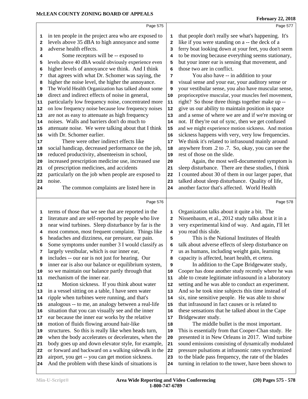| <b>February 22, 2018</b> |  |
|--------------------------|--|
|                          |  |

|              | Page 575                                                                                                   |              | Page 577                                                                                                    |
|--------------|------------------------------------------------------------------------------------------------------------|--------------|-------------------------------------------------------------------------------------------------------------|
| 1            | in ten people in the project area who are exposed to                                                       | 1            | that people don't really see what's happening. It's                                                         |
| 2            | levels above 35 dBA to high annoyance and some                                                             | $\mathbf{2}$ | like if you were standing on a -- the deck of a                                                             |
| 3            | adverse health effects.                                                                                    | 3            | ferry boat looking down at your feet, you don't seem                                                        |
| 4            | Some receptors will be -- exposed to                                                                       | 4            | to be moving because everything seems stationary,                                                           |
| 5            | levels above 40 dBA would obviously experience even                                                        | 5            | but your inner ear is sensing that movement, and                                                            |
| 6            | higher levels of annoyance we think. And I think                                                           | 6            | those two are in conflict.                                                                                  |
| 7            | that agrees with what Dr. Schomer was saying, the                                                          | 7            | You also have -- in addition to your                                                                        |
| 8            | higher the noise level, the higher the annoyance.                                                          | 8            | visual sense and your ear, your auditory sense or                                                           |
| 9            | The World Health Organization has talked about some                                                        | 9            | your vestibular sense, you also have muscular sense,                                                        |
| 10           | direct and indirect effects of noise in general,                                                           | 10           | proprioceptive muscular, your muscles feel movement,                                                        |
| 11           | particularly low frequency noise, concentrated more                                                        | 11           | right? So those three things together make up --                                                            |
| 12           | on low frequency noise because low frequency noises                                                        | ${\bf 12}$   | give us our ability to maintain position in space                                                           |
| 13           | are not as easy to attenuate as high frequency                                                             | 13           | and a sense of where we are and if we're moving or                                                          |
| 14           | noises. Walls and barriers don't do much to                                                                | 14           | not. If they're out of sync, then we get confused                                                           |
| 15           | attenuate noise. We were talking about that I think                                                        | 15           | and we might experience motion sickness. And motion                                                         |
| 16           | with Dr. Schomer earlier.                                                                                  | 16           | sickness happens with very, very low frequencies.                                                           |
| 17           | There were other indirect effects like                                                                     | 17           | We think it's related to infrasound mainly around                                                           |
| 18           | social handicap, decreased performance on the job,                                                         | 18           | anywhere from .2 to .7. So, okay, you can see the                                                           |
| 19           | reduced productivity, absenteeism in school,                                                               | 19           | rest of those on the slide.                                                                                 |
| 20           | increased prescription medicine use, increased use                                                         | 20           | Again, the most well-documented symptom is                                                                  |
| 21           | of prescription medicines, and accidents                                                                   | 21           | sleep disturbance. There are these studies, I think                                                         |
| 22           | particularly on the job when people are exposed to                                                         | 22           | I counted about 30 of them in our larger paper, that                                                        |
| 23           | noise.                                                                                                     | 23           | talked about sleep disturbance. Quality of life,                                                            |
| 24           | The common complaints are listed here in                                                                   | 24           | another factor that's affected. World Health                                                                |
|              |                                                                                                            |              |                                                                                                             |
|              |                                                                                                            |              |                                                                                                             |
|              | Page 576                                                                                                   |              | Page 578                                                                                                    |
| 1            |                                                                                                            | 1            |                                                                                                             |
| $\mathbf{2}$ | terms of those that we see that are reported in the                                                        | $\mathbf{2}$ | Organization talks about it quite a bit. The                                                                |
| 3            | literature and are self-reported by people who live<br>near wind turbines. Sleep disturbance by far is the | 3            | Nissenbaum, et al., 2012 study talks about it in a<br>very experimental kind of way. And again, I'll let    |
| 4            | most common, most frequent complaint. Things like                                                          | 4            | you read this slide.                                                                                        |
| 5            | headaches and dizziness, ear pressure, ear pain.                                                           | 5            | This is the National Institutes of Health                                                                   |
| 6            | Some symptoms under number 3 I would classify as                                                           | 6            | talk about adverse effects of sleep disturbance on                                                          |
| 7            | largely vestibular, which is our inner ear,                                                                | 7            | us as humans, including weight gain, learning                                                               |
| 8            | includes -- our ear is not just for hearing. Our                                                           | 8            | capacity is affected, heart health, et cetera.                                                              |
| 9            | inner ear is also our balance or equilibrium system,                                                       | 9            | In addition to the Cape Bridgewater study,                                                                  |
| 10           | so we maintain our balance partly through that                                                             | 10           | Cooper has done another study recently where he was                                                         |
| 11           | mechanism of the inner ear.                                                                                | 11           | able to create legitimate infrasound in a laboratory                                                        |
| 12           | Motion sickness. If you think about water                                                                  | 12           | setting and he was able to conduct an experiment.                                                           |
| 13           | in a vessel sitting on a table, I have seen water                                                          | 13           | And so he took nine subjects this time instead of                                                           |
| 14           | ripple when turbines were running, and that's                                                              | 14           | six, nine sensitive people. He was able to show                                                             |
| 15           | analogous -- to me, an analogy between a real-life                                                         | 15           | that infrasound in fact causes or is related to                                                             |
| 16           | situation that you can visually see and the inner                                                          | 16           | these sensations that he talked about in the Cape                                                           |
| 17           | ear because the inner ear works by the relative                                                            | 17           | Bridgewater study.                                                                                          |
| 18           | motion of fluids flowing around hair-like                                                                  | 18           | The middle bullet is the most important.                                                                    |
| 19           | structures. So this is really like when heads turn,                                                        | 19           | This is essentially from that Cooper-Chan study. He                                                         |
| 20           | when the body accelerates or decelerates, when the                                                         | 20           | presented it in New Orleans in 2017. Wind turbine                                                           |
| 21           | body goes up and down elevator style, for example,                                                         | 21           | sound emissions consisting of dynamically modulated                                                         |
| 22           | or forward and backward on a walking sidewalk in the                                                       | 22           | pressure pulsations at infrasonic rates synchronized                                                        |
| 23           | airport, you get -- you can get motion sickness.<br>And the problem with these kinds of situations is      | 23           | to the blade pass frequency, the rate of the blades<br>turning in relation to the tower, have been shown to |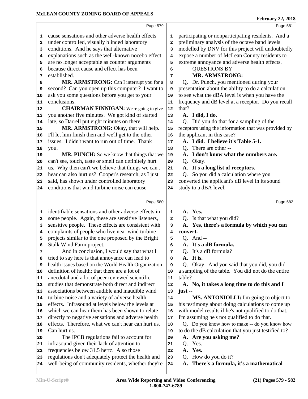**A. There's a formula, it's a mathematical**

| 1        | cause sensations and other adverse health effects                                               | 1                       | participating or nonparticipating residents. And a   |
|----------|-------------------------------------------------------------------------------------------------|-------------------------|------------------------------------------------------|
| 2        | under controlled, visually blinded laboratory                                                   | $\overline{\mathbf{2}}$ | preliminary analysis of the octave band levels       |
| 3        | conditions. And he says that alternative                                                        | 3                       | modelled by DNV for this project will undoubtedly    |
| 4        | explanations such as the well-known nocebo effect                                               | 4                       | expose a number of McLean County residents to        |
| 5        | are no longer acceptable as counter arguments                                                   | 5                       | extreme annoyance and adverse health effects.        |
| 6        | because direct cause and effect has been                                                        | 6                       | <b>QUESTIONS BY</b>                                  |
| 7        | established.                                                                                    | 7                       | <b>MR. ARMSTRONG:</b>                                |
| 8        | MR. ARMSTRONG: Can I interrupt you for a                                                        | 8                       | Q. Dr. Punch, you mentioned during your              |
| 9        | second? Can you open up this computer? I want to                                                | 9                       | presentation about the ability to do a calculation   |
| 10       | ask you some questions before you get to your                                                   | 10                      | to see what the dBA level is when you have the       |
| 11       | conclusions.                                                                                    | 11                      | frequency and dB level at a receptor. Do you recall  |
| 12       | <b>CHAIRMAN FINNIGAN:</b> We're going to give                                                   | 12                      | that?                                                |
| 13       | you another five minutes. We got kind of started                                                | 13                      | A. I did, I do.                                      |
| 14       | late, so Darrell put eight minutes on there.                                                    | 14                      | Q. Did you do that for a sampling of the             |
| 15       | MR. ARMSTRONG: Okay, that will help.                                                            | 15                      | receptors using the information that was provided by |
| 16       | I'll let him finish then and we'll get to the other                                             | 16                      | the applicant in this case?                          |
| 17       | issues. I didn't want to run out of time. Thank                                                 | 17                      | A. I did. I believe it's Table 5-1.                  |
| 18       | you.                                                                                            | 18                      | Q. There are other --                                |
| 19       | MR. PUNCH: So we know that things that we                                                       | 19                      | A. I don't know what the numbers are.                |
| 20       | can't see, touch, taste or smell can definitely hurt                                            | 20                      | Q. Okay.                                             |
| 21       | us. Why then can't we believe that things we can't                                              | 21                      | A. It's a long list of receptors.                    |
| 22       | hear can also hurt us? Cooper's research, as I just                                             | 22                      | Q. So you did a calculation where you                |
| 23       | said, has shown under controlled laboratory                                                     | 23                      | converted the applicant's dB level in its sound      |
| 24       | conditions that wind turbine noise can cause                                                    | 24                      | study to a dBA level.                                |
|          |                                                                                                 |                         |                                                      |
|          | Page 580                                                                                        |                         | Page 582                                             |
| 1        | identifiable sensations and other adverse effects in                                            | 1                       | A. Yes.                                              |
| 2        | some people. Again, these are sensitive listeners,                                              | 2                       | Q. Is that what you did?                             |
| 3        | sensitive people. These effects are consistent with                                             | 3                       | A. Yes, there's a formula by which you can           |
| 4        | complaints of people who live near wind turbine                                                 | 4                       | convert.                                             |
| 5        | projects similar to the one proposed by the Bright                                              | 5                       | $Q.$ And $-$                                         |
| 6        | Stalk Wind Farm project.                                                                        | 6                       | A. It's a dB formula.                                |
| 7        | And in conclusion, I would say that what I                                                      | 7                       | Q. It's a dB formula?                                |
| 8        | tried to say here is that annoyance can lead to                                                 | 8                       | A. It is.                                            |
| 9        | health issues based on the World Health Organization                                            | 9                       | Q. Okay. And you said that you did, you did          |
| 10       | definition of health; that there are a lot of                                                   | 10                      | a sampling of the table. You did not do the entire   |
| 11       | anecdotal and a lot of peer reviewed scientific                                                 | 11                      | table?                                               |
| 12       |                                                                                                 |                         |                                                      |
| 13       | studies that demonstrate both direct and indirect                                               | 12                      | A. No, it takes a long time to do this and I         |
|          | associations between audible and inaudible wind                                                 | 13                      | $just -$                                             |
| 14       | turbine noise and a variety of adverse health                                                   | 14                      | MS. ANTONIOLLI: I'm going to object to               |
| 15       | effects. Infrasound at levels below the levels at                                               | 15                      | his testimony about doing calculations to come up    |
| 16       | which we can hear them has been shown to relate                                                 | 16                      | with model results if he's not qualified to do that. |
| 17       | directly to negative sensations and adverse health                                              | 17                      | I'm assuming he's not qualified to do that.          |
| 18       | effects. Therefore, what we can't hear can hurt us.                                             | 18                      | Q. Do you know how to make -- do you know how        |
| 19       | Can hurt us.                                                                                    | 19                      | to do the dB calculation that you just testified to? |
| 20       | The IPCB regulations fail to account for                                                        | 20                      | A. Are you asking me?                                |
| 21       | infrasound given their lack of attention to                                                     | 21                      | Yes.<br>Q.                                           |
| 22<br>23 | frequencies below 31.5 hertz. Also those<br>regulations don't adequately protect the health and | 22<br>23                | A. Yes.<br>Q. How do you do it?                      |

Page 579

**February 22, 2018**

### Page 581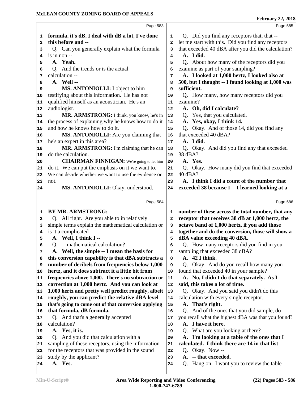|              | Page 583                                                                                              |              | Page 585                                                           |
|--------------|-------------------------------------------------------------------------------------------------------|--------------|--------------------------------------------------------------------|
| 1            | formula, it's dB, I deal with dB a lot, I've done                                                     | 1            | Q. Did you find any receptors that, that --                        |
| $\mathbf{2}$ | this before and --                                                                                    | $\mathbf{2}$ | let me start with this. Did you find any receptors                 |
| 3            | Q. Can you generally explain what the formula                                                         | 3            | that exceeded 40 dBA after you did the calculation?                |
| 4            | is in non --                                                                                          | 4            | A. I did.                                                          |
| 5            | A. Yeah.                                                                                              | 5            | Q. About how many of the receptors did you                         |
| 6            | Q. And the trends or is the actual                                                                    | 6            | examine as part of your sampling?                                  |
| 7            | calculation --                                                                                        | 7            | A. I looked at 1,000 hertz, I looked also at                       |
| 8            | A. Well --                                                                                            | 8            | 500, but I thought -- I found looking at 1,000 was                 |
| 9            | MS. ANTONIOLLI: I object to him                                                                       | 9            | sufficient.                                                        |
| 10           | testifying about this information. He has not                                                         | 10           | Q. How many, how many receptors did you                            |
| 11           | qualified himself as an acoustician. He's an                                                          | 11           | examine?                                                           |
| 12           | audiologist.                                                                                          | 12           | A. Oh, did I calculate?                                            |
| 13           | MR. ARMSTRONG: I think, you know, he's in                                                             | 13           | Yes, that you calculated.<br>Q.                                    |
| 14           | the process of explaining why he knows how to do it                                                   | 14           | A. Yes, okay, I think 14.                                          |
| 15           | and how he knows how to do it.                                                                        | 15           | Q. Okay. And of those 14, did you find any                         |
| 16           | MS. ANTONIOLLI: Are you claiming that                                                                 | 16           | that exceeded 40 dBA?                                              |
| 17           | he's an expert in this area?                                                                          | 17           | A. I did.                                                          |
| 18           | MR. ARMSTRONG: I'm claiming that he can                                                               | 18           | Q. Okay. And did you find any that exceeded                        |
| 19           | do the calculation.                                                                                   | 19           | 38 dBA?                                                            |
| 20           | <b>CHAIRMAN FINNIGAN:</b> We're going to let him                                                      | 20           | A. Yes.                                                            |
| 21           | do it. We can put the emphasis on it we want to.                                                      | 21           | Q. Okay. How many did you find that exceeded                       |
| 22           | We can decide whether we want to use the evidence or                                                  | 22           | 40 dBA?                                                            |
| 23           | not.                                                                                                  | 23           | A. I think I did a count of the number that                        |
| 24           | MS. ANTONIOLLI: Okay, understood.                                                                     | 24           | exceeded 38 because I -- I learned looking at a                    |
|              |                                                                                                       |              |                                                                    |
|              |                                                                                                       |              |                                                                    |
|              | Page 584                                                                                              |              | Page 586                                                           |
| 1            | <b>BY MR. ARMSTRONG:</b>                                                                              | 1            | number of these across the total number, that any                  |
| $\mathbf{2}$ | Q. All right. Are you able to in relatively                                                           | $\mathbf{2}$ | receptor that receives 38 dB at 1,000 hertz, the                   |
| 3            | simple terms explain the mathematical calculation or                                                  | 3            | octave band of 1,000 hertz, if you add those                       |
| 4            | is it a complicated --                                                                                | 4            | together and do the conversion, those will show a                  |
| 5            | A. Well, I think I --                                                                                 | 5            | dBA value exceeding 40 dBA.                                        |
| 6            | Q. -- mathematical calculation?                                                                       | 6<br>7       | Q. How many receptors did you find in your                         |
| 7<br>8       | A. Well, the simple -- I mean the basis for                                                           | 8            | sampling that exceeded 38 dBA?<br>A. 42 I think.                   |
| 9            | this conversion capability is that dBA subtracts a<br>number of decibels from frequencies below 1,000 | 9            | Okay. And do you recall how many you<br>Q.                         |
| 10           | hertz, and it does subtract it a little bit from                                                      | 10           | found that exceeded 40 in your sample?                             |
| 11           | frequencies above 1,000. There's no subtraction or                                                    | ${\bf 11}$   | A. No, I didn't do that separately. As I                           |
| 12           | correction at 1,000 hertz. And you can look at                                                        | ${\bf 12}$   | said, this takes a lot of time.                                    |
| 13           | 1,000 hertz and pretty well predict roughly, albeit                                                   | 13           | Q. Okay. And you said you didn't do this                           |
| 14           | roughly, you can predict the relative dBA level                                                       | 14           | calculation with every single receptor.                            |
| 15           | that's going to come out of that conversion applying                                                  | 15           | A. That's right.                                                   |
| 16           | that formula, dB formula.                                                                             | 16           | And of the ones that you did sample, do<br>Q.                      |
| 17           | Q. And that's a generally accepted                                                                    | 17           | you recall what the highest dBA was that you found?                |
| 18           | calculation?                                                                                          | 18           | A. I have it here.                                                 |
| 19           | A. Yes, it is.                                                                                        | 19           | Q. What are you looking at there?                                  |
| 20           | Q. And you did that calculation with a                                                                | 20           | A. I'm looking at a table of the ones that I                       |
| 21           | sampling of these receptors, using the information                                                    | 21           | calculated. I think there are 14 in that list --                   |
| 22           | for the receptors that was provided in the sound                                                      | 22           | Okay. Now--<br>Q.                                                  |
| 23<br>24     | study by the applicant?<br>A. Yes.                                                                    | 23<br>24     | A. -- that exceeded.<br>Q. Hang on. I want you to review the table |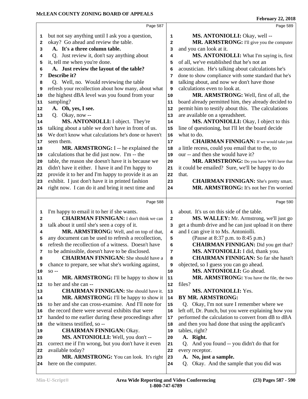|    | Page 587                                             |              | Page 589                                             |
|----|------------------------------------------------------|--------------|------------------------------------------------------|
| 1  | but not say anything until I ask you a question,     | 1            | MS. ANTONIOLLI: Okay, well --                        |
| 2  | okay? Go ahead and review the table.                 | $\mathbf{2}$ | MR. ARMSTRONG: I'll give you the computer            |
| 3  | A. It's a three column table.                        | 3            | and you can look at it.                              |
| 4  | Q. Just review it, don't say anything about          | 4            | MS. ANTONIOLLI: What I'm saying is, first            |
| 5  | it, tell me when you're done.                        | 5            | of all, we've established that he's not an           |
| 6  | A. Just review the layout of the table?              | 6            | acoustician. He's talking about calculations he's    |
| 7  | Describe it?                                         | 7            | done to show compliance with some standard that he's |
| 8  | Q. Well, no. Would reviewing the table               | 8            | talking about, and now we don't have those           |
| 9  | refresh your recollection about how many, about what | 9            | calculations even to look at.                        |
| 10 | the highest dBA level was you found from your        | 10           | MR. ARMSTRONG: Well, first of all, the               |
| 11 | sampling?                                            | 11           | board already permitted him, they already decided to |
| 12 | A. Oh, yes, I see.                                   | 12           | permit him to testify about this. The calculations   |
| 13 | Q. Okay, now --                                      | 13           | are available on a spreadsheet.                      |
| 14 | MS. ANTONIOLLI: I object. They're                    | 14           | MS. ANTONIOLLI: Okay, I object to this               |
| 15 | talking about a table we don't have in front of us.  | 15           | line of questioning, but I'll let the board decide   |
| 16 | We don't know what calculations he's done or haven't | 16           | what to do.                                          |
| 17 | seen them.                                           | 17           | <b>CHAIRMAN FINNIGAN:</b> If we would take just      |
| 18 | MR. ARMSTRONG: I -- he explained the                 | 18           | a little recess, could you email that to the, to     |
| 19 | calculations that he did just now. I'm -- the        | 19           | our -- and then she would have it?                   |
| 20 | table, the reason she doesn't have it is because we  | 20           | MR. ARMSTRONG: Do you have WiFi here that            |
| 21 | didn't have it either. I have it and I'm happy to    | 21           | it could be emailed? Sure, we'll be happy to do      |
| 22 | provide it to her and I'm happy to provide it as an  | 22           | that.                                                |
| 23 | exhibit. I just don't have it in printed fashion     | 23           | <b>CHAIRMAN FINNIGAN:</b> She's pretty smart.        |
| 24 | right now. I can do it and bring it next time and    | 24           | MR. ARMSTRONG: It's not her I'm worried              |
|    |                                                      |              |                                                      |
|    | Page 588                                             |              | Page 590                                             |
| 1  | I'm happy to email it to her if she wants.           | 1            | about. It's us on this side of the table.            |
| 2  | <b>CHAIRMAN FINNIGAN:</b> I don't think we can       | $\mathbf{z}$ | MS. WALLEY: Mr. Armstrong, we'll just go             |
| з  | talk about it until she's seen a copy of it.         | 3            | get a thumb drive and he can just upload it on there |
| 4  | MR. ARMSTRONG: Well, and on top of that,             | 4            | and I can give it to Ms. Antoniolli.                 |
| 5  | any document can be used to refresh a recollection,  | 5            | (Pause at 8:37 p.m. to 8:45 p.m.)                    |
| 6  | refresh the recollection of a witness. Doesn't have  | 6            | <b>CHAIRMAN FINNIGAN:</b> Did you get that?          |
| 7  | to be admissible, doesn't have to be disclosed.      | 7            | MS. ANTONIOLLI: I did, thank you.                    |
| 8  | <b>CHAIRMAN FINNIGAN:</b> She should have a          | 8            | <b>CHAIRMAN FINNIGAN:</b> So far she hasn't          |
| 9  | chance to prepare, see what she's working against,   | 9            | objected, so I guess you can go ahead.               |
| 10 | $SO -$                                               | 10           | MS. ANTONIOLLI: Go ahead.                            |
| 11 | <b>MR. ARMSTRONG:</b> I'll be happy to show it       | 11           | MR. ARMSTRONG: You have the file, the two            |
| 12 | to her and she can --                                | 12           | files?                                               |
| 13 | <b>CHAIRMAN FINNIGAN:</b> She should have it.        | 13           | <b>MS. ANTONIOLLI: Yes.</b>                          |
| 14 | MR. ARMSTRONG: I'll be happy to show it              | 14           | <b>BY MR. ARMSTRONG:</b>                             |
| 15 | to her and she can cross-examine. And I'll note for  | 15           | Q. Okay, I'm not sure I remember where we            |
| 16 | the record there were several exhibits that were     | 16           | left off, Dr. Punch, but you were explaining how you |
| 17 | handed to me earlier during these proceedings after  | 17           | performed the calculation to convert from dB to dBA  |
| 18 | the witness testified, so --                         | 18           | and then you had done that using the applicant's     |
| 19 | <b>CHAIRMAN FINNIGAN: Okay.</b>                      | 19           | tables, right?                                       |
| 20 | MS. ANTONIOLLI: Well, you don't --                   | 20           | A. Right.                                            |
| 21 | correct me if I'm wrong, but you don't have it even  | 21           | Q. And you found -- you didn't do that for           |
| 22 | available today?                                     | 22           | every receptor.                                      |
| 23 | MR. ARMSTRONG: You can look. It's right              | 23           | A. No, just a sample.                                |
| 24 | here on the computer.                                | 24           | Okay. And the sample that you did was<br>Q.          |
|    |                                                      |              |                                                      |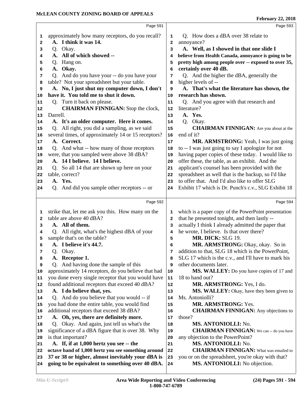|              | Page 591                                                                                              |              | Page 593                                                                           |
|--------------|-------------------------------------------------------------------------------------------------------|--------------|------------------------------------------------------------------------------------|
| 1            | approximately how many receptors, do you recall?                                                      | 1            | Q. How does a dBA over 38 relate to                                                |
| $\mathbf{2}$ | A. I think it was 14.                                                                                 | $\mathbf{2}$ | annoyance?                                                                         |
| 3            | Q. Okay.                                                                                              | 3            | A. Well, as I showed in that one slide I                                           |
| 4            | A. All of which showed --                                                                             | 4            | believe from Health Canada, annoyance is going to be                               |
| 5            | Q. Hang on.                                                                                           | 5            | pretty high among people over -- exposed to over 35,                               |
| 6            | A. Okay.                                                                                              | 6            | certainly over 40 dB.                                                              |
| 7            | Q. And do you have your -- do you have your                                                           | 7            | Q. And the higher the dBA, generally the                                           |
| 8            | table? Not your spreadsheet but your table.                                                           | 8            | higher levels of --                                                                |
| 9            | A. No, I just shut my computer down, I don't                                                          | 9            | A. That's what the literature has shown, the                                       |
| 10           | have it. You told me to shut it down.                                                                 | 10           | research has shown.                                                                |
| 11           | Q. Turn it back on please.                                                                            | 11           | Q. And you agree with that research and                                            |
| 12           | <b>CHAIRMAN FINNIGAN:</b> Stop the clock,                                                             | 12           | literature?                                                                        |
| 13           | Darrell.                                                                                              | 13           | A. Yes.                                                                            |
| 14           | A. It's an older computer. Here it comes.                                                             | 14           | Q. Okay.                                                                           |
| 15           | Q. All right, you did a sampling, as we said                                                          | 15           | <b>CHAIRMAN FINNIGAN:</b> Are you about at the                                     |
| 16           | several times, of approximately 14 or 15 receptors?                                                   | 16           | end of it?                                                                         |
| 17           | A. Correct.                                                                                           | 17           | MR. ARMSTRONG: Yeah, I was just going                                              |
| 18           | Q. And what -- how many of those receptors                                                            | 18           | to -- I was just going to say I apologize for not                                  |
| 19           | were, that you sampled were above 38 dBA?                                                             | 19           | having paper copies of these today. I would like to                                |
| 20           | A. 14 I believe. 14 I believe.                                                                        | 20           | offer these, the table, as an exhibit. And the                                     |
| 21           | Q. So all 14 that are shown up here on your                                                           | 21           | applicant's counsel has been provided with the                                     |
| 22           | table, correct?                                                                                       | 22           | spreadsheet as well that is the backup, so I'd like                                |
| 23           | A. Yes.                                                                                               | 23           | to offer that. And I'd also like to offer SLG                                      |
| 24           | Q. And did you sample other receptors -- or                                                           | 24           | Exhibit 17 which is Dr. Punch's c.v., SLG Exhibit 18                               |
|              |                                                                                                       |              |                                                                                    |
|              | Page 592                                                                                              |              | Page 594                                                                           |
| 1            | strike that, let me ask you this. How many on the                                                     | 1            | which is a paper copy of the PowerPoint presentation                               |
| 2            | table are above 40 dBA?                                                                               | $\mathbf{2}$ | that he presented tonight, and then lastly --                                      |
| з            | A. All of them.                                                                                       | 3            | actually I think I already admitted the paper that                                 |
| 4            | Q. All right, what's the highest dBA of your                                                          | 4            | he wrote, I believe. Is that over there?                                           |
| 5            | sample that's on the table?                                                                           | 5            | MR. DICK: SLG 19.                                                                  |
| 6            | A. I believe it's 44.7.                                                                               | 6            | MR. ARMSTRONG: Okay, okay. So in                                                   |
| 7            | Q. Okay.                                                                                              | 7            | addition to that, SLG 18 which is the PowerPoint,                                  |
| 8            | A. Receptor 1.                                                                                        | 8            | SLG 17 which is the c.v., and I'll have to mark his                                |
| 9            | Q. And having done the sample of this                                                                 | 9            | other documents later.                                                             |
| 10           | approximately 14 receptors, do you believe that had                                                   | 10           | MS. WALLEY: Do you have copies of 17 and                                           |
| 11           | you done every single receptor that you would have                                                    | 11           | 18 to hand out?                                                                    |
| 12           | found additional receptors that exceed 40 dBA?                                                        | 12           | MR. ARMSTRONG: Yes, I do.                                                          |
| 13           | A. I do believe that, yes.                                                                            | 13           | <b>MS. WALLEY:</b> Okay, have they been given to                                   |
| 14           | Q. And do you believe that you would -- if                                                            | 14           | Ms. Antoniolli?                                                                    |
| 15           | you had done the entire table, you would find                                                         | 15           | MR. ARMSTRONG: Yes.                                                                |
| 16           | additional receptors that exceed 38 dBA?                                                              | 16           | <b>CHAIRMAN FINNIGAN:</b> Any objections to                                        |
| 17           | A. Oh, yes, there are definitely more.                                                                | 17           | those?                                                                             |
| 18           | Q. Okay. And again, just tell us what's the                                                           | 18           | MS. ANTONIOLLI: No.                                                                |
| 19           | significance of a dBA figure that is over 38. Why<br>is that important?                               | 19           | <b>CHAIRMAN FINNIGAN:</b> We can -- do you have                                    |
| 20           |                                                                                                       | 20           | any objection to the PowerPoint?                                                   |
|              |                                                                                                       |              |                                                                                    |
| 21           | A. If, if at 1,000 hertz you see -- the                                                               | 21           | MS. ANTONIOLLI: No.                                                                |
| 22           | octave band of 1,000 hertz you see something around                                                   | 22           | <b>CHAIRMAN FINNIGAN:</b> What was emailed to                                      |
| 23<br>24     | 37 or 38 or higher, almost inevitably your dBA is<br>going to be equivalent to something over 40 dBA. | 23<br>24     | you or on the spreadsheet, you're okay with that?<br>MS. ANTONIOLLI: No objection. |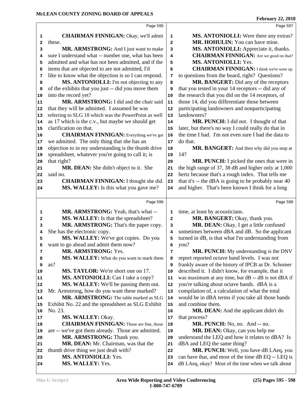|                                                      |                                                                                                                                                                                                                                                                                                                                                                                                                                                                                                       | Pedruary 22, 2018                                    |
|------------------------------------------------------|-------------------------------------------------------------------------------------------------------------------------------------------------------------------------------------------------------------------------------------------------------------------------------------------------------------------------------------------------------------------------------------------------------------------------------------------------------------------------------------------------------|------------------------------------------------------|
| Page 595                                             |                                                                                                                                                                                                                                                                                                                                                                                                                                                                                                       | Page 597                                             |
| <b>CHAIRMAN FINNIGAN:</b> Okay, we'll admit          | 1                                                                                                                                                                                                                                                                                                                                                                                                                                                                                                     | MS. ANTONIOLLI: Were there any extras?               |
| these.                                               | $\mathbf{2}$                                                                                                                                                                                                                                                                                                                                                                                                                                                                                          | MR. HOHULIN: You can have mine.                      |
| MR. ARMSTRONG: And I just want to make               | 3                                                                                                                                                                                                                                                                                                                                                                                                                                                                                                     | MS. ANTONIOLLI: Appreciate it, thanks.               |
| sure I understand what -- number one, what has been  | 4                                                                                                                                                                                                                                                                                                                                                                                                                                                                                                     | <b>CHAIRMAN FINNIGAN:</b> Are we good on that?       |
| admitted and what has not been admitted, and if the  | 5                                                                                                                                                                                                                                                                                                                                                                                                                                                                                                     | <b>MS. ANTONIOLLI: Yes.</b>                          |
| items that are objected to are not admitted, I'd     | 6                                                                                                                                                                                                                                                                                                                                                                                                                                                                                                     | <b>CHAIRMAN FINNIGAN:</b> I think we're were up      |
| like to know what the objection is so I can respond. | 7                                                                                                                                                                                                                                                                                                                                                                                                                                                                                                     | to questions from the board, right? Questions?       |
| MS. ANTONIOLLI: I'm not objecting to any             | 8                                                                                                                                                                                                                                                                                                                                                                                                                                                                                                     | MR. BANGERT: Did any of the receptors                |
|                                                      | 9                                                                                                                                                                                                                                                                                                                                                                                                                                                                                                     | that you tested in your 14 receptors -- did any of   |
| into the record yet?                                 | 10                                                                                                                                                                                                                                                                                                                                                                                                                                                                                                    | the research that you did on the 14 receptors, of    |
| MR. ARMSTRONG: I did and the chair said              | 11                                                                                                                                                                                                                                                                                                                                                                                                                                                                                                    | those 14, did you differentiate those between        |
|                                                      | 12                                                                                                                                                                                                                                                                                                                                                                                                                                                                                                    | participating landowners and nonparticipating        |
|                                                      | 13                                                                                                                                                                                                                                                                                                                                                                                                                                                                                                    | landowners?                                          |
|                                                      | 14                                                                                                                                                                                                                                                                                                                                                                                                                                                                                                    | MR. PUNCH: I did not. I thought of that              |
| clarification on that.                               | 15                                                                                                                                                                                                                                                                                                                                                                                                                                                                                                    | later, but there's no way I could really do that in  |
| <b>CHAIRMAN FINNIGAN:</b> Everything we've got       | 16                                                                                                                                                                                                                                                                                                                                                                                                                                                                                                    | the time I had. I'm not even sure I had the data to  |
|                                                      | 17                                                                                                                                                                                                                                                                                                                                                                                                                                                                                                    | do that.                                             |
|                                                      | 18                                                                                                                                                                                                                                                                                                                                                                                                                                                                                                    | MR. BANGERT: And then why did you stop at            |
|                                                      | 19                                                                                                                                                                                                                                                                                                                                                                                                                                                                                                    | 14?                                                  |
|                                                      |                                                                                                                                                                                                                                                                                                                                                                                                                                                                                                       | MR. PUNCH: I picked the ones that were in            |
|                                                      |                                                                                                                                                                                                                                                                                                                                                                                                                                                                                                       | the high range of 37, 38 dB and higher only at 1,000 |
|                                                      |                                                                                                                                                                                                                                                                                                                                                                                                                                                                                                       | hertz because that's a rough index. That tells me    |
|                                                      |                                                                                                                                                                                                                                                                                                                                                                                                                                                                                                       | that it's -- the dBA is going to be probably near 40 |
|                                                      |                                                                                                                                                                                                                                                                                                                                                                                                                                                                                                       |                                                      |
|                                                      |                                                                                                                                                                                                                                                                                                                                                                                                                                                                                                       |                                                      |
| MS. WALLEY: Is this what you gave me?                | 24                                                                                                                                                                                                                                                                                                                                                                                                                                                                                                    | and higher. That's been known I think for a long     |
| Page 596                                             |                                                                                                                                                                                                                                                                                                                                                                                                                                                                                                       | Page 598                                             |
| MR. ARMSTRONG: Yeah, that's what --                  | 1                                                                                                                                                                                                                                                                                                                                                                                                                                                                                                     | time, at least by acousticians.                      |
| MS. WALLEY: Is that the spreadsheet?                 | $\mathbf{z}$                                                                                                                                                                                                                                                                                                                                                                                                                                                                                          | MR. BANGERT: Okay, thank you.                        |
| MR. ARMSTRONG: That's the paper copy.                | 3                                                                                                                                                                                                                                                                                                                                                                                                                                                                                                     | MR. DEAN: Okay, I get a little confused              |
| She has the electronic copy.                         | 4                                                                                                                                                                                                                                                                                                                                                                                                                                                                                                     | sometimes between dBA and dB. So the applicant       |
| MS. WALLEY: We've got copies. Do you                 | 5                                                                                                                                                                                                                                                                                                                                                                                                                                                                                                     | turned in dB, is that what I'm understanding from    |
| want to go ahead and admit them now?                 | 6                                                                                                                                                                                                                                                                                                                                                                                                                                                                                                     | you?                                                 |
| MR. ARMSTRONG: Yes.                                  | 7                                                                                                                                                                                                                                                                                                                                                                                                                                                                                                     | MR. PUNCH: My understanding is the DNV               |
| MS. WALLEY: What do you want to mark them            | 8                                                                                                                                                                                                                                                                                                                                                                                                                                                                                                     | report reported octave band levels. I was not        |
| as?                                                  | 9                                                                                                                                                                                                                                                                                                                                                                                                                                                                                                     | frankly aware of the history of IPCB as Dr. Schomer  |
| <b>MS. TAYLOR:</b> We're short one on 17.            | 10                                                                                                                                                                                                                                                                                                                                                                                                                                                                                                    | described it. I didn't know, for example, that it    |
| MS. ANTONIOLLI: Can I take a copy?                   | 11                                                                                                                                                                                                                                                                                                                                                                                                                                                                                                    | was maximum at any time, but dB -- dB is not dBA if  |
| <b>MS. WALLEY:</b> We'll be passing them out.        | 12                                                                                                                                                                                                                                                                                                                                                                                                                                                                                                    | you're talking about octave bands. dBA is a          |
| Mr. Armstrong, how do you want these marked?         | 13                                                                                                                                                                                                                                                                                                                                                                                                                                                                                                    | compilation of, a calculation of what the total      |
| MR. ARMSTRONG: The table marked as SLG               | 14                                                                                                                                                                                                                                                                                                                                                                                                                                                                                                    | would be in dBA terms if you take all those bands    |
| Exhibit No. 22 and the spreadsheet as SLG Exhibit    | 15                                                                                                                                                                                                                                                                                                                                                                                                                                                                                                    | and combine them.                                    |
| No. 23.                                              | 16                                                                                                                                                                                                                                                                                                                                                                                                                                                                                                    | <b>MR. DEAN:</b> And the applicant didn't do         |
| MS. WALLEY: Okay.                                    | 17                                                                                                                                                                                                                                                                                                                                                                                                                                                                                                    | that process?                                        |
| <b>CHAIRMAN FINNIGAN:</b> Those are fine, those      | 18                                                                                                                                                                                                                                                                                                                                                                                                                                                                                                    | MR. PUNCH: No, no. And -- no.                        |
| are -- we've got them already. Those are admitted.   | 19                                                                                                                                                                                                                                                                                                                                                                                                                                                                                                    | MR. DEAN: Okay, can you help me                      |
| MR. ARMSTRONG: Thank you.                            | 20                                                                                                                                                                                                                                                                                                                                                                                                                                                                                                    | understand the LEQ and how it relates to dBA? Is     |
| MR. DEAN: Mr. Chairman, was that the                 | 21                                                                                                                                                                                                                                                                                                                                                                                                                                                                                                    | dBA and LEQ the same thing?                          |
| thumb drive thing we just dealt with?                | 22                                                                                                                                                                                                                                                                                                                                                                                                                                                                                                    | MR. PUNCH: Well, you have dB LAeq, you               |
| <b>MS. ANTONIOLLI: Yes.</b>                          | 23                                                                                                                                                                                                                                                                                                                                                                                                                                                                                                    | can have that, and most of the time dB EQ -- LEQ is  |
|                                                      | of the exhibits that you just -- did you move them<br>that they will be admitted. I assumed he was<br>referring to SLG 18 which was the PowerPoint as well<br>as 17 which is the c.v., but maybe we should get<br>we admitted. The only thing that she has an<br>objection to in my understanding is the thumb drive<br>spreadsheet, whatever you're going to call it; is<br>that right?<br><b>MR. DEAN:</b> She didn't object to it. She<br>said no.<br><b>CHAIRMAN FINNIGAN:</b> I thought she did. | 20<br>21<br>22<br>23                                 |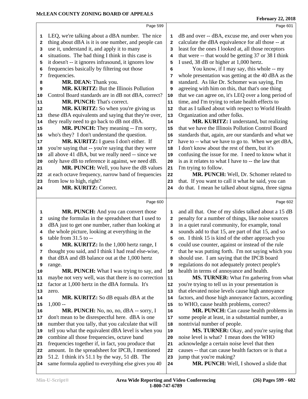|                      | Page 599                                                                                               |          | Page 601                                                           |
|----------------------|--------------------------------------------------------------------------------------------------------|----------|--------------------------------------------------------------------|
| 1                    | LEQ, we're talking about a dBA number. The nice                                                        | 1        | dB and over -- dBA, excuse me, and over when you                   |
| $\mathbf{2}$         | thing about dBA is it is one number, and people can                                                    | 2        | calculate the dBA equivalence for all those -- at                  |
|                      | use it, understand it, and apply it to many                                                            | 3        | least for the ones I looked at, all those receptors                |
| 3                    | situations. The bad thing I think in this case is                                                      | 4        | that were -- that would be getting 37 or 38 I think                |
| 4                    | it doesn't -- it ignores infrasound, it ignores low                                                    |          | I used, 38 dB or higher at 1,000 hertz.                            |
| 5                    | frequencies basically by filtering out those                                                           | 5<br>6   | You know, if I may say, this whole -- my                           |
| 6                    |                                                                                                        |          |                                                                    |
| 7                    | frequencies.                                                                                           | 7        | whole presentation was getting at the 40 dBA as the                |
| 8                    | MR. DEAN: Thank you.<br>MR. KURITZ: But the Illinois Pollution                                         | 8        | standard. As like Dr. Schomer was saying, I'm                      |
| 9                    |                                                                                                        | 9        | agreeing with him on this, that that's one thing                   |
| 10                   | Control Board standards are in dB not dBA, correct?<br>MR. PUNCH: That's correct.                      | 10       | that we can agree on, it's LEQ over a long period of               |
| 11                   |                                                                                                        | 11       | time, and I'm trying to relate health effects to                   |
| 12                   | MR. KURITZ: So when you're giving us                                                                   | 12       | that as I talked about with respect to World Health                |
| 13                   | these dBA equivalents and saying that they're over,                                                    | 13       | Organization and other folks.                                      |
| 14                   | they really need to go back to dB not dBA.                                                             | 14       | MR. KURITZ: I understand, but realizing                            |
| 15                   | MR. PUNCH: They meaning -- I'm sorry,                                                                  | 15       | that we have the Illinois Pollution Control Board                  |
| 16                   | who's they? I don't understand the question.                                                           | 16       | standards that, again, are our standards and what we               |
| 17                   | MR. KURITZ: I guess I don't either. If                                                                 | 17       | have to -- what we have to go to. When we get dBA,                 |
| 18                   | you're saying that -- you're saying that they were                                                     | 18       | I don't know about the rest of them, but it's                      |
| 19                   | all above 41 dBA, but we really need -- since we                                                       | 19       | confusing the issue for me. I need to know what it                 |
| 20                   | only have dB to reference it against, we need dB.                                                      | 20       | is as it relates to what I have to -- the law that                 |
| 21                   | MR. PUNCH: Well, you have the dB values                                                                | 21       | I'm trying to follow.                                              |
| 22                   | at each octave frequency, narrow band of frequencies                                                   | 22       | MR. PUNCH: Well, Dr. Schomer related to                            |
| 23                   | from low to high, right?                                                                               | 23       | that. If you want to call it what he said, you can                 |
| 24                   | <b>MR. KURITZ: Correct.</b>                                                                            | 24       | do that. I mean he talked about sigma, three sigma                 |
|                      |                                                                                                        |          |                                                                    |
|                      |                                                                                                        |          |                                                                    |
|                      | Page 600                                                                                               |          | Page 602                                                           |
| 1                    | MR. PUNCH: And you can convert those                                                                   | 1        | and all that. One of my slides talked about a 15 dB                |
| 2                    | using the formulas in the spreadsheet that I used to                                                   | 2        | penalty for a number of things, like noise sources                 |
| з                    | dBA just to get one number, rather than looking at                                                     | 3        | in a quiet rural community, for example, tonal                     |
| 4                    | the whole picture, looking at everything in the                                                        | 4        | sounds add to that 15, are part of that 15, and so                 |
| 5                    | table from $31.5$ to $-$                                                                               | 5        | on. I think 15 is kind of the other approach you                   |
| 6                    | MR. KURITZ: In the 1,000 hertz range, I                                                                | 6        | could use counter, against or instead of the rule                  |
| 7                    | thought you said, and I think I had read else-wise,                                                    | 7        | that he was putting forth. I'm not saying which you                |
| 8                    | that dBA and dB balance out at the 1,000 hertz                                                         | 8        | should use. I am saying that the IPCB board                        |
| 9                    | range.                                                                                                 | 9        | regulations do not adequately protect people's                     |
| 10                   | MR. PUNCH: What I was trying to say, and                                                               | 10       | health in terms of annoyance and health.                           |
| 11                   | maybe not very well, was that there is no correction                                                   | 11       | MS. TURNER: What I'm gathering from what                           |
| 12                   | factor at 1,000 hertz in the dBA formula. It's                                                         | 12       | you're trying to tell us in your presentation is                   |
| 13                   | zero.                                                                                                  | 13       | that elevated noise levels cause high annoyance                    |
| 14                   | MR. KURITZ: So dB equals dBA at the                                                                    | 14       | factors, and those high annoyance factors, according               |
| 15                   | $1,000 -$                                                                                              | 15       | to WHO, cause health problems, correct?                            |
|                      | MR. PUNCH: No, no, no, dBA -- sorry, I                                                                 | 16       | MR. PUNCH: Can cause health problems in                            |
|                      | don't mean to be disrespectful here. dBA is one                                                        | 17       | some people at least, in a substantial number, a                   |
|                      | number that you tally, that you calculate that will                                                    | 18       | nontrivial number of people.                                       |
| 16<br>17<br>18<br>19 | tell you what the equivalent dBA level is when you                                                     | 19       | MS. TURNER: Okay, and you're saying that                           |
| 20                   | combine all those frequencies, octave band                                                             | 20       | noise level is what? I mean does the WHO                           |
| 21                   | frequencies together if, in fact, you produce that                                                     | 21       | acknowledge a certain noise level that then                        |
| 22                   | amount. In the spreadsheet for IPCB, I mentioned                                                       | 22       | causes -- that can cause health factors or is that a               |
| 23<br>24             | 51.2. I think it's 51.1 by the way, 51 dB. The<br>same formula applied to everything else gives you 40 | 23<br>24 | jump that you're making?<br>MR. PUNCH: Well, I showed a slide that |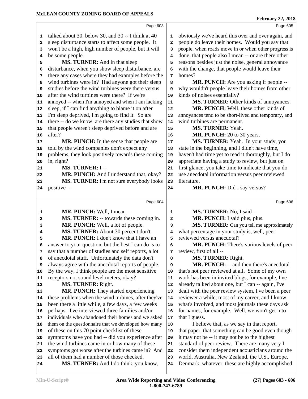|    | Page 603                                             |            | Page 605                                             |
|----|------------------------------------------------------|------------|------------------------------------------------------|
| 1  | talked about 30, below 30, and 30 -- I think at 40   | 1          | obviously we've heard this over and over again, and  |
| 2  | sleep disturbance starts to affect some people. It   | 2          | people do leave their homes. Would you say that      |
| 3  | won't be a high, high number of people, but it will  | 3          | people, when roads move in or when other progress is |
| 4  | be some people.                                      | 4          | done, that people also I mean -- or are there other  |
| 5  | MS. TURNER: And in that sleep                        | 5          | reasons besides just the noise, general annoyance    |
| 6  | disturbance, when you show sleep disturbance, are    | 6          | with the change, that people would leave their       |
| 7  | there any cases where they had examples before the   | 7          | homes?                                               |
| 8  | wind turbines were in? Had anyone got their sleep    | 8          | MR. PUNCH: Are you asking if people --               |
| 9  | studies before the wind turbines were there versus   | 9          | why wouldn't people leave their homes from other     |
| 10 | after the wind turbines were there? If we're         | 10         | kinds of noises essentially?                         |
| 11 | annoyed -- when I'm annoyed and when I am lacking    | ${\bf 11}$ | MS. TURNER: Other kinds of annoyances.               |
| 12 | sleep, if I can find anything to blame it on after   | 12         | MR. PUNCH: Well, these other kinds of                |
| 13 | I'm sleep deprived, I'm going to find it. So are     | 13         | annoyances tend to be short-lived and temporary, and |
| 14 | there -- do we know, are there any studies that show | 14         | wind turbines are permanent.                         |
| 15 | that people weren't sleep deprived before and are    | 15         | MS. TURNER: Yeah.                                    |
| 16 | after?                                               | 16         | MR. PUNCH: 20 to 30 years.                           |
| 17 | MR. PUNCH: In the sense that people are              | 17         | MS. TURNER: Yeah. In your study, you                 |
| 18 | told by the wind companies don't expect any          | 18         | state in the beginning, and I didn't have time,      |
| 19 | problems, they look positively towards these coming  | 19         | haven't had time yet to read it thoroughly, but I do |
| 20 | in, right?                                           | 20         | appreciate having a study to review, but just on     |
| 21 | MS. TURNER: I --                                     | 21         | first glance, you take time to indicate that you do  |
| 22 | MR. PUNCH: And I understand that, okay?              | 22         | use anecdotal information versus peer reviewed       |
| 23 | MS. TURNER: I'm not sure everybody looks             | 23         | literature.                                          |
| 24 | positive --                                          | 24         | MR. PUNCH: Did I say versus?                         |
|    |                                                      |            |                                                      |
|    | Page 604                                             |            | Page 606                                             |
| 1  | MR. PUNCH: Well, I mean --                           | 1          | MS. TURNER: No, I said --                            |
| 2  | MS. TURNER: -- towards these coming in.              | 2          | MR. PUNCH: I said plus, plus.                        |
| з  | MR. PUNCH: Well, a lot of people.                    | 3          | MS. TURNER: Can you tell me approximately            |
| 4  | MS. TURNER: About 30 percent don't.                  | 4          | what percentage in your study is, well, peer         |
| 5  | MR. PUNCH: I don't know that I have an               | 5          | reviewed versus anecdotal?                           |
| 6  | answer to your question, but the best I can do is to | 6          | MR. PUNCH: There's various levels of peer            |
| 7  | say that a number of studies and self reports, a lot | 7          | review, first of all --                              |
| 8  | of anecdotal stuff. Unfortunately the data don't     | 8          | MS. TURNER: Right.                                   |
| 9  | always agree with the anecdotal reports of people.   | 9          | MR. PUNCH: -- and then there's anecdotal             |
| 10 | By the way, I think people are the most sensitive    | 10         | that's not peer reviewed at all. Some of my own      |
| 11 | receptors not sound level meters, okay?              | 11         | work has been in invited blogs, for example, I've    |
| 12 | MS. TURNER: Right.                                   | 12         | already talked about one, but I can -- again, I've   |
| 13 | MR. PUNCH: They started experiencing                 | 13         | dealt with the peer review system, I've been a peer  |
| 14 | these problems when the wind turbines, after they've | 14         | reviewer a while, most of my career, and I know      |
| 15 | been there a little while, a few days, a few weeks   | 15         | what's involved, and most journals these days ask    |
| 16 | perhaps. I've interviewed three families and/or      | 16         | for names, for example. Well, we won't get into      |
| 17 | individuals who abandoned their homes and we asked   | 17         | that I guess.                                        |
| 18 | them on the questionnaire that we developed how many | 18         | I believe that, as we say in that report,            |
| 19 | of these on this 70 point checklist of these         | 19         | that paper, that something can be good even though   |
| 20 | symptoms have you had -- did you experience after    | 20         | it may not be -- it may not be to the highest        |
| 21 | the wind turbines came in or how many of these       | 21         | standard of peer review. There are many very I       |
| 22 | symptoms got worse after the turbines came in? And   | 22         | consider them independent acousticians around the    |
| 23 | all of them had a number of those checked.           | 23         | world, Australia, New Zealand, the U.S., Europe,     |
| 24 | MS. TURNER: And I do think, you know,                | 24         | Denmark, whatever, these are highly accomplished     |
|    |                                                      |            |                                                      |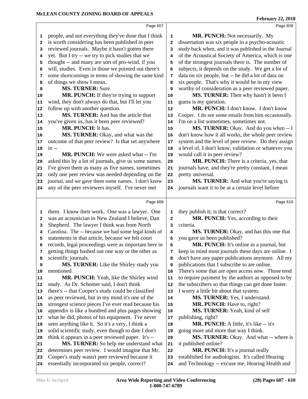|    | Page 607                                             |                | Page 609                                             |
|----|------------------------------------------------------|----------------|------------------------------------------------------|
| 1  | people, and not everything they've done that I think | 1              | <b>MR. PUNCH:</b> Not necessarily. My                |
| 2  | is worth considering has been published in peer      | $\overline{2}$ | dissertation was six people in a psycho-acoustic     |
| 3  | reviewed journals. Maybe it hasn't gotten there      | 3              | study back when, and it was published in the Journal |
| 4  | yet. But I try -- we try to pick studies that we     | 4              | of the Acoustical Society of America, which is one   |
| 5  | thought -- and many are sort of pro-wind, if you     | 5              | of the strongest journals there is. The number of    |
| 6  | will, studies. Even in those we pointed out there's  | 6              | subjects, it depends on the study. We get a lot of   |
| 7  | some shortcomings in terms of showing the same kind  | 7              | data on six people, but -- he did a lot of data on   |
| 8  | of things we show I mean.                            | 8              | six people. That's why it would be in my view        |
| 9  | <b>MS. TURNER: Sure.</b>                             | 9              | worthy of consideration as a peer reviewed paper.    |
| 10 | MR. PUNCH: If they're trying to support              | 10             | MS. TURNER: Then why hasn't it been I                |
| 11 | wind, they don't always do that, but I'll let you    | 11             | guess is my question.                                |
| 12 | follow up with another question.                     | $12\,$         | MR. PUNCH: I don't know. I don't know                |
| 13 | MS. TURNER: And has the article that                 | 13             | Cooper. I do see some emails from him occasionally.  |
| 14 | you've given us, has it been peer reviewed?          | 14             | I'm on a list sometimes, sometimes not.              |
| 15 | MR. PUNCH: It has.                                   | 15             | MS. TURNER: Okay. And do you when -- I               |
| 16 | MS. TURNER: Okay, and what was the                   | 16             | don't know how it all works, the whole peer review   |
| 17 | outcome of that peer review? Is that set anywhere    | 17             | system and the level of peer review. Do they assign  |
| 18 | $in --$                                              | 18             | a level of, I don't know, validation or whatever you |
| 19 | MR. PUNCH: We were asked what -- I'm                 | 19             | would call it in peer review?                        |
| 20 | asked this by a lot of journals, give us some names. | 20             | MR. PUNCH: There is a criteria, yes, that            |
| 21 | I've given them as many as five names, sometimes     | 21             | journals have, and they're pretty constant, I mean   |
| 22 | only one peer review was needed depending on the     | 22             | pretty universal.                                    |
| 23 | journal, and we gave them some names. I don't know   | 23             | MS. TURNER: And what you're saying is                |
| 24 | any of the peer reviewers myself. I've never met     | 24             | journals want it to be at a certain level before     |
|    |                                                      |                |                                                      |
|    | Page 608                                             |                | Page 610                                             |
| 1  | them. I know their work. One was a lawyer. One       | 1              | they publish it; is that correct?                    |
| 2  | was an acoustician in New Zealand I believe, Dan     | $\mathbf{2}$   | MR. PUNCH: Yes, according to their                   |
| 3  | Shepherd. The lawyer I think was from North          | 3              | criteria.                                            |
| 4  | Carolina. The -- because we had some legal kinds of  | 4              | MS. TURNER: Okay, and has this one that              |
| 5  | statements in that article, because we felt court    | 5              | you gave us been published?                          |
| 6  | records, legal proceedings were as important here in | 6              | MR. PUNCH: It's online in a journal, but             |
| 7  | getting things hashed out one way or the other as    | 7              | keep in mind most journals these days are online. I  |
| 8  | scientific journals.                                 | 8              | don't have any paper publications anymore. All my    |
| 9  | MS. TURNER: Like the Shirley study you               | 9              | publications that I subscribe to are online.         |
| 10 | mentioned.                                           | 10             | There's some that are open access now. Those tend    |
| 11 | MR. PUNCH: Yeah, like the Shirley wind               | 11             | to require payment by the authors as opposed to by   |
| 12 | study. As Dr. Schomer said, I don't think            | 12             | the subscribers so that things can get done faster.  |
| 13 | there's -- that Cooper's study could be classified   | 13             | I worry a little bit about that system.              |
| 14 | as peer reviewed, but in my mind it's one of the     | 14             | MS. TURNER: Yes, I understand.                       |
| 15 | strongest science pieces I've ever read because his  | 15             | MR. PUNCH: Have to, right?                           |
| 16 | appendix is like a hundred and plus pages showing    | 16             | MS. TURNER: Yeah, kind of self                       |
| 17 | what he did, photos of his equipment. I've never     | 17             | publishing, right?                                   |
| 18 | seen anything like it. So it's a very, I think a     | 18             | <b>MR. PUNCH:</b> A little, it's like -- it's        |
| 19 | solid scientific study, even though to date I don't  | 19             | going more and more that way I think.                |
| 20 | think it appears in a peer reviewed paper. It's --   | 20             | MS. TURNER: Okay. And what -- where is               |
| 21 | MS. TURNER: So help me understand what               | 21             | it published online?                                 |
| 22 | determines peer review. I would imagine that Mr.     | 22             | MR. PUNCH: It's a journal really                     |
| 23 | Cooper's study wasn't peer reviewed because it       | 23             | established for audiologists. It's called Hearing    |
| 24 | essentially incorporated six people, correct?        | 24             | and Technology -- excuse me, Hearing Health and      |
|    |                                                      |                |                                                      |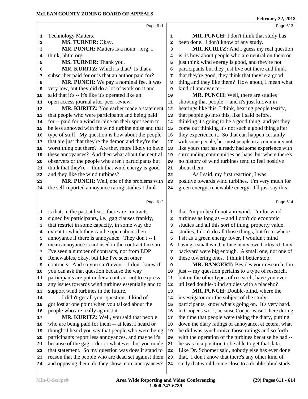|    | Page 611                                             |    | Page 613                                             |
|----|------------------------------------------------------|----|------------------------------------------------------|
|    |                                                      |    |                                                      |
| 1  | <b>Technology Matters.</b>                           | 1  | MR. PUNCH: I don't think that study has              |
| 2  | MS. TURNER: Okay.                                    | 2  | been done. I don't know of any study.                |
| з  | MR. PUNCH: Matters is a noun. .org, I                | 3  | MR. KURITZ: And I guess my real question             |
| 4  | think, hhtm.org.                                     | 4  | is, is how about people who are neutral on them or   |
| 5  | MS. TURNER: Thank you.                               | 5  | just think wind energy is good, and they're not      |
| 6  | MR. KURITZ: Which is that? Is that a                 | 6  | participants but they just live out there and think  |
| 7  | subscriber paid for or is that an author paid for?   | 7  | that they're good, they think that they're a good    |
| 8  | MR. PUNCH: We pay a nominal fee, it was              | 8  | thing and they like them? How about, I mean what     |
| 9  | very low, but they did do a lot of work on it and    | 9  | kind of annoyance --                                 |
| 10 | said that it's -- it's like it's operated like an    | 10 | MR. PUNCH: Well, there are studies                   |
| 11 | open access journal after peer review.               | 11 | showing that people -- and it's just known in        |
| 12 | MR. KURITZ: You earlier made a statement             | 12 | hearings like this, I think, hearing people testify, |
| 13 | that people who were participants and being paid     | 13 | that people go into this, like I said before,        |
| 14 | for -- paid for a wind turbine on their spot seem to | 14 | thinking it's going to be a good thing, and yet they |
| 15 | be less annoyed with the wind turbine noise and that | 15 | come out thinking it's not such a good thing after   |
| 16 | type of stuff. My question is how about the people   | 16 | they experience it. So that can happen certainly     |
| 17 | that are just that they're the demon and they're the | 17 | with some people, but most people in a community not |
| 18 | worst thing out there? Are they more likely to have  | 18 | like yours that has already had some experience with |
| 19 | these annoyances? And then what about the neutral    | 19 | surrounding communities perhaps, but where there's   |
| 20 | observers or the people who aren't participants but  | 20 | no history of wind turbines tend to feel positive    |
| 21 | think that they're -- think that wind energy is good | 21 | about them.                                          |
| 22 | and they like the wind turbines?                     | 22 | As I said, my first reaction, I was                  |
| 23 | MR. PUNCH: Well, one of the problems with            | 23 | positive towards wind turbines. I'm very much for    |
| 24 | the self-reported annoyance rating studies I think   | 24 | green energy, renewable energy. I'll just say this,  |
|    |                                                      |    |                                                      |
|    | Page 612                                             |    | Page 614                                             |
| 1  | is that, in the past at least, there are contracts   | 1  | that I'm pro health not anti wind. I'm for wind      |
| 2  | signed by participants, i.e., gag clauses frankly,   | 2  | turbines as long as -- and I don't do economic       |
| 3  | that restrict in some capacity, in some way the      | 3  | studies and all this sort of thing, property value   |
| 4  | extent to which they can be open about their         | 4  | studies, I don't do all those things, but from where |
| 5  | annoyance if there is annoyance. They don't -- I     | 5  | I sit as a green energy lover, I wouldn't mind       |
| 6  | mean annoyance is not used in the contract I'm sure. | 6  | having a small wind turbine in my own backyard if my |
| 7  | I've seen a number of contracts, not from EDP        | 7  | backyard were big enough. A small one, not one of    |
| 8  | Renewables, okay, but like I've seen other           | 8  | these towering ones. I think I better stop.          |
| 9  | contracts. And so you can't even -- I don't know if  | 9  | MR. BANGERT: Besides your research, I'm              |
| 10 | you can ask that question because the way            | 10 | just -- my question pertains to a type of research,  |
| 11 | participants are put under a contract not to express | 11 | but on the other types of research, have you ever    |
| 12 | any issues towards wind turbines essentially and to  | 12 | utilized double-blind studies with a placebo?        |
| 13 | support wind turbines in the future.                 | 13 | MR. PUNCH: Double-blind, where the                   |
| 14 | I didn't get all your question. I kind of            | 14 | investigator nor the subject of the study,           |
| 15 | got lost at one point when you talked about the      | 15 | participants, know what's going on. It's very hard.  |
| 16 | people who are really against it.                    | 16 | In Cooper's work, because Cooper wasn't there during |
| 17 | MR. KURITZ: Well, you said that people               | 17 | the time that people were taking the diary, putting  |
| 18 | who are being paid for them -- at least I heard or   | 18 | down the diary ratings of annoyance, et cetera, what |
| 19 | thought I heard you say that people who were being   | 19 | he did was synchronize those ratings and so forth    |
| 20 | participants report less annoyances, and maybe it's  | 20 | with the operation of the turbines because he had -- |
| 21 | because of the gag order or whatever, but you made   | 21 | he was in a position to be able to get that data.    |
| 22 | that statement. So my question was does it stand to  | 22 | Like Dr. Schomer said, nobody else has ever done     |
| 23 | reason that the people who are dead set against them | 23 | that. I don't know that there's any other kind of    |
| 24 | and opposing them, do they show more annoyances?     | 24 | study that would come close to a double-blind study. |
|    |                                                      |    |                                                      |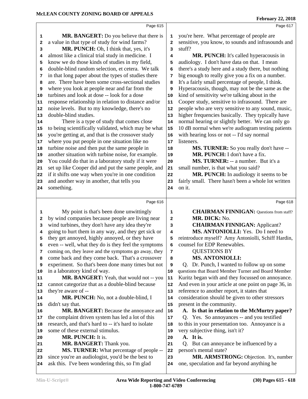|              | Page 615                                                                                             |              | Page 617                                                                              |
|--------------|------------------------------------------------------------------------------------------------------|--------------|---------------------------------------------------------------------------------------|
| 1            | MR. BANGERT: Do you believe that there is                                                            | 1            | you're here. What percentage of people are                                            |
| $\mathbf{2}$ | a value in that type of study for wind farms?                                                        | $\mathbf{2}$ | sensitive, you know, to sounds and infrasounds and                                    |
| 3            | MR. PUNCH: Oh, I think that, yes, it's                                                               | 3            | stuff?                                                                                |
| 4            | almost like a clinical trial study in medicine. I                                                    | 4            | MR. PUNCH: It's called hyperacousis in                                                |
| 5            | know we do those kinds of studies in my field,                                                       | 5            | audiology. I don't have data on that. I mean                                          |
| 6            | double-blind random selection, et cetera. We talk                                                    | 6            | there's a study here and a study there, but nothing                                   |
| 7            | in that long paper about the types of studies there                                                  | 7            | big enough to really give you a fix on a number.                                      |
| 8            | are. There have been some cross-sectional studies                                                    | 8            | It's a fairly small percentage of people, I think.                                    |
| 9            | where you look at people near and far from the                                                       | 9            | Hyperacousis, though, may not be the same as the                                      |
| 10           | turbines and look at dose -- look for a dose                                                         | 10           | kind of sensitivity we're talking about in the                                        |
| 11           | response relationship in relation to distance and/or                                                 | 11           | Cooper study, sensitive to infrasound. There are                                      |
| 12           | noise levels. But to my knowledge, there's no                                                        | 12           | people who are very sensitive to any sound, music,                                    |
| 13           | double-blind studies.                                                                                | 13           | higher frequencies basically. They typically have                                     |
| 14           | There is a type of study that comes close                                                            | 14           | normal hearing or slightly better. We can only go                                     |
| 15           | to being scientifically validated, which may be what                                                 | $15$         | 10 dB normal when we're audiogram testing patients                                    |
| 16           | you're getting at, and that is the crossover study                                                   | 16           | with hearing loss or not -- I'd say normal                                            |
| 17           | where you put people in one situation like no                                                        | 17           | listeners.                                                                            |
| 18           | turbine noise and then put the same people in                                                        | 18           | MS. TURNER: So you really don't have --                                               |
| 19           | another situation with turbine noise, for example.                                                   | 19           | MR. PUNCH: I don't have a fix.                                                        |
| 20           | You could do that in a laboratory study if it were                                                   | 20           | MS. TURNER: -- a number. But it's a                                                   |
| 21           | set up like Cooper did and put the same people, and                                                  | 21           | small number, is that what you said?                                                  |
| 22           | if it shifts one way when you're in one condition                                                    | 22           | MR. PUNCH: In audiology it seems to be                                                |
| 23           | and another way in another, that tells you                                                           | 23           | fairly small. There hasn't been a whole lot written                                   |
| 24           | something.                                                                                           | 24           | on it.                                                                                |
|              |                                                                                                      |              |                                                                                       |
|              | Page 616                                                                                             |              | Page 618                                                                              |
| 1            | My point is that's been done unwittingly                                                             | ${\bf 1}$    | <b>CHAIRMAN FINNIGAN:</b> Questions from staff?                                       |
| $\mathbf{2}$ | by wind companies because people are living near                                                     | $\mathbf{2}$ | MR. DICK: No.                                                                         |
| 3            | wind turbines, they don't have any idea they're                                                      | 3            | <b>CHAIRMAN FINNIGAN: Applicant?</b>                                                  |
| 4            | going to hurt them in any way, and they get sick or                                                  |              |                                                                                       |
|              |                                                                                                      | 4            | MS. ANTONIOLLI: Yes. Do I need to                                                     |
| 5            | they get annoyed, highly annoyed, or they have                                                       | 5            | reintroduce myself? Amy Antoniolli, Schiff Hardin,                                    |
| 6            | even -- well, what they do is they feel the symptoms                                                 | 6            | counsel for EDP Renewables.                                                           |
| 7            | coming on, they leave and the symptoms go away, they                                                 | 7            | <b>QUESTIONS BY</b>                                                                   |
| 8            | come back and they come back. That's a crossover                                                     | 8            | <b>MS. ANTONIOLLI:</b>                                                                |
| 9            | experiment. So that's been done many times but not                                                   | 9            | Q. Dr. Punch, I wanted to follow up on some                                           |
| 10           | in a laboratory kind of way.                                                                         | 10           | questions that Board Member Turner and Board Member                                   |
| 11           | MR. BANGERT: Yeah, that would not -- you                                                             | 11           | Kuritz began with and they focussed on annoyance.                                     |
| 12           | cannot categorize that as a double-blind because                                                     | 12           | And even in your article at one point on page 36, in                                  |
| 13           | they're aware of --                                                                                  | 13           | reference to another report, it states that                                           |
| 14           | MR. PUNCH: No, not a double-blind, I                                                                 | 14           | consideration should be given to other stressors                                      |
| 15           | didn't say that.                                                                                     | 15           | present in the community.                                                             |
| 16           | MR. BANGERT: Because the annoyance and                                                               | 16           | A. Is that in relation to the McMurtry paper?                                         |
| 17           | the complaint driven system has led a lot of this                                                    | 17           | Q. Yes. So annoyances -- and you testified                                            |
| 18           | research, and that's hard to -- it's hard to isolate                                                 | 18           | to this in your presentation too. Annoyance is a                                      |
| 19           | some of these external stimulus.                                                                     | 19           | very subjective thing, isn't it?                                                      |
| 20           | MR. PUNCH: It is.                                                                                    | 20           | A. It is.                                                                             |
| 21           | MR. BANGERT: Thank you.                                                                              | 21           | Q. But can annoyance be influenced by a                                               |
| 22           | <b>MS. TURNER:</b> What percentage of people --                                                      | 22           | person's mental state?                                                                |
| 23           | since you're an audiologist, you'd be the best to<br>ask this. I've been wondering this, so I'm glad | 23           | MR. ARMSTRONG: Objection. It's, number<br>one, speculation and far beyond anything he |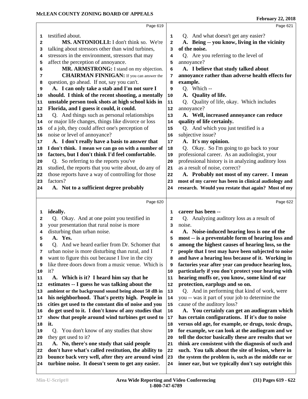|        | Page 619                                                                                               |              | Page 621                                                                                                    |  |
|--------|--------------------------------------------------------------------------------------------------------|--------------|-------------------------------------------------------------------------------------------------------------|--|
| 1      | testified about.                                                                                       | 1            | Q. And what doesn't get any easier?                                                                         |  |
| 2      | MS. ANTONIOLLI: I don't think so. We're                                                                | $\mathbf{2}$ | A. Being -- you know, living in the vicinity                                                                |  |
| 3      | talking about stressors other than wind turbines,                                                      | 3            | of the noise.                                                                                               |  |
| 4      | stressors in the environment, stressors that may                                                       | 4            | Q. Are you referring to the level of                                                                        |  |
| 5      | affect the perception of annoyance.                                                                    | 5            | annoyance?                                                                                                  |  |
| 6      | MR. ARMSTRONG: I stand on my objection.                                                                | 6            | A. I believe that study talked about                                                                        |  |
| 7      | <b>CHAIRMAN FINNIGAN:</b> If you can answer the                                                        | 7            | annoyance rather than adverse health effects for                                                            |  |
| 8      | question, go ahead. If not, say you can't.                                                             | 8            | example.                                                                                                    |  |
| 9      | A. I can only take a stab and I'm not sure I                                                           | 9            | Q. Which --                                                                                                 |  |
| 10     | should. I think of the recent shooting, a mentally                                                     | 10           | A. Quality of life.                                                                                         |  |
| 11     | unstable person took shots at high school kids in                                                      | 11           | Quality of life, okay. Which includes<br>Q.                                                                 |  |
| 12     | Florida, and I guess it could, it could.                                                               | 12           | annoyance?                                                                                                  |  |
| 13     | Q. And things such as personal relationships                                                           | 13           | A. Well, increased annoyance can reduce                                                                     |  |
| 14     | or major life changes, things like divorce or loss                                                     | 14           | quality of life certainly.                                                                                  |  |
| 15     | of a job, they could affect one's perception of                                                        | 15           | Q. And which you just testified is a                                                                        |  |
| 16     | noise or level of annoyance?                                                                           | 16           | subjective issue?                                                                                           |  |
| 17     | A. I don't really have a basis to answer that                                                          | 17           | A. It's my opinion.                                                                                         |  |
| 18     | I don't think. I mean we can go on with a number of                                                    | 18           | Q. Okay. So I'm going to go back to your                                                                    |  |
| 19     | factors, but I don't think I'd feel comfortable.                                                       | 19           | professional career. As an audiologist, your                                                                |  |
| 20     | Q. So referring to the reports you've                                                                  | 20           | professional history is in analyzing auditory loss                                                          |  |
| 21     | studied, the reports that you write about, do any of                                                   | 21           | as a result of noise, correct?                                                                              |  |
| 22     | those reports have a way of controlling for those<br>factors?                                          | 22           | A. Probably not most of my career. I mean                                                                   |  |
| 23     |                                                                                                        | 23           | most of my career has been in clinical audiology and                                                        |  |
| 24     | A. Not to a sufficient degree probably                                                                 | 24           | research. Would you restate that again? Most of my                                                          |  |
|        |                                                                                                        |              |                                                                                                             |  |
|        | Page 620                                                                                               |              | Page 622                                                                                                    |  |
|        |                                                                                                        |              |                                                                                                             |  |
| 1      | ideally.                                                                                               | 1            | career has been --                                                                                          |  |
| 2      | Q. Okay. And at one point you testified in                                                             | 2            | Q. Analyzing auditory loss as a result of                                                                   |  |
| 3      | your presentation that rural noise is more                                                             | 3            | noise.                                                                                                      |  |
| 4      | disturbing than urban noise.                                                                           | 4            | A. Noise-induced hearing loss is one of the                                                                 |  |
| 5      | A. Yes.                                                                                                | 5            | most -- is a preventable form of hearing loss and                                                           |  |
| 6      | Q. And we heard earlier from Dr. Schomer that                                                          | 6            | among the highest causes of hearing loss, so the                                                            |  |
| 7<br>8 | urban noise is more disturbing than rural, and I                                                       | 7            | people that I test may have been subjected to noise                                                         |  |
| 9      | want to figure this out because I live in the city                                                     | 8<br>9       | and have a hearing loss because of it. Working in                                                           |  |
| 10     | like three doors down from a music venue. Which is<br>it?                                              | 10           | factories year after year can produce hearing loss,                                                         |  |
| 11     | A. Which is it? I heard him say that he                                                                | 11           | particularly if you don't protect your hearing with                                                         |  |
| 12     | estimates -- I guess he was talking about the                                                          | 12           | hearing muffs or, you know, some kind of ear<br>protection, earplugs and so on.                             |  |
| 13     | ambient or the background sound being about 50 dB in                                                   | 13           | Q. And in performing that kind of work, were                                                                |  |
| 14     | his neighborhood. That's pretty high. People in                                                        | 14           | you -- was it part of your job to determine the                                                             |  |
| 15     | cities get used to the constant din of noise and you                                                   | 15           | cause of the auditory loss?                                                                                 |  |
| 16     | do get used to it. I don't know of any studies that                                                    | 16           | A. You certainly can get an audiogram which                                                                 |  |
| 17     | show that people around wind turbines get used to                                                      | 17           | has certain configurations. If it's due to noise                                                            |  |
| 18     | it.                                                                                                    | 18           | versus old age, for example, or drugs, toxic drugs,                                                         |  |
| 19     | You don't know of any studies that show<br>0.                                                          | 19           | for example, we can look at the audiogram and we                                                            |  |
| 20     | they get used to it?                                                                                   | 20           | tell the doctor basically these are results that we                                                         |  |
| 21     | A. No, there's one study that said people                                                              | 21           | think are consistent with the diagnosis of such and                                                         |  |
| 22     | don't have what's called restitution, the ability to                                                   | 22           | such. You talk about the site of lesion, where in                                                           |  |
| 23     | bounce back very well, after they are around wind<br>turbine noise. It doesn't seem to get any easier. | 23           | the system the problem is, such as the middle ear or<br>inner ear, but we typically don't say outright this |  |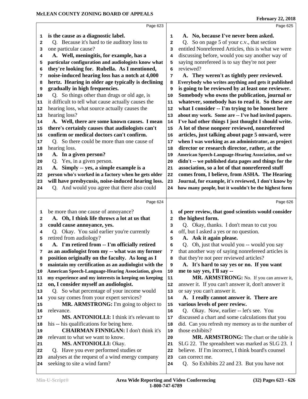| 1  | is the cause as a diagnostic label.                  | 1            | A. No, because I've never been asked.                |
|----|------------------------------------------------------|--------------|------------------------------------------------------|
| 2  | Q. Because it's hard to tie auditory loss to         | $\mathbf{2}$ | Q. So on page 5 of your c.v., that section           |
| з  | one particular cause?                                | 3            | entitled Nonrefereed Articles, this is what we were  |
| 4  | A. Well, meningitis, for example, has a              | 4            | discussing before, would you say another way of      |
| 5  | particular configuration and audiologists know what  | 5            | saying nonrefereed is to say they're not peer        |
| 6  | they're looking for. Rubella. As I mentioned,        | 6            | reviewed?                                            |
| 7  | noise-induced hearing loss has a notch at 4,000      | 7            | A. They weren't as tightly peer reviewed.            |
| 8  | hertz. Hearing in older age typically is declining   | 8            | Everybody who writes anything and gets it published  |
| 9  | gradually in high frequencies.                       | 9            | is going to be reviewed by at least one reviewer.    |
| 10 | Q. So things other than drugs or old age, is         | 10           | Somebody who owns the publication, journal or        |
| 11 | it difficult to tell what cause actually causes the  | 11           | whatever, somebody has to read it. So these are      |
| 12 | hearing loss, what source actually causes the        | 12           | what I consider -- I'm trying to be honest here      |
| 13 | hearing loss?                                        | 13           | about my work. Some are -- I've had invited papers.  |
| 14 | A. Well, there are some known causes. I mean         | 14           | I've had other things I just thought I should write. |
| 15 | there's certainly causes that audiologists can't     | 15           | A lot of these nonpeer reviewed, nonrefereed         |
| 16 | confirm or medical doctors can't confirm.            | 16           | articles, just talking about page 5 onward, were     |
| 17 | Q. So there could be more than one cause of          | 17           | when I was working as an administrator, as project   |
| 18 | hearing loss.                                        | 18           | director or research director, rather, at the        |
| 19 | A. In a given person?                                | 19           | American Speech-Language-Hearing Association, and we |
| 20 | Q. Yes, in a given person.                           | 20           | didn't -- we published data pages and things for the |
| 21 | A. Simply -- yes, a simple example is a              | 21           | association, so a lot of that nonrefereed stuff      |
| 22 | person who's worked in a factory when he gets older  | 22           | comes from, I believe, from ASHA. The Hearing        |
| 23 | will have presbycusis, noise-induced hearing loss.   | 23           | Journal, for example, it's reviewed, I don't know by |
| 24 | Q. And would you agree that there also could         | 24           | how many people, but it wouldn't be the highest form |
|    |                                                      |              |                                                      |
|    | Page 624                                             |              | Page 626                                             |
| 1  | be more than one cause of annoyance?                 | 1            | of peer review, that good scientists would consider  |
| 2  | A. Oh, I think life throws a lot at us that          | $\mathbf{2}$ | the highest form.                                    |
| з  | could cause annoyance, yes.                          | 3            | Q. Okay, thanks. I don't mean to cut you             |
| 4  | Q. Okay. You said earlier you're currently           | 4            | off, but I asked a yes or no question.               |
| 5  | retired from audiology?                              | 5            | A. Ask it again please.                              |
| 6  | A. I'm retired from -- I'm officially retired        | 6            | Q. Oh, just that would you -- would you say          |
| 7  | as an audiologist from my -- what was my former      | 7            | that another way of saying nonrefereed articles is   |
| 8  | position originally on the faculty. As long as I     | 8            | that they're not peer reviewed articles?             |
| 9  | maintain my certification as an audiologist with the | 9            | A. It's hard to say yes or no. If you want           |
| 10 | American Speech-Language-Hearing Association, given  | 10           | me to say yes, I'll say --                           |
| 11 | my experience and my interests in keeping on keeping | 11           | MR. ARMSTRONG: No. If you can answer it,             |
| 12 | on, I consider myself an audiologist.                | 12           | answer it. If you can't answer it, don't answer it   |
| 13 | Q. So what percentage of your income would           | 13           | or say you can't answer it.                          |
| 14 | you say comes from your expert services?             | 14           | A. I really cannot answer it. There are              |
| 15 | MR. ARMSTRONG: I'm going to object to                | 15           | various levels of peer review.                       |
| 16 | relevance.                                           | 16           | Q. Okay. Now, earlier -- let's see. You              |
| 17 | <b>MS. ANTONIOLLI:</b> I think it's relevant to      | 17           | discussed a chart and some calculations that you     |
| 18 | his -- his qualifications for being here.            | 18           | did. Can you refresh my memory as to the number of   |
| 19 | <b>CHAIRMAN FINNIGAN: I don't think it's</b>         | 19           | those exhibits?                                      |
| 20 | relevant to what we want to know.                    | 20           | MR. ARMSTRONG: The chart or the table is             |
| 21 | <b>MS. ANTONIOLLI: Okay.</b>                         | 21           | SLG 22. The spreadsheet was marked as SLG 23. I      |
| 22 | Q. Have you ever performed studies or                | 22           | believe. If I'm incorrect, I think board's counsel   |
| 23 | analyses at the request of a wind energy company     | 23           | can correct me.                                      |
| 24 | seeking to site a wind farm?                         | 24           | Q. So Exhibits 22 and 23. But you have not           |
|    |                                                      |              |                                                      |

Page 623

Page 625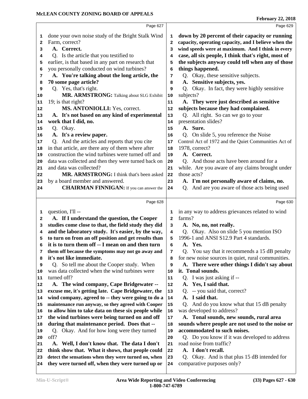|          | Page 627                                                                                                  |                | Page 629                                                                      |
|----------|-----------------------------------------------------------------------------------------------------------|----------------|-------------------------------------------------------------------------------|
| 1        | done your own noise study of the Bright Stalk Wind                                                        | 1              | down by 20 percent of their capacity or running                               |
| 2        | Farm, correct?                                                                                            | $\mathbf{2}$   | capacity, operating capacity, and I believe when the                          |
| 3        | A. Correct.                                                                                               | 3              | wind speeds were at maximum. And I think in every                             |
| 4        | Q. Is the article that you testified to                                                                   | 4              | case, all six people, I think that's right, most of                           |
| 5        | earlier, is that based in any part on research that                                                       | 5              | the subjects anyway could tell when any of those                              |
| 6        | you personally conducted on wind turbines?                                                                | 6              | things happened.                                                              |
| 7        | A. You're talking about the long article, the                                                             | 7              | Q. Okay, these sensitive subjects.                                            |
| 8        | 70 some page article?                                                                                     | 8              | A. Sensitive subjects, yes.                                                   |
| 9        | Q. Yes, that's right.                                                                                     | 9              | Okay. In fact, they were highly sensitive<br>$Q_{\rm{c}}$                     |
| 10       | MR. ARMSTRONG: Talking about SLG Exhibit                                                                  | 10             | subjects?                                                                     |
| 11       | 19; is that right?                                                                                        | 11             | A. They were just described as sensitive                                      |
| 12       | MS. ANTONIOLLI: Yes, correct.                                                                             | 12             | subjects because they had complained.                                         |
| 13       | A. It's not based on any kind of experimental                                                             | 13             | Q. All right. So can we go to your                                            |
| 14       | work that I did, no.                                                                                      | 14             | presentation slides?                                                          |
| 15       | Q. Okay.                                                                                                  | 15             | A. Sure.                                                                      |
| 16       | A. It's a review paper.                                                                                   | 16             | Q. On slide 5, you reference the Noise                                        |
| 17       | Q. And the articles and reports that you cite                                                             | 17             | Control Act of 1972 and the Quiet Communities Act of                          |
| 18       | in that article, are there any of them where after                                                        | 18             | 1978, correct?                                                                |
| 19       | construction the wind turbines were turned off and                                                        | 19             | A. Correct.                                                                   |
| 20       | data was collected and then they were turned back on                                                      | 20             | Q. And those acts have been around for a                                      |
| 21       | and data was collected?                                                                                   | ${\bf 21}$     | while. Are you aware of any claims brought under                              |
| 22       | MR. ARMSTRONG: I think that's been asked                                                                  | 22             | those acts?                                                                   |
| 23       | by a board member and answered.                                                                           | 23             | A. I'm not personally aware of claims, no.                                    |
| 24       | <b>CHAIRMAN FINNIGAN:</b> If you can answer the                                                           | 24             | And are you aware of those acts being used<br>Q.                              |
|          |                                                                                                           |                |                                                                               |
|          | Page 628                                                                                                  |                | Page 630                                                                      |
| 1        | question, I'll --                                                                                         | 1              | in any way to address grievances related to wind                              |
| 2        | A. If I understand the question, the Cooper                                                               | $\overline{a}$ | farms?                                                                        |
| 3        | studies come close to that, the field study they did                                                      | 3              | A. No, no, not really.                                                        |
| 4        |                                                                                                           |                |                                                                               |
|          | and the laboratory study. It's easier, by the way,                                                        | 4              | Q. Okay. Also on slide 5 you mention ISO                                      |
| 5        | to turn on from an off position and get results than                                                      | 5              | 1996-1 and ANSI S12.9 Part 4 standards.                                       |
| 6        | it is to turn them off -- I mean on and then turn                                                         | 6              | A. Yes.                                                                       |
| 7        | them off because the symptoms may not go away and                                                         | 7              | Q. You say that it recommends a 15 dB penalty                                 |
| 8        | it's not like immediate.                                                                                  | 8              | for new noise sources in quiet, rural communities.                            |
| 9        | Q. So tell me about the Cooper study. When                                                                | 9              | A. There were other things I didn't say about                                 |
| 10       | was data collected when the wind turbines were                                                            | 10             | it. Tonal sounds.                                                             |
| 11       | turned off?                                                                                               | 11             | Q. I was just asking if --                                                    |
| 12       | A. The wind company, Cape Bridgewater --                                                                  | 12             | A. Yes, I said that.                                                          |
| 13       | excuse me, it's getting late. Cape Bridgewater, the                                                       | 13             | -- you said that, correct?<br>Q <sub>1</sub>                                  |
| 14       | wind company, agreed to -- they were going to do a                                                        | 14             | A. I said that.                                                               |
| 15       | maintenance run anyway, so they agreed with Cooper                                                        | 15             | And do you know what that 15 dB penalty<br>Q.                                 |
| 16       | to allow him to take data on these six people while                                                       | 16             | was developed to address?                                                     |
| 17       | the wind turbines were being turned on and off                                                            | 17             | A. Tonal sounds, new sounds, rural area                                       |
| 18       | during that maintenance period. Does that --                                                              | 18             | sounds where people are not used to the noise or                              |
| 19       | Q. Okay. And for how long were they turned                                                                | 19             | accommodated to such noises.                                                  |
| 20       | off?                                                                                                      | 20             | Q. Do you know if it was developed to address                                 |
| 21       | A. Well, I don't know that. The data I don't                                                              | 21             | road noise from traffic?                                                      |
| 22       | think show that. What it shows, that people could                                                         | ${\bf 22}$     | A. I don't recall.                                                            |
| 23<br>24 | detect the sensations when they were turned on, when<br>they were turned off, when they were turned up or | 23<br>24       | Okay. And is that plus 15 dB intended for<br>O.<br>comparative purposes only? |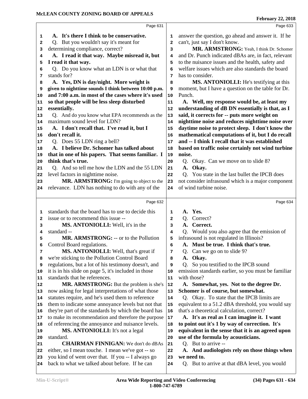|                                                                                                     |                                                                                                                                                                                                                                                                                                                                                                                                                                                                                                                                                                                                                                                                                                                                                                                                                                                                                                                                              | Page 633                                                     |
|-----------------------------------------------------------------------------------------------------|----------------------------------------------------------------------------------------------------------------------------------------------------------------------------------------------------------------------------------------------------------------------------------------------------------------------------------------------------------------------------------------------------------------------------------------------------------------------------------------------------------------------------------------------------------------------------------------------------------------------------------------------------------------------------------------------------------------------------------------------------------------------------------------------------------------------------------------------------------------------------------------------------------------------------------------------|--------------------------------------------------------------|
|                                                                                                     |                                                                                                                                                                                                                                                                                                                                                                                                                                                                                                                                                                                                                                                                                                                                                                                                                                                                                                                                              |                                                              |
|                                                                                                     | 1                                                                                                                                                                                                                                                                                                                                                                                                                                                                                                                                                                                                                                                                                                                                                                                                                                                                                                                                            | answer the question, go ahead and answer it. If he           |
|                                                                                                     | $\mathbf{2}$                                                                                                                                                                                                                                                                                                                                                                                                                                                                                                                                                                                                                                                                                                                                                                                                                                                                                                                                 | can't, just say I don't know.                                |
|                                                                                                     | 3                                                                                                                                                                                                                                                                                                                                                                                                                                                                                                                                                                                                                                                                                                                                                                                                                                                                                                                                            | MR. ARMSTRONG: Yeah, I think Dr. Schomer                     |
|                                                                                                     | 4                                                                                                                                                                                                                                                                                                                                                                                                                                                                                                                                                                                                                                                                                                                                                                                                                                                                                                                                            | and Dr. Punch indicated dBAs are, in fact, relevant          |
|                                                                                                     | 5                                                                                                                                                                                                                                                                                                                                                                                                                                                                                                                                                                                                                                                                                                                                                                                                                                                                                                                                            | to the nuisance issues and the health, safety and            |
|                                                                                                     | 6                                                                                                                                                                                                                                                                                                                                                                                                                                                                                                                                                                                                                                                                                                                                                                                                                                                                                                                                            | welfare issues which are also standards the board            |
|                                                                                                     | 7                                                                                                                                                                                                                                                                                                                                                                                                                                                                                                                                                                                                                                                                                                                                                                                                                                                                                                                                            | has to consider.                                             |
|                                                                                                     | 8                                                                                                                                                                                                                                                                                                                                                                                                                                                                                                                                                                                                                                                                                                                                                                                                                                                                                                                                            | MS. ANTONIOLLI: He's testifying at this                      |
|                                                                                                     | 9                                                                                                                                                                                                                                                                                                                                                                                                                                                                                                                                                                                                                                                                                                                                                                                                                                                                                                                                            | moment, but I have a question on the table for Dr.           |
|                                                                                                     |                                                                                                                                                                                                                                                                                                                                                                                                                                                                                                                                                                                                                                                                                                                                                                                                                                                                                                                                              | Punch.                                                       |
|                                                                                                     |                                                                                                                                                                                                                                                                                                                                                                                                                                                                                                                                                                                                                                                                                                                                                                                                                                                                                                                                              | A. Well, my response would be, at least my                   |
|                                                                                                     |                                                                                                                                                                                                                                                                                                                                                                                                                                                                                                                                                                                                                                                                                                                                                                                                                                                                                                                                              | understanding of dB DN essentially is that, as I             |
|                                                                                                     | 13                                                                                                                                                                                                                                                                                                                                                                                                                                                                                                                                                                                                                                                                                                                                                                                                                                                                                                                                           | said, it corrects for -- puts more weight on                 |
|                                                                                                     | 14                                                                                                                                                                                                                                                                                                                                                                                                                                                                                                                                                                                                                                                                                                                                                                                                                                                                                                                                           | nighttime noise and reduces nighttime noise over             |
|                                                                                                     | 15                                                                                                                                                                                                                                                                                                                                                                                                                                                                                                                                                                                                                                                                                                                                                                                                                                                                                                                                           | daytime noise to protect sleep. I don't know the             |
|                                                                                                     | 16                                                                                                                                                                                                                                                                                                                                                                                                                                                                                                                                                                                                                                                                                                                                                                                                                                                                                                                                           | mathematical computations of it, but I do recall             |
|                                                                                                     |                                                                                                                                                                                                                                                                                                                                                                                                                                                                                                                                                                                                                                                                                                                                                                                                                                                                                                                                              | and -- I think I recall that it was established              |
|                                                                                                     |                                                                                                                                                                                                                                                                                                                                                                                                                                                                                                                                                                                                                                                                                                                                                                                                                                                                                                                                              | based on traffic noise certainly not wind turbine            |
|                                                                                                     |                                                                                                                                                                                                                                                                                                                                                                                                                                                                                                                                                                                                                                                                                                                                                                                                                                                                                                                                              | noise.                                                       |
|                                                                                                     |                                                                                                                                                                                                                                                                                                                                                                                                                                                                                                                                                                                                                                                                                                                                                                                                                                                                                                                                              | Q. Okay. Can we move on to slide 8?                          |
|                                                                                                     |                                                                                                                                                                                                                                                                                                                                                                                                                                                                                                                                                                                                                                                                                                                                                                                                                                                                                                                                              | A. Okay.                                                     |
|                                                                                                     |                                                                                                                                                                                                                                                                                                                                                                                                                                                                                                                                                                                                                                                                                                                                                                                                                                                                                                                                              | Q. You state in the last bullet the IPCB does                |
|                                                                                                     |                                                                                                                                                                                                                                                                                                                                                                                                                                                                                                                                                                                                                                                                                                                                                                                                                                                                                                                                              | not consider infrasound which is a major component           |
| relevance. LDN has nothing to do with any of the                                                    | 24                                                                                                                                                                                                                                                                                                                                                                                                                                                                                                                                                                                                                                                                                                                                                                                                                                                                                                                                           | of wind turbine noise.                                       |
|                                                                                                     |                                                                                                                                                                                                                                                                                                                                                                                                                                                                                                                                                                                                                                                                                                                                                                                                                                                                                                                                              |                                                              |
|                                                                                                     |                                                                                                                                                                                                                                                                                                                                                                                                                                                                                                                                                                                                                                                                                                                                                                                                                                                                                                                                              |                                                              |
| Page 632                                                                                            |                                                                                                                                                                                                                                                                                                                                                                                                                                                                                                                                                                                                                                                                                                                                                                                                                                                                                                                                              | Page 634                                                     |
| standards that the board has to use to decide this                                                  | 1                                                                                                                                                                                                                                                                                                                                                                                                                                                                                                                                                                                                                                                                                                                                                                                                                                                                                                                                            | Yes.<br>A.                                                   |
| issue or to recommend this issue --                                                                 | 2                                                                                                                                                                                                                                                                                                                                                                                                                                                                                                                                                                                                                                                                                                                                                                                                                                                                                                                                            | Correct?<br>Q.                                               |
| MS. ANTONIOLLI: Well, it's in the                                                                   | 3                                                                                                                                                                                                                                                                                                                                                                                                                                                                                                                                                                                                                                                                                                                                                                                                                                                                                                                                            | Correct.<br><b>A.</b>                                        |
| standard --                                                                                         | 4                                                                                                                                                                                                                                                                                                                                                                                                                                                                                                                                                                                                                                                                                                                                                                                                                                                                                                                                            | Q. Would you also agree that the emission of                 |
| MR. ARMSTRONG: -- or to the Pollution                                                               | 5                                                                                                                                                                                                                                                                                                                                                                                                                                                                                                                                                                                                                                                                                                                                                                                                                                                                                                                                            | infrasound is not regulated in Illinois?                     |
| Control Board regulations.                                                                          | 6                                                                                                                                                                                                                                                                                                                                                                                                                                                                                                                                                                                                                                                                                                                                                                                                                                                                                                                                            | A. Must be true. I think that's true.                        |
| MS. ANTONIOLLI: Well, that's great if                                                               | 7                                                                                                                                                                                                                                                                                                                                                                                                                                                                                                                                                                                                                                                                                                                                                                                                                                                                                                                                            | Q. Can we go on to slide 9?                                  |
| we're sticking to the Pollution Control Board                                                       | 8                                                                                                                                                                                                                                                                                                                                                                                                                                                                                                                                                                                                                                                                                                                                                                                                                                                                                                                                            | Okay.<br>A.                                                  |
| regulations, but a lot of his testimony doesn't, and                                                | 9                                                                                                                                                                                                                                                                                                                                                                                                                                                                                                                                                                                                                                                                                                                                                                                                                                                                                                                                            | So you testified to the IPCB sound<br>Q <sub>r</sub>         |
| it is in his slide on page 5, it's included in those                                                | 10                                                                                                                                                                                                                                                                                                                                                                                                                                                                                                                                                                                                                                                                                                                                                                                                                                                                                                                                           | emission standards earlier, so you must be familiar          |
| standards that he references.                                                                       | 11                                                                                                                                                                                                                                                                                                                                                                                                                                                                                                                                                                                                                                                                                                                                                                                                                                                                                                                                           | with those?                                                  |
| MR. ARMSTRONG: But the problem is she's                                                             | 12                                                                                                                                                                                                                                                                                                                                                                                                                                                                                                                                                                                                                                                                                                                                                                                                                                                                                                                                           | A. Somewhat, yes. Not to the degree Dr.                      |
| now asking for legal interpretations of what those                                                  | 13                                                                                                                                                                                                                                                                                                                                                                                                                                                                                                                                                                                                                                                                                                                                                                                                                                                                                                                                           | Schomer is of course, but somewhat.                          |
| statutes require, and he's used them to reference                                                   | 14                                                                                                                                                                                                                                                                                                                                                                                                                                                                                                                                                                                                                                                                                                                                                                                                                                                                                                                                           | Q. Okay. To state that the IPCB limits are                   |
| them to indicate some annoyance levels but not that                                                 | 15                                                                                                                                                                                                                                                                                                                                                                                                                                                                                                                                                                                                                                                                                                                                                                                                                                                                                                                                           | equivalent to a 51.2 dBA threshold, you would say            |
| they're part of the standards by which the board has                                                | 16                                                                                                                                                                                                                                                                                                                                                                                                                                                                                                                                                                                                                                                                                                                                                                                                                                                                                                                                           | that's a theoretical calculation, correct?                   |
| to make its recommendation and therefore the purpose                                                | $17\,$                                                                                                                                                                                                                                                                                                                                                                                                                                                                                                                                                                                                                                                                                                                                                                                                                                                                                                                                       | A. It's as real as I can imagine it. I want                  |
| of referencing the annoyance and nuisance levels.                                                   | 18                                                                                                                                                                                                                                                                                                                                                                                                                                                                                                                                                                                                                                                                                                                                                                                                                                                                                                                                           | to point out it's 1 by way of correction. It's               |
| MS. ANTONIOLLI: It's not a legal                                                                    | 19                                                                                                                                                                                                                                                                                                                                                                                                                                                                                                                                                                                                                                                                                                                                                                                                                                                                                                                                           | equivalent in the sense that it is an agreed upon            |
| standard.                                                                                           | 20                                                                                                                                                                                                                                                                                                                                                                                                                                                                                                                                                                                                                                                                                                                                                                                                                                                                                                                                           | use of the formula by acousticians.                          |
| <b>CHAIRMAN FINNIGAN:</b> We don't do dBAs                                                          | 21                                                                                                                                                                                                                                                                                                                                                                                                                                                                                                                                                                                                                                                                                                                                                                                                                                                                                                                                           | Q. But to arrive --                                          |
| either, so I mean touche. I mean we've got -- so                                                    | 22                                                                                                                                                                                                                                                                                                                                                                                                                                                                                                                                                                                                                                                                                                                                                                                                                                                                                                                                           | A. And audiologists rely on those things when                |
| you kind of went over that. If you -- I always go<br>back to what we talked about before. If he can | 23<br>24                                                                                                                                                                                                                                                                                                                                                                                                                                                                                                                                                                                                                                                                                                                                                                                                                                                                                                                                     | we need to.<br>Q. But to arrive at that dBA level, you would |
|                                                                                                     | Page 631<br>A. It's there I think to be conservative.<br>Q. But you wouldn't say it's meant for<br>determining compliance, correct?<br>A. I read it that way. Maybe misread it, but<br>I read it that way.<br>Q. Do you know what an LDN is or what that<br>stands for?<br>A. Yes, DN is day/night. More weight is<br>given to nighttime sounds I think between 10:00 p.m.<br>and 7:00 a.m. in most of the cases where it's used<br>so that people will be less sleep disturbed<br>essentially.<br>Q. And do you know what EPA recommends as the<br>maximum sound level for LDN?<br>A. I don't recall that. I've read it, but I<br>don't recall it.<br>Q. Does 55 LDN ring a bell?<br>A. I believe Dr. Schomer has talked about<br>that in one of his papers. That seems familiar. I<br>think that's true.<br>Q. And so tell me how the LDN and the 55 LDN<br>level factors in nighttime noise.<br>MR. ARMSTRONG: I'm going to object to the | $10$<br>11<br>12<br>17<br>18<br>19<br>20<br>21<br>22<br>23   |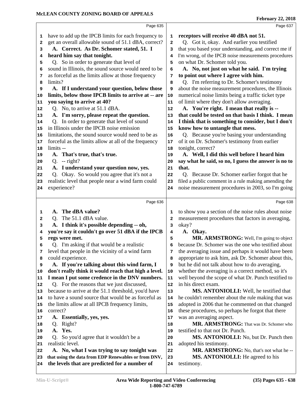|    | Page 635                                             |              | Page 637                                             |
|----|------------------------------------------------------|--------------|------------------------------------------------------|
| 1  | have to add up the IPCB limits for each frequency to | 1            | receptors will receive 40 dBA not 51.                |
| 2  | get an overall allowable sound of 51.1 dBA, correct? | $\mathbf{2}$ | Q. Got it, okay. And earlier you testified           |
| 3  | A. Correct. As Dr. Schomer stated, 51. I             | 3            | that you based your understanding, and correct me if |
| 4  | heard him say that tonight.                          | 4            | I'm wrong, of the IPCB noise measurements procedures |
| 5  | Q. So in order to generate that level of             | 5            | on what Dr. Schomer told you.                        |
| 6  | sound in Illinois, the sound source would need to be | 6            | A. No, not just on what he said. I'm trying          |
| 7  | as forceful as the limits allow at those frequency   | 7            | to point out where I agree with him.                 |
| 8  | limits?                                              | 8            | Q. I'm referring to Dr. Schomer's testimony          |
| 9  | A. If I understand your question, below those        | 9            | about the noise measurement procedures, the Illinois |
| 10 | limits, below those IPCB limits to arrive at -- are  | 10           | numerical noise limits being a traffic ticket type   |
| 11 | you saying to arrive at 40?                          | 11           | of limit where they don't allow averaging.           |
| 12 | Q. No, to arrive at 51.1 dBA.                        | 12           | A. You're right. I mean that really is --            |
| 13 | A. I'm sorry, please repeat the question.            | 13           | that could be tested on that basis I think. I mean   |
| 14 | Q. In order to generate that level of sound          | 14           | I think that is something to consider, but I don't   |
| 15 | in Illinois under the IPCB noise emission            | 15           | know how to untangle that mess.                      |
| 16 | limitations, the sound source would need to be as    | 16           | Q. Because you're basing your understanding          |
| 17 | forceful as the limits allow at all of the frequency | 17           | of it on Dr. Schomer's testimony from earlier        |
| 18 | limits --                                            | 18           | tonight, correct?                                    |
| 19 | A. That's true, that's true.                         | 19           | A. Well, I did this well before I heard him          |
| 20 | $Q. - right?$                                        | 20           | say what he said, so no, I guess the answer is no to |
| 21 | A. I understand your question now, yes.              | 21           | that.                                                |
| 22 | Q. Okay. So would you agree that it's not a          | 22           | Q. Because Dr. Schomer earlier forgot that he        |
| 23 | realistic level that people near a wind farm could   | 23           | filed a public comment in a rule making amending the |
| 24 | experience?                                          | 24           | noise measurement procedures in 2003, so I'm going   |
|    |                                                      |              |                                                      |
|    | Page 636                                             |              | Page 638                                             |
|    |                                                      |              |                                                      |
|    |                                                      |              |                                                      |
| 1  | A. The dBA value?                                    | 1            | to show you a section of the noise rules about noise |
| 2  | Q. The 51.1 dBA value.                               | 2            | measurement procedures that factors in averaging,    |
| 3  | A. I think it's possible depending -- oh,            | 3            | okay?                                                |
| 4  | you're say it couldn't go over 51 dBA if the IPCB    | 4            | A. Okay.                                             |
| 5  | regs were met.                                       | 5            | MR. ARMSTRONG: Well, I'm going to object             |
| 6  | Q. I'm asking if that would be a realistic           | 6            | because Dr. Schomer was the one who testified about  |
| 7  | level that people in the vicinity of a wind farm     | 7            | the averaging issue and perhaps it would have been   |
| 8  | could experience.                                    | 8            | appropriate to ask him, ask Dr. Schomer about this,  |
| 9  | A. If you're talking about this wind farm, I         | 9            | but he did not talk about how to do averaging,       |
| 10 | don't really think it would reach that high a level. | 10           | whether the averaging is a correct method, so it's   |
| 11 | I mean I put some credence in the DNV numbers.       | 11           | well beyond the scope of what Dr. Punch testified to |
| 12 | Q. For the reasons that we just discussed,           | 12           | in his direct exam.                                  |
| 13 | because to arrive at the 51.1 threshold, you'd have  | 13           | MS. ANTONIOLLI: Well, he testified that              |
| 14 | to have a sound source that would be as forceful as  | 14           | he couldn't remember about the rule making that was  |
| 15 | the limits allow at all IPCB frequency limits,       | 15           | adopted in 2006 that he commented on that changed    |
| 16 | correct?                                             | 16           | these procedures, so perhaps he forgot that there    |
| 17 | A. Essentially, yes, yes.                            | 17           | was an averaging aspect.                             |
| 18 | Right?<br>Q.                                         | 18           | MR. ARMSTRONG: That was Dr. Schomer who              |
| 19 | A. Yes.                                              | 19           | testified to that not Dr. Punch.                     |
| 20 | So you'd agree that it wouldn't be a<br>O.           | 20           | MS. ANTONIOLLI: No, but Dr. Punch then               |
| 21 | realistic level.                                     | 21           | adopted his testimony.                               |
| 22 | A. No, what I was trying to say tonight was          | 22           | MR. ARMSTRONG: No, that's not what he-               |
| 23 | that using the data from EDP Renewables or from DNV, | 23           | MS. ANTONIOLLI: He agreed to his                     |
| 24 | the levels that are predicted for a number of        | 24           | testimony.                                           |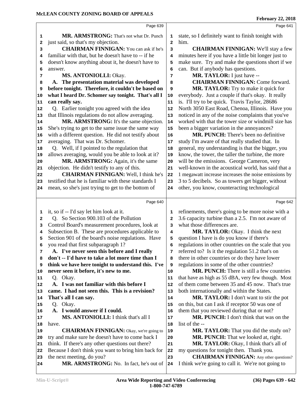|                         | Page 639                                             |                | Page 641                                             |
|-------------------------|------------------------------------------------------|----------------|------------------------------------------------------|
| 1                       | MR. ARMSTRONG: That's not what Dr. Punch             | 1              | state, so I definitely want to finish tonight with   |
| $\overline{\mathbf{2}}$ | just said, so that's my objection.                   | $\overline{a}$ | him.                                                 |
| 3                       | <b>CHAIRMAN FINNIGAN:</b> You can ask if he's        | 3              | <b>CHAIRMAN FINNIGAN:</b> We'll stay a few           |
| 4                       | familiar with that, but he doesn't have to -- if he  | 4              | minutes here if you have a little bit longer just to |
| 5                       | doesn't know anything about it, he doesn't have to   | 5              | make sure. Try and make the questions short if we    |
| 6                       | answer.                                              | 6              | can. But if anybody has questions.                   |
| 7                       | MS. ANTONIOLLI: Okay.                                | 7              | MR. TAYLOR: I just have --                           |
| 8                       | A. The presentation material was developed           | 8              | <b>CHAIRMAN FINNIGAN: Come forward.</b>              |
| 9                       | before tonight. Therefore, it couldn't be based on   | 9              | MR. TAYLOR: Try to make it quick for                 |
| 10                      | what I heard Dr. Schomer say tonight. That's all I   | 10             | everybody. Just a couple if that's okay. It really   |
| 11                      | can really say.                                      | 11             | is. I'll try to be quick. Travis Taylor, 28686       |
| 12                      | Q. Earlier tonight you agreed with the idea          | 12             | North 3050 East Road, Chenoa, Illinois. Have you     |
| 13                      | that Illinois regulations do not allow averaging.    | 13             | noticed in any of the noise complaints that you've   |
| 14                      | MR. ARMSTRONG: It's the same objection.              | 14             | worked with that the tower size or windmill size has |
| 15                      | She's trying to get to the same issue the same way   | 15             | been a bigger variation in the annoyances?           |
| 16                      | with a different question. He did not testify about  | 16             | MR. PUNCH: There's been no definitive                |
| 17                      | averaging. That was Dr. Schomer.                     | 17             | study I'm aware of that really studied that. In      |
| 18                      | Q. Well, if I pointed to the regulation that         | 18             | general, my understanding is that the bigger, you    |
| 19                      | allows averaging, would you be able to look at it?   | 19             | know, the tower, the taller the turbine, the more    |
| 20                      | MR. ARMSTRONG: Again, it's the same                  | 20             | will be the emissions. George Cameron, very          |
| 21                      | objection. He didn't testify to any of this.         | 21             | well-known in the acoustical world, has said that a  |
| 22                      | <b>CHAIRMAN FINNIGAN: Well, I think he's</b>         | 22             | 1 megawatt increase increases the noise emissions by |
| 23                      | testified that he is familiar with these standards I | 23             | 3 to 5 decibels. So as towers get bigger, without    |
| 24                      | mean, so she's just trying to get to the bottom of   | 24             | other, you know, counteracting technological         |
|                         | Page 640                                             |                | Page 642                                             |
| 1                       | it, so if -- I'd say let him look at it.             | 1              | refinements, there's going to be more noise with a   |
| 2                       | Q. So Section 900.103 of the Pollution               | $\overline{a}$ | 3.6 capacity turbine than a 2.5. I'm not aware of    |
| 3                       | Control Board's measurement procedures, look at      | 3              | what those differences are.                          |
| 4                       | Subsection B. These are procedures applicable to     | 4              | MR. TAYLOR: Okay. I think the next                   |
| 5                       | Section 901 of the board's noise regulations. Have   | 5              | question I have is do you know if there's            |
| 6                       | you read that first subparagraph 1?                  | 6              | regulations in other countries on the scale that you |
| 7                       | A. I've never seen this before and I really          | 7              | referred to? Is it the regulation 51.2 that's on     |
| 8                       | don't -- I'd have to take a lot more time than I     | 8              | there in other countries or do they have lower       |
| 9                       | think we have here tonight to understand this. I've  | 9              | regulations in some of the other countries?          |
| 10                      | never seen it before, it's new to me.                | 10             | <b>MR. PUNCH:</b> There is still a few countries     |
| 11                      | Q. Okay.                                             | 11             | that have as high as 55 dBA, very few though. Most   |
| 12                      | A. I was not familiar with this before I             | 12             | of them come between 35 and 45 now. That's true      |
| 13                      | came. I had not seen this. This is a revision?       | 13             | both internationally and within the States.          |
| 14                      | That's all I can say.                                | 14             | <b>MR. TAYLOR:</b> I don't want to stir the pot      |
| 15                      | Q. Okay.                                             | 15             | on this, but can I ask if receptor 50 was one of     |
| 16                      | A. I would answer if I could.                        | 16             | them that you reviewed during that or not?           |
| 17                      | MS. ANTONIOLLI: I think that's all I                 | 17             | <b>MR. PUNCH:</b> I don't think that was on the      |
| 18                      | have.                                                | 18             | list of the --                                       |
| 19                      | <b>CHAIRMAN FINNIGAN:</b> Okay, we're going to       | 19             | MR. TAYLOR: That you did the study on?               |
| 20                      | try and make sure he doesn't have to come back I     | 20             | <b>MR. PUNCH:</b> That we looked at, right.          |
| 21                      | think. If there's any other questions out there?     | 21             | MR. TAYLOR: Okay, I think that's all of              |
| 22                      | Because I don't think you want to bring him back for | 22             | my questions for tonight then. Thank you.            |
| 23                      | the next meeting, do you?                            | 23             | <b>CHAIRMAN FINNIGAN:</b> Any other questions?       |
| 24                      | MR. ARMSTRONG: No. In fact, he's out of              | 24             | I think we're going to call it. We're not going to   |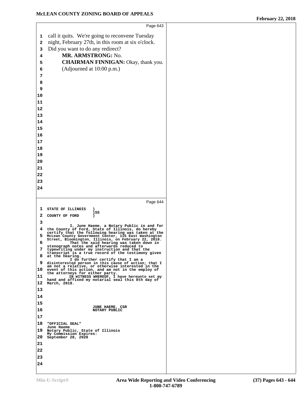|             | Page 643                                                                                                     |
|-------------|--------------------------------------------------------------------------------------------------------------|
| $\mathbf 1$ | call it quits. We're going to reconvene Tuesday                                                              |
| 2           | night, February 27th, in this room at six o'clock.                                                           |
| 3           | Did you want to do any redirect?                                                                             |
| 4           | MR. ARMSTRONG: No.                                                                                           |
| 5           | <b>CHAIRMAN FINNIGAN: Okay, thank you.</b>                                                                   |
| 6           | (Adjourned at 10:00 p.m.)                                                                                    |
| 7           |                                                                                                              |
|             |                                                                                                              |
| 8<br>9      |                                                                                                              |
| 10          |                                                                                                              |
| 11          |                                                                                                              |
| 12          |                                                                                                              |
|             |                                                                                                              |
| 13          |                                                                                                              |
| 14<br>15    |                                                                                                              |
|             |                                                                                                              |
| 16          |                                                                                                              |
| 17          |                                                                                                              |
| 18<br>19    |                                                                                                              |
| 20          |                                                                                                              |
| 21          |                                                                                                              |
| 22          |                                                                                                              |
| 23          |                                                                                                              |
| 24          |                                                                                                              |
|             |                                                                                                              |
|             | Page 644                                                                                                     |
| 1           |                                                                                                              |
| 2           | STATE OF ILLINOIS<br>)SS                                                                                     |
| 3           | COUNTY OF FORD                                                                                               |
|             |                                                                                                              |
|             | I, June Haeme, a Notary Public in and for                                                                    |
| 4           | the County of Ford, State of Illinois, do hereby<br>certify that the following hearing was taken at the      |
| 5           | McLean County Government Center, 115 East Washington<br>Street, Bloomington, Illinois, on February 22, 2018. |
| 6           | That the said hearing was taken down in<br>stenograph notes and afterwards reduced to                        |
| 7           | typewriting under my instruction and that the<br>transcript is a true record of the testimony given          |
| 8           | at the hearing.<br>I do further certify that I am a                                                          |
| 9           | disinterested person in this cause of action; that I<br>am not a relative, or otherwise interested in the    |
| 10          | event of this action, and am not in the employ of<br>the attorneys for either party.                         |
| 11          | IN WITNESS WHEREOF, I have hereunto set my<br>hand and affixed my notarial seal this 8th day of              |
| 12          | March, 2018.                                                                                                 |
| 13          |                                                                                                              |
| 14          |                                                                                                              |
| 15          | JUNE HAEME, CSR                                                                                              |
| 16          | NOTARY PUBLIC                                                                                                |
| 17          |                                                                                                              |
| 18          | "OFFICIAL SEAL"<br>June Haeme                                                                                |
| 19          | Notary Public, State of Illinois                                                                             |
| 20          | My Commission Expires:<br>September 28, 2020                                                                 |
| 21          |                                                                                                              |
| 22          |                                                                                                              |
| 23          |                                                                                                              |
| 24          |                                                                                                              |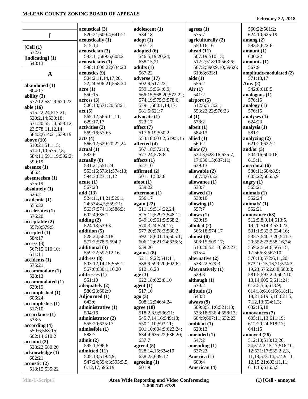|                              | acoustical (3)                              | adolescent (1)          | agrees $(1)$             | 560:22;561:2;                              |
|------------------------------|---------------------------------------------|-------------------------|--------------------------|--------------------------------------------|
| I                            | 520:21;609:4;641:21                         | 534:18                  | 575:7                    | 624:10;625:19                              |
|                              | acoustically (1)                            | $\text{adopt}(1)$       | agriculturally (2)       | among $(2)$                                |
| [Cell (1)                    | 515:14                                      | 507:13                  | 550:16,16                | 593:5;622:6                                |
| 532:6                        | acoustician (3)                             | adopted (6)             | ahead $(11)$             | amount(1)                                  |
|                              | 583:11;589:6;608:2                          | 546:5,19,20,24;         | 507:19;510:13;           | 600:22                                     |
| [indicating] $(1)$           | acousticians (3)                            | 638:15,21               | 512:2;518:10;563:6;      | amounts $(1)$                              |
| 548:13                       |                                             |                         |                          | 567:9                                      |
|                              | 598:1;606:22;634:20                         | adults $(1)$            | 587:2;590:9,10;596:6;    |                                            |
| $\mathbf{A}$                 | acoustics (9)                               | 567:22                  | 619:8;633:1              | amplitude-modulated (2)                    |
|                              | 504:2,11,14,17,20,                          | adverse (17)            | aids(1)                  | 571:13,17                                  |
| abandoned (1)                | 22, 24; 506: 21; 558: 24                    | 502:9;517:22;           | 556:2                    | Amy $(2)$                                  |
| 604:17                       | $\arccan(1)$                                | 559:15;564:6,9;         | Air(1)                   | 542:8;618:5                                |
| ability $(3)$                | 550:15                                      | 566:15;568:20;572:22;   | 541:2                    | analogous $(1)$                            |
| 577:12;581:9;620:22          | across(3)                                   | 574:19;575:3;578:6;     | airport $(5)$            | 576:15                                     |
| able $(16)$                  | 506:13;571:20;586:1                         | 579:1;580:1,14,17;      | 512:6;513:21;            | analogy $(1)$                              |
|                              | act(5)                                      | 581:5;621:7             | 553:22,23;576:23         | 576:15                                     |
| 515:22,24;517:21;            | 565:12;566:11,11;                           | advocate (1)            | al $(1)$                 | analyses (1)                               |
| 520:2,14;530:18;             |                                             | 523:17                  | 578:2                    | 624:23                                     |
| 531:20;551:4;558:12,         | 629:17,17                                   | affect (7)              |                          |                                            |
| 23;578:11,12,14;             | activities (2)                              |                         | albeit $(1)$             | analysis $(1)$                             |
| 584:2;614:21;639:19          | 569:16;570:5                                | 517:6,19;550:2;         | 584:13                   | 581:2                                      |
| above $(10)$                 | acts (4)                                    | 553:18;603:2;619:5,15   | allied $(1)$             | analyzing $(2)$                            |
| 510:21;511:15;               | 566:12;629:20,22,24                         | affected (4)            | 560:2                    | 621:20:622:2                               |
| 514:1,10;575:2,5;            | actual(1)                                   | 567:18;572:18;          | allow $(7)$              | and/or $(3)$                               |
| 584:11;591:19;592:2;         | 583:6                                       | 577:24;578:8            | 534:3;628:16;635:7,      | 504:16;604:16;                             |
| 599:19                       | actually (8)                                | affects $(1)$           | 17;636:15;637:11;        | 615:11                                     |
|                              | 531:21;551:24;                              | 527:10                  | 639:13                   | anecdotal (6)                              |
| absence $(1)$                | 553:16;573:1;574:13;                        | affirmed $(2)$          | allowable (2)            | 580:11;604:8,9;                            |
| 566:4                        | 594:3;623:11,12                             | 501:11;503:8            | 567:3;635:2              | 605:22;606:5,9                             |
| absenteeism (1)              |                                             |                         |                          |                                            |
| 575:19                       | acute(1)                                    | afoot(1)                | allowance (1)            | angry $(1)$                                |
| absolutely $(1)$             | 567:23                                      | 539:22                  | 533:7                    | 565:21                                     |
| 526:2                        | add(13)                                     | afternoon (1)           | allowed (1)              | animals $(1)$                              |
| academic (1)                 | 524:11,14,21;529:1,                         | 556:17                  | 530:10                   | 552:24                                     |
| 555:22                       | 24;534:4,5;559:21;                          | again $(22)$            | allowing $(1)$           | animals' (1)                               |
| accelerates (1)              | 563:7;574:13;586:3;                         | 511:19;514:22,24;       | 557:7                    | 552:21                                     |
| 576:20                       | 602:4;635:1                                 | 525:12;529:7;548:1;     | allows $(1)$             | annoyance (68)                             |
|                              | adding $(2)$                                | 549:10;561:5;568:2;     | 639:19                   | 512:5,8,9,14;513:5,                        |
| acceptable(2)                | 524:13;539:3                                | 570:3,24;574:17;        | alluded $(2)$            | 19, 20; 514: 3; 530: 22;                   |
| 557:8;579:5                  | addition $(5)$                              | 577:20;578:3;580:2;     | 565:18;574:17            | 531:1;532:2;534:16;                        |
| accepted(1)                  | 528:24;562:18;                              | 592:18;601:16;605:1;    | almost $(6)$             | 535:7;540:3,20;541:7,                      |
| 584:17                       |                                             |                         |                          |                                            |
| access(3)                    | 577:7;578:9;594:7                           | 606:12;621:24;626:5;    | 508:15;509:17;           | 20;552:23;558:16,24;                       |
| 567:15;610:10;               | additional (3)                              | 639:20                  | 510:20;521:3;592:23;     | 559:2;564:6;565:15,                        |
| 611:11                       | 559:22;592:12,16                            | against $(8)$           | 615:4                    | 17;566:8;567:10;                           |
| accidents (1)                | address $(8)$                               | 521:19,22;541:11;       | alternative (2)          | 570:10;572:6,11,20;                        |
| 575:21                       | 503:12,14,15;555:1;                         | 588:9;599:20;602:6;     | 538:22;579:3             | 573:10,15,16,21;574:3,                     |
| accommodate (1)              | 567:6;630:1,16,20                           | 612:16,23               | <b>Alternatively (1)</b> | 19,23;575:2,6,8;580:8;                     |
| 528:13                       | addresses (1)                               | age(3)                  | 529:3                    | 581:5;593:2,4;602:10,                      |
| accommodated (1)             | 551:10                                      | 622:18;623:8,10         | although $(1)$           | 13,14;605:5;611:24;                        |
|                              | adequately (2)                              | agent(1)                | 570:2                    | 612:5,5,6;613:9;                           |
| 630:19                       | 580:23:602:9                                | 517:10                  | altitude (1)             | 614:18;616:16;618:11,                      |
| accomplished (1)             | Adjourned (1)                               | ago(3)                  | 543:8                    | 18,21;619:5,16;621:5,                      |
| 606:24                       | 643:6                                       | 508:12;546:4,24         | always $(9)$             | 7, 12, 13; 624: 1, 3;                      |
| accomplishes (1)             |                                             |                         |                          |                                            |
| 517:10                       | administrative (1)                          | agree $(18)$            | 509:8;511:6;521:10;      | 632:15,18                                  |
| accordance (1)               | 504:16                                      | 518:2,8,9;536:21;       | 533:18;536:4;558:12;     | annoyances (7)                             |
| 538:5                        | administrator (2)                           | 545:7,14,16;549:18;     | 604:9;607:11;632:23      | 605:11,13;611:19;                          |
| according(4)                 | 555:20;625:17                               | 550:1,10;593:11;        | ambient $(1)$            | 612:20,24;618:17;                          |
| 550:6;568:15;                | admissible (1)                              | 601:10;604:9;623:24;    | 620:13                   | 641:15                                     |
| 602:14;610:2                 | 588:7                                       | 634:4;635:22;636:20;    | amended (1)              | annoyed (26)                               |
|                              | admit(2)                                    | 637:7                   | 547:2                    | 512:10;513:12,20,                          |
| account(2)                   | 595:1;596:6                                 | agreed $(5)$            | amending $(1)$           | 24;514:2,15,17;516:10,                     |
| 528:22;580:20                | admitted (11)                               | 628:14,15;634:19;       | 637:23                   | 12;531:17;535:2,2,3,                       |
| acknowledge (1)              | 505:13;519:4,9;                             | 638:23;639:12           | America (1)              | 11,18;573:14;574:9,11,                     |
| 602:21                       |                                             |                         |                          |                                            |
|                              |                                             |                         |                          |                                            |
| acoustic(2)<br>518:15;535:22 | 547:24;594:3;595:5,5,<br>6, 12, 17; 596: 19 | agreeing $(1)$<br>601:9 | 609:4<br>American (4)    | 12, 15, 21; 603: 11, 11;<br>611:15;616:5,5 |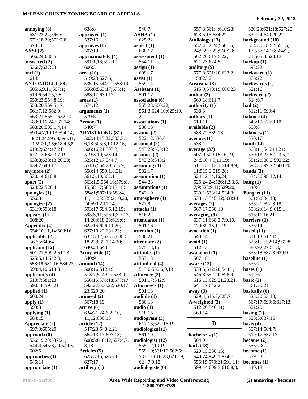#### **annoying (8)** 531:22,24;566:6; 571:18,20;572:7,8; 573:16 **ANSI (2)** 566:24;630:5 **answered (2)** 536:7;627:23 **anti (1)** 614:1 **ANTONIOLLI (58)** 505:6,9,11;507:1; 519:6;542:5,7,8; 550:23;554:8,19; 558:20;559:5,17; 561:7,12;562:9; 563:21;565:1;582:14; 583:9,16,24;587:14; 588:20;589:1,4,14; 590:4,7,10,13;594:14, 18,21,24;595:8;596:11, 23;597:1,3,5;618:4,5,8; 619:2;624:17,21; 627:12;632:3,7,19; 633:8;638:13,20,23; 639:7;640:17 **anymore (2)** 530:14;610:8 **apart (2)** 524:22;528:4 **apologies (1)** 556:3 **apologize (2)** 531:9;593:18 **appears (1)** 608:20 **Appendix (4)** 554:10,11,14;608:16 **applicable (2)** 567:5;640:4 **applicant (12)** 501:21;509:2;510:3; 525:5,14;542:3; 558:18;581:16;584:23; 598:4,16;618:3 **applicant's (4)** 510:7;581:23; 590:18;593:21 **applied (1)** 600:24 **apply (1)** 599:3 **applying (1)** 584:15 **Appreciate (2)** 597:3;605:20 **approach (8)** 536:19,20;537:21; 544:4;545:8,20;549:3; 602:5 **approaches (1)** 545:14 **appropriate (1)** 638:8 **approved (1)** 537:16 **approves (1)** 507:19 **approximately (4)** 591:1,16;592:10; 606:3 **area (10)** 519:23;527:6; 535:15;544:21;553:10; 556:8;563:17;575:1; 583:17;630:17 **areas (1)** 574:12 **arguments (1)** 579:5 **Armor (1)** 540:7 **ARMSTRONG (81)** 502:14,15,22;503:3, 6,18;505:8,10,12,15; 506:16,21;507:3; 519:3,10;523:14; 525:12,17;544:7; 551:6;554:20;555:9; 558:14;559:1,8,21; 561:5,10;562:11; 563:1,5;564:16;579:8, 15;581:7;583:13,18; 584:1;587:18;588:4, 11,14,23;589:2,10,20, 24;590:2,11,14; 593:17;594:6,12,15; 595:3,11;596:1,3,7,13, 14,20;618:23;619:6; 624:15;626:11,20; 627:10,22;631:23; 632:5,12;633:3;638:5, 18,22;639:1,14,20; 640:24;643:4 **Army-wide (1)** 540:9 **around (14)** 508:16;512:19; 513:7;514:9,9;533:9; 556:16;576:18;577:17; 592:22;606:22;620:17, 23;629:20 **aroused (2)** 567:18,19 **arrive (6)** 634:21,24;635:10, 11,12;636:13 **article (12)** 547:23;548:2,21; 564:13,17;607:13; 608:5;618:12;627:4,7, 8,18 **Articles (5)** 625:3,16;626:7,8; 627:17 **artillery (1)** 540:7 **ASHA (1)** 625:22 **aspect (1)** 638:17 **assessment (1)** 554:11 **assign (1)** 609:17 **assist (1)** 559:14 **Assistant (1)** 501:17 **association (6)** 555:23;560:22; 561:3;624:10;625:19, 21 **associations (1)** 580:13 **assume (2)** 522:12;536:6 **assumed (2)** 543:23;595:12 **assumes (2)** 543:23;545:2 **assuming (1)** 582:17 **assumption (1)** 544:23 **assumptions (1)** 542:19 **atmosphere (1)** 527:9 **attacks (1)** 516:22 **attendance (1)** 501:16 **attention (1)** 580:21 **attenuate (2)** 575:13,15 **attitudes (1)** 553:18 **attitudinal (4)** 513:6;530:6,9,13 **Attorney (2)** 501:17;542:9 **Attorney's (1)** 501:18 **audible (1)** 580:13 **audio (1)** 518:15 **audiogram (3)** 617:15;622:16,19 **audiological (1)** 561:19 **audiologist (12)** 555:12,19,19; 559:10;561:16;562:5; 583:12;616:23;621:19; 624:7,9,12 **audiologists (6)** 557:3;561:4;610:23; 623:5,15;634:22 **Audiology (13)** 557:4,22,24;558:15, 24;559:3,23;560:23; 562:20;617:5,22; 621:23;624:5 **auditory (5)** 577:8;621:20;622:2, 15;623:2 **Australia (3)** 515:9;549:19;606:23 **author (2)** 569:18;611:7 **authority (1)** 538:3 **authors (1)** 610:11 **available (2)** 588:22;589:13 **avenues (1)** 538:1 **average (37)** 507:9;509:15,16,19, 24;510:4,9,11,19; 511:13;513:1;514:8,9, 11;515:3;519:20; 524:12,14,16,24; 525:24,24;526:1,2,3,6, 7,9;528:9,11;529:20; 530:1;533:24;534:3; 538:13;545:12;568:14 **averages (2)** 567:17;568:13 **averaging (9)** 637:11;638:2,7,9,10, 17;639:13,17,19 **avocation (1)** 540:14 **avoid (1)** 512:13 **awakened (1)** 567:18 **aware (12)** 533:5;542:20;544:1; 546:3;552:20;598:9; 616:13;629:21,23,24; 641:17;642:2 **away (3)** 529:4;616:7;628:7 **A-weighted (3)** 512:20;546:11; 569:14 **B bachelor's (1)** 504:9 **back (18)** 520:15;536:15; 540:24;549:1;554:7; 556:19;570:24;591:11; 599:14;609:3;616:8,8; 620:23;621:18;627:20; 632:24;640:20,22 **background (10)** 504:8;518:5;555:15, 17;557:14,16;564:2, 21;565:4;620:13 **backup (1)** 593:22 **backward (1)** 576:22 **backwards (1)** 521:16 **backyard (2)** 614:6,7 **bad (2)** 512:11;599:4 **balance (4)** 545:19;576:9,10; 600:8 **balances (1)** 530:17 **band (14)** 508:11;546:11,21; 570:13,22;571:3,5,21; 581:2;586:3;592:22; 598:8;599:22;600:20 **bands (3)** 534:8;598:12,14 **bang (1)** 540:6 **Bangert (11)** 501:6;534:13; 535:21;597:8,18; 598:2;614:9;615:1; 616:11,16,21 **barriers (1)** 575:14 **based (11)** 511:13;512:15; 526:15;552:14;561:8; 580:9;627:5,13; 633:18;637:3;639:9 **baseline (1)** 535:7 **bases (1)** 512:6 **basic (2)** 561:20,21 **basically (6)** 523:2;563:10; 567:17;599:6;617:13; 622:20 **basing (2)** 528:3;637:16 **basis (4)** 507:14;584:7; 619:17;637:13 **became (2)** 556:7,8 **become (1)** 539:23 **becomes (1)** 540:18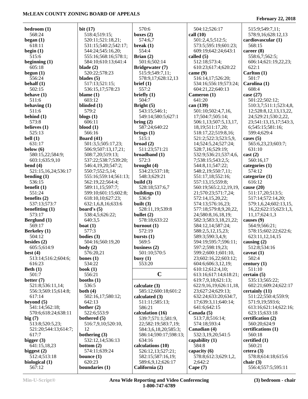| 518:4;519:15;<br>boxes $(2)$<br>568:24<br>call $(10)$<br>578:9,16;628:12,13<br>574:6,7<br>501:2,4,5;512:5;<br>cardiovascular (1)<br>began $(1)$<br>520:11;521:18,21;<br>618:11<br>568:15<br>531:15;540:2;542:17;<br>break $(1)$<br>573:5;595:19;601:23;<br>begin $(1)$<br>554:4<br>544:24;545:16,20;<br>609:19;642:24;643:1<br>career $(8)$<br>Brian $(2)$<br>558:6,7;562:5;<br>515:6<br>555:16;568:16;578:1;<br>called $(5)$<br>501:6;502:14<br>512:18;573:4;<br>beginning $(1)$<br>584:10;610:13;641:4<br>606:14;621:19,22,23;<br>605:18<br>blade $(2)$<br>Bridgewater (7)<br>622:1<br>610:23;617:4;620:22<br>Carlton (1)<br>begun $(1)$<br>520:22;578:23<br>515:9;549:7,11;<br>came $(9)$<br>501:7<br>556:24<br>516:14,17;526:20;<br>blades $(5)$<br>578:9,17;628:12,13<br>behalf $(1)$<br>517:13;521:15;<br>Carolina (1)<br>brief (1)<br>534:16;556:19;573:24;<br>557:2<br>502:15<br>608:4<br>536:15,17;578:23<br>604:21,22;640:13<br>briefly $(1)$<br>case $(27)$<br>behave $(1)$<br>blame $(1)$<br>Cameron (1)<br>603:12<br>504:7<br>641:20<br>511:6<br>501:22;502:12;<br>blinded (1)<br>Bright $(5)$<br>can (139)<br>behaving $(1)$<br>510:3,7;511:1;523:4,8,<br>579:2<br>501:10;502:4,7,16,<br>511:6<br>543:15;546:1;<br>12,528:8,12,13,13,22,<br>behind $(1)$<br>blogs $(1)$<br>549:14;580:5;627:1<br>17;504:7;505:14;<br>24;529:21;530:2,22,<br>573:8<br>606:11<br>bring $(2)$<br>506:1,13;507:5,13,17,<br>23;541:13,15,17;543:3,<br>believes (1)<br>$blood (1)$<br>587:24;640:22<br>18, 19; 511: 17, 20;<br>6;545:15;581:16;<br>525:13<br>brings $(1)$<br>518:17,22;519:8,16;<br>566:16<br>599:4;629:4<br>bell $(1)$<br>515:1<br>Board $(41)$<br>521:2;522:3;523:5,9,<br>cases $(5)$<br>631:17<br>broad(2)<br>501:3,5;505:17,23;<br>14;524:5,24;527:24;<br>565:6,23,23;603:7;<br>511:23;571:21<br>below $(6)$<br>528:7,16;529:19;<br>631:10<br>506:9;507:13,17,21;<br>broadband (1)<br>532:9;536:21;537:4,6,<br>cast(2)<br>580:15,22;584:9;<br>508:7,20;519:13;<br>537:22;538:7;539:20;<br>572:3<br>603:1;635:9,10<br>7;538:15;543:2,5;<br>560:16,17<br>bend $(4)$<br>546:4,19,20;547:2;<br>brought $(4)$<br>544:8,11;547:22;<br>categories $(1)$<br>521:15,16,24;536:17<br>534:23;537:18;<br>574:12<br>550:7;552:5,14;<br>548:2,19;550:7,11;<br>548:3;629:21<br>bending $(1)$<br>555:16;559:14;561:13;<br>551:17,18;552:16;<br>categorize $(1)$<br>536:15<br>build $(3)$<br>616:12<br>562:19,22;564:4;<br>557:13,15;559:8;<br>benefit $(1)$<br>528:18;537:6,7<br>cause $(20)$<br>589:11,15;597:7;<br>560:19;565:2,12,19,19,<br>551:24<br>buildings (1)<br>511:17,20;513:5;<br>599:10;601:15;602:8;<br>21;570:23;571:7,24;<br>benefits $(2)$<br>536:9<br>618:10,10;627:23;<br>572:14,15,20,22;<br>517:14;572:14,20;<br>537:13;573:7<br>built $(3)$<br>632:1,6,8,16;633:6<br>574:13;576:16,23;<br>579:1,6,24;602:13,15,<br>528:11,19;539:8<br>577:18;579:8,9,20,22,<br>benefitting $(1)$<br>board's $(5)$<br>16,22;622:15;623:1,3,<br>573:17<br>538:4,5;626:22;<br>bullet $(2)$<br>24;580:8,16,18,19;<br>11,17;624:1,3<br>Berglund (1)<br>578:18;633:22<br>640:3,5<br>582:3;583:3,18,21,22;<br>causes $(9)$<br>569:17<br>boat $(1)$<br>burnout $(1)$<br>584:12,14;587:24;<br>564:9;566:21;<br>577:3<br>572:19<br><b>Berkeley</b> (1)<br>588:2,5,12,15,23;<br>578:15;602:22;622:6;<br>504:12<br>bodies (3)<br>bursts $(1)$<br>589:3;590:3,4,9;<br>623:11,12,14,15<br>besides $(2)$<br>569:5<br>504:16;560:19,20<br>594:19;595:7;596:11;<br>causing $(2)$<br>$body(2)$<br>business $(2)$<br>597:2;598:19,23;<br>605:5;614:9<br>512:8;534:16<br>576:20,21<br>501:10;570:5<br>best $(4)$<br>599:2;600:1;601:10,<br>caveat $(1)$<br>502:4<br>23;602:16,22;603:12;<br>513:14;516:2;604:6;<br>bones $(1)$<br>busy $(1)$<br>616:23<br>534:22<br>553:20<br>604:6;606:3,12,19;<br>century $(1)$<br>Beth $(1)$<br>610:12;612:4,10;<br>511:10<br>book $(1)$<br>$\mathbf C$<br>501:7<br>613:16;617:14;618:21;<br>certain(5)<br>556:21<br>better $(7)$<br>535:13;565:22;<br>booths $(1)$<br>619:7,9,18;621:13;<br>521:8;536:11,14;<br>536:5<br>calculate (3)<br>602:21;609:24;622:17<br>622:9,16,19;626:11,18,<br>556:3;569:15;614:8;<br>both $(4)$<br>23;627:24;629:13;<br>585:12;600:18;601:2<br>certainly (11)<br>617:14<br>502:16,17;580:12;<br>632:24;633:20;634:7,<br>511:22;550:4;559:9;<br>calculated $(3)$<br>beyond $(5)$<br>642:13<br>17:639:3,11:640:14:<br>571:9,19;593:6;<br>511:11:585:13:<br>541:14;562:18;<br>bother $(2)$<br>586:21<br>641:6;642:15<br>613:16;621:14;622:16;<br>570:6;618:24;638:11<br>522:6;553:9<br>calculation (16)<br>Canada (5)<br>623:15;633:18<br>bothered (5)<br>539:7;571:1;581:9,<br>513:7,8;516:14;<br>certification (2)<br>560:20;624:9<br>513:8;520:5,23;<br>516:7,9,10;520:10,<br>22;582:19;583:7,19;<br>574:18;593:4<br>12<br>Canadian (4)<br>certifications (1)<br>521:20;544:13;614:7;<br>584:3,6,18,20;585:3;<br>617:7<br>bothering (3)<br>532:3,19,20;541:5<br>586:14;590:17;598:13;<br>560:18<br>bigger $(3)$<br>532:12,14;536:13<br>634:16<br>capability $(1)$<br>certified $(1)$<br>584:8<br>641:15,18,23<br>calculations (10)<br>560:21<br>bottom $(2)$<br>biggest $(2)$<br>574:11;639:24<br>526:12,13;527:21;<br>cetera $(3)$<br>capacity (6)<br>512:4;513:18<br>578:8;612:3;629:1,2,<br>578:8;614:18;615:6<br>bounce $(1)$<br>582:15;587:16,19;<br>biological (1)<br>620:23<br>589:6,9,12;626:17<br>2:642:2<br>chair $(3)$<br>567:12<br>boundaries (1)<br>California (2)<br>Cape $(7)$<br>556:4;557:5;595:11 |            |            |       |               |                 |
|---------------------------------------------------------------------------------------------------------------------------------------------------------------------------------------------------------------------------------------------------------------------------------------------------------------------------------------------------------------------------------------------------------------------------------------------------------------------------------------------------------------------------------------------------------------------------------------------------------------------------------------------------------------------------------------------------------------------------------------------------------------------------------------------------------------------------------------------------------------------------------------------------------------------------------------------------------------------------------------------------------------------------------------------------------------------------------------------------------------------------------------------------------------------------------------------------------------------------------------------------------------------------------------------------------------------------------------------------------------------------------------------------------------------------------------------------------------------------------------------------------------------------------------------------------------------------------------------------------------------------------------------------------------------------------------------------------------------------------------------------------------------------------------------------------------------------------------------------------------------------------------------------------------------------------------------------------------------------------------------------------------------------------------------------------------------------------------------------------------------------------------------------------------------------------------------------------------------------------------------------------------------------------------------------------------------------------------------------------------------------------------------------------------------------------------------------------------------------------------------------------------------------------------------------------------------------------------------------------------------------------------------------------------------------------------------------------------------------------------------------------------------------------------------------------------------------------------------------------------------------------------------------------------------------------------------------------------------------------------------------------------------------------------------------------------------------------------------------------------------------------------------------------------------------------------------------------------------------------------------------------------------------------------------------------------------------------------------------------------------------------------------------------------------------------------------------------------------------------------------------------------------------------------------------------------------------------------------------------------------------------------------------------------------------------------------------------------------------------------------------------------------------------------------------------------------------------------------------------------------------------------------------------------------------------------------------------------------------------------------------------------------------------------------------------------------------------------------------------------------------------------------------------------------------------------------------------------------------------------------------------------------------------------------------------------------------------------------------------------------------------------------------------------------------------------------------------------------------------------------------------------------------------------------------------------------------------------------------------------------------------------------------------------------------------------------------------------------------------------------------------------------------------------------------------------------------------------------------------------------------------------------------------------------------------------------------------------------------------------------------------------------------------------------------------------------------------------------------------------------------------------------------------------------------------------------------------------------------------------------------------------------------------------------------------------------------------------------------------------------------------------------------------------------------------------------------------------------|------------|------------|-------|---------------|-----------------|
|                                                                                                                                                                                                                                                                                                                                                                                                                                                                                                                                                                                                                                                                                                                                                                                                                                                                                                                                                                                                                                                                                                                                                                                                                                                                                                                                                                                                                                                                                                                                                                                                                                                                                                                                                                                                                                                                                                                                                                                                                                                                                                                                                                                                                                                                                                                                                                                                                                                                                                                                                                                                                                                                                                                                                                                                                                                                                                                                                                                                                                                                                                                                                                                                                                                                                                                                                                                                                                                                                                                                                                                                                                                                                                                                                                                                                                                                                                                                                                                                                                                                                                                                                                                                                                                                                                                                                                                                                                                                                                                                                                                                                                                                                                                                                                                                                                                                                                                                                                                                                                                                                                                                                                                                                                                                                                                                                                                                                                                                     | bedroom(1) | bit $(17)$ | 570:6 | 504:12;526:17 | 515:9;549:7,11; |
|                                                                                                                                                                                                                                                                                                                                                                                                                                                                                                                                                                                                                                                                                                                                                                                                                                                                                                                                                                                                                                                                                                                                                                                                                                                                                                                                                                                                                                                                                                                                                                                                                                                                                                                                                                                                                                                                                                                                                                                                                                                                                                                                                                                                                                                                                                                                                                                                                                                                                                                                                                                                                                                                                                                                                                                                                                                                                                                                                                                                                                                                                                                                                                                                                                                                                                                                                                                                                                                                                                                                                                                                                                                                                                                                                                                                                                                                                                                                                                                                                                                                                                                                                                                                                                                                                                                                                                                                                                                                                                                                                                                                                                                                                                                                                                                                                                                                                                                                                                                                                                                                                                                                                                                                                                                                                                                                                                                                                                                                     |            |            |       |               |                 |
|                                                                                                                                                                                                                                                                                                                                                                                                                                                                                                                                                                                                                                                                                                                                                                                                                                                                                                                                                                                                                                                                                                                                                                                                                                                                                                                                                                                                                                                                                                                                                                                                                                                                                                                                                                                                                                                                                                                                                                                                                                                                                                                                                                                                                                                                                                                                                                                                                                                                                                                                                                                                                                                                                                                                                                                                                                                                                                                                                                                                                                                                                                                                                                                                                                                                                                                                                                                                                                                                                                                                                                                                                                                                                                                                                                                                                                                                                                                                                                                                                                                                                                                                                                                                                                                                                                                                                                                                                                                                                                                                                                                                                                                                                                                                                                                                                                                                                                                                                                                                                                                                                                                                                                                                                                                                                                                                                                                                                                                                     |            |            |       |               |                 |
|                                                                                                                                                                                                                                                                                                                                                                                                                                                                                                                                                                                                                                                                                                                                                                                                                                                                                                                                                                                                                                                                                                                                                                                                                                                                                                                                                                                                                                                                                                                                                                                                                                                                                                                                                                                                                                                                                                                                                                                                                                                                                                                                                                                                                                                                                                                                                                                                                                                                                                                                                                                                                                                                                                                                                                                                                                                                                                                                                                                                                                                                                                                                                                                                                                                                                                                                                                                                                                                                                                                                                                                                                                                                                                                                                                                                                                                                                                                                                                                                                                                                                                                                                                                                                                                                                                                                                                                                                                                                                                                                                                                                                                                                                                                                                                                                                                                                                                                                                                                                                                                                                                                                                                                                                                                                                                                                                                                                                                                                     |            |            |       |               |                 |
|                                                                                                                                                                                                                                                                                                                                                                                                                                                                                                                                                                                                                                                                                                                                                                                                                                                                                                                                                                                                                                                                                                                                                                                                                                                                                                                                                                                                                                                                                                                                                                                                                                                                                                                                                                                                                                                                                                                                                                                                                                                                                                                                                                                                                                                                                                                                                                                                                                                                                                                                                                                                                                                                                                                                                                                                                                                                                                                                                                                                                                                                                                                                                                                                                                                                                                                                                                                                                                                                                                                                                                                                                                                                                                                                                                                                                                                                                                                                                                                                                                                                                                                                                                                                                                                                                                                                                                                                                                                                                                                                                                                                                                                                                                                                                                                                                                                                                                                                                                                                                                                                                                                                                                                                                                                                                                                                                                                                                                                                     |            |            |       |               |                 |
|                                                                                                                                                                                                                                                                                                                                                                                                                                                                                                                                                                                                                                                                                                                                                                                                                                                                                                                                                                                                                                                                                                                                                                                                                                                                                                                                                                                                                                                                                                                                                                                                                                                                                                                                                                                                                                                                                                                                                                                                                                                                                                                                                                                                                                                                                                                                                                                                                                                                                                                                                                                                                                                                                                                                                                                                                                                                                                                                                                                                                                                                                                                                                                                                                                                                                                                                                                                                                                                                                                                                                                                                                                                                                                                                                                                                                                                                                                                                                                                                                                                                                                                                                                                                                                                                                                                                                                                                                                                                                                                                                                                                                                                                                                                                                                                                                                                                                                                                                                                                                                                                                                                                                                                                                                                                                                                                                                                                                                                                     |            |            |       |               |                 |
|                                                                                                                                                                                                                                                                                                                                                                                                                                                                                                                                                                                                                                                                                                                                                                                                                                                                                                                                                                                                                                                                                                                                                                                                                                                                                                                                                                                                                                                                                                                                                                                                                                                                                                                                                                                                                                                                                                                                                                                                                                                                                                                                                                                                                                                                                                                                                                                                                                                                                                                                                                                                                                                                                                                                                                                                                                                                                                                                                                                                                                                                                                                                                                                                                                                                                                                                                                                                                                                                                                                                                                                                                                                                                                                                                                                                                                                                                                                                                                                                                                                                                                                                                                                                                                                                                                                                                                                                                                                                                                                                                                                                                                                                                                                                                                                                                                                                                                                                                                                                                                                                                                                                                                                                                                                                                                                                                                                                                                                                     |            |            |       |               |                 |
|                                                                                                                                                                                                                                                                                                                                                                                                                                                                                                                                                                                                                                                                                                                                                                                                                                                                                                                                                                                                                                                                                                                                                                                                                                                                                                                                                                                                                                                                                                                                                                                                                                                                                                                                                                                                                                                                                                                                                                                                                                                                                                                                                                                                                                                                                                                                                                                                                                                                                                                                                                                                                                                                                                                                                                                                                                                                                                                                                                                                                                                                                                                                                                                                                                                                                                                                                                                                                                                                                                                                                                                                                                                                                                                                                                                                                                                                                                                                                                                                                                                                                                                                                                                                                                                                                                                                                                                                                                                                                                                                                                                                                                                                                                                                                                                                                                                                                                                                                                                                                                                                                                                                                                                                                                                                                                                                                                                                                                                                     |            |            |       |               |                 |
|                                                                                                                                                                                                                                                                                                                                                                                                                                                                                                                                                                                                                                                                                                                                                                                                                                                                                                                                                                                                                                                                                                                                                                                                                                                                                                                                                                                                                                                                                                                                                                                                                                                                                                                                                                                                                                                                                                                                                                                                                                                                                                                                                                                                                                                                                                                                                                                                                                                                                                                                                                                                                                                                                                                                                                                                                                                                                                                                                                                                                                                                                                                                                                                                                                                                                                                                                                                                                                                                                                                                                                                                                                                                                                                                                                                                                                                                                                                                                                                                                                                                                                                                                                                                                                                                                                                                                                                                                                                                                                                                                                                                                                                                                                                                                                                                                                                                                                                                                                                                                                                                                                                                                                                                                                                                                                                                                                                                                                                                     |            |            |       |               |                 |
|                                                                                                                                                                                                                                                                                                                                                                                                                                                                                                                                                                                                                                                                                                                                                                                                                                                                                                                                                                                                                                                                                                                                                                                                                                                                                                                                                                                                                                                                                                                                                                                                                                                                                                                                                                                                                                                                                                                                                                                                                                                                                                                                                                                                                                                                                                                                                                                                                                                                                                                                                                                                                                                                                                                                                                                                                                                                                                                                                                                                                                                                                                                                                                                                                                                                                                                                                                                                                                                                                                                                                                                                                                                                                                                                                                                                                                                                                                                                                                                                                                                                                                                                                                                                                                                                                                                                                                                                                                                                                                                                                                                                                                                                                                                                                                                                                                                                                                                                                                                                                                                                                                                                                                                                                                                                                                                                                                                                                                                                     |            |            |       |               |                 |
|                                                                                                                                                                                                                                                                                                                                                                                                                                                                                                                                                                                                                                                                                                                                                                                                                                                                                                                                                                                                                                                                                                                                                                                                                                                                                                                                                                                                                                                                                                                                                                                                                                                                                                                                                                                                                                                                                                                                                                                                                                                                                                                                                                                                                                                                                                                                                                                                                                                                                                                                                                                                                                                                                                                                                                                                                                                                                                                                                                                                                                                                                                                                                                                                                                                                                                                                                                                                                                                                                                                                                                                                                                                                                                                                                                                                                                                                                                                                                                                                                                                                                                                                                                                                                                                                                                                                                                                                                                                                                                                                                                                                                                                                                                                                                                                                                                                                                                                                                                                                                                                                                                                                                                                                                                                                                                                                                                                                                                                                     |            |            |       |               |                 |
|                                                                                                                                                                                                                                                                                                                                                                                                                                                                                                                                                                                                                                                                                                                                                                                                                                                                                                                                                                                                                                                                                                                                                                                                                                                                                                                                                                                                                                                                                                                                                                                                                                                                                                                                                                                                                                                                                                                                                                                                                                                                                                                                                                                                                                                                                                                                                                                                                                                                                                                                                                                                                                                                                                                                                                                                                                                                                                                                                                                                                                                                                                                                                                                                                                                                                                                                                                                                                                                                                                                                                                                                                                                                                                                                                                                                                                                                                                                                                                                                                                                                                                                                                                                                                                                                                                                                                                                                                                                                                                                                                                                                                                                                                                                                                                                                                                                                                                                                                                                                                                                                                                                                                                                                                                                                                                                                                                                                                                                                     |            |            |       |               |                 |
|                                                                                                                                                                                                                                                                                                                                                                                                                                                                                                                                                                                                                                                                                                                                                                                                                                                                                                                                                                                                                                                                                                                                                                                                                                                                                                                                                                                                                                                                                                                                                                                                                                                                                                                                                                                                                                                                                                                                                                                                                                                                                                                                                                                                                                                                                                                                                                                                                                                                                                                                                                                                                                                                                                                                                                                                                                                                                                                                                                                                                                                                                                                                                                                                                                                                                                                                                                                                                                                                                                                                                                                                                                                                                                                                                                                                                                                                                                                                                                                                                                                                                                                                                                                                                                                                                                                                                                                                                                                                                                                                                                                                                                                                                                                                                                                                                                                                                                                                                                                                                                                                                                                                                                                                                                                                                                                                                                                                                                                                     |            |            |       |               |                 |
|                                                                                                                                                                                                                                                                                                                                                                                                                                                                                                                                                                                                                                                                                                                                                                                                                                                                                                                                                                                                                                                                                                                                                                                                                                                                                                                                                                                                                                                                                                                                                                                                                                                                                                                                                                                                                                                                                                                                                                                                                                                                                                                                                                                                                                                                                                                                                                                                                                                                                                                                                                                                                                                                                                                                                                                                                                                                                                                                                                                                                                                                                                                                                                                                                                                                                                                                                                                                                                                                                                                                                                                                                                                                                                                                                                                                                                                                                                                                                                                                                                                                                                                                                                                                                                                                                                                                                                                                                                                                                                                                                                                                                                                                                                                                                                                                                                                                                                                                                                                                                                                                                                                                                                                                                                                                                                                                                                                                                                                                     |            |            |       |               |                 |
|                                                                                                                                                                                                                                                                                                                                                                                                                                                                                                                                                                                                                                                                                                                                                                                                                                                                                                                                                                                                                                                                                                                                                                                                                                                                                                                                                                                                                                                                                                                                                                                                                                                                                                                                                                                                                                                                                                                                                                                                                                                                                                                                                                                                                                                                                                                                                                                                                                                                                                                                                                                                                                                                                                                                                                                                                                                                                                                                                                                                                                                                                                                                                                                                                                                                                                                                                                                                                                                                                                                                                                                                                                                                                                                                                                                                                                                                                                                                                                                                                                                                                                                                                                                                                                                                                                                                                                                                                                                                                                                                                                                                                                                                                                                                                                                                                                                                                                                                                                                                                                                                                                                                                                                                                                                                                                                                                                                                                                                                     |            |            |       |               |                 |
|                                                                                                                                                                                                                                                                                                                                                                                                                                                                                                                                                                                                                                                                                                                                                                                                                                                                                                                                                                                                                                                                                                                                                                                                                                                                                                                                                                                                                                                                                                                                                                                                                                                                                                                                                                                                                                                                                                                                                                                                                                                                                                                                                                                                                                                                                                                                                                                                                                                                                                                                                                                                                                                                                                                                                                                                                                                                                                                                                                                                                                                                                                                                                                                                                                                                                                                                                                                                                                                                                                                                                                                                                                                                                                                                                                                                                                                                                                                                                                                                                                                                                                                                                                                                                                                                                                                                                                                                                                                                                                                                                                                                                                                                                                                                                                                                                                                                                                                                                                                                                                                                                                                                                                                                                                                                                                                                                                                                                                                                     |            |            |       |               |                 |
|                                                                                                                                                                                                                                                                                                                                                                                                                                                                                                                                                                                                                                                                                                                                                                                                                                                                                                                                                                                                                                                                                                                                                                                                                                                                                                                                                                                                                                                                                                                                                                                                                                                                                                                                                                                                                                                                                                                                                                                                                                                                                                                                                                                                                                                                                                                                                                                                                                                                                                                                                                                                                                                                                                                                                                                                                                                                                                                                                                                                                                                                                                                                                                                                                                                                                                                                                                                                                                                                                                                                                                                                                                                                                                                                                                                                                                                                                                                                                                                                                                                                                                                                                                                                                                                                                                                                                                                                                                                                                                                                                                                                                                                                                                                                                                                                                                                                                                                                                                                                                                                                                                                                                                                                                                                                                                                                                                                                                                                                     |            |            |       |               |                 |
|                                                                                                                                                                                                                                                                                                                                                                                                                                                                                                                                                                                                                                                                                                                                                                                                                                                                                                                                                                                                                                                                                                                                                                                                                                                                                                                                                                                                                                                                                                                                                                                                                                                                                                                                                                                                                                                                                                                                                                                                                                                                                                                                                                                                                                                                                                                                                                                                                                                                                                                                                                                                                                                                                                                                                                                                                                                                                                                                                                                                                                                                                                                                                                                                                                                                                                                                                                                                                                                                                                                                                                                                                                                                                                                                                                                                                                                                                                                                                                                                                                                                                                                                                                                                                                                                                                                                                                                                                                                                                                                                                                                                                                                                                                                                                                                                                                                                                                                                                                                                                                                                                                                                                                                                                                                                                                                                                                                                                                                                     |            |            |       |               |                 |
|                                                                                                                                                                                                                                                                                                                                                                                                                                                                                                                                                                                                                                                                                                                                                                                                                                                                                                                                                                                                                                                                                                                                                                                                                                                                                                                                                                                                                                                                                                                                                                                                                                                                                                                                                                                                                                                                                                                                                                                                                                                                                                                                                                                                                                                                                                                                                                                                                                                                                                                                                                                                                                                                                                                                                                                                                                                                                                                                                                                                                                                                                                                                                                                                                                                                                                                                                                                                                                                                                                                                                                                                                                                                                                                                                                                                                                                                                                                                                                                                                                                                                                                                                                                                                                                                                                                                                                                                                                                                                                                                                                                                                                                                                                                                                                                                                                                                                                                                                                                                                                                                                                                                                                                                                                                                                                                                                                                                                                                                     |            |            |       |               |                 |
|                                                                                                                                                                                                                                                                                                                                                                                                                                                                                                                                                                                                                                                                                                                                                                                                                                                                                                                                                                                                                                                                                                                                                                                                                                                                                                                                                                                                                                                                                                                                                                                                                                                                                                                                                                                                                                                                                                                                                                                                                                                                                                                                                                                                                                                                                                                                                                                                                                                                                                                                                                                                                                                                                                                                                                                                                                                                                                                                                                                                                                                                                                                                                                                                                                                                                                                                                                                                                                                                                                                                                                                                                                                                                                                                                                                                                                                                                                                                                                                                                                                                                                                                                                                                                                                                                                                                                                                                                                                                                                                                                                                                                                                                                                                                                                                                                                                                                                                                                                                                                                                                                                                                                                                                                                                                                                                                                                                                                                                                     |            |            |       |               |                 |
|                                                                                                                                                                                                                                                                                                                                                                                                                                                                                                                                                                                                                                                                                                                                                                                                                                                                                                                                                                                                                                                                                                                                                                                                                                                                                                                                                                                                                                                                                                                                                                                                                                                                                                                                                                                                                                                                                                                                                                                                                                                                                                                                                                                                                                                                                                                                                                                                                                                                                                                                                                                                                                                                                                                                                                                                                                                                                                                                                                                                                                                                                                                                                                                                                                                                                                                                                                                                                                                                                                                                                                                                                                                                                                                                                                                                                                                                                                                                                                                                                                                                                                                                                                                                                                                                                                                                                                                                                                                                                                                                                                                                                                                                                                                                                                                                                                                                                                                                                                                                                                                                                                                                                                                                                                                                                                                                                                                                                                                                     |            |            |       |               |                 |
|                                                                                                                                                                                                                                                                                                                                                                                                                                                                                                                                                                                                                                                                                                                                                                                                                                                                                                                                                                                                                                                                                                                                                                                                                                                                                                                                                                                                                                                                                                                                                                                                                                                                                                                                                                                                                                                                                                                                                                                                                                                                                                                                                                                                                                                                                                                                                                                                                                                                                                                                                                                                                                                                                                                                                                                                                                                                                                                                                                                                                                                                                                                                                                                                                                                                                                                                                                                                                                                                                                                                                                                                                                                                                                                                                                                                                                                                                                                                                                                                                                                                                                                                                                                                                                                                                                                                                                                                                                                                                                                                                                                                                                                                                                                                                                                                                                                                                                                                                                                                                                                                                                                                                                                                                                                                                                                                                                                                                                                                     |            |            |       |               |                 |
|                                                                                                                                                                                                                                                                                                                                                                                                                                                                                                                                                                                                                                                                                                                                                                                                                                                                                                                                                                                                                                                                                                                                                                                                                                                                                                                                                                                                                                                                                                                                                                                                                                                                                                                                                                                                                                                                                                                                                                                                                                                                                                                                                                                                                                                                                                                                                                                                                                                                                                                                                                                                                                                                                                                                                                                                                                                                                                                                                                                                                                                                                                                                                                                                                                                                                                                                                                                                                                                                                                                                                                                                                                                                                                                                                                                                                                                                                                                                                                                                                                                                                                                                                                                                                                                                                                                                                                                                                                                                                                                                                                                                                                                                                                                                                                                                                                                                                                                                                                                                                                                                                                                                                                                                                                                                                                                                                                                                                                                                     |            |            |       |               |                 |
|                                                                                                                                                                                                                                                                                                                                                                                                                                                                                                                                                                                                                                                                                                                                                                                                                                                                                                                                                                                                                                                                                                                                                                                                                                                                                                                                                                                                                                                                                                                                                                                                                                                                                                                                                                                                                                                                                                                                                                                                                                                                                                                                                                                                                                                                                                                                                                                                                                                                                                                                                                                                                                                                                                                                                                                                                                                                                                                                                                                                                                                                                                                                                                                                                                                                                                                                                                                                                                                                                                                                                                                                                                                                                                                                                                                                                                                                                                                                                                                                                                                                                                                                                                                                                                                                                                                                                                                                                                                                                                                                                                                                                                                                                                                                                                                                                                                                                                                                                                                                                                                                                                                                                                                                                                                                                                                                                                                                                                                                     |            |            |       |               |                 |
|                                                                                                                                                                                                                                                                                                                                                                                                                                                                                                                                                                                                                                                                                                                                                                                                                                                                                                                                                                                                                                                                                                                                                                                                                                                                                                                                                                                                                                                                                                                                                                                                                                                                                                                                                                                                                                                                                                                                                                                                                                                                                                                                                                                                                                                                                                                                                                                                                                                                                                                                                                                                                                                                                                                                                                                                                                                                                                                                                                                                                                                                                                                                                                                                                                                                                                                                                                                                                                                                                                                                                                                                                                                                                                                                                                                                                                                                                                                                                                                                                                                                                                                                                                                                                                                                                                                                                                                                                                                                                                                                                                                                                                                                                                                                                                                                                                                                                                                                                                                                                                                                                                                                                                                                                                                                                                                                                                                                                                                                     |            |            |       |               |                 |
|                                                                                                                                                                                                                                                                                                                                                                                                                                                                                                                                                                                                                                                                                                                                                                                                                                                                                                                                                                                                                                                                                                                                                                                                                                                                                                                                                                                                                                                                                                                                                                                                                                                                                                                                                                                                                                                                                                                                                                                                                                                                                                                                                                                                                                                                                                                                                                                                                                                                                                                                                                                                                                                                                                                                                                                                                                                                                                                                                                                                                                                                                                                                                                                                                                                                                                                                                                                                                                                                                                                                                                                                                                                                                                                                                                                                                                                                                                                                                                                                                                                                                                                                                                                                                                                                                                                                                                                                                                                                                                                                                                                                                                                                                                                                                                                                                                                                                                                                                                                                                                                                                                                                                                                                                                                                                                                                                                                                                                                                     |            |            |       |               |                 |
|                                                                                                                                                                                                                                                                                                                                                                                                                                                                                                                                                                                                                                                                                                                                                                                                                                                                                                                                                                                                                                                                                                                                                                                                                                                                                                                                                                                                                                                                                                                                                                                                                                                                                                                                                                                                                                                                                                                                                                                                                                                                                                                                                                                                                                                                                                                                                                                                                                                                                                                                                                                                                                                                                                                                                                                                                                                                                                                                                                                                                                                                                                                                                                                                                                                                                                                                                                                                                                                                                                                                                                                                                                                                                                                                                                                                                                                                                                                                                                                                                                                                                                                                                                                                                                                                                                                                                                                                                                                                                                                                                                                                                                                                                                                                                                                                                                                                                                                                                                                                                                                                                                                                                                                                                                                                                                                                                                                                                                                                     |            |            |       |               |                 |
|                                                                                                                                                                                                                                                                                                                                                                                                                                                                                                                                                                                                                                                                                                                                                                                                                                                                                                                                                                                                                                                                                                                                                                                                                                                                                                                                                                                                                                                                                                                                                                                                                                                                                                                                                                                                                                                                                                                                                                                                                                                                                                                                                                                                                                                                                                                                                                                                                                                                                                                                                                                                                                                                                                                                                                                                                                                                                                                                                                                                                                                                                                                                                                                                                                                                                                                                                                                                                                                                                                                                                                                                                                                                                                                                                                                                                                                                                                                                                                                                                                                                                                                                                                                                                                                                                                                                                                                                                                                                                                                                                                                                                                                                                                                                                                                                                                                                                                                                                                                                                                                                                                                                                                                                                                                                                                                                                                                                                                                                     |            |            |       |               |                 |
|                                                                                                                                                                                                                                                                                                                                                                                                                                                                                                                                                                                                                                                                                                                                                                                                                                                                                                                                                                                                                                                                                                                                                                                                                                                                                                                                                                                                                                                                                                                                                                                                                                                                                                                                                                                                                                                                                                                                                                                                                                                                                                                                                                                                                                                                                                                                                                                                                                                                                                                                                                                                                                                                                                                                                                                                                                                                                                                                                                                                                                                                                                                                                                                                                                                                                                                                                                                                                                                                                                                                                                                                                                                                                                                                                                                                                                                                                                                                                                                                                                                                                                                                                                                                                                                                                                                                                                                                                                                                                                                                                                                                                                                                                                                                                                                                                                                                                                                                                                                                                                                                                                                                                                                                                                                                                                                                                                                                                                                                     |            |            |       |               |                 |
|                                                                                                                                                                                                                                                                                                                                                                                                                                                                                                                                                                                                                                                                                                                                                                                                                                                                                                                                                                                                                                                                                                                                                                                                                                                                                                                                                                                                                                                                                                                                                                                                                                                                                                                                                                                                                                                                                                                                                                                                                                                                                                                                                                                                                                                                                                                                                                                                                                                                                                                                                                                                                                                                                                                                                                                                                                                                                                                                                                                                                                                                                                                                                                                                                                                                                                                                                                                                                                                                                                                                                                                                                                                                                                                                                                                                                                                                                                                                                                                                                                                                                                                                                                                                                                                                                                                                                                                                                                                                                                                                                                                                                                                                                                                                                                                                                                                                                                                                                                                                                                                                                                                                                                                                                                                                                                                                                                                                                                                                     |            |            |       |               |                 |
|                                                                                                                                                                                                                                                                                                                                                                                                                                                                                                                                                                                                                                                                                                                                                                                                                                                                                                                                                                                                                                                                                                                                                                                                                                                                                                                                                                                                                                                                                                                                                                                                                                                                                                                                                                                                                                                                                                                                                                                                                                                                                                                                                                                                                                                                                                                                                                                                                                                                                                                                                                                                                                                                                                                                                                                                                                                                                                                                                                                                                                                                                                                                                                                                                                                                                                                                                                                                                                                                                                                                                                                                                                                                                                                                                                                                                                                                                                                                                                                                                                                                                                                                                                                                                                                                                                                                                                                                                                                                                                                                                                                                                                                                                                                                                                                                                                                                                                                                                                                                                                                                                                                                                                                                                                                                                                                                                                                                                                                                     |            |            |       |               |                 |
|                                                                                                                                                                                                                                                                                                                                                                                                                                                                                                                                                                                                                                                                                                                                                                                                                                                                                                                                                                                                                                                                                                                                                                                                                                                                                                                                                                                                                                                                                                                                                                                                                                                                                                                                                                                                                                                                                                                                                                                                                                                                                                                                                                                                                                                                                                                                                                                                                                                                                                                                                                                                                                                                                                                                                                                                                                                                                                                                                                                                                                                                                                                                                                                                                                                                                                                                                                                                                                                                                                                                                                                                                                                                                                                                                                                                                                                                                                                                                                                                                                                                                                                                                                                                                                                                                                                                                                                                                                                                                                                                                                                                                                                                                                                                                                                                                                                                                                                                                                                                                                                                                                                                                                                                                                                                                                                                                                                                                                                                     |            |            |       |               |                 |
|                                                                                                                                                                                                                                                                                                                                                                                                                                                                                                                                                                                                                                                                                                                                                                                                                                                                                                                                                                                                                                                                                                                                                                                                                                                                                                                                                                                                                                                                                                                                                                                                                                                                                                                                                                                                                                                                                                                                                                                                                                                                                                                                                                                                                                                                                                                                                                                                                                                                                                                                                                                                                                                                                                                                                                                                                                                                                                                                                                                                                                                                                                                                                                                                                                                                                                                                                                                                                                                                                                                                                                                                                                                                                                                                                                                                                                                                                                                                                                                                                                                                                                                                                                                                                                                                                                                                                                                                                                                                                                                                                                                                                                                                                                                                                                                                                                                                                                                                                                                                                                                                                                                                                                                                                                                                                                                                                                                                                                                                     |            |            |       |               |                 |
|                                                                                                                                                                                                                                                                                                                                                                                                                                                                                                                                                                                                                                                                                                                                                                                                                                                                                                                                                                                                                                                                                                                                                                                                                                                                                                                                                                                                                                                                                                                                                                                                                                                                                                                                                                                                                                                                                                                                                                                                                                                                                                                                                                                                                                                                                                                                                                                                                                                                                                                                                                                                                                                                                                                                                                                                                                                                                                                                                                                                                                                                                                                                                                                                                                                                                                                                                                                                                                                                                                                                                                                                                                                                                                                                                                                                                                                                                                                                                                                                                                                                                                                                                                                                                                                                                                                                                                                                                                                                                                                                                                                                                                                                                                                                                                                                                                                                                                                                                                                                                                                                                                                                                                                                                                                                                                                                                                                                                                                                     |            |            |       |               |                 |
|                                                                                                                                                                                                                                                                                                                                                                                                                                                                                                                                                                                                                                                                                                                                                                                                                                                                                                                                                                                                                                                                                                                                                                                                                                                                                                                                                                                                                                                                                                                                                                                                                                                                                                                                                                                                                                                                                                                                                                                                                                                                                                                                                                                                                                                                                                                                                                                                                                                                                                                                                                                                                                                                                                                                                                                                                                                                                                                                                                                                                                                                                                                                                                                                                                                                                                                                                                                                                                                                                                                                                                                                                                                                                                                                                                                                                                                                                                                                                                                                                                                                                                                                                                                                                                                                                                                                                                                                                                                                                                                                                                                                                                                                                                                                                                                                                                                                                                                                                                                                                                                                                                                                                                                                                                                                                                                                                                                                                                                                     |            |            |       |               |                 |
|                                                                                                                                                                                                                                                                                                                                                                                                                                                                                                                                                                                                                                                                                                                                                                                                                                                                                                                                                                                                                                                                                                                                                                                                                                                                                                                                                                                                                                                                                                                                                                                                                                                                                                                                                                                                                                                                                                                                                                                                                                                                                                                                                                                                                                                                                                                                                                                                                                                                                                                                                                                                                                                                                                                                                                                                                                                                                                                                                                                                                                                                                                                                                                                                                                                                                                                                                                                                                                                                                                                                                                                                                                                                                                                                                                                                                                                                                                                                                                                                                                                                                                                                                                                                                                                                                                                                                                                                                                                                                                                                                                                                                                                                                                                                                                                                                                                                                                                                                                                                                                                                                                                                                                                                                                                                                                                                                                                                                                                                     |            |            |       |               |                 |
|                                                                                                                                                                                                                                                                                                                                                                                                                                                                                                                                                                                                                                                                                                                                                                                                                                                                                                                                                                                                                                                                                                                                                                                                                                                                                                                                                                                                                                                                                                                                                                                                                                                                                                                                                                                                                                                                                                                                                                                                                                                                                                                                                                                                                                                                                                                                                                                                                                                                                                                                                                                                                                                                                                                                                                                                                                                                                                                                                                                                                                                                                                                                                                                                                                                                                                                                                                                                                                                                                                                                                                                                                                                                                                                                                                                                                                                                                                                                                                                                                                                                                                                                                                                                                                                                                                                                                                                                                                                                                                                                                                                                                                                                                                                                                                                                                                                                                                                                                                                                                                                                                                                                                                                                                                                                                                                                                                                                                                                                     |            |            |       |               |                 |
|                                                                                                                                                                                                                                                                                                                                                                                                                                                                                                                                                                                                                                                                                                                                                                                                                                                                                                                                                                                                                                                                                                                                                                                                                                                                                                                                                                                                                                                                                                                                                                                                                                                                                                                                                                                                                                                                                                                                                                                                                                                                                                                                                                                                                                                                                                                                                                                                                                                                                                                                                                                                                                                                                                                                                                                                                                                                                                                                                                                                                                                                                                                                                                                                                                                                                                                                                                                                                                                                                                                                                                                                                                                                                                                                                                                                                                                                                                                                                                                                                                                                                                                                                                                                                                                                                                                                                                                                                                                                                                                                                                                                                                                                                                                                                                                                                                                                                                                                                                                                                                                                                                                                                                                                                                                                                                                                                                                                                                                                     |            |            |       |               |                 |
|                                                                                                                                                                                                                                                                                                                                                                                                                                                                                                                                                                                                                                                                                                                                                                                                                                                                                                                                                                                                                                                                                                                                                                                                                                                                                                                                                                                                                                                                                                                                                                                                                                                                                                                                                                                                                                                                                                                                                                                                                                                                                                                                                                                                                                                                                                                                                                                                                                                                                                                                                                                                                                                                                                                                                                                                                                                                                                                                                                                                                                                                                                                                                                                                                                                                                                                                                                                                                                                                                                                                                                                                                                                                                                                                                                                                                                                                                                                                                                                                                                                                                                                                                                                                                                                                                                                                                                                                                                                                                                                                                                                                                                                                                                                                                                                                                                                                                                                                                                                                                                                                                                                                                                                                                                                                                                                                                                                                                                                                     |            |            |       |               |                 |
|                                                                                                                                                                                                                                                                                                                                                                                                                                                                                                                                                                                                                                                                                                                                                                                                                                                                                                                                                                                                                                                                                                                                                                                                                                                                                                                                                                                                                                                                                                                                                                                                                                                                                                                                                                                                                                                                                                                                                                                                                                                                                                                                                                                                                                                                                                                                                                                                                                                                                                                                                                                                                                                                                                                                                                                                                                                                                                                                                                                                                                                                                                                                                                                                                                                                                                                                                                                                                                                                                                                                                                                                                                                                                                                                                                                                                                                                                                                                                                                                                                                                                                                                                                                                                                                                                                                                                                                                                                                                                                                                                                                                                                                                                                                                                                                                                                                                                                                                                                                                                                                                                                                                                                                                                                                                                                                                                                                                                                                                     |            |            |       |               |                 |
|                                                                                                                                                                                                                                                                                                                                                                                                                                                                                                                                                                                                                                                                                                                                                                                                                                                                                                                                                                                                                                                                                                                                                                                                                                                                                                                                                                                                                                                                                                                                                                                                                                                                                                                                                                                                                                                                                                                                                                                                                                                                                                                                                                                                                                                                                                                                                                                                                                                                                                                                                                                                                                                                                                                                                                                                                                                                                                                                                                                                                                                                                                                                                                                                                                                                                                                                                                                                                                                                                                                                                                                                                                                                                                                                                                                                                                                                                                                                                                                                                                                                                                                                                                                                                                                                                                                                                                                                                                                                                                                                                                                                                                                                                                                                                                                                                                                                                                                                                                                                                                                                                                                                                                                                                                                                                                                                                                                                                                                                     |            |            |       |               |                 |
|                                                                                                                                                                                                                                                                                                                                                                                                                                                                                                                                                                                                                                                                                                                                                                                                                                                                                                                                                                                                                                                                                                                                                                                                                                                                                                                                                                                                                                                                                                                                                                                                                                                                                                                                                                                                                                                                                                                                                                                                                                                                                                                                                                                                                                                                                                                                                                                                                                                                                                                                                                                                                                                                                                                                                                                                                                                                                                                                                                                                                                                                                                                                                                                                                                                                                                                                                                                                                                                                                                                                                                                                                                                                                                                                                                                                                                                                                                                                                                                                                                                                                                                                                                                                                                                                                                                                                                                                                                                                                                                                                                                                                                                                                                                                                                                                                                                                                                                                                                                                                                                                                                                                                                                                                                                                                                                                                                                                                                                                     |            |            |       |               |                 |
|                                                                                                                                                                                                                                                                                                                                                                                                                                                                                                                                                                                                                                                                                                                                                                                                                                                                                                                                                                                                                                                                                                                                                                                                                                                                                                                                                                                                                                                                                                                                                                                                                                                                                                                                                                                                                                                                                                                                                                                                                                                                                                                                                                                                                                                                                                                                                                                                                                                                                                                                                                                                                                                                                                                                                                                                                                                                                                                                                                                                                                                                                                                                                                                                                                                                                                                                                                                                                                                                                                                                                                                                                                                                                                                                                                                                                                                                                                                                                                                                                                                                                                                                                                                                                                                                                                                                                                                                                                                                                                                                                                                                                                                                                                                                                                                                                                                                                                                                                                                                                                                                                                                                                                                                                                                                                                                                                                                                                                                                     |            |            |       |               |                 |
|                                                                                                                                                                                                                                                                                                                                                                                                                                                                                                                                                                                                                                                                                                                                                                                                                                                                                                                                                                                                                                                                                                                                                                                                                                                                                                                                                                                                                                                                                                                                                                                                                                                                                                                                                                                                                                                                                                                                                                                                                                                                                                                                                                                                                                                                                                                                                                                                                                                                                                                                                                                                                                                                                                                                                                                                                                                                                                                                                                                                                                                                                                                                                                                                                                                                                                                                                                                                                                                                                                                                                                                                                                                                                                                                                                                                                                                                                                                                                                                                                                                                                                                                                                                                                                                                                                                                                                                                                                                                                                                                                                                                                                                                                                                                                                                                                                                                                                                                                                                                                                                                                                                                                                                                                                                                                                                                                                                                                                                                     |            |            |       |               |                 |
|                                                                                                                                                                                                                                                                                                                                                                                                                                                                                                                                                                                                                                                                                                                                                                                                                                                                                                                                                                                                                                                                                                                                                                                                                                                                                                                                                                                                                                                                                                                                                                                                                                                                                                                                                                                                                                                                                                                                                                                                                                                                                                                                                                                                                                                                                                                                                                                                                                                                                                                                                                                                                                                                                                                                                                                                                                                                                                                                                                                                                                                                                                                                                                                                                                                                                                                                                                                                                                                                                                                                                                                                                                                                                                                                                                                                                                                                                                                                                                                                                                                                                                                                                                                                                                                                                                                                                                                                                                                                                                                                                                                                                                                                                                                                                                                                                                                                                                                                                                                                                                                                                                                                                                                                                                                                                                                                                                                                                                                                     |            |            |       |               |                 |
|                                                                                                                                                                                                                                                                                                                                                                                                                                                                                                                                                                                                                                                                                                                                                                                                                                                                                                                                                                                                                                                                                                                                                                                                                                                                                                                                                                                                                                                                                                                                                                                                                                                                                                                                                                                                                                                                                                                                                                                                                                                                                                                                                                                                                                                                                                                                                                                                                                                                                                                                                                                                                                                                                                                                                                                                                                                                                                                                                                                                                                                                                                                                                                                                                                                                                                                                                                                                                                                                                                                                                                                                                                                                                                                                                                                                                                                                                                                                                                                                                                                                                                                                                                                                                                                                                                                                                                                                                                                                                                                                                                                                                                                                                                                                                                                                                                                                                                                                                                                                                                                                                                                                                                                                                                                                                                                                                                                                                                                                     |            |            |       |               |                 |
|                                                                                                                                                                                                                                                                                                                                                                                                                                                                                                                                                                                                                                                                                                                                                                                                                                                                                                                                                                                                                                                                                                                                                                                                                                                                                                                                                                                                                                                                                                                                                                                                                                                                                                                                                                                                                                                                                                                                                                                                                                                                                                                                                                                                                                                                                                                                                                                                                                                                                                                                                                                                                                                                                                                                                                                                                                                                                                                                                                                                                                                                                                                                                                                                                                                                                                                                                                                                                                                                                                                                                                                                                                                                                                                                                                                                                                                                                                                                                                                                                                                                                                                                                                                                                                                                                                                                                                                                                                                                                                                                                                                                                                                                                                                                                                                                                                                                                                                                                                                                                                                                                                                                                                                                                                                                                                                                                                                                                                                                     |            |            |       |               |                 |
|                                                                                                                                                                                                                                                                                                                                                                                                                                                                                                                                                                                                                                                                                                                                                                                                                                                                                                                                                                                                                                                                                                                                                                                                                                                                                                                                                                                                                                                                                                                                                                                                                                                                                                                                                                                                                                                                                                                                                                                                                                                                                                                                                                                                                                                                                                                                                                                                                                                                                                                                                                                                                                                                                                                                                                                                                                                                                                                                                                                                                                                                                                                                                                                                                                                                                                                                                                                                                                                                                                                                                                                                                                                                                                                                                                                                                                                                                                                                                                                                                                                                                                                                                                                                                                                                                                                                                                                                                                                                                                                                                                                                                                                                                                                                                                                                                                                                                                                                                                                                                                                                                                                                                                                                                                                                                                                                                                                                                                                                     |            |            |       |               |                 |
|                                                                                                                                                                                                                                                                                                                                                                                                                                                                                                                                                                                                                                                                                                                                                                                                                                                                                                                                                                                                                                                                                                                                                                                                                                                                                                                                                                                                                                                                                                                                                                                                                                                                                                                                                                                                                                                                                                                                                                                                                                                                                                                                                                                                                                                                                                                                                                                                                                                                                                                                                                                                                                                                                                                                                                                                                                                                                                                                                                                                                                                                                                                                                                                                                                                                                                                                                                                                                                                                                                                                                                                                                                                                                                                                                                                                                                                                                                                                                                                                                                                                                                                                                                                                                                                                                                                                                                                                                                                                                                                                                                                                                                                                                                                                                                                                                                                                                                                                                                                                                                                                                                                                                                                                                                                                                                                                                                                                                                                                     |            |            |       |               |                 |
|                                                                                                                                                                                                                                                                                                                                                                                                                                                                                                                                                                                                                                                                                                                                                                                                                                                                                                                                                                                                                                                                                                                                                                                                                                                                                                                                                                                                                                                                                                                                                                                                                                                                                                                                                                                                                                                                                                                                                                                                                                                                                                                                                                                                                                                                                                                                                                                                                                                                                                                                                                                                                                                                                                                                                                                                                                                                                                                                                                                                                                                                                                                                                                                                                                                                                                                                                                                                                                                                                                                                                                                                                                                                                                                                                                                                                                                                                                                                                                                                                                                                                                                                                                                                                                                                                                                                                                                                                                                                                                                                                                                                                                                                                                                                                                                                                                                                                                                                                                                                                                                                                                                                                                                                                                                                                                                                                                                                                                                                     |            |            |       |               |                 |
|                                                                                                                                                                                                                                                                                                                                                                                                                                                                                                                                                                                                                                                                                                                                                                                                                                                                                                                                                                                                                                                                                                                                                                                                                                                                                                                                                                                                                                                                                                                                                                                                                                                                                                                                                                                                                                                                                                                                                                                                                                                                                                                                                                                                                                                                                                                                                                                                                                                                                                                                                                                                                                                                                                                                                                                                                                                                                                                                                                                                                                                                                                                                                                                                                                                                                                                                                                                                                                                                                                                                                                                                                                                                                                                                                                                                                                                                                                                                                                                                                                                                                                                                                                                                                                                                                                                                                                                                                                                                                                                                                                                                                                                                                                                                                                                                                                                                                                                                                                                                                                                                                                                                                                                                                                                                                                                                                                                                                                                                     |            |            |       |               |                 |
|                                                                                                                                                                                                                                                                                                                                                                                                                                                                                                                                                                                                                                                                                                                                                                                                                                                                                                                                                                                                                                                                                                                                                                                                                                                                                                                                                                                                                                                                                                                                                                                                                                                                                                                                                                                                                                                                                                                                                                                                                                                                                                                                                                                                                                                                                                                                                                                                                                                                                                                                                                                                                                                                                                                                                                                                                                                                                                                                                                                                                                                                                                                                                                                                                                                                                                                                                                                                                                                                                                                                                                                                                                                                                                                                                                                                                                                                                                                                                                                                                                                                                                                                                                                                                                                                                                                                                                                                                                                                                                                                                                                                                                                                                                                                                                                                                                                                                                                                                                                                                                                                                                                                                                                                                                                                                                                                                                                                                                                                     |            |            |       |               |                 |
|                                                                                                                                                                                                                                                                                                                                                                                                                                                                                                                                                                                                                                                                                                                                                                                                                                                                                                                                                                                                                                                                                                                                                                                                                                                                                                                                                                                                                                                                                                                                                                                                                                                                                                                                                                                                                                                                                                                                                                                                                                                                                                                                                                                                                                                                                                                                                                                                                                                                                                                                                                                                                                                                                                                                                                                                                                                                                                                                                                                                                                                                                                                                                                                                                                                                                                                                                                                                                                                                                                                                                                                                                                                                                                                                                                                                                                                                                                                                                                                                                                                                                                                                                                                                                                                                                                                                                                                                                                                                                                                                                                                                                                                                                                                                                                                                                                                                                                                                                                                                                                                                                                                                                                                                                                                                                                                                                                                                                                                                     |            |            |       |               |                 |
|                                                                                                                                                                                                                                                                                                                                                                                                                                                                                                                                                                                                                                                                                                                                                                                                                                                                                                                                                                                                                                                                                                                                                                                                                                                                                                                                                                                                                                                                                                                                                                                                                                                                                                                                                                                                                                                                                                                                                                                                                                                                                                                                                                                                                                                                                                                                                                                                                                                                                                                                                                                                                                                                                                                                                                                                                                                                                                                                                                                                                                                                                                                                                                                                                                                                                                                                                                                                                                                                                                                                                                                                                                                                                                                                                                                                                                                                                                                                                                                                                                                                                                                                                                                                                                                                                                                                                                                                                                                                                                                                                                                                                                                                                                                                                                                                                                                                                                                                                                                                                                                                                                                                                                                                                                                                                                                                                                                                                                                                     |            |            |       |               |                 |
|                                                                                                                                                                                                                                                                                                                                                                                                                                                                                                                                                                                                                                                                                                                                                                                                                                                                                                                                                                                                                                                                                                                                                                                                                                                                                                                                                                                                                                                                                                                                                                                                                                                                                                                                                                                                                                                                                                                                                                                                                                                                                                                                                                                                                                                                                                                                                                                                                                                                                                                                                                                                                                                                                                                                                                                                                                                                                                                                                                                                                                                                                                                                                                                                                                                                                                                                                                                                                                                                                                                                                                                                                                                                                                                                                                                                                                                                                                                                                                                                                                                                                                                                                                                                                                                                                                                                                                                                                                                                                                                                                                                                                                                                                                                                                                                                                                                                                                                                                                                                                                                                                                                                                                                                                                                                                                                                                                                                                                                                     | big(7)     |            |       |               |                 |
|                                                                                                                                                                                                                                                                                                                                                                                                                                                                                                                                                                                                                                                                                                                                                                                                                                                                                                                                                                                                                                                                                                                                                                                                                                                                                                                                                                                                                                                                                                                                                                                                                                                                                                                                                                                                                                                                                                                                                                                                                                                                                                                                                                                                                                                                                                                                                                                                                                                                                                                                                                                                                                                                                                                                                                                                                                                                                                                                                                                                                                                                                                                                                                                                                                                                                                                                                                                                                                                                                                                                                                                                                                                                                                                                                                                                                                                                                                                                                                                                                                                                                                                                                                                                                                                                                                                                                                                                                                                                                                                                                                                                                                                                                                                                                                                                                                                                                                                                                                                                                                                                                                                                                                                                                                                                                                                                                                                                                                                                     |            |            |       |               |                 |
|                                                                                                                                                                                                                                                                                                                                                                                                                                                                                                                                                                                                                                                                                                                                                                                                                                                                                                                                                                                                                                                                                                                                                                                                                                                                                                                                                                                                                                                                                                                                                                                                                                                                                                                                                                                                                                                                                                                                                                                                                                                                                                                                                                                                                                                                                                                                                                                                                                                                                                                                                                                                                                                                                                                                                                                                                                                                                                                                                                                                                                                                                                                                                                                                                                                                                                                                                                                                                                                                                                                                                                                                                                                                                                                                                                                                                                                                                                                                                                                                                                                                                                                                                                                                                                                                                                                                                                                                                                                                                                                                                                                                                                                                                                                                                                                                                                                                                                                                                                                                                                                                                                                                                                                                                                                                                                                                                                                                                                                                     |            |            |       |               |                 |
|                                                                                                                                                                                                                                                                                                                                                                                                                                                                                                                                                                                                                                                                                                                                                                                                                                                                                                                                                                                                                                                                                                                                                                                                                                                                                                                                                                                                                                                                                                                                                                                                                                                                                                                                                                                                                                                                                                                                                                                                                                                                                                                                                                                                                                                                                                                                                                                                                                                                                                                                                                                                                                                                                                                                                                                                                                                                                                                                                                                                                                                                                                                                                                                                                                                                                                                                                                                                                                                                                                                                                                                                                                                                                                                                                                                                                                                                                                                                                                                                                                                                                                                                                                                                                                                                                                                                                                                                                                                                                                                                                                                                                                                                                                                                                                                                                                                                                                                                                                                                                                                                                                                                                                                                                                                                                                                                                                                                                                                                     |            |            |       |               |                 |
|                                                                                                                                                                                                                                                                                                                                                                                                                                                                                                                                                                                                                                                                                                                                                                                                                                                                                                                                                                                                                                                                                                                                                                                                                                                                                                                                                                                                                                                                                                                                                                                                                                                                                                                                                                                                                                                                                                                                                                                                                                                                                                                                                                                                                                                                                                                                                                                                                                                                                                                                                                                                                                                                                                                                                                                                                                                                                                                                                                                                                                                                                                                                                                                                                                                                                                                                                                                                                                                                                                                                                                                                                                                                                                                                                                                                                                                                                                                                                                                                                                                                                                                                                                                                                                                                                                                                                                                                                                                                                                                                                                                                                                                                                                                                                                                                                                                                                                                                                                                                                                                                                                                                                                                                                                                                                                                                                                                                                                                                     |            |            |       |               |                 |
|                                                                                                                                                                                                                                                                                                                                                                                                                                                                                                                                                                                                                                                                                                                                                                                                                                                                                                                                                                                                                                                                                                                                                                                                                                                                                                                                                                                                                                                                                                                                                                                                                                                                                                                                                                                                                                                                                                                                                                                                                                                                                                                                                                                                                                                                                                                                                                                                                                                                                                                                                                                                                                                                                                                                                                                                                                                                                                                                                                                                                                                                                                                                                                                                                                                                                                                                                                                                                                                                                                                                                                                                                                                                                                                                                                                                                                                                                                                                                                                                                                                                                                                                                                                                                                                                                                                                                                                                                                                                                                                                                                                                                                                                                                                                                                                                                                                                                                                                                                                                                                                                                                                                                                                                                                                                                                                                                                                                                                                                     |            |            |       |               |                 |
|                                                                                                                                                                                                                                                                                                                                                                                                                                                                                                                                                                                                                                                                                                                                                                                                                                                                                                                                                                                                                                                                                                                                                                                                                                                                                                                                                                                                                                                                                                                                                                                                                                                                                                                                                                                                                                                                                                                                                                                                                                                                                                                                                                                                                                                                                                                                                                                                                                                                                                                                                                                                                                                                                                                                                                                                                                                                                                                                                                                                                                                                                                                                                                                                                                                                                                                                                                                                                                                                                                                                                                                                                                                                                                                                                                                                                                                                                                                                                                                                                                                                                                                                                                                                                                                                                                                                                                                                                                                                                                                                                                                                                                                                                                                                                                                                                                                                                                                                                                                                                                                                                                                                                                                                                                                                                                                                                                                                                                                                     |            |            |       |               |                 |
|                                                                                                                                                                                                                                                                                                                                                                                                                                                                                                                                                                                                                                                                                                                                                                                                                                                                                                                                                                                                                                                                                                                                                                                                                                                                                                                                                                                                                                                                                                                                                                                                                                                                                                                                                                                                                                                                                                                                                                                                                                                                                                                                                                                                                                                                                                                                                                                                                                                                                                                                                                                                                                                                                                                                                                                                                                                                                                                                                                                                                                                                                                                                                                                                                                                                                                                                                                                                                                                                                                                                                                                                                                                                                                                                                                                                                                                                                                                                                                                                                                                                                                                                                                                                                                                                                                                                                                                                                                                                                                                                                                                                                                                                                                                                                                                                                                                                                                                                                                                                                                                                                                                                                                                                                                                                                                                                                                                                                                                                     |            |            |       |               |                 |
|                                                                                                                                                                                                                                                                                                                                                                                                                                                                                                                                                                                                                                                                                                                                                                                                                                                                                                                                                                                                                                                                                                                                                                                                                                                                                                                                                                                                                                                                                                                                                                                                                                                                                                                                                                                                                                                                                                                                                                                                                                                                                                                                                                                                                                                                                                                                                                                                                                                                                                                                                                                                                                                                                                                                                                                                                                                                                                                                                                                                                                                                                                                                                                                                                                                                                                                                                                                                                                                                                                                                                                                                                                                                                                                                                                                                                                                                                                                                                                                                                                                                                                                                                                                                                                                                                                                                                                                                                                                                                                                                                                                                                                                                                                                                                                                                                                                                                                                                                                                                                                                                                                                                                                                                                                                                                                                                                                                                                                                                     |            |            |       |               |                 |
|                                                                                                                                                                                                                                                                                                                                                                                                                                                                                                                                                                                                                                                                                                                                                                                                                                                                                                                                                                                                                                                                                                                                                                                                                                                                                                                                                                                                                                                                                                                                                                                                                                                                                                                                                                                                                                                                                                                                                                                                                                                                                                                                                                                                                                                                                                                                                                                                                                                                                                                                                                                                                                                                                                                                                                                                                                                                                                                                                                                                                                                                                                                                                                                                                                                                                                                                                                                                                                                                                                                                                                                                                                                                                                                                                                                                                                                                                                                                                                                                                                                                                                                                                                                                                                                                                                                                                                                                                                                                                                                                                                                                                                                                                                                                                                                                                                                                                                                                                                                                                                                                                                                                                                                                                                                                                                                                                                                                                                                                     |            |            |       |               |                 |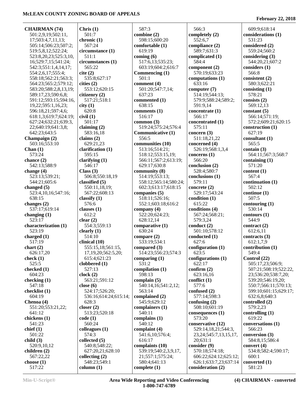**CHAIRMAN (74)** 501:2,9,19;502:11, 17;503:4,7,11,13; 505:14;506:23;507:2; 519:5,8,12;522:24; 523:8,20,23;525:3,10, 16;529:7,15;541:24; 542:3;551:1,4,14,17; 554:2,6,17;555:4; 558:18;562:21;563:3; 564:23;565:2;579:12; 583:20;588:2,8,13,19; 589:17,23;590:6,8; 591:12;593:15;594:16, 19,22;595:1,16,23; 596:18,21;597:4,6; 618:1,3;619:7;624:19; 627:24;632:21;639:3, 22;640:19;641:3,8; 642:23;643:5 **Champaign (2)** 503:16;553:10 **Chan (1)** 573:24 **chance (2)** 542:13;588:9 **change (4)** 523:13;539:21; 544:21;605:6 **changed (5)** 523:4,10,16;547:16; 638:15 **changes (2)** 537:17;619:14 **changing (1)** 523:17 **characterization (1)** 523:19 **charged (1)** 517:19 **chart (2)** 626:17,20 **check (1)** 525:5 **checked (1)** 604:23 **checking (1)** 547:18 **checklist (1)** 604:19 **Chenoa (4)** 551:20;553:21,22; 641:12 **chickens (1)** 541:23 **chief (1)** 501:22 **child (3)** 520:9,10,12 **children (2)** 567:22,22 **choose (1)** 517:22

**Chris (1)** 501:7 **chronic (1)** 567:24 **circumstance (1)** 511:1 **circumstances (1)** 565:22 **cite (2)** 535:8;627:17 **cities (2)** 553:12;620:15 **citizenry (2)** 517:21;518:1 **city (1)** 620:8 **civil (1)** 501:17 **claiming (2)** 583:16,18 **claims (2)** 629:21,23 **clarification (1)** 595:15 **clarifying (1)** 546:17 **Class (3)** 506:8;550:18,19 **classified (5)** 550:11,18,19; 567:22;608:13 **classify (1)** 576:6 **clauses (1)** 612:2 **clear (2)** 554:3;559:13 **clearly (1)** 514:10 **clinical (10)** 555:15,18;561:15, 17,19,20;562:5,20; 615:4;621:23 **clobbered (1)** 527:13 **clock (2)** 563:21;591:12 **close (6)** 524:17;526:20; 536:16;614:24;615:14; 628:3 **closer (2)** 513:23;520:18 **code (1)** 560:24 **colleagues (1)** 574:3 **collected (5)** 540:8;548:22; 627:20,21;628:10 **collecting (2)** 548:23;549:1 **column (1)**

 587:3 **combine (2)** 598:15;600:20 **comfortable (1)** 619:19 **coming (6)** 517:6,13;535:23; 603:19;604:2;616:7 **Commencing (1)** 501:1 **comment (4)** 501:20;547:7,14; 637:23 **commented (1)** 638:15 **comments (1)** 516:17 **common (3)** 519:24;575:24;576:4 **Communicative (1)** 556:5 **communities (10)** 513:16;514:21; 518:12;553:15,19; 566:11;567:2;613:19; 629:17;630:8 **community (8)** 514:19;553:13; 558:12;565:14;580:24; 602:3;613:17;618:15 **companies (5)** 518:11;526:16; 552:1;603:18;616:2 **company (4)** 522:20;624:23; 628:12,14 **comparative (1)** 630:24 **compare (2)** 533:19;534:1 **compared (3)** 514:23;556:23;574:3 **comparing (1)** 531:2 **compilation (1)** 598:13 **complain (5)** 540:14,16;541:2,12; 563:14 **complained (2)** 545:9;629:12 **complainers (1)** 540:11 **complains (1)** 540:12 **complaint (4)** 541:6,10;576:4; 616:17 **complaints (10)** 539:19;540:2,3,9,17, 21;557:1;575:24; 580:4;641:13 **complete (1)**

 566:3 **completely (2)** 552:6,7 **compliance (2)** 589:7;631:3 **complicated (1)** 584:4 **component (2)** 570:19;633:23 **computations (1)** 633:16 **computer (7)** 514:19;544:13; 579:9;588:24;589:2; 591:9,14 **concentrate (1)** 566:17 **concentrated (1)** 575:11 **concern (3)** 511:18,21,22 **concerned (4)** 526:19;568:1,3,4 **concerns (1)** 566:20 **conclusion (2)** 528:4;580:7 **conclusions (1)** 579:11 **concrete (2)** 529:17;543:24 **condition (1)** 615:22 **conditions (4)** 567:24;568:21; 579:3,24 **conduct (2)** 501:10;578:12 **conducted (1)** 627:6 **configuration (1)** 623:5 **configurations (1)** 622:17 **confirm (2)** 623:16,16 **conflict (1)** 577:6 **confused (2)** 577:14;598:3 **confusing (2)** 508:10;601:19 **consequences (1)** 573:20 **conservative (12)** 529:14,18,21;544:3, 23,24;545:7,13,15,17, 20;631:1 **consider (9)** 570:18;574:18; 606:22;624:12;625:12; 626:1;633:7,23;637:14 **consideration (2)**

**February 22, 2018**

 609:9;618:14 **considerations (1)** 531:23 **considered (2)** 559:24;560:2 **considering (3)** 544:20,21;607:2 **considers (1)** 566:8 **consistent (2)** 580:3;622:21 **consisting (1)** 578:21 **consists (2)** 569:12,13 **constant (5)** 566:14;571:19; 572:2;609:21;620:15 **construction (1)** 627:19 **consultant (1)** 565:5 **contain (3)** 564:11;567:3;568:7 **containing (1)** 571:20 **content (1)** 567:4 **continuation (1)** 502:12 **continue (1)** 507:5 **contouring (1)** 530:14 **contours (1)** 544:9 **contract (2)** 612:6,11 **contracts (3)** 612:1,7,9 **contribution (1)** 549:4 **Control (22)** 505:17,23;506:9; 507:21;508:19;522:22, 23;536:20;538:7,20; 539:20;546:19,20; 550:7;566:11;570:13; 599:10;601:15;629:17; 632:6,8;640:3 **controlled (2)** 579:2,23 **controlling (1)** 619:22 **conversations (1)** 566:23 **conversion (3)** 584:8,15;586:4 **convert (4)** 534:8;582:4;590:17; 600:1 **converted (1)** 581:23

**Min-U-Script® Area Wide Reporting and Video Conferencing 1-800-747-6789**

**(4) CHAIRMAN - converted**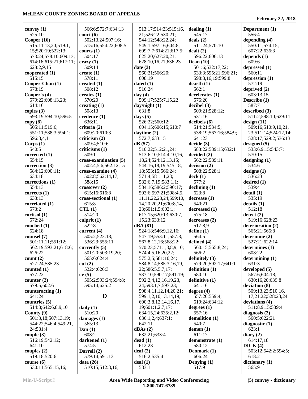| convey $(1)$          | 566:6;572:7;634:13      | 513:17;514:23;515:16,        | dealing $(1)$            | Department (1)       |
|-----------------------|-------------------------|------------------------------|--------------------------|----------------------|
| 525:10                | $\text{court} (6)$      | 21;526:22;530:21;            | 545:17                   | 556:4                |
| Cooper $(16)$         | 502:13,24;507:16;       | 544:12;548:22,24;            | deals $(2)$              | depending $(4)$      |
| 515:11,13,20;519:1,   | 515:16;554:22;608:5     | 549:1;597:16;604:8;          | 511:24;570:10            | 550:11;574:15;       |
| 15;520:19;522:13;     | courts $(1)$            | 609:7,7;614:21;617:5;        | dealt(2)                 | 607:22;636:3         |
| 573:24;578:10;609:13; | 504:17                  | 625:20;627:20,21;            | 596:22;606:13            | depends $(1)$        |
|                       |                         |                              | Dean $(10)$              | 609:6                |
| 614:16;615:21;617:11; | $c$ razy $(1)$          | 628:10,16,21;636:23          |                          |                      |
| 628:2,9,15            | 509:14                  | date $(3)$                   | 501:6;532:17,22;         | depressed (1)        |
| cooperated $(1)$      | create $(1)$            | 560:21;566:20;               | 533:3;595:21;596:21;     | 560:11               |
| 515:15                | 578:11                  | 608:19                       | 598:3,16,19;599:8        | depression $(1)$     |
| Cooper-Chan (1)       | created $(1)$           | dated $(1)$                  | $d$ earth $(1)$          | 572:19               |
| 578:19                | 508:12                  | 516:24                       | 562:1                    | deprived $(2)$       |
| Cooper's (4)          | creates $(1)$           | day $(4)$                    | decelerates(1)           | 603:13,15            |
| 579:22;608:13,23;     | 570:20                  | 509:17;525:7,15,22           | 576:20                   | Describe (1)         |
| 614:16                | creating $(1)$          | day/night(1)                 | decibel(3)               | 587:7                |
| copies $(3)$          | 508:13                  | 631:8                        | 509:21;528:12;           | described (3)        |
|                       |                         |                              |                          |                      |
| 593:19;594:10;596:5   | $\text{credence}$ $(1)$ | days $(5)$                   | 531:16                   | 511:2;598:10;629:11  |
| copy(8)               | 636:11                  | 526:22;560:12;               | decibels (6)             | design(11)           |
| 505:11;519:6;         | criteria (2)            | 604:15;606:15;610:7          | 514:21;534:5;            | 509:16;510:9,10,21,  |
| 551:11;588:3;594:1;   | 609:20;610:3            | daytime $(2)$                | 538:19;567:16;584:9;     | 23;511:14;524:12,14; |
| 596:3,4,11            | criticism $(2)$         | 572:7;633:15                 | 641:23                   | 528:17;529:2;536:13  |
| Corps(1)              | 509:4;510:6             | dB(57)                       | decide(3)                | designed $(5)$       |
| 540:5                 | criticisms (1)          | 510:22;512:21,24;            | 583:22;589:15;632:1      | 533:6,9,15;543:7;    |
| corrected (1)         | 509:1                   | 513:6, 10:514:4, 10, 16,     | decided(2)               | 570:15               |
| 554:15                | cross-examination (5)   |                              | 562:22;589:11            | designing $(1)$      |
|                       |                         | 18, 24; 524: 12, 13, 15;     |                          |                      |
| correction (3)        | 502:4,5,6;562:12,15     | 544:16,18,19;545:18,         | decision(2)              | 534:6                |
| 584:12;600:11;        | cross-examine (4)       | 18;553:15;566:24;            | 508:22;528:1             | designs $(1)$        |
| 634:18                | 502:8;562:14,17;        | 571:4;581:11,23;             | deck(1)                  | 536:23               |
| corrections $(1)$     | 588:15                  | 582:6,7,19;583:1,1;          | 577:2                    | desired $(1)$        |
| 554:13                | $\cscosover(2)$         | 584:16;586:2;590:17;         | $\Delta$ declining $(1)$ | 539:4                |
| corrects $(1)$        | 615:16;616:8            | 593:6;597:21;598:4,5,        | 623:8                    | delta(1)             |
| 633:13                | cross-sectional (1)     | 11, 11, 22, 23, 24; 599: 10, | decrease(1)              | 535:19               |
| correlated $(1)$      | 615:8                   | 14, 20, 20, 21; 600: 8, 14,  | 540:21                   | details(1)           |
| 573:2                 | CTL(1)                  | 23;601:1,5;602:1;            | decreased (1)            | 512:18               |
|                       |                         |                              |                          |                      |
| cortisol(1)           | 514:20                  | 617:15;620:13;630:7,         | 575:18                   | $\text{detect}(2)$   |
| 572:24                | culprit $(1)$           | 15,23;633:12                 | decreases (2)            | 519:16;628:23        |
| couched $(1)$         | 522:8                   | dBA (81)                     | 517:8,9                  | deterioration (2)    |
| 524:18                | current $(4)$           | 524:18;546:9,12,16;          | define $(1)$             | 565:21;566:8         |
| counsel (7)           | 505:2;523:18;           | 547:19;553:11;557:8;         | 564:5                    | determine $(2)$      |
| 501:11,11;551:12;     | 536:23;555:11           | 567:8,12,16;568:22;          | defined (4)              | 527:21;622:14        |
| 562:19;593:21;618:6;  | currently $(5)$         | 570:23;571:1,3,8,9,10;       | 560:15;565:8,24;         | determines (1)       |
| 626:22                | 501:20;503:19,20;       | 574:4,5,16,20,22;            | 566:2                    | 608:22               |
| count(2)              | 565:6;624:4             | 575:2,5;581:10,24;           | definitely $(3)$         | determining $(1)$    |
|                       |                         |                              |                          | 631:3                |
| 527:24;585:23         | cut(2)                  | 584:8,14;585:3,16,19,        | 579:20;592:17;641:1      |                      |
| counted $(1)$         | 522:4;626:3             | 22;586:5,5,7,17;             | definition $(1)$         | developed (5)        |
| 577:22                | cv(5)                   | 587:10;590:17;591:19;        | 580:10                   | 567:6;604:18;        |
| counter $(2)$         | 505:2;593:24;594:8;     | 592:2,4,12,16,19,23,         | definitive (1)           | 630:16,20;639:8      |
| 579:5;602:6           | 595:14;625:2            | 24;593:1,7;597:23;           | 641:16                   | deviation (8)        |
| counteracting $(1)$   |                         | 598:4,11,12,14,20,21;        | degree $(4)$             | 509:13,23;510:16,    |
| 641:24                | D                       | 599:1,2,10,13,14,19;         | 557:20;559:4;            | 17,21,22;528:23,24   |
| countries (5)         |                         | 600:3,8,12,14,16,17,         | 619:24;634:12            | deviations (4)       |
| 514:8;642:6,8,9,10    | daily $(1)$             | 19;601:1,2,7,17;             | degrees $(1)$            | 511:8,9,15;539:4     |
| County $(9)$          | 510:20                  | 634:15,24;635:2,12;          | 557:16                   | diagnosis $(2)$      |
| 501:3,18;507:13,19;   | damages $(1)$           | 636:1,2,4;637:1;             | demolition (1)           | 560:5;622:21         |
|                       |                         |                              |                          |                      |
| 544:22;546:4;549:21,  | 565:13                  | 642:11                       | 540:7                    | diagnostic $(1)$     |
| 24;581:4              | Dan $(1)$               | dBAs(2)                      | demon(1)                 | 623:1                |
| couple $(3)$          | 608:2                   | 632:21;633:4                 | 611:17                   | diary $(2)$          |
| 516:19;542:12;        | darkened (1)            | dead(1)                      | demonstrate (1)          | 614:17,18            |
| 641:10                | 574:5                   | 612:23                       | 580:12                   | DICK(4)              |
| couples $(2)$         | Darrell (2)             | $\text{deaf}(2)$             | Denmark $(1)$            | 503:12;542:2;594:5;  |
| 519:18;520:6          | 579:14;591:13           | 516:2;535:4                  | 606:24                   | 618:2                |
| course(6)             | data $(26)$             | deal(1)                      | Denying (1)              | dictionary (1)       |
| 530:11;565:15,16;     | 510:15;512:3,16;        | 583:1                        | 517:9                    | 565:9                |
|                       |                         |                              |                          |                      |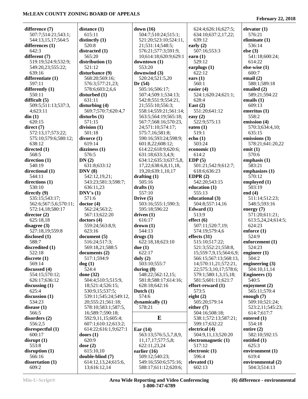**February 22, 2018**

| difference (7)                          | distance (1)                           | down $(16)$                        | 624:4;626:16;627:5;                           | elevator $(1)$                 |
|-----------------------------------------|----------------------------------------|------------------------------------|-----------------------------------------------|--------------------------------|
| 507:7;514:21;543:1;                     | 615:11                                 | 504:7;510:24;515:1;                | 634:10;637:2,17,22;                           | 576:21                         |
| 544:13,15,17;564:5                      | distinctly (1)                         | 521:20;523:10;524:11,              | 639:12                                        | eliminate $(1)$                |
| differences (1)                         | 520:8                                  | 21;531:14;548:5;                   | early $(2)$                                   | 536:14                         |
| 642:3                                   | distracted (1)                         | 576:21;577:3;591:9,                | 507:16;553:3                                  | else $(3)$                     |
| different (7)                           | 565:20                                 | 10;614:18;620:9;629:1              | earn $(1)$                                    | 541:18;600:24;                 |
| 519:19;524:9;532:9;                     | distribution (1)                       | downtown (1)                       | 529:12                                        | 614:22                         |
| 549:20,23;555:22;                       | 521:12                                 | 553:20                             | earplugs $(1)$                                | else-wise $(1)$                |
| 639:16                                  | disturbance (9)                        | downwind (3)                       | 622:12                                        | 600:7                          |
| differentiate (1)                       | 568:20;569:16;                         | 520:24;521:5,20                    | ears $(1)$                                    | email $(2)$                    |
| 597:11                                  | 576:3;577:21,23;                       | Dr(54)                             | 560:1                                         | 588:1;589:18                   |
| differently (1)                         | 578:6;603:2,6,6                        | 505:16;506:17;                     | easier $(4)$                                  | emailed (2)                    |
| 550:11                                  | disturbed (1)                          | 507:4;509:1;534:13;                | 524:1;620:24;621:1;                           | 589:21;594:22                  |
| difficult (5)                           | 631:11                                 | 542:8;551:9;554:21,                | 628:4                                         | emails (1)                     |
| 509:5;511:13;537:3,                     | disturbing (4)                         | 21;555:10;556:3;                   | East $(2)$                                    | 609:13                         |
| 4;623:11                                | 569:7;570:7;620:4,7                    | 558:14;559:21;561:14;              | 551:20;641:12                                 | emeritus (1)                   |
| $\dim(1)$                               | disturbs(1)                            | 563:5;564:19;565:18;               | easy $(2)$                                    | 558:2                          |
| 620:15                                  | 571:15                                 | 567:7;568:16;570:23,               | 522:9;575:13                                  | emission (4)                   |
| direct (7)                              | division $(1)$                         | 24;571:10;574:17;                  | eaten $(1)$                                   | 570:3;634:4,10;                |
| 572:13,17;573:22;                       | 501:18                                 | 575:7,16;581:8;                    | 519:1                                         | 635:15                         |
| 575:10;579:6;580:12;                    | divorce(1)                             | 590:16;593:24;598:9;               | echo(1)                                       | emissions (3)                  |
| 638:12                                  | 619:14                                 | 601:8,22;608:12;                   | 503:24                                        | 578:21;641:20,22               |
| directed (1)                            | dizziness(1)                           | 614:22;618:9;620:6;                | economic (1)                                  | emit $(1)$                     |
| 568:5                                   | 576:5                                  | 631:18;633:3,4,9;                  | 614:2                                         | 570:6                          |
| direction (1)                           | DN(2)                                  | 634:12;635:3;637:5,8,              | EDP(5)                                        | emphasis $(1)$                 |
| 540:19                                  | 631:8;633:12                           | 17,22;638:6,8,11,18,               | 501:21;542:9;612:7;                           | 583:21                         |
| directional (1)                         | DNV(8)                                 | 19,20;639:1,10,17                  | 618:6;636:23                                  | emphasizes $(1)$               |
| 544:11                                  | 542:12,19,21;                          | drafting $(1)$                     | EDPR $(2)$                                    | 570:12                         |
| directions (1)                          | 543:23;581:3;598:7;                    | 505:16                             | 542:20;543:15                                 | employed $(1)$                 |
|                                         |                                        |                                    |                                               | 503:19                         |
| 530:10                                  | 636:11,23<br>DNV's(1)                  | drafts $(1)$<br>557:10             | education (1)<br>555:13                       | end $(4)$                      |
| directly (9)                            | 571:6                                  |                                    | educational (3)                               |                                |
| 535:15;543:17;<br>562:6;567:5,6;570:11; | doctor (4)                             | Drive $(5)$<br>503:16;555:1;590:3; | 504:8;557:14,16                               | 511:14;512:23;<br>548:5;593:16 |
| 572:14,18;580:17                        | 562:24;563:2;                          | 595:18;596:22                      | Edward $(1)$                                  |                                |
|                                         | 567:13;622:20                          | driven $(1)$                       | 513:9                                         | energy $(7)$<br>571:20;611:21; |
| director (2)<br>625:18,18               | doctors $(4)$                          | 616:17                             | effect (6)                                    | 613:5,24,24;614:5;             |
| disagree (3)                            | 559:24;563:8,9;                        | drown(1)                           | 507:11;520:7,19;                              | 624:23                         |
| 527:18,19;559:8                         | 623:16                                 | 544:13                             | 574:19;579:4,6                                | enforce $(1)$                  |
| disclosed (1)                           | document(5)                            | drugs(3)                           | effects $(31)$                                | 524:9                          |
| 588:7                                   | 516:24;517:3;                          | 622:18,18;623:10                   | 515:10;517:22;                                | enforcement (1)                |
|                                         |                                        | due $(1)$                          |                                               |                                |
| discredited (1)<br>522:18               | 569:18,21;588:5<br>documents (2)       | 622:17                             | 521:3;552:21;558:8,<br>15;559:7,9,15;564:6,9; | 524:23<br>engineer $(1)$       |
| discrete (1)                            | 517:1;594:9                            | duly $(2)$                         | 566:15;567:13;568:13,                         | 504:2                          |
| 569:14                                  | $\log(1)$                              | 503:10;555:7                       | 14;570:11,21;572:21,                          | engineering $(3)$              |
| discussed (4)                           | 524:4                                  |                                    | 22;575:3,10,17;578:6;                         | 504:10,11,14                   |
| 554:15;570:12;                          | done $(32)$                            | during $(8)$<br>548:22;562:12,15;  |                                               | <b>Engineers</b> (1)           |
|                                         |                                        |                                    | 579:1;580:1,3,15,18;                          | 540:5                          |
| 626:17;636:12<br>discussing (1)         | 504:4;510:5;515:9,<br>18;521:4;526:15; | 581:8;588:17;614:16;               | 581:5;601:11;621:7<br>effort-reward (1)       | enjoyment $(2)$                |
| 625:4                                   | 530:9,15;537:5;                        | 628:18;642:16                      | 573:5                                         | 565:11;570:4                   |
|                                         | 539:11;545:24;549:12,                  | Dutch $(1)$<br>574:6               | eight $(2)$                                   | enough $(7)$                   |
| discussion (1)                          |                                        |                                    |                                               |                                |
| 534:23                                  | 20;555:21;561:18;                      | dynamically (1)                    | 505:20;579:14                                 | 509:10;521:24;                 |
| disease (1)                             | 578:10;583:1;587:5,                    | 578:21                             | either $(7)$<br>504:16;508:18;                | 523:2,11;545:23;               |
| 566:5                                   | 16;589:7;590:18;                       | E                                  |                                               | 614:7;617:7                    |
| disorders (2)                           | 592:9,11,15;605:4;                     |                                    | 538:1;572:13;587:21;                          | entered $(1)$                  |
| 556:2,5                                 | 607:1;610:12;613:2;                    |                                    | 599:17;632:22                                 | 554:18                         |
| disrespectful (1)                       | 614:22;616:1,9;627:1                   | $\text{Ear}(14)$                   | electrical (4)                                | entire $(2)$                   |
| 600:17                                  | doors $(1)$                            | 563:13;576:5,5,7,8,9,              | 504:9,11,13;520:20                            | 582:10;592:15                  |
| disrupt (1)                             | 620:9                                  | 11, 17, 17; 577: 5, 8;             | electromagnetic (1)                           | entitled $(1)$                 |
| 553:8                                   | dose $(2)$                             | 622:11,23,24                       | 517:12                                        | 625:3                          |
| disruption (1)                          | 615:10,10                              | earlier $(16)$                     | electronic (1)                                | environment (1)                |
| 566:16                                  | double-blind (7)                       | 509:12;540:23;                     | 596:4                                         | 619:4                          |
| dissertation (1)                        | 614:12,13,24;615:6,                    | 549:16;550:6;575:16;               | elevated $(1)$                                | environmental (2)              |
| 609:2                                   | 13;616:12,14                           | 588:17;611:12;620:6;               | 602:13                                        | 504:3;514:13                   |

**Min-U-Script® Area Wide Reporting and Video Conferencing 1-800-747-6789**

**(6) difference - environmental**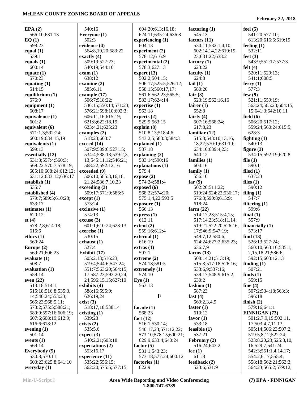| EPA(2)                | 540:16                | 604:20;613:16,18;     | factoring $(1)$       | feel $(5)$            |
|-----------------------|-----------------------|-----------------------|-----------------------|-----------------------|
| 566:10;631:13         | Everyone (1)          | 624:11;635:24;636:8   | 545:13                | 541:20;577:10;        |
| EQ(1)                 | 502:3                 | experiencing $(1)$    | factors $(11)$        | 613:20;616:6;619:19   |
| 598:23                | evidence (4)          | 604:13                | 530:11;532:1,4,10;    | feeling $(1)$         |
| equal $(1)$           | 564:8,19,20;583:22    | experiment (2)        | 602:14,14,22;619:19,  | 532:11                |
| 539:1                 | exactly $(4)$         | 578:12;616:9          | 23;631:22;638:2       | feet $(3)$            |
| equals $(1)$          | 509:19;527:23;        | experimental (2)      | factory $(1)$         | 543:9;552:17;577:3    |
| 600:14                | 540:19;544:10         | 578:3;627:13          | 623:22                | felt $(4)$            |
| equate $(1)$          | exam(1)               | expert $(13)$         | faculty $(1)$         | 520:11;529:13;        |
| 570:23                | 638:12                | 502:2;504:15;         | 624:8                 | 541:1;608:5           |
| equating $(1)$        | examine $(2)$         | 506:17;525:5;526:12;  | fail $(1)$            | ferry $(1)$           |
| 514:15                | 585:6,11              | 558:15;560:17,17;     | 580:20                | 577:3                 |
| equilibrium (1)       | example (17)          | 561:6;562:23;565:5;   | fair $(3)$            | few $(9)$             |
| 576:9                 | 506:7;518:22;         | 583:17;624:14         | 523:19;562:16,16      | 521:11;559:19;        |
| equipment $(1)$       | 536:15;550:14;571:23; | expertise $(1)$       | fairer $(1)$          | 563:24;565:23;604:15, |
| 608:17                | 576:21;598:10;602:3;  | 563:18                | 552:8                 | 15;641:3;642:10,11    |
| equivalence (1)       | 606:11,16;615:19;     | experts $(2)$         | fairly $(4)$          | field $(6)$           |
| 601:2                 |                       | 529:9:563:15          |                       |                       |
|                       | 621:8;622:18,19;      |                       | 507:16;568:24;        | 506:20;517:12;        |
| equivalent (6)        | 623:4,21;625:23       | explain(8)            | 617:8,23              | 559:24;560:24;615:5;  |
| 571:1,3;592:24;       | examples $(2)$        | 510:8,13;518:4,6;     | familiar $(12)$       | 628:3                 |
| 600:19;634:15,19      | 518:23;603:7          | 543:2,5;583:3;584:3   | 515:8;543:10,13,16,   | fighting $(1)$        |
| equivalents (1)       | exceed (14)           | explained (1)         | 18,22;570:1;631:19;   | 540:13                |
| 599:13                | 507:9;509:6;527:15;   | 587:18                | 634:10;639:4,23;      | figure $(3)$          |
| essentially (12)      | 534:4;538:13;539:2,3, | explaining $(2)$      | 640:12                | 534:15;592:19;620:8   |
| 531:3;557:4;560:3;    | 13;545:11,12;546:21;  | 583:14;590:16         | families $(1)$        | file $(1)$            |
| 569:22;570:7;578:19;  | 568:22;592:12,16      | explanations (1)      | 604:16                | 590:11                |
| 605:10;608:24;612:12; | exceeded (9)          | 579:4                 | family $(1)$          | filed $(1)$           |
| 631:12;633:12;636:17  | 506:10;585:3,16,18,   | expose (2)            | 556:10                | 637:23                |
| establish $(1)$       | 21,24;586:7,10,23     | 574:24;581:4          | far $(9)$             | files $(1)$           |
| 535:7                 | exceeding (3)         | exposed (6)           | 502:20;511:22;        | 590:12                |
| established (4)       | 509:17;571:9;586:5    | 568:22;574:20;        | 519:24;524:22;536:17; | filing $(1)$          |
| 579:7;589:5;610:23;   | except (1)            | 575:1,4,22;593:5      | 576:3;590:8;615:9;    | 547:7                 |
| 633:17                | 573:24                | exposure (1)          | 618:24                | filtering $(1)$       |
| estimates $(1)$       | exclusive $(1)$       | 566:13                | farm $(22)$           | 599:6                 |
| 620:12                | 574:13                | express(1)            | 514:17,23;515:4,15;   | final $(1)$           |
| et(4)                 | $\csc{usc}$ (3)       | 612:11                | 517:14,23;518:11,14;  | 557:9                 |
| 578:2,8;614:18;       | 601:1;610:24;628:13   | extent $(2)$          | 519:21;522:20;526:16, | financially $(1)$     |
| 615:6                 | exercise $(1)$        | 559:16;612:4          | 17;546:9;547:19;      | 573:17                |
| ethics $(1)$          | 530:15                | external (1)          | 549:7,12;580:6;       | find $(13)$           |
| 560:24                | exhaust $(1)$         | 616:19                | 624:24;627:2;635:23;  | 526:13;527:24;        |
| Europe (2)            | 527:4                 | extras(1)             | 636:7,9               | 560:10:563:16:585:1.  |
| 569:21;606:23         | Exhibit $(17)$        | 597:1                 | farms $(13)$          | 2,15,18,21;586:6;     |
| evaluate $(1)$        | 505:2,13;516:23;      | extreme (2)           | 508:14,21;513:19;     | 592:15;603:12,13      |
| 508:7                 | 519:4;544:6;547:24;   | 574:18;581:5          | 515:3;517:18;526:16;  | finding $(1)$         |
| evaluation $(1)$      | 551:7;563:20;564:15,  |                       | 533:6,9;537:16;       | 507:21                |
|                       |                       | extremely $(1)$       | 539:17;548:9;615:2;   |                       |
| 559:14                | 17;587:23;593:20,24,  | 574:10                |                       | finds $(1)$           |
| even $(22)$           | 24;596:15,15;627:10   | Eye $(1)$             | 630:2                 | 559:15                |
| 513:18;514:1;         | exhibits $(4)$        | 563:13                | fashion $(1)$         | fine $(4)$            |
| 515:18;516:8;535:3,   | 588:16;595:9;         |                       | 587:23                | 507:2;534:18;563:3;   |
| 14;540:24;553:23;     | 626:19,24             | $\mathbf{F}$          | fast $(4)$            | 596:18                |
| 565:23;568:5,11;      | exist $(3)$           |                       | 569:2,3,4,9           | finish $(2)$          |
| 573:2;575:5;588:21;   | 518:17,18;538:14      | facade (1)            | faster $(1)$          | 579:16;641:1          |
| 589:9;597:16;606:19;  | existing $(1)$        | 568:23                | 610:12                | <b>FINNIGAN (73)</b>  |
| 607:6;608:19;612:9;   | 539:23                | fact $(12)$           | favor $(1)$           | 501:2,7,9,19;502:11,  |
| 616:6;618:12          | exists $(2)$          | 516:1;530:14;         | 533:18                | 17;503:4,7,11,13;     |
| evening $(1)$         | 535:5,6               | 540:17,23;571:12,22;  | feasible $(1)$        | 505:14;506:23;507:2;  |
| 501:14                | expect (3)            | 573:10;578:15;600:21; | 537:21                | 519:5,8,12;522:24;    |
| events $(1)$          | 540:2,21;603:18       | 629:9;633:4;640:24    | February $(2)$        | 523:8,20,23;525:3,10, |
| 569:14                | expectations (2)      | factor $(5)$          | 516:24;643:2          | 16;529:7;541:24;      |
| Everybody (5)         | 553:16,17             | 531:1;543:23;         | fee $(1)$             | 542:3;551:1,4,14,17;  |
| 530:8;570:11;         | experience (11)       | 573:18;577:24;600:12  | 611:8                 | 554:2,6,17;555:4;     |
|                       |                       |                       |                       |                       |
| 603:23;625:8;641:10   | 535:22;556:15;        | factories $(1)$       | feedback $(2)$        | 558:18;562:21;563:3;  |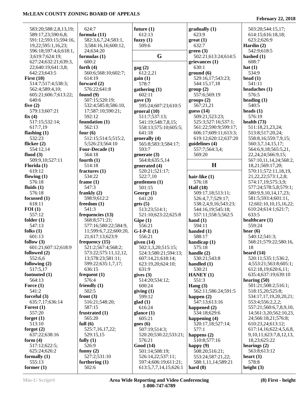| 583:20;588:2,8,13,19; | 624:7                 | future $(1)$          | gradually (1)        | 503:20;544:15,17;             |
|-----------------------|-----------------------|-----------------------|----------------------|-------------------------------|
| 589:17,23;590:6,8;    | formula $(11)$        | 612:13                | 623:9                | 614:15;616:18,18;             |
| 591:12;593:15;594:16, | 582:3,6,7,24;583:1,   | fuzzy $(1)$           | $gr$ eat $(1)$       | 623:2;626:9                   |
| 19,22;595:1,16,23;    | 3;584:16,16;600:12,   | 509:6                 | 632:7                | Hardin $(2)$                  |
| 596:18;597:4,6;618:1, | 24;634:20             |                       | green(3)             | 542:9;618:5                   |
| 3;619:7;624:19;       | formulas $(1)$        | G                     | 502:21;613:24;614:5  | hashed $(1)$                  |
| 627:24;632:21;639:3,  | 600:2                 |                       | grievances (1)       | 608:7                         |
| 22;640:19;641:3,8;    | forth $(4)$           | $\rm{gag}$ $(2)$      | 630:1                | hat $(1)$                     |
| 642:23;643:5          | 560:6;568:10;602:7;   | 612:2,21              | ground(6)            | 534:9                         |
| First $(10)$          | 614:19                | gain(1)               | 529:16,17;543:23;    | head $(1)$                    |
| 514:7;517:4;538:3;    | forward $(2)$         | 578:7                 | 544:15,17,18         | 541:11                        |
| 562:4;589:4,10;       | 576:22;641:8          | $g$ athering $(1)$    | group(2)             | headaches (1)                 |
| 605:21;606:7;613:22;  | found $(9)$           | 602:11                | 557:6;569:19         | 576:5                         |
| 640:6                 | 507:15;520:19;        | gave $(3)$            | groups (2)           | heading $(1)$                 |
| five $(2)$            | 532:4;585:8;586:10,   | 595:24;607:23;610:5   | 567:21,21            | 540:5                         |
| 579:13;607:21         | 17;587:10;590:21;     | general $(10)$        | guess $(14)$         | heads $(1)$                   |
| fix(4)                | 592:12                | 511:7;537:13;         | 509:21;523:23;       | 576:19                        |
| 517:15;532:14;        | foundation (1)        | 541:19;548:7,8,15;    | 525:3;527:16;537:1;  | health $(73)$                 |
| 617:7,19              | 562:13                | 558:13;575:10;605:5;  | 561:22;590:9;599:17; | 511:18,21,23,24;              |
| flashing $(1)$        | four $(6)$            | 641:18                | 606:17;609:11;613:3; | 513:8;517:20,24;              |
| 532:23                | 512:15;514:5;515:2,   | generally (4)         | 619:12;620:12;637:20 | 558:8,16;559:7,9,15;          |
| flicker $(2)$         | 5;526:23;564:10       | 565:8;583:3;584:17;   | guidelines (4)       | 560:3,7,14,15,17;             |
| 554:12,14             | Four-Decade (1)       | 593:7                 | 557:7;564:3,4;       | 564:6,9,18;565:5,21,          |
| flood $(3)$           | 564:18                | generate $(3)$        | 569:20               | 22, 24, 24; 566: 9, 15;       |
| 509:9,10;527:11       | fourth $(1)$          | 564:8;635:5,14        |                      | 567:10,11,14,24;568:2,        |
| Florida (1)           | 514:18                | generated (4)         | $\mathbf H$          | 18,21;569:17,20;              |
| 619:12                | fractures $(1)$       | 520:21;521:17;        |                      | 570:11;572:11,18,19,          |
| flowing $(1)$         | 534:22                | 522:7,10              | hair-like (1)        | 21, 22, 22; 573: 1, 2, 8;     |
| 576:18                | frame $(1)$           | gentlemen (1)         | 576:18               | 574:17,19;575:3,9;            |
| fluids $(1)$          | 547:3                 | 501:15                | Half $(18)$          | 577:24;578:5,8;579:1;         |
| 576:18                | frankly $(2)$         | George $(1)$          | 509:17,18;513:11;    | 580:9,9,10,14,17,23;          |
| focussed $(1)$        | 598:9;612:2           | 641:20                | 526:4,7,7;529:17;    | 581:5;593:4;601:11,           |
| 618:11                | freedom (1)           | gets (5)              | 538:2,4,9,16;543:23; | 12;602:10,10,15,16,22;        |
| FOI(1)                | 541:3                 | 513:23;514:1;         | 544:16,19;545:18;    | 610:24;614:1;621:7;           |
| 557:12                | frequencies (13)      | 521:10;623:22;625:8   | 557:11;558:5;562:5   | 633:5                         |
| folder $(1)$          | 568:8;571:21;         | Gipe(1)               | hand $(1)$           | healthcare (1)                |
| 547:13                | 577:16;580:22;584:9,  | 556:21                | 594:11               | 559:24                        |
| folks $(1)$           | 11;599:6,7,22;600:20, | $G-I-P-E(1)$          | handed $(1)$         | hear $(6)$                    |
| 601:13                | 21;617:13;623:9       | 556:21                | 588:17               | 540:12:541:3:                 |
| follow $(3)$          | frequency $(15)$      | given $(14)$          | handicap $(1)$       | 568:21;579:22;580:16,         |
| 601:21;607:12;618:9   | 521:2;567:4;568:2;    | 502:1,3,20;515:15;    | 575:18               | 18                            |
| followed $(2)$        | 573:22;575:11,12,12,  | 524:3;580:21;594:13;  | handle $(2)$         | heard $(14)$                  |
| 552:6,6               | 13;578:23;581:11;     | 607:14,21;618:14;     | 530:21;543:8         | 520:11;535:1;536:2,           |
| following $(2)$       | 599:22;635:1,7,17;    | 623:19,20;624:10;     | handled $(1)$        | 4;553:21;563:8;605:1;         |
| 517:5,17              | 636:15                | 631:9                 | 530:21               | 612:18,19;620:6,11;           |
| footnoted (1)         | frequent(1)           | gives $(3)$           | HANEY(1)             | 635:4;637:19;639:10           |
| 564:13                | 576:4                 | 514:20;534:12;        | 551:3                | hearing $(50)$                |
| Force $(1)$           | friendly $(1)$        | 600:24                | Hang $(3)$           | 501:21;508:2;516:1;           |
| 541:2                 | 502:5                 | giving $(1)$          | 562:11;586:24;591:5  | 518:15,20;525:8;              |
| forceful $(3)$        | front $(3)$           | 599:12                | happen $(2)$         | 534:17,17,19,20,20,21;        |
| 635:7,17;636:14       | 516:21;548:20;        | glad(1)               | 547:13;613:16        | 553:4;556:2,2,2;              |
| Forest $(1)$          | 587:15                | 616:24                | happened $(2)$       | 557:21;560:6,7,8,9,10,        |
| 557:20                | frustrated $(1)$      | glance $(1)$          | 534:18;629:6         | 14;561:3,20;562:10,23,        |
| forget $(1)$          | 565:20                | 605:21                | happening $(4)$      | 24;566:18,21;576:8;           |
| 513:10                | full $(6)$            | goes(6)               | 520:17,18;527:14;    | 610:23,24;613:12;             |
| forgot $(2)$          | 525:7,16,17,22;       | 507:19;514:3;         | 577:1                | 617:14,16;622:4,5,6,8,        |
| 637:22;638:16         | 529:15,15             | 520:20;530:22;533:21; | happens $(2)$        | 9, 10, 11; 623: 7, 8, 12, 13, |
| form $(4)$            | fully $(1)$           | 576:21                | 510:8;577:16         | 18,23;625:22                  |
| 517:12;622:5;         | 526:9                 | Good (14)             | happy $(9)$          | hearings $(2)$                |
| 625:24;626:2          | funny $(2)$           | 501:14;508:19;        | 508:20;516:21;       | 563:8;613:12                  |
| formally $(1)$        | 527:2;531:10          | 526:14,22;537:11;     | 553:24;587:21,22;    | heart $(1)$                   |
| 555:13                | furthering (1)        | 597:4;606:19;611:21;  | 588:1,11,14;589:21   | 578:8                         |
| former $(1)$          | 502:6                 | 613:5,7,7,14,15;626:1 | hard $(8)$           | height $(3)$                  |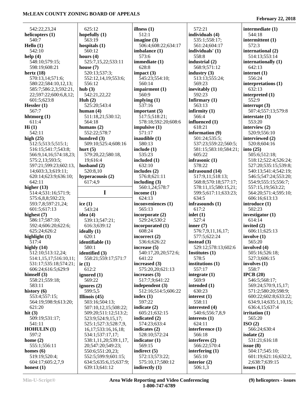542:22,23,24 **helicopters (1)** 540:7 **Hello (1)** 542:10 **help (4)** 548:10;579:15; 598:19;608:21 **hertz (18)** 570:13,14;571:6; 580:22;584:10,12,13; 585:7;586:2,3;592:21, 22;597:22;600:6,8,12; 601:5;623:8 **Hessler (1)** 567:7 **hhtmorg (1)** 611:4 **Hi (1)** 542:11 **high (25)** 512:5;513:5;515:1; 516:15;541:7;543:8; 566:9,14,16;574:18,23; 575:2,13;593:5; 597:21;599:23;602:13, 14;603:3,3;619:11; 620:14;623:9;636:10; 642:11 **higher (13)** 514:4;531:16;571:9; 575:6,8,8;592:23; 593:7,8;597:21,24; 601:5;617:13 **highest (7)** 586:17;587:10; 592:4;606:20;622:6; 625:24;626:2 **highlight (1)** 517:4 **highly (14)** 512:10;513:12,24; 514:1,15,17;516:10,11; 531:17;535:18;574:21; 606:24;616:5;629:9 **himself (3)** 558:21;559:18; 583:11 **history (6)** 553:4;557:15; 564:19;598:9;613:20; 621:20 **hit (3)** 509:19;531:17; 541:11 **HOHULIN (1)** 597:2 **home (2)** 555:1;556:11 **homes (6)** 519:19;520:4; **hub (3) ice (1) ie (1)**

 625:12 **hopefully (1)** 563:19 **hospitals (1)** 560:12 **hours (4)** 525:7,15,22;533:11 **house (7)** 520:13;537:3; 552:12,14,19;553:6; 556:12 542:21,22,22 **Huh (2)** 525:20;543:4 **human (4)** 511:18,21;530:12; 564:18 **humans (2)** 552:22;578:7 **hundred (3)** 509:10;525:4;608:16 **hurt (5)** 579:20,22;580:18, 19;616:4 **husband (2)** 520:8,10 **hyperacousis (2)** 617:4,9 **I** 543:24 **idea (4)** 539:13;547:21; 616:3;639:12 **ideally (1)** 620:1 **identifiable (1)** 580:1 **identified (3)** 558:21;559:17;571:7 612:2 **ignored (1)** 569:22 **ignores (2)** 599:5,5 **Illinois (45)** 503:16;504:13; 507:10,12,15;508:22; 509:20;511:12;513:2; 523:9;524:9,15,17; 525:1;527:3;528:7,9, 16,17;533:16,16,18; 534:1;537:17,17; 538:1,11,20;539:1,17, 20;547:20;549:23; 550:6;551:20,23; 552:5;599:9;601:15; 634:5;635:6,15;637:9; 639:13;641:12 **illness (1)** 512:1 **imagine (3)** 506:4;608:22;634:17 **imbalance (1)** 573:6 **immediate (1)** 628:8 **impact (3)** 545:23;554:10; 560:14 **impairment (1)** 560:9 **implying (1)** 537:16 **important (5)** 517:5;518:21; 578:18;592:20;608:6 **impulsive (1)** 571:17 **inaudible (1)** 580:13 **include (1)** 535:23 **included (1)** 632:10 **includes (2)** 576:8;621:11 **including (3)** 560:1,24;578:7 **income (1)** 624:13 **inconveniences (1)** 565:13 **incorporate (2)** 529:24;530:2 **incorporated (1)** 608:24 **incorrect (2)** 536:6;626:22 **increase (5)** 540:17,20,20;572:6; 641:22 **increased (3)** 575:20,20;621:13 **increases (3)** 517:7,9;641:22 **independent (3)** 512:16;514:5;606:22 **index (1)** 597:22 **indicate (2)** 605:21;632:15 **indicated (2)** 574:23;633:4 **indicates (2)** 528:10;572:24 **indicator (1)** 569:15 **indirect (5)** 572:13;573:22; 575:10,17;580:12 **indirectly (1)**

 572:21 **individuals (4)** 535:1;558:17; 561:24;604:17 **individuals' (1)** 558:8 **industrial (2)** 568:9;571:12 **industry (3)** 513:13;555:24; 569:23 **inevitably (1)** 592:23 **Infirmary (1)** 563:13 **infirmity (1)** 566:4 **influenced (1)** 618:21 **information (9)** 501:24;535:5; 537:23;559:22;560:5; 581:15;583:10;584:21; 605:22 **infrasonic (1)** 578:22 **infrasound (14)** 517:9,11;518:13; 568:8;570:18;577:17; 578:11,15;580:15,21; 599:5;617:11;633:23; 634:5 **infrasounds (1)** 617:2 **inlet (1)** 527:4 **inner (7)** 576:7,9,11,16,17; 577:5;622:24 **instead (3)** 529:12;578:13;602:6 **Institutes (1)** 578:5 **institutions (1)** 557:17 **integrate (1)** 569:9 **intended (1)** 630:23 **interest (1)** 558:11 **interested (4)** 540:6;556:7,8,9 **interests (1)** 624:11 **interference (1)** 566:18 **interferes (2)** 566:22;570:4 **interfering (1)** 565:10 **interior (2)** 506:1,3

**February 22, 2018**

**intermediate (1)** 544:18 **intermittent (1)** 572:3 **international (2)** 514:13;553:14 **internationally (1)** 642:13 **internet (1)** 556:24 **interpretations (1)** 632:13 **interpreted (1)** 552:9 **interrupt (3)** 507:4;557:13;579:8 **interstate (1)** 553:20 **interview (2)** 520:9;556:10 **interviewed (2)** 520:8;604:16 **into (25)** 505:6;512:18; 518:12;522:4;526:24; 527:20;535:15;539:8; 540:13;541:4;542:19; 546:5;547:24;553:20; 554:9;555:15;556:7; 557:15,19;563:22; 564:20;571:4;595:10; 606:16;613:13 **introduce (1)** 502:23 **investigator (1)** 614:14 **invited (2)** 606:11;625:13 **involve (1)** 565:20 **involved (4)** 505:16;526:18; 527:3;606:15 **involves (1)** 558:7 **IPCB (20)** 546:5;568:17; 569:24;570:9,15,17; 571:2;580:20;598:9; 600:22;602:8;633:22; 634:9,14;635:1,10,15; 636:4,15;637:4 **irritation (1)** 565:20 **ISO (2)** 566:24;630:4 **isolate (2)** 531:21;616:18 **issue (8)** 504:17;545:10; 601:19;621:16;632:2, 2;638:7;639:15 **issues (13)**

**honest (1)**

604:17;605:2,7,9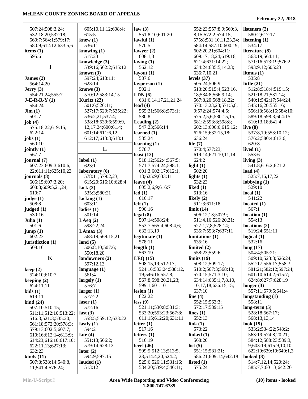| 507:24;508:3,24;                 | 605:10,11,12;608:4;            | law(3)                        | 552:23;557:8,9;569:3,                            | listeners (2)                          |
|----------------------------------|--------------------------------|-------------------------------|--------------------------------------------------|----------------------------------------|
| 532:18,20;537:18;                | 615:5                          | 551:8,10;601:20               | 8,15;572:2;574:15;                               | 580:2;617:17                           |
| 560:7;564:1;579:17;              | knew(1)                        | lawful $(1)$                  | 575:8;581:10,11,23,24;                           | listening $(1)$                        |
| 580:9;612:12;633:5,6             | 536:11                         | 570:5                         | 584:14;587:10;600:19;                            | 534:17                                 |
| items $(1)$<br>595:6             | knowing $(1)$<br>517:23        | lawyer $(2)$                  | 602:20,21;604:11;                                | literature (8)                         |
|                                  | knowledge (3)                  | 608:1,3<br>laying $(1)$       | 609:17,18,24;619:16;<br>621:4;631:14,22;         | 563:19;564:11;<br>571:16;573:19;576:2; |
| ${\bf J}$                        | 539:16;562:2;615:12            | 562:12                        | 634:24;635:5,14,23;                              | 593:9,12;605:23                        |
|                                  | known $(3)$                    | layout $(1)$                  | 636:7,10,21                                      | litmus $(1)$                           |
| James $(2)$                      | 597:24;613:11;                 | 587:6                         | levels $(37)$                                    | 535:8                                  |
| 564:14,20                        | 623:14                         | layperson (1)                 | 505:24;506:9;                                    | little $(21)$                          |
| Jerry(3)                         | knows $(3)$                    | 502:1                         | 513:20;515:4;523:16,                             | 512:8;518:4;519:15;                    |
| 554:21,24;555:7                  | 570:12;583:14,15               | LDN(6)                        | 18;534:8;566:9,14;                               | 521:18,21;531:14;                      |
| $J-E-R-R-Y(1)$                   | Kuritz (22)                    | 631:6, 14, 17, 21, 21, 24     | 567:8,20;568:18,22;                              | 540:1;542:17;544:24;                   |
| 554:24                           | 501:6;526:11;                  | lead $(4)$                    | 570:13,23,23;571:5,8,                            | 545:16,20;555:16;                      |
| $\text{Jim} (1)$                 | 527:17;529:7;535:22;           | 565:21;566:8;573:1;           | 9;572:24;574:4,5;                                | 556:18;568:16;584:10;                  |
| 501:7                            | 536:2,21;537:4;                | 580:8                         | 575:2,5,6;580:15,15;                             | 589:18;598:3;604:15;                   |
| job $(4)$                        | 538:18;539:6;599:9,            | Leading $(2)$                 | 581:2;593:8;598:8;                               | 610:13,18;641:4                        |
| 575:18,22;619:15;                | 12, 17, 24; 600: 6, 14;        | 547:23;566:14                 | 602:13;606:6;615:12;                             | live $(8)$                             |
| 622:14                           | 601:14;611:6,12;               | learned $(1)$                 | 626:15;632:15,18;                                | 537:8,10;553:10,12;                    |
| jobs $(1)$                       | 612:17;613:3;618:11            | 585:24                        | 636:24                                           | 576:2;580:4;613:6;                     |
| 560:10                           |                                | learning $(1)$                | life $(7)$                                       | 620:8                                  |
| jointly $(1)$                    | L                              | 578:7                         | 570:4;577:23;                                    | lived $(1)$                            |
| 567:7                            |                                | least $(12)$                  | 619:14;621:10,11,14;                             | 553:6                                  |
| journal (7)                      | label $(1)$                    | 518:12;562:4;567:5;           | 624:2                                            | living $(3)$                           |
| 607:23;609:3;610:6,              | 623:1                          | 571:7;574:24;598:1;           | light $(1)$                                      | 541:8;616:2;621:2                      |
| 22;611:11;625:10,23              | laboratory (6)                 | 601:3;602:17;612:1,           | 502:20                                           | load $(4)$                             |
| journals (8)                     | 578:11;579:2,23;               | 18;625:9;633:11               | lights $(1)$                                     | 525:7,16,17,22                         |
| 606:15;607:3,20;                 | 615:20;616:10;628:4            | leave $(4)$                   | 532:23                                           | lobbing(1)                             |
| 608:8;609:5,21,24;               | lack $(2)$                     | 605:2,6,9;616:7               | liked $(1)$                                      | 529:10                                 |
| 610:7                            | 535:3;580:21                   | led(1)                        | 513:16                                           | local(1)                               |
| judge(1)                         | lacking $(1)$                  | 616:17                        | likely $(2)$                                     | 541:22                                 |
| 508:8                            | 603:11                         | $left(1\right)$               | 511:3;611:18                                     | located $(1)$                          |
| judged $(1)$                     | ladies $(1)$                   | 590:16                        | limit(14)                                        | 567:1                                  |
| 530:16                           | 501:14                         | legal(8)                      | 506:12,13;507:9;                                 | location(1)                            |
| Julia $(1)$                      | LAeq $(2)$                     | 507:14;508:24;                | 511:4,16;526:20,21;                              | 554:13                                 |
| 501:6                            | 598:22,24                      | 553:7;565:4;608:4,6;          | 527:1,7,8;528:14;                                | locations $(2)$                        |
| jump(1)<br>602:23                | LAmax $(3)$                    | 632:13,19<br>legitimate $(1)$ | 535:7;553:7;637:11<br>limitations <sub>(1)</sub> | 519:24;551:11<br>logical $(1)$         |
| jurisdiction (1)                 | 568:19;569:15,21<br>land $(5)$ | 578:11                        | 635:16                                           | 532:16                                 |
| 508:16                           | 506:8,10;507:6;                | length $(1)$                  | limited (2)                                      | long(17)                               |
|                                  | 550:18,20                      | 563:19                        | 558:23;559:6                                     | 504:4;505:21;                          |
| K                                | landowners (2)                 | LEQ(15)                       | limits $(19)$                                    | 509:10;523:3;526:24;                   |
|                                  | 597:12,13                      | 508:15,19;512:17;             | 508:12;509:17;                                   | 552:17;556:17;558:3;                   |
| keep(2)                          | language $(1)$                 | 524:16;533:24;538:12,         | 510:2;567:3;568:10;                              | 581:21;582:12;597:24;                  |
| 524:10;610:7                     | 561:4                          | 19;546:16;557:8;              | 570:15;571:3,10;                                 | 601:10;614:2;615:7;                    |
| keeping $(2)$                    | largely $(1)$                  | 567:8;598:20,21,23;           | 634:14;635:1,7,8,10,                             | 624:8;627:7;628:19                     |
| 624:11,11                        | 576:7                          | 599:1;601:10                  | 10, 17, 18; 636: 15, 15;                         | longer $(3)$                           |
| kids(1)                          | larger(1)                      | lesion(1)                     | 637:10                                           | 557:11;579:5;641:4                     |
| 619:11                           | 577:22                         | 622:22                        | line $(4)$                                       | longstanding $(1)$                     |
| $\operatorname{kind}(24)$        | laser $(1)$                    | less (9)                      | 552:15;563:3;                                    | 558:11                                 |
| 507:10;510:15;                   | 572:16                         | 521:11;530:8;531:3;           | 572:17;589:15                                    | long-term $(5)$                        |
| 511:11;512:10;513:22;            | last $(3)$                     | 533:20;553:23;567:8;          | lines $(1)$                                      | 528:18;567:17;                         |
| 516:3;521:3;535:20;              | 558:5;559:12;633:22            | 611:15;612:20;631:11          | 552:13                                           | 568:13,13,14                           |
| 561:18;572:20;578:3;             | lastly $(1)$                   | letter $(1)$                  | link(1)                                          | look $(19)$                            |
| 579:13;602:5;607:7;              | 594:2                          | 517:16                        | 573:22                                           | 533:2;534:22;548:2;                    |
| 610:16;612:14;613:9;             | late $(4)$                     | letters $(1)$                 | linked $(1)$                                     | 563:19;574:8,20,21;                    |
| 614:23;616:10;617:10;            | 551:13;566:2;                  | 516:19                        | 568:20                                           | 584:12;588:23;589:3,                   |
| 622:11,13;627:13;                | 579:14;628:13                  | level $(46)$                  | list $(5)$                                       | 9;603:19;615:9,10,10;                  |
| 632:23                           | later $(2)$                    | 509:5;512:13;513:5,           | 551:15;581:21;                                   | 622:19;639:19;640:1,3                  |
| $\boldsymbol{\text{kinds}}$ (11) | 594:9;597:15                   | 23;514:4,20;524:2;            | 586:21;609:14;642:18                             | looked $(8)$                           |
| 507:8;538:14;540:8,              | lauded $(1)$                   | 525:6;526:11;531:16;          | listed $(1)$                                     | 514:7,12,14;520:24;                    |
| 11;541:4;576:24;                 | 513:12                         | 534:20;539:4;546:11;          | 575:24                                           | 585:7,7;601:3;642:20                   |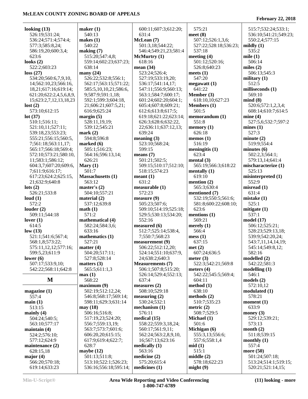#### **February 22, 2018**

| looking $(13)$          | maker $(1)$              | 600:11;607:3;612:20;           | 575:21                 | 515:7;532:24;533:1;     |
|-------------------------|--------------------------|--------------------------------|------------------------|-------------------------|
| 526:19;531:24;          | 540:13                   | 631:4                          | meet $(8)$             | 536:10;541:21;549:23;   |
| 536:24;571:4;574:4;     | makes $(1)$              | McLean (7)                     | 507:12;526:1,3,6;      | 550:2,4;577:15          |
| 577:3;585:8,24;         | 540:22                   | 501:3,18;544:22;               | 527:22;528:18;536:23;  | mildly $(1)$            |
| 586:19,20;600:3,4;      | making (7)               | 546:4;549:21,23;581:4          | 537:18                 | 535:2                   |
| 623:6                   | 515:20;547:4,8;          | McMurtry (1)                   | meeting $(4)$          | mile $(1)$              |
| looks $(2)$             | 559:14;602:23;637:23;    | 618:16                         | 501:12;520:16;         | 506:14                  |
| 522:2;603:23            | 638:14                   | mean $(34)$                    | 526:8;640:23           | miles $(2)$             |
| loss(27)                | many $(24)$              | 523:24;526:4;                  | meets $(1)$            | 506:13;545:3            |
| 534:20;560:6,7,9,10,    | 526:22;532:8;556:1;      | 527:19;533:19,20;              | 547:20                 | military $(1)$          |
| 14;562:10,23;566:16,    | 562:17;563:15;571:22;    | 536:17;541:14,17;              | megawatt(1)            | 512:5                   |
| 18,21;617:16;619:14;    | 585:5,10,10,21;586:6,    | 547:11;556:9;560:13;           | 641:22                 | milliseconds (1)        |
| 621:20;622:2,4,5,6,8,9, | 9;587:9;591:1,18;        | 563:1;584:7;600:17;            | Member (3)             | 569:10                  |
| 15;623:2,7,12,13,18,23  | 592:1;599:3;604:18,      | 601:24;602:20;604:1;           | 618:10,10;627:23       | mind(8)                 |
| lost(2)                 | 21;606:21;607:5,21;      | 605:4;607:8;609:21;            | <b>Members</b> (1)     | 520:6;572:1,2,3,4;      |
| 573:10;612:15           | 616:9;625:24             | 612:6;613:8;617:5;             | 501:5                  | 608:14;610:7;614:5      |
| lot $(37)$              | margin $(5)$             | 619:18;621:22;623:14;          | memorandum (1)         | mine(4)                 |
| 510:1;516:11;           | 528:11,19,19;            | 626:3;628:6;632:22,            | 551:8                  | 527:5,6;532:7;597:2     |
| 521:10,11;527:11;       | 539:12;545:21            | 22;636:11;637:12,13;           | memory(1)              | mines(1)                |
| 539:18,23;553:23;       | mark(2)                  | 639:24                         | 626:18                 | 527:3                   |
| 555:21;556:15;560:5,    | 594:8:596:8              | meaning $(3)$                  | memos $(1)$            | minute(2)               |
| 7:561:18:563:11.17:     | marked $(6)$             | 523:10;568:24;                 | 516:19                 | 519:9;554:4             |
| 565:17;566:18;569:4;    | 505:1;516:23;            | 599:15                         | meningitis $(1)$       | minutes $(6)$           |
| 572:10;573:21;580:10,   | 564:16;596:13,14;        | means $(7)$                    | 623:4                  | 502:2,3;564:1;          |
| 11;583:1;586:12;        | 626:21                   | 501:21;502:5;                  | mental $(3)$           | 579:13,14;641:4         |
| 604:3,7;607:20;609:6,   | Mary $(1)$               | 509:15;510:17;512:10;          | 565:19;566:3;618:22    | mischaracterize (1)     |
| 7;611:9;616:17;         | 501:7                    | 518:15;574:23                  | mentally $(1)$         | 525:13                  |
| 617:23;624:2;625:15,    | <b>Massachusetts (1)</b> | mean <sub>t</sub> (1)          | 619:10                 | misinterpreted (1)      |
| 21;632:9;640:8          | 563:12                   | 631:2                          | mention $(2)$          | 552:9                   |
| $\text{lots}$ (2)       | master's $(2)$           | measureable (1)                | 565:3;630:4            | $mో$ misread $(1)$      |
| 526:21;533:8            | 504:10;557:21            | 572:23                         | mentioned (7)          | 631:4                   |
| loud $(1)$              | material $(2)$           | measure (9)                    | 532:19;550:5;561:6;    | mistake(1)              |
| 572:2                   | 537:12;639:8             | 505:23;507:6;                  | 581:8;600:22;608:10;   | 525:1                   |
| louder $(2)$            | math(1)<br>571:2         | 509:10;514:19;525:18;          | 623:6                  | mitigate $(1)$<br>537:1 |
| 509:11;544:18           | mathematical (4)         | 529:5;530:13;534:20;<br>552:16 | mentions (1)<br>569:21 | model(17)               |
| lover $(1)$<br>614:5    | 582:24;584:3,6;          | measured (6)                   | merely $(1)$           | 506:12;525:21;          |
| low(13)                 | 633:16                   | 512:7;525:14;538:4,            | 566:4                  | 528:23;529:13,18;       |
| 521:1;541:6;567:4;      | mathematics (1)          | 7;550:7;568:23                 | mess(1)                | 539:9;542:20,24;        |
| 568:1,8;573:22;         | 527:21                   | measurement(9)                 | 637:15                 | 543:7,11,14,14,19;      |
| 575:11,12,12;577:16;    | matter $(4)$             | 506:22;512:12,20;              | met(2)                 | 545:14;549:8,12;        |
| 599:5,23;611:9          | 504:20;517:11;           | 524:14;551:10;637:9,           | 607:24;636:5           | 582:16                  |
| lower $(6)$             | 527:8;528:14             | 24;638:2;640:3                 | meter $(3)$            | modelled (2)            |
| 507:17;533:9,10;        | matters $(3)$            | <b>Measurements</b> (7)        | 522:3;542:21;569:8     | 542:22;581:3            |
| 542:22;568:11;642:8     | 565:5;611:1,3            | 506:1;507:8;515:20;            | meters $(4)$           | modelling(1)            |
|                         | max(1)                   | 526:14;529:4;552:13;           | 542:22;545:5;569:4;    | 546:1                   |
| M                       | 568:22                   | 637:4                          | 604:11                 | models(2)               |
|                         | maximum (9)              | measures $(2)$                 | method (1)             | 572:10,12               |
| magazine(1)             | 502:19;512:12,24;        | 508:10;529:18                  | 638:10                 | modulated (1)           |
| 557:4                   | 546:8;568:17;569:14;     | measuring (2)                  | methods $(2)$          | 578:21                  |
| main(1)                 | 598:11;629:3;631:14      | 530:24;532:1                   | 510:7;535:23           | moment $(1)$            |
| 513:15                  | may (18)                 | mechanism $(1)$                | metric $(2)$           | 633:9                   |
| mainly $(4)$            | 506:16;516:8;            | 576:11                         | 508:7;529:5            | money $(3)$             |
| 504:24;540:5;           | 517:19,23;524:20;        | medical (15)                   | Michael (1)            | 529:12;539:21;          |
| 563:10;577:17           | 556:7:559:13,19;         | 558:22;559:3,18,24;            | 501:6                  | 573:13                  |
| maintain $(4)$          | 563:7;573:7;601:6;       | 560:17;561:9,11;               | Michigan (6)           | month $(2)$             |
| 524:2;576:10;           | 606:20,20;615:15;        | 562:24;563:2,8,9,10,           | 555:3,13;556:6;        | 511:8;539:15            |
| 577:12;624:9            | 617:9;619:4;622:7;       | 16;567:13;623:16               | 557:6;558:1,4          | monthly $(1)$           |
| maintenance (2)         | 628:7                    | medically $(1)$                | mid(1)                 | 557:4                   |
| 628:15,18               | maybe $(12)$             | 563:16                         | 515:1                  | more $(50)$             |
| major $(4)$             | 501:13;511:8;            | medicine (2)                   | middle(2)              | 501:24;507:18;          |
| 566:20;570:18;          | 513:10;522:1;526:23;     | 575:20;615:4                   | 578:18;622:23          | 513:24;514:1;519:15;    |
| 619:14;633:23           | 536:16;556:18;595:14;    | medicines (1)                  | might(9)               | 520:21;521:14,15;       |

**Min-U-Script® Area Wide Reporting and Video Conferencing 1-800-747-6789**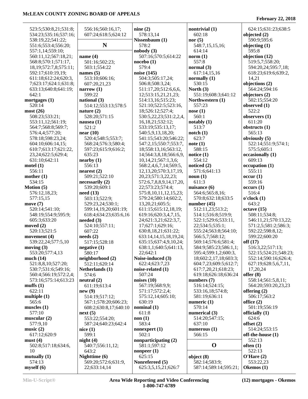| 523:5;530:8,21;531:8;       | 556:16;560:16,17;     | nine $(2)$                  | nontrivial (1)        | 624:15;631:23;638:5   |
|-----------------------------|-----------------------|-----------------------------|-----------------------|-----------------------|
| 534:23;535:16;537:16;       | 607:24;618:5;624:12   | 578:13,14                   | 602:18                | objected $(2)$        |
| 538:19,22;541:22;           |                       | Nissenbaum (1)              | nor $(5)$             | 590:9;595:6           |
| 551:6;553:4;556:20;         | N                     | 578:2                       | 548:7,15,15,16;       | objecting $(1)$       |
| 557:1,14;559:10;            |                       | nobody(3)                   | 614:14                | 595:8                 |
| 560:11,12;567:18,21;        | name $(4)$            | 507:16;570:5;614:22         | norm(1)               | objection (12)        |
| 568:8;570:1;571:17,         | 501:16;502:23;        | noebo(1)                    | 557:8                 | 519:5,7;558:20;       |
| 18, 19; 572: 7, 8; 575: 11; | 503:1;554:22          | 579:4                       | normal $(3)$          | 594:20,24;595:7,18;   |
| 592:17;610:19,19;           | names $(5)$           | noise (145)                 | 617:14,15,16          | 618:23;619:6;639:2,   |
| 611:18;612:24;620:3,        | 513:10;606:16;        | 504:3;505:17,24;            | normally $(1)$        | 14,21                 |
| 7;623:17;624:1;631:8;       | 607:20,21,23          | 506:8;508:3,24;             | 530:15                | objections (2)        |
| 633:13;640:8;641:19;        | narrow $(1)$          | 511:17,20;512:6,6,6,        | North $(3)$           | 564:24;594:16         |
| 642:1                       | 599:22                |                             | 551:19;608:3;641:12   |                       |
|                             |                       | 12;513:15,21,21,23;         |                       | objectors $(2)$       |
| mortgages $(1)$             | national (3)          | 514:13,16;515:23;           | Northwestern (1)      | 502:15;554:20         |
| 520:14                      | 514:12;553:13;578:5   | 521:10;522:5;523:16,        | 557:23                | observed (1)          |
| most(26)                    | nature $(2)$          | 18;526:12;527:4;            | nose(1)               | 522:2                 |
| 508:23;533:21;              | 528:20;571:15         | 530:5,22,23;531:2,2,4,      | 560:1                 | observers (1)         |
| 553:11,12;561:19;           | nausea $(1)$          | 16, 18, 21; 532: 12;        | notably (1)           | 611:20                |
| 564:7;568:8;569:7;          | 521:2                 | 533:19;535:13,17;           | 513:7                 | obstructs $(1)$       |
| 576:4,4;577:20;             | near $(10)$           | 540:5,9,13,18,20;           | notch(1)              | 565:13                |
| 578:18;598:23,24;           | 520:4;548:5;553:7;    | 541:15;543:20;546:22;       | 623:7                 | obviously (5)         |
| 604:10;606:14,15;           | 568:24;576:3;580:4;   | 547:2,15;550:7;553:7,       | note(1)               | 522:14;551:9;574:1;   |
| 610:7;613:17;621:22,        | 597:23;615:9;616:2;   | 18;558:13,16;563:12,        | 588:15                | 575:5;605:1           |
| 23,24;622:5;629:4;          | 635:23                | 14;564:3,8,18;566:6,9,      | notice $(1)$          | occasionally (1)      |
| 631:10;642:11               | nearly (1)            | 10, 14, 21; 567: 1, 3, 6;   | 554:12                | 609:13                |
| model(1)                    | 556:13                | 568:2,4,6,7,14;569:5,       | noticed (2)           | occupation(1)         |
| 556:11                      | nearest $(2)$         | 12, 13, 20; 570: 3, 17, 19, | 571:6;641:13          | 555:11                |
| mother $(1)$                | 509:21;522:10         | 20,23;571:3,22,23;          | noun(1)               | occur(1)              |
| 534:15                      | necessarily (2)       | 572:6,7,8,8,9,14,17,20,     | 611:3                 | 559:16                |
| <b>Motion</b> $(5)$         | 539:20;609:1          | 22;573:23;574:4;            | nuisance (6)          | occurs(1)             |
|                             |                       |                             | 564:6;565:8,16;       | 516:4                 |
| 576:12,18,23;               | need(13)              | 575:8, 10, 11, 12, 15, 23;  |                       |                       |
| 577:15,15                   | 503:13;522:9;         | 579:24;580:14;602:2,        | 570:8;632:18;633:5    | o'clock(1)            |
| move $(7)$                  | 529:23,24;530:1;      | 13,20,21;605:5;             | number $(45)$         | 643:2                 |
| 520:14;541:10;              | 599:14,19,20;601:19;  | 611:15;615:12,18,19;        | 512:11,23;513:2;      | octave(15)            |
| 548:19;554:9;595:9;         | 618:4;634:23;635:6,16 | 619:16;620:3,4,7,15,        | 514:1;516:8;519:9;    | 508:11;534:8;         |
| 605:3;633:20                | needed $(3)$          | 24;621:3,21;622:3,7,        | 522:1;529:6;533:11,   | 546:11,21;570:13,22;  |
| moved $(2)$                 | 524:10;557:11;        | 17;627:1;629:16;            | 22;534:5;535:1;       | 571:2,5;581:2;586:3;  |
| 520:13;521:5                | 607:22                | 630:8,18,21;631:22;         | 555:24;563:8;564:10;  | 592:22;598:8,12;      |
| movement $(4)$              | needs(2)              | 633:14,14,15,18,19,24;      | 566:5,7;568:12;       | 599:22;600:20         |
| 539:22,24;577:5,10          | 517:15;528:18         | 635:15;637:4,9,10,24;       | 569:14;576:6;581:4;   | off(17)               |
| moving $(3)$                | negative(1)           | 638:1,1;640:5;641:13,       | 584:9;585:23;586:1,1; | 516:3,22;517:13;      |
| 553:20;577:4,13             | 580:17                | 22;642:1                    | 595:4;599:1,2;600:3,  | 522:15;524:21;548:23; |
| much $(14)$                 | neighborhood (2)      | Noise-induced (3)           | 18;602:2,17,18;603:3; | 552:14;590:16;626:4;  |
| 521:8,8,10;527:20;          | 512:11;620:14         | 622:4;623:7,23              | 604:7,23;609:5;612:7; | 627:19;628:5,6,7,11,  |
| 530:7;531:6;549:16;         | Netherlands (1)       | noise-related (1)           | 617:7,20,21;618:23;   | 17,20,24              |
| 560:4;566:19;572:2,4;       | 574:6                 | 507:24                      | 619:18;626:18;636:24  | offer $(8)$           |
| 573:16;575:14;613:23        | neutral (2)           | noises $(10)$               | numbers $(7)$         | 558:14;561:5,8,11;    |
| muffs $(1)$                 | 611:19;613:4          | 567:19;568:9,9;             | 516:14;524:15;        | 564:20;593:20,23,23   |
| 622:11                      | new(9)                | 571:17;572:2,4;             | 533:16,18;574:8;      | offering $(2)$        |
| multiple $(1)$              | 514:19;517:12;        | 575:12,14;605:10;           | 581:19;636:11         | 506:17;563:2          |
| 565:6                       | 567:1;578:20;606:23;  | 630:19                      | numeric $(1)$         | office $(2)$          |
| muscles $(1)$               | 608:2;630:8,17;640:10 | nominal $(1)$               | 570:14                | 501:19;556:19         |
| 577:10                      | next(5)               | 611:8                       | numerical (3)         | officially (1)        |
| muscular(2)                 | 553:22;554:20;        | non(1)                      | 514:20;547:15;        | 624:6                 |
| 577:9,10                    | 587:24;640:23;642:4   | 583:4                       | 637:10                | offset $(2)$          |
| music $(2)$                 | nice(1)               | nonexpert $(1)$             | numerous $(1)$        | 514:24;553:15         |
| 617:12;620:9                | 599:1                 | 502:1                       | 566:15                | off-the-house (1)     |
| must(4)                     | night(4)              | nonparticipating (2)        |                       | 552:13                |
| 502:8;517:18;634:6,         | 540:7;556:11,12;      | 581:1;597:12                | $\mathbf 0$           | often $(1)$           |
| 10                          | 643:2                 | nonpeer $(1)$               |                       | 522:13                |
| mutually $(1)$              | Nighttime (6)         | 625:15                      | object $(8)$          | O'Here (2)            |
| 574:13                      | 569:20;572:6;631:9,   | Nonrefereed (5)             | 582:14;583:9;         | 553:22,23             |
|                             | 22;633:14,14          | 625:3,5,15,21;626:7         | 587:14;589:14;595:21; | Okemos (1)            |
| myself(6)                   |                       |                             |                       |                       |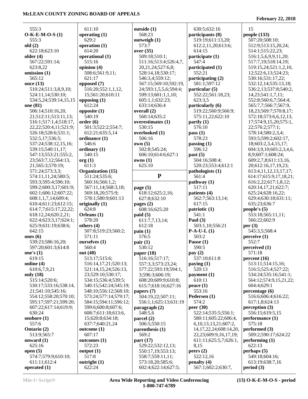| 555:3                       | 611:10          |
|-----------------------------|-----------------|
| $O-K-E-M-O-S(1)$            | operating $(1)$ |
|                             |                 |
| 555:3                       | 629:2           |
| old(2)                      | operation (1)   |
| 622:18;623:10               | 614:20          |
| older (4)                   | operational (1  |
| 567:22;591:14;              | 515:16          |
| 623:8,22                    | opinion (4)     |
| omission (1)                | 508:6;561:9     |
| 565:12                      | 621:17          |
|                             |                 |
| once (13)                   | opposed (7)     |
| 510:24;511:3,8,9,10;        | 516:20;552:     |
| 524:11,14;530:10;           | 15;561:20;6     |
| 534:5,24;539:14,15,15       | opposing $(1)$  |
| one (81)                    | 612:24          |
| 506:14;510:16,20,           | opposite (1)    |
| 21;512:11;513:11,13;        | 540:19          |
| 516:1;517:1,4;518:17,       | order(6)        |
| 22, 22; 520: 4, 11; 521: 9; | 501:3;522:2     |
| 526:18;528:6;531:1;         | 612:21;635:     |
|                             |                 |
| 532:5,17;536:5;             | ordinance (1)   |
| 537:24;538:12,15,16;        | 546:6           |
| 539:15;540:11,17;           | ordinary (1)    |
| 547:13;553:21;555:2,        | 540:15          |
| 23;563:7,12;564:13,         | $\arg(1)$       |
| 21;565:3;570:19;            | 611:3           |
| 571:24;573:3,3;             | Organization    |
| 574:11,11,24;580:5;         | 511:24;535:     |
| 593:3;595:4;596:10;         | 560:16;566:     |
|                             |                 |
| 599:2;600:3,17;601:9;       | 567:11,14;5     |
| 602:1;606:12;607:22;        | 569:18,20;5     |
| 608:1,1,7,14;609:4;         | 578:1;580:9     |
| 610:4;611:23;612:15;        | originally (1)  |
| 614:7,7;615:17,22,22;       | 624:8           |
| 618:12,24;620:2,21;         | Orleans (1)     |
| 622:4;623:3,17;624:1;       | 578:20          |
| 625:9;631:19;638:6;         | others (4)      |
| 642:15                      | 507:8;519:2     |
| ones $(6)$                  | 571:11          |
| 539:23;586:16,20;           |                 |
|                             | ourselves (1)   |
| 597:20;601:3;614:8          | 560:4           |
| one's $(1)$                 | out (40)        |
| 619:15                      | 513:17;515:     |
| online (4)                  | 516:14,17,2     |
| 610:6,7,9,21                | 521:14,15,2     |
| only (18)                   | 23;529:10;5     |
| 515:14;520:6;               | 534:15;536:     |
| 530:17;533:16;538:14,       | 540:15;542:     |
| 21;541:10;545:16;           | 548:10;556:     |
| 554:12;558:20;570:10;       | 573:24;577:     |
| 595:17;597:21;599:20;       | 584:15;594:     |
|                             |                 |
| 607:22;617:14;619:9;        | 599:6;600:8     |
| 630:24                      | 608:7;611:1     |
| onshore (1)                 | 15;620:8;63     |
| 557:6                       | 637:7;640:2     |
| Ontario (2)                 | outcome (1)     |
| 513:9;565:7                 | 607:17          |
| onward $(1)$                | outcomes (1)    |
| 625:16                      | 572:23          |
| open $(5)$                  | output $(1)$    |
|                             | 517:8           |
| 574:7;579:9;610:10;         |                 |
| 611:11;612:4                | outright (1)    |
| operated (1)                | 622:24          |

| 611:10                                | outside (1)                             |
|---------------------------------------|-----------------------------------------|
| operating (1)                         | 568:23                                  |
| 629:2                                 | outweigh (1)                            |
| operation (1)                         | 573:7                                   |
| 614:20                                | over (35)                               |
| operational (1)                       | 509:18;510:1;                           |
| 515:16                                | 511:16;513:4;526:4,                     |
| opinion (4)                           | 20,21,24;527:6,8;                       |
| 508:6;561:9,11;                       | 528:14,18;530:17;                       |
| 621:17                                | 546:3,4;559:12;                         |
| opposed (7)                           | 567:15;569:10;592:1                     |
| 516:20;552:1,1,12,                    | 24;593:1,5,5,6;594:4                    |
| 15;561:20;610:11                      | 599:13;601:1,1,10;                      |
| opposing (1)                          | 605:1,1;632:23;                         |
| 612:24                                | 633:14;636:4                            |
| opposite (1)                          | overall (2)                             |
| 540:19                                | 560:14;635:2                            |
| order (6)                             | overestimates (1)                       |
| 501:3;522:2;554:7;                    | 530:15                                  |
| 612:21;635:5,14                       | overlooked (1)                          |
| ordinance (1)                         | 506:16                                  |
| 546:6                                 | own(5)                                  |
| ordinary (1)                          | 502:8;545:24;                           |
| 540:15                                | 606:10;614:6;627:1                      |
| $\arg(1)$                             | owns(1)                                 |
| 611:3                                 | 625:10                                  |
| Organization (15)                     |                                         |
| 511:24;535:6;                         | P                                       |
| 560:16;566:1,2;                       |                                         |
| 567:11,14;568:3,18;                   | page $(5)$                              |
| 569:18,20;575:9;                      | 618:12;625:2,16;                        |
| 578:1;580:9;601:13                    | 627:8;632:10                            |
| originally (1)                        | pages $(2)$                             |
| 624:8                                 | 608:16;625:20                           |
| Orleans (1)                           | paid(5)                                 |
| 578:20                                | 611:7,7,13,14;                          |
| others (4)                            | 612:18                                  |
| 507:8;519:23;560:2;                   | $\textbf{pain}(1)$                      |
| 571:11                                | 576:5                                   |
| ourselves (1)                         | pair(1)                                 |
| 560:4                                 | 530:12                                  |
| out (40)                              | paper $(18)$                            |
| 513:17;515:6;                         | 516:16;517:17;                          |
| 516:14,17,21;520:13;                  | 557:3,3;573:23,24;                      |
| 521:14,15,24;526:13,                  | 577:22;593:19;594:1                     |
| 23;529:10;530:17;                     | 3;596:3;606:19;                         |
| 534:15;536:4;539:5;                   | 608:20;609:9;610:8;                     |
| 540:15;542:24;545:19;                 | 615:7;618:16;627:16                     |
| 548:10;556:12;568:10;                 | papers (7)                              |
| 573:24;577:14;579:17;                 | 504:19,22;507:11;                       |
| 584:15;594:11;596:12;                 | 556:1,1;625:13;631:                     |
| 599:6;600:8;607:6;                    | paragraph (2)                           |
|                                       | 548:5,6                                 |
|                                       |                                         |
| 608:7;611:18;613:6,                   |                                         |
| 15;620:8;634:18;                      | $\boldsymbol{\text{pared}}$ (2)         |
| 637:7;640:21,24                       | 506:5;550:15                            |
|                                       | parenthesis (1)                         |
| 607:17                                | 569:2                                   |
|                                       | part (17)                               |
| outcome (1)<br>outcomes (1)<br>572:23 | 529:22;532:12,13;                       |
|                                       | 550:17,19;553:13;                       |
| 517:8                                 | 558:7;559:11,11;                        |
| output (1)<br>outright (1)<br>622:24  | 573:18,20;585:6;<br>602:4;622:14;627:5; |

| outside (1)                           | 630:            |
|---------------------------------------|-----------------|
| 568:23                                | partici         |
| outweigh (1)                          | 519:            |
| 573:7                                 | 612:            |
| over (35)                             | 614:            |
| 509:18;510:1;                         | partici         |
| 511:16;513:4;526:4,7,                 | 547:            |
| 20,21,24;527:6,8;                     | partici         |
| 528:14,18;530:17;                     | 552:            |
| 546:3,4;559:12;                       | partici         |
| 567:15;569:10;592:19,                 | 581:            |
| 24;593:1,5,5,6;594:4;                 | partic          |
| 599:13;601:1,1,10;<br>605:1,1;632:23; | 552:<br>623:    |
| 633:14;636:4                          | partic          |
| overall (2)                           | 519:            |
| 560:14;635:2                          | 575:            |
| overestimates (1)                     | partly          |
| 530:15                                | 576:            |
| overlooked (1)                        | pass (1         |
| 506:16                                | 578:            |
| own (5)                               | passin          |
| 502:8;545:24;                         | 596:            |
| 606:10;614:6;627:1                    | past (5         |
| owns (1)                              | 504:            |
| 625:10                                | 520:            |
|                                       | pathol          |
| P                                     | 561:            |
|                                       | pathw           |
| page (5)                              | 517:            |
| 618:12;625:2,16;                      | patien          |
| 627:8;632:10<br>pages (2)             | 562:            |
|                                       |                 |
|                                       | 617:            |
| 608:16;625:20                         | patrio          |
| $p$ aid $(5)$                         | 541:            |
| 611:7,7,13,14;                        | Paul (3         |
| 612:18                                | 503:            |
| pain (1)<br>576:5                     | $P-A-U$<br>503: |
| pair(1)                               | <b>Pause</b>    |
| 530:12                                | 590:            |
| paper (18)                            | pay(2)          |
| 516:16;517:17;                        | 537:            |
| 557:3,3;573:23,24;                    | paying          |
| 577:22;593:19;594:1,                  | 520:            |
| 3;596:3;606:19;                       | payme           |
| 608:20;609:9;610:8;                   | 610:            |
| 615:7;618:16;627:16                   | peace           |
| papers (7)                            | 553:            |
| 504:19,22;507:11;                     | Peders          |
| 556:1,1;625:13;631:19                 | 574:            |
| paragraph (2)                         | peer (3         |
| 548:5,6                               | 522:<br>580:    |
| parcel (2)<br>506:5;550:15            | 6,10            |
| parenthesis (1)                       | 14,1            |
| 569:2                                 | 22,2            |
| part (17)                             | 611:            |
| 529:22;532:12,13;                     | 8,15            |
| 550:17,19;553:13;                     | peers (         |
| 558:7;559:11,11;<br>573:18,20;585:6;  | 522:<br>penalt  |

 630:5;632:16 **participants (8)** 519:19;611:13,20; 612:2,11,20;613:6; 4:15 *<u>icipate</u>* (1) 547:4 *<u>cipated</u>* (1) 2:21 *<u>icipating</u>* (2) 581:1;597:12 *j***cular** (5) 552:22;561:18,23;  $3:3,5$ **particularly (6)** 9:22;560:9;566:9; 575:11,22;622:10 **by** (1) 6:10 **pass (1)** 8:23 **passing (1)** 6:12 **past (5)** 504:16;508:4; 520:23;553:4;612:1 **pologists** (1) 1:4 **way** (1) 517:11 **paries (4)**  562:7;563:13,14; 617:15 *iotic* (1)  $1 \cdot 1$ **Paul (3)** 503:1,10;556:21 **U-L (1)** 3:2 **Pause (1)**  $0:5$ **pay (2)** 537:10;611:8 **paying (1)** 0:13 **parament (1)**  610:11 **peace (1)** 3:16 **Prsen (1)** 4:2 **peer (30)** 522:14;535:5;556:1; 0:11;605:22;606:4, 6,10,13,13,21;607:2, 14,17,22,24;608:14,20, 22,23;609:9,16,17,19; 611:11;625:5,7;626:1, 8,15 **peers (2)** 2:12,16 **h**elty (4) 567:1;602:2;630:7,

 15 **people (133)** 507:20;508:10; 512:9;513:15,20,24; 514:1;515:22,23; 516:1,5,6,9,9,11,20; 517:7,19;518:14,19; 519:15,24;521:1,2,10, 12;522:6,13;524:23; 530:16;531:17,22; 532:12,14;535:13,18; 536:2,13;537:8;540:2, 14,23;541:1,7,11; 552:8;560:6,7;564:4; 565:7,7;566:7;567:9, 18,23;569:7;570:8,17; 572:18;573:6,6,12,13, 17;574:9,15,20;575:1, 22;576:2;577:1; 578:14;580:2,3,4; 593:5;599:2;602:17, 18;603:2,3,4,15,17; 604:3,9,10;605:2,3,4,6, 8,9;607:1;608:24; 609:2,7,8;611:13,16, 20;612:16,17,19,23; 613:4,11,12,13,17,17; 614:17;615:9,17,18,21; 616:2,22;617:1,8,12; 620:14,17,21;622:7; 625:24;628:16,22; 629:4;630:18;631:11; 635:23;636:7 **people's (5)** 553:18;565:11,11; 566:22;602:9 **per (3)** 545:3,5;568:4 **perceive (1)** 552:7 **perceived (1)** 571:18 **percent (16)** 513:11;514:15,16; 516:5;525:4;527:22; 534:24;535:16;541:1; 564:12;574:9,15,21,22; 604:4;629:1 **percentage (6)** 516:6;606:4;616:22; 617:1,8;624:13 **perception (3)** 556:15;619:5,15 **performance (1)** 575:18 **performed (3)** 509:2;590:17;624:22 **performing (1)** 622:13 **perhaps (5)** 549:18;604:16; 613:19;638:7,16 **period (3)**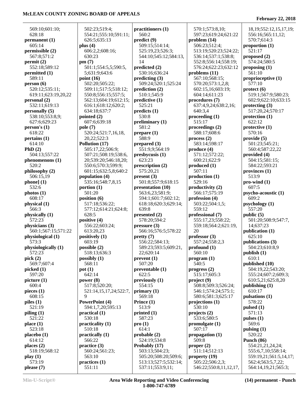#### **February 22, 2018**

| 569:10;601:10;      | 502:23;519:4;               | practitioners (1)     | 570:1:573:8.10:        | 18, 19; 552: 12, 15, 1 |
|---------------------|-----------------------------|-----------------------|------------------------|------------------------|
| 628:18              | 554:21;555:10;591:11;       | 560:2                 | 597:23;619:24;621:22   | 556:16;565:11,12       |
| permanent (1)       | 626:5:635:13                | predict (9)           | problem(14)            | 570:7;614:3            |
| 605:14              | plus $(4)$                  | 509:15;514:14;        | 506:23;512:4;          | proportion (1)         |
| permissible (2)     | 606:2,2;608:16;             | 525:19,23;526:3;      | 513:19;520:23;524:22;  | 521:17                 |
| 567:8:571:2         | 630:23                      | 544:10;545:12;584:13, | 536:14;537:1;538:8;    | proposed $(2)$         |
| permit(2)           | pm(7)                       | 14                    | 552:8;556:14;558:19;   | 574:24;580:5           |
| 552:18;589:12       | 501:1;554:5,5;590:5,        | predicted (2)         | 576:24;622:23;632:12   | proposing $(1)$        |
| permitted (1)       | 5;631:9;643:6               | 530:16;636:24         | problems $(11)$        | 561:10                 |
| 589:11              | point $(16)$                | predicting(3)         | 567:10;568:15;         | proprioceptive $(1)$   |
| person(6)           | 502:20;505:22;              | 509:24;520:1;525:24   | 570:20;573:1,2,8;      | 577:10                 |
| 520:12;535:11;      | 509:11;517:5;518:12;        | prediction (2)        | 602:15,16;603:19;      | $\text{protect (6)}$   |
| 619:11;623:19,20,22 | 550:8;556:15;557:5;         | 510:1;545:9           | 604:14;611:23          | 519:1;567:9;580:2      |
| personal (2)        | 562:13;604:19;612:15;       | predictive (1)        | procedures (7)         | 602:9;622:10;633       |
| 532:11;619:13       | 616:1;618:12;620:2;         | 525:21                | 637:4,9,24;638:2,16;   | protecting $(3)$       |
| personally (5)      | 634:18;637:7                | predicts (1)          | 640:3,4                | 517:20,24;570:17       |
| 538:10;553:8,9;     | pointed (2)                 | 530:8                 | procedureding(1)       | protection $(1)$       |
| 627:6;629:23        | 607:6;639:18                | preliminary $(1)$     | 515:17                 | 622:12                 |
| person's(1)         | pole (7)                    | 581:2                 | proceedings (2)        | protective $(1)$       |
| 618:22              | 520:24;521:7,16,18,         | prepare (1)           | 588:17;608:6           | 570:16                 |
| pertains(1)         | 20,22;522:3                 | 588:9                 | process(2)             | provide(5)             |
| 614:10              | Pollution (17)              | prepared $(3)$        | 583:14;598:17          | 501:23;545:21;         |
| PhD $(2)$           | 505:17,22;506:9;            | 551:9,9;564:19        | produce (4)            | 560:4;587:22,22        |
| 504:13;557:22       | 507:21;508:19;538:6,        | presbycusis (1)       | 571:12:572:22;         | provided (4)           |
| phenomenons (1)     | 20;539:20;546:18,20;        | 623:23                | 600:21;622:9           | 504:15;581:15;         |
| 520:2               | 550:6;570:3;599:9;          | prescription (2)      | produced (1)           | 584:22;593:21          |
| philosophy (2)      | 601:15;632:5,8;640:2        | 575:20,21             | 507:11                 | provinces $(1)$        |
| 506:15,19           | population (4)              | present(3)            | production(1)          | 513:9                  |
| phonel(1)           | 535:16;548:7,8,15           | 501:8;557:9;618:15    | 529:16                 | $pro$ -wind $(1)$      |
| 532:6               | portion $(1)$               | presentation (10)     | productivity (2)       | 607:5                  |
| photos(1)           | 501:20                      | 563:6,23;581:9;       | 566:17;575:19          | psycho-acoustic (1)    |
| 608:17              | position $(6)$              | 594:1;601:7;602:12;   | profession (4)         | 609:2                  |
| physical (1)        | 517:18;536:22;              | 618:18;620:3;629:14;  | 503:22;504:1,5;        | psychology (1)         |
| 566:3               | 577:12;614:21;624:8;        | 639:8                 | 559:12                 | 557:20                 |
| physically (1)      | 628:5                       | presented (2)         | professional (7)       | public (5)             |
| 572:23              | positive (4)                | 578:20;594:2          | 555:17,23;558:22;      | 501:20;508:9;547       |
| physicians (3)      | 556:22;603:24;              | pressure(3)           | 559:18;564:2;621:19,   | 14;637:23              |
| 560:1;567:15;571:22 | 613:20,23                   | 566:16;576:5;578:22   | 20                     | publication (1)        |
| physiological (1)   | positively (1)              | pretty(7)             | professor $(3)$        | 625:10                 |
| 573:3               | 603:19                      | 556:22;584:13;        | 557:24;558:2,3         | publications (3)       |
| physiologically (1) | possible (2)                | 589:23;593:5;609:21,  | profound $(1)$         | 504:23;610:8,9         |
| 572:23              | 518:13;636:3                | 22;620:14             | 560:10                 | publich(1)             |
| pick $(2)$          | possibly $(1)$              | prevent(1)            | program (1)            | 610:1                  |
| 569:7;607:4         | 568:11                      | 507:20                | 540:5                  | published (10)         |
| picked (1)          | pot(1)                      | preventable (1)       | progress (2)           | 504:19,22;543:20       |
| 597:20              | 642:14                      | 622:5                 | 515:17;605:3           | 555:24;607:2;609       |
| picture (1)         | power $(8)$                 | previously (1)        | project(9)             | 610:5,21;625:8,20      |
| 600:4               | 517:8;520:20;               | 554:15                | 508:8;509:3;526:24;    | publishing $(1)$       |
| pieces $(1)$        | 521:14, 15, 17, 24; 522: 7, | primary $(1)$         | 546:1;574:24;575:1;    | 610:17                 |
| 608:15              | 9                           | 569:18                | 580:6;581:3;625:17     | pulsations (1)         |
| piles $(1)$         | PowerPoint (4)              | Prince (1)            | projections $(1)$      | 578:22                 |
| 521:19              | 594:1,7,20;595:13           | 513:9                 | 530:10                 | pulsed $(1)$           |
| piling(1)           | practical(1)                | printed $(1)$         | projects $(2)$         | 571:13                 |
| 521:22              | 530:18                      | 587:23                | 533:6;580:5            | pulses $(1)$           |
| place (1)           | practicality (1)            | pro(1)                | promulgate $(1)$       | 569:6                  |
| 523:18              | 510:18                      | 614:1                 | 507:17                 | pulsing $(1)$          |
| placebo(1)          | practically $(1)$           | probable(2)           | propagation $(1)$      | 520:22                 |
| 614:12              | 566:22                      | 524:19;534:8          | 509:8                  | Punch $(86)$           |
| places $(2)$        | practive(3)                 | Probably (17)         | proper $(2)$           | 554:21,21,24,24;       |
| 518:19;568:12       | 560:24;561:23;              | 503:13;504:23;        | 511:14;512:13          | 555:6,7,10;558:14      |
| play(1)             | 563:10                      | 505:20;508:20;509:6;  | property (19)          | 559:19,21;561:5,1      |
| 573:19              | practices (1)               | 513:13;527:5;532:14;  | 505:22;506:2,3;        | 562:4;563:5,7,22;      |
| please (7)          | 551:11                      | 537:11;553:9,11;      | 546:22;550:8,11,12,17, | 564:14,19,21;565       |

 597:23;619:24;621:22 556:16;565:11,12; 18,19;552:12,15,17,19; 570:7;614:3 **proportion (1)** 521:17 **proposed (2)** 574:24;580:5 561:10 **proprioceptive (1)** 577:10 **protect (6)** 519:1;567:9;580:23; 602:9;622:10;633:15 **protecting (3)** 517:20,24;570:17 **protection (1)** 622:12 **protective (1)** 570:16 **provide (5)** 501:23;545:21; 560:4;587:22,22 **provided (4)** 504:15;581:15; 584:22;593:21 **provinces (1)** 513:9 **pro-wind (1)** 607:5 **psycho-acoustic (1)** 609:2 **psychology (1)** 557:20 **public (5)** 501:20;508:9;547:7, 14;637:23 **publication (1)** 625:10 **publications (3)** 504:23;610:8,9 **publish (1)** 610:1 **published (10)** 504:19,22;543:20; 555:24;607:2;609:3; 610:5,21;625:8,20 **publishing (1)** 610:17 578:22 **pulsed (1)** 571:13 **pulses (1)** 569:6 **pulsing (1)** 520:22 **Punch (86)** 554:21,21,24,24; 555:6,7,10;558:14; 559:19,21;561:5,14,17; 562:4;563:5,7,22; 564:14,19,21;565:3;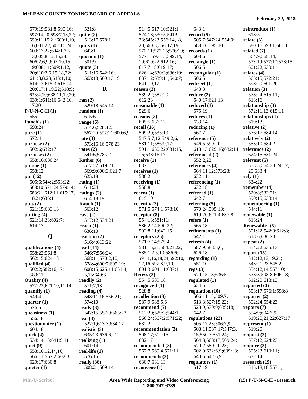| 579:19;581:8;590:16;   | 521:8                 | 514:5;517:10;521:1;    | 643:1                 | reintroduce $(1)$     |
|------------------------|-----------------------|------------------------|-----------------------|-----------------------|
|                        |                       |                        |                       |                       |
| 597:14,20;598:7,18,22; | quite $(2)$           | 524:18;530:5;541:9,    | record $(5)$          | 618:5                 |
| 599:11,15,21;600:1,10, | 513:17;578:1          | 23;545:23;556:14,18,   | 505:7;547:24;554:9;   | relate $(3)$          |
| 16;601:22;602:16,24;   | quits $(1)$           | 20;560:3;566:17,19;    | 588:16;595:10         | 580:16;593:1;601:11   |
| 603:17,22;604:1,3,5,   | 643:1                 | 570:11;572:15;576:19;  | records (1)           | related $(7)$         |
| 13;605:8,12,16,24;     | quorum $(1)$          | 577:1;597:15;599:14,   | 608:6                 | 564:9;568:14;         |
| 606:2,6,9;607:10,15,   | 501:9                 | 19;610:22;612:16;      | rectangle $(1)$       | 573:10;577:17;578:15; |
| 19;608:11;609:1,12,    | quote $(5)$           | 617:7,18;619:17;       | 506:5                 | 601:22;630:1          |
| 20;610:2,6,15,18,22;   | 511:16;542:16;        | 626:14;630:3;636:10;   | rectangular $(1)$     | relates $(4)$         |
| 611:3,8,23;613:1,10;   | 563:18;569:13,19      | 637:12;639:11;640:7;   | 506:5                 | 565:15;572:21;        |
|                        |                       |                        |                       |                       |
| 614:13;615:3;616:14,   |                       | 641:10,17              | redirect $(1)$        | 598:20;601:20         |
| 20;617:4,19,22;618:9;  | $\mathbf R$           | reason $(3)$           | 643:3                 | relation $(3)$        |
| 633:4,10;638:11,19,20; |                       | 539:22;587:20;         | reduce(2)             | 578:24;615:11;        |
| 639:1;641:16;642:10,   | ran $(2)$             | 612:23                 | 540:17;621:13         | 618:16                |
| 17,20                  | 529:18;545:14         | reasonable $(1)$       | reduced $(1)$         | relationship (3)      |
| $P-U-N-C-H(1)$         | random $(1)$          | 529:6                  | 575:19                | 572:11,13;615:11      |
| 555:1                  | 615:6                 | reasons $(2)$          | reduces $(1)$         | relationships (1)     |
| Punch's $(1)$          | range $(6)$           | 605:5;636:12           | 633:14                | 619:13                |
| 593:24                 | 514:6;528:12;         | recall $(16)$          | reducing $(1)$        | relative $(2)$        |
| pure(1)                | 567:20;597:21;600:6,9 | 509:20;535:19;         | 567:2                 | 576:17;584:14         |
|                        |                       |                        |                       |                       |
| 572:4                  | rate $(3)$            | 547:5,7,12;549:2,6;    | reference $(5)$       | relatively $(2)$      |
| purpose (2)            | 573:16,16;578:23      | 581:11;586:9,17;       | 546:5:599:20;         | 553:10;584:2          |
| 502:6;632:17           | rates $(2)$           | 591:1;630:22;631:15,   | 618:13;629:16;632:14  | relevance $(2)$       |
| purposes (2)           | 541:6;578:22          | 16;633:16,17           | referenced (2)        | 624:16;631:24         |
| 558:16;630:24          | Rather $(6)$          | receive $(1)$          | 552:2,22              | relevant $(5)$        |
| pursue(1)              | 517:22;519:21;        | 637:1                  | references (4)        | 553:5;564:3;624:17,   |
| 558:12                 | 569:9;600:3;621:7;    | receives $(1)$         | 564:11,12;573:23;     | 20;633:4              |
| put (12)               | 625:18                | 586:2                  | 632:11                | rely(1)               |
| 505:6;544:2;553:22;    | rating $(1)$          | receiving $(1)$        | referencing $(1)$     | 634:22                |
| 568:10;571:24;579:14;  | 611:24                | 550:8                  | 632:18                | remember $(4)$        |
|                        |                       |                        |                       |                       |
| 583:21;612:11;615:17,  | ratings $(2)$         | recent $(1)$           | referred $(1)$        | 520:8;532:21;         |
| 18,21;636:11           | 614:18,19             | 619:10                 | 642:7                 | 590:15;638:14         |
| puts $(2)$             | Rauch $(1)$           | recently $(3)$         | referring $(5)$       | remembering (1)       |
| 521:15;633:13          | 563:12                | 571:5;574:1;578:10     | 570:24;595:13;        | 544:11                |
| putting $(4)$          | rays $(2)$            | receptor $(8)$         | 619:20;621:4;637:8    | renewable (1)         |
| 521:14,23;602:7;       | 517:12;534:21         | 554:13;581:11;         | refers $(1)$          | 613:24                |
| 614:17                 | reach $(1)$           | 586:2,14;590:22;       | 565:18                | Renewables (5)        |
|                        | 636:10                | 592:8,11;642:15        | refinements (1)       | 501:22;542:9;612:8;   |
| Q                      | reaction (2)          | receptors $(25)$       | 642:1                 | 618:6;636:23          |
|                        | 516:4;613:22          | 571:7,14;575:4;        | refresh $(4)$         | repeat $(2)$          |
| qualifications (4)     | read $(14)$           | 581:15,21;584:21,22;   | 587:9;588:5,6;        | 554:22;635:13         |
|                        |                       | 585:1,2,5,10;586:6;    | 626:18                | report $(15)$         |
| 558:22;561:8;          | 546:7;556:24;         |                        |                       |                       |
| 562:15;624:18          | 568:11;570:2,10;      | 591:1,16,18,24;592:10, | regarding $(1)$       | 542:12,13,19,21;      |
| qualified (4)          | 578:4;600:7;605:19;   | 12,16;597:8,9,10;      | 551:10                | 543:21,23;545:2;      |
| 502:2;582:16,17;       | 608:15;625:11;631:4,  | 601:3;604:11;637:1     | regs(3)               | 554:12,14;557:10;     |
| 583:11                 | 5,15;640:6            | Recess $(2)$           | 570:15,18;636:5       | 573:3;598:8;606:18;   |
| Quality (4)            | readily $(2)$         | 554:5;589:18           | regulated $(1)$       | 612:20;618:13         |
| 577:23;621:10,11,14    | 571:7,18              | recognized $(1)$       | 634:5                 | reported $(3)$        |
| quantify $(1)$         | reading $(4)$         | 528:8                  | regulation (10)       | 553:17;576:1;598:8    |
| 549:4                  | 548:11,16;556:21;     | recollection (3)       | 506:11,15;509:7;      | reporter $(2)$        |
| quarter $(1)$          | 574:10                | 587:9;588:5,6          | 513:3;527:15,22;      | 502:24;554:23         |
| 526:5                  | ready $(3)$           | recommend (7)          | 528:9;570:9;639:18;   | reports $(7)$         |
| queasiness $(1)$       | 542:15;557:9;563:23   | 512:20;529:3;544:1;    | 642:7                 | 554:9;604:7,9;        |
| 556:18                 | real $(3)$            | 566:24;567:2;571:22;   | regulations (23)      | 619:20,21,22;627:17   |
| questionnaire (1)      | 522:1;613:3;634:17    | 632:2                  | 505:17,23;506:7,9;    |                       |
|                        |                       |                        |                       | represent $(1)$       |
| 604:18                 | realistic $(3)$       | recommendation (3)     | 508:11;537:17;547:3,  | 519:20                |
| quick $(4)$            | 635:23;636:6,21       | 508:17;512:15;         | 15;550:7;551:24;      | request $(2)$         |
| 534:14,15;641:9,11     | realizing $(1)$       | 632:17                 | 564:3;568:17;569:24;  | 557:12;624:23         |
| quiet $(9)$            | 601:14                | recommended (3)        | 570:2;580:20,23;      | require $(3)$         |
| 553:10,12,14,16;       | real-life $(1)$       | 567:7;569:4;571:11     | 602:9;632:6,9;639:13; | 505:23;610:11;        |
| 566:11;567:2;602:3;    | 576:15                | recommends $(2)$       | 640:5;642:6,9         | 632:14                |
| 629:17;630:8           | really (36)           | 630:7;631:13           | regulators (1)        | research (19)         |
|                        |                       |                        |                       |                       |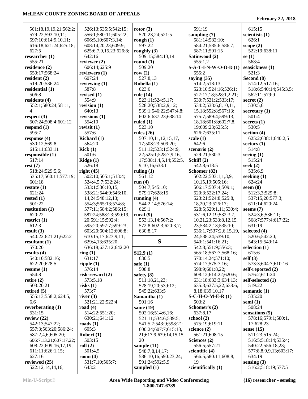| 561:18,19,19,21;562:2; | 526:13;535:5;542:15;   | rotor $(3)$            | 591:19                    | 615:15                 |
|------------------------|------------------------|------------------------|---------------------------|------------------------|
| 579:22;593:10,11;      | 556:1;580:11;605:22;   | 520:23,24;521:5        | sampling (7)              | scientists (1)         |
| 597:10;614:9,10,11;    | 606:5,10;607:3,14;     | rough $(1)$            | 581:14;582:10;            | 626:1                  |
| 616:18;621:24;625:18;  | 608:14,20,23;609:9;    | 597:22                 | 584:21;585:6;586:7;       | scope $(2)$            |
| 627:5                  | 625:6,7,9,15,23;626:8; | roughly $(3)$          | 587:11;591:15             | 522:19;638:11          |
| researcher (1)         | 642:16                 | 509:15;584:13,14       | Satinwood (2)             | se $(1)$               |
| 555:21                 | reviewer $(2)$         | round $(1)$            | 555:1,2                   | 568:4                  |
| residence (2)          | 606:14;625:9           | 509:20                 | S-A-T-I-N-W-O-O-D (1)     | seasickness (1)        |
| 550:17;568:24          | reviewers $(1)$        | row $(2)$              | 555:2                     | 521:3                  |
| resident $(2)$         | 607:24                 | 527:8,13               | saying $(35)$             | Second (8)             |
| 519:20;536:24          | reviewing $(1)$        | Rubella (1)            | 514:2;518:13;             | 514:12;517:16;         |
| residential (1)        | 587:8                  | 623:6                  | 523:10;524:16;526:1;      | 518:6;540:14;545:3,5;  |
| 506:8                  | revised (1)            | rule (14)              | 527:17,18;528:1,2,21;     | 562:11;579:9           |
| residents (4)          | 554:9                  | 523:11;524:5,17;       | 530:7;531:2;533:17;       | secret $(2)$           |
| 552:1;580:24;581:1,    | revision (1)           | 528:20;538:2,9,12;     | 534:2;538:6,8,10,11,      | 530:5,6                |
| $\overline{4}$         | 640:13                 | 539:1;546:22;547:4,8;  | 15, 18; 552: 8; 567: 13;  | secretary $(1)$        |
| respect $(3)$          | revisions (1)          | 602:6;637:23;638:14    | 575:7;589:4;599:13,       | 501:4                  |
| 507:24;508:4;601:12    | 554:10                 | ruled $(1)$            | 18,18;601:8;602:7,8,      | secrets $(1)$          |
| respond $(1)$          | revisit $(1)$          | 523:10                 | 19;609:23;625:5;          | 530:5                  |
| 595:7                  | 557:6                  | rules $(26)$           | 626:7;635:11              | section $(4)$          |
| response $(4)$         | Richard $(1)$          | 507:10,11,12,15,17,    | scale $(1)$               | 625:2;638:1;640:2,5    |
| 530:12;569:8;          | 564:20                 | 17;508:23;509:20;      | 642:6                     | sectors $(1)$          |
| 615:11;633:11          | Rick(1)                | 511:12;523:1;524:9,    | scenario (2)              | 514:8                  |
| responsible (1)        | 501:6                  | 22;525:1;528:7,9,16,   | 529:21;530:3              | seeing $(1)$           |
| 517:14                 | Ridge(1)               | 17;538:1,4,5,14;552:5, | Schiff (2)                | 515:24                 |
| rest(7)                | 526:18                 | 9,10,16;638:1          | 542:8;618:5               | seek $(2)$             |
| 518:24;529:5,6;        | right $(45)$           | ruling $(1)$           | Schomer (82)              | 535:6,9                |
| 535:17;560:11;577:19;  | 502:10;505:1;513:4;    | 561:12                 | 502:22;503:1,1,3,9,       | seeking $(1)$          |
| 601:18                 | 524:4,5,7;532:24;      | run $(4)$              | 10,15,19;505:16;          | 624:24                 |
| restate $(1)$          | 533:1;536:10,15;       | 504:7;545:10;          | 506:17;507:4;509:1;       | seem $(8)$             |
| 621:24                 | 538:21;544:9;546:10,   | 579:17;628:15          | 520:3;522:17,24;          | 512:3,3;529:8;         |
|                        |                        |                        |                           |                        |
| rested $(1)$           | 14, 24; 548: 12, 13;   | running $(4)$          | 523:21;524:8;525:8,       | 537:15,20;577:3;       |
| 501:22                 | 554:3;565:13;574:8;    | 544:2,14;576:14;       | 18,20,23;526:17;          | 611:14;620:24          |
| restitution $(1)$      | 577:11;584:2;586:15;   | 629:1                  | 528:5;529:1,11;530:4;     | seems $(7)$            |
| 620:22                 | 587:24;588:23;590:19,  | rural $(9)$            | 531:6, 12, 19; 532: 3, 7, | 524:3,6;536:11;        |
| restrict $(1)$         | 20;591:15;592:4;       | 553:13,14;567:2;       | 10,21,23;533:8,12,15,     | 568:7;577:4;617:22;    |
| 612:3                  | 595:20;597:7;599:23;   | 572:8;602:3;620:3,7;   | 23;534:2,13;535:10;       | 631:19                 |
| result(3)              | 603:20;604:12;606:8;   | 630:8,17               | 536:1,7;537:2,6,15,19,    | selected (4)           |
| 540:22;621:21;622:2    | 610:15,17;627:9,11;    |                        | 24;538:24;539:10;         | 520:6;542:20;          |
| resultant $(1)$        | 629:4,13;635:20;       | S                      | 540:1;541:16,21;          | 543:15;549:14          |
| 570:20                 | 636:18;637:12;642:20   |                        | 542:8;551:9;556:3;        | selection $(1)$        |
| results $(4)$          | ring(1)                | S12.9(1)               | 565:18;567:7;568:16;      | 615:6                  |
| 540:10;582:16;         | 631:17                 | 630:5                  | 570:14,24;571:10;         | self(3)                |
| 622:20;628:5           | ripple $(1)$           | safe $(1)$             | 574:17;575:7,16;          | 573:3;604:7;610:16     |
| resume $(1)$           | 576:14                 | 508:8                  | 598:9;601:8,22;           | self-reported (2)      |
| 554:8                  | risk-reward $(2)$      | safety $(8)$           | 608:12;614:22;620:6;      | 576:2;611:24           |
| retire $(2)$           | 573:5,18               | 511:18,21,23;          | 631:18;633:3;634:13;      | self-selected (1)      |
| 503:20,21              | risks $(1)$            | 528:19,20;539:12;      | 635:3;637:5,22;638:6,     | 519:22                 |
| retired $(5)$          | 573:7                  | 545:22;633:5           | 8,18;639:10,17            | semantic $(1)$         |
| 555:13;558:2;624:5,    | river $(3)$            | Samantha (1)           | $S-C-H-O-M-E-R(1)$        | 535:20                 |
| 6,6                    | 521:21,22;522:4        | 501:16                 | 503:2                     | semi $(1)$             |
| reverberating $(1)$    | road $(4)$             | same $(19)$            | Schomer's (2)             | 508:24                 |
| 531:15                 | 514:22;551:20;         | 502:16;514:6,16;       | 637:8,17                  | sensations (5)         |
| review $(22)$          | 630:21;641:12          | 521:11;534:6;539:5;    | school $(2)$              | 578:16;579:1;580:1,    |
| 542:13;547:22;         | roads $(1)$            | 541:5,7;543:9;598:21;  | 575:19;619:11             | 17;628:23              |
| 557:3;563:20;586:24;   | 605:3                  | 600:24;607:7;615:18,   | science $(2)$             | sense $(15)$           |
| 587:2,4,6;605:20;      | Robert $(1)$           | 21;617:9;639:14,15,15, | 561:21;608:15             | 511:23;515:24;         |
| 606:7,13,21;607:17,22; | 503:15                 | 20                     | Sciences (2)              | 516:5;518:14;535:4;    |
| 608:22;609:16,17,19;   | roll $(2)$             | sample $(11)$          | 556:5;557:21              | 540:22;556:18,23;      |
| 611:11;626:1,15;       | 501:4,5                | 548:7,8,14,17;         | scientific $(4)$          | 577:8,8,9,9,13;603:17; |
| 627:16                 | room $(4)$             | 586:10,16;590:23,24;   | 566:5;580:11;608:8,       | 634:19                 |
| reviewed $(25)$        | 531:7,10;565:7;        | 591:24;592:5,9         | 19                        | sensing $(3)$          |
| 522:12,14,14,16;       | 643:2                  | sampled $(1)$          | scientifically (1)        | 516:2;518:19;577:5     |
|                        |                        |                        |                           |                        |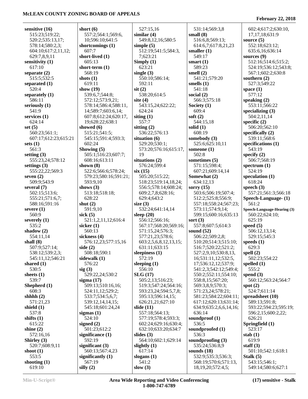| short $(6)$<br>527:15,16<br>sensitive (16)<br>531:14;569:3,8<br>602:4;617:2;630:10,<br>515:23;519:22;<br>557:2;564:1;569:6,<br>similar $(4)$<br>small $(8)$<br>17, 17, 18; 631: 9<br>520:2;535:13,17;<br>10;596:10;641:5<br>549:8,12,16;580:5<br>516:6,8;569:13;<br>source $(5)$<br>552:18;623:12;<br>shortcomings (1)<br>614:6,7;617:8,21,23<br>578:14;580:2,3;<br>simple $(5)$<br>607:7<br>604:10;617:2,11,12;<br>512:19;541:5;584:3,<br>smaller $(1)$<br>635:6,16;636:14<br>629:7,8,9,11<br>short-lived (1)<br>549:17<br>7;623:21<br>sources $(9)$<br>605:13<br>sensitivity (1)<br>Simply $(1)$<br>smart $(1)$<br>512:16;514:6;515:2;<br>617:10<br>short-term $(1)$<br>623:21<br>589:23<br>524:19;536:12;543:8;<br>568:19<br>single $(3)$<br>smell $(2)$<br>567:1;602:2;630:8<br>separate $(2)$<br>550:10;586:14;<br>515:5;532:5<br>shots $(1)$<br>541:21;579:20<br>southern $(2)$<br>619:11<br>592:11<br>527:3;549:22<br>smells $(1)$<br>separated $(1)$<br>520:4<br>show $(19)$<br>$s$ it $(2)$<br>541:18<br>space $(1)$<br>539:6,7;544:8;<br>538:20;614:5<br>577:12<br>social $(2)$<br>separately $(1)$<br>586:11<br>572:12;573:9,21;<br>site $(4)$<br>566:3;575:18<br>speaking $(2)$<br>553:11;566:22<br>seriously $(1)$<br>578:14;586:4;588:11,<br>543:15,24;622:22;<br>Society (1)<br>609:4<br>541:9<br>14;589:7;603:6,14;<br>624:24<br>specializing $(3)$<br>siting $(1)$<br>soft $(2)$<br>services $(1)$<br>607:8;612:24;620:17,<br>504:2,11,14<br>624:14<br>557:7<br>19;628:22;638:1<br>544:15,18<br>specific $(2)$<br>set $(5)$<br>showed (6)<br>sitting $(2)$<br>506:20;562:10<br>solid $(1)$<br>608:19<br>560:23;561:1;<br>515:21;541:5;<br>536:22;576:13<br>specifically $(2)$<br>607:17;612:23;615:21<br>545:15;591:4;593:3;<br>situation $(6)$<br>somebody (3)<br>539:11;568:6<br>602:24<br>specifications (1)<br>529:20;530:1;<br>525:6;625:10,11<br>sets $(1)$<br>543:19<br>561:3<br>Showing $(5)$<br>573:20;576:16;615:17,<br>someone $(1)$<br>505:1;516:23;607:7;<br>19<br>502:8<br>specify $(2)$<br>setting $(3)$<br>situations (2)<br>sometimes (5)<br>555:23,24;578:12<br>608:16;613:11<br>506:7;568:19<br>shown $(8)$<br>576:24;599:4<br>571:15;598:4;<br>settings $(3)$<br>spectrum $(1)$<br>six(15)<br>524:19<br>555:22,22;569:3<br>522:6;566:6;578:24;<br>607:21;609:14,14<br>505:20;515:22;<br>seven $(2)$<br>579:23;580:16;591:21;<br>Somewhat (2)<br>speculation $(1)$<br>509:9;543:9<br>593:9,10<br>634:12,13<br>618:24<br>518:23;519:14,18,24;<br>shows $(3)$<br>556:5;578:14;608:24;<br>sorry $(15)$<br>speech $(3)$<br>several $(7)$<br>513:18;518:18;<br>503:6;506:19;507:4;<br>557:21;561:3;566:18<br>502:15;513:6;<br>609:2,7,8;628:16;<br>628:22<br>555:21;571:6,7;<br>629:4;643:2<br>512:2;525:8;556:9;<br>Speech-Language- (1)<br>561:2<br>588:16;591:16<br>shut $(2)$<br>size $(3)$<br>557:18;558:24;567:23;<br>591:9,10<br>532:24;641:14,14<br>severe $(1)$<br>573:11;574:9,14;<br>Speech-Language-Hearing (3)<br>560:9<br>sick $(5)$<br>sleep $(20)$<br>599:15;600:16;635:13<br>560:22;624:10;<br>sort $(3)$<br>625:19<br>521:1,2,11,12;616:4<br>556:12;566:16;<br>severely $(1)$<br>535:2<br>557:8;607:5;614:3<br>speed $(5)$<br>sicker $(1)$<br>567:17;568:20;569:16;<br>560:13<br>571:15,24;576:3;<br>shadow $(2)$<br>sound $(52)$<br>506:12,13,14;<br>sickness $(4)$<br>577:21,23;578:6;<br>506:22;509:2,8;<br>529:15;545:3<br>554:11,14<br>shall $(8)$<br>576:12,23;577:15,16<br>speeds $(1)$<br>603:2,5,6,8,12,13,15;<br>510:20;514:3;515:10;<br>629:3<br>507:9;527:14;<br>side $(2)$<br>631:11;633:15<br>516:7;520:22;521:2;<br>538:12;539:2,3;<br>508:18;590:1<br>sleepiness $(1)$<br>527:2,9,10;530:8,13,<br>spell $(2)$<br>572:19<br>545:11,12;546:21<br>sidewalk (1)<br>16;531:11,12;532:5,<br>502:23;554:22<br>576:22<br>sleeping $(1)$<br>17;536:12,12;537:9;<br>shared $(1)$<br>spelled $(1)$<br>530:5<br>sig(3)<br>556:10<br>541:2,3;542:12;549:4;<br>555:2<br>SLG(17)<br>sheets $(1)$<br>529:22,24;530:2<br>550:2;552:11;554:10;<br>spend $(3)$<br>539:7<br>505:2,13;516:23;<br>558:8,15;567:20;<br>560:12;563:24;564:7<br>sigma $(17)$<br>509:13;510:16,16;<br>Shepherd (1)<br>519:3;547:24;564:16;<br>569:3,8,9;570:3;<br>spot $(2)$<br>608:3<br>593:23,24;594:5,7,8;<br>571:23,24;578:21;<br>524:7;611:14<br>524:11,12;529:2;<br>shhhh $(2)$<br>595:13;596:14,15;<br>581:23;584:22;604:11;<br>spreadsheet (10)<br>533:7;534:5,6,7;<br>571:21,23<br>539:12,14,14,15;<br>626:21,21;627:10<br>617:12;620:13;631:14;<br>589:13;591:8;<br>slide $(11)$<br>shield (1)<br>545:18;601:24,24<br>634:9;635:2,6,6,14,16;<br>593:22;594:23;595:19;<br>537:8<br>636:14<br>sigmas $(1)$<br>557:18;564:13;<br>596:2,15;600:2,22;<br>shifts $(1)$<br>524:10<br>577:19;578:4;593:3;<br>soundproof $(1)$<br>626:21<br>signed $(2)$<br>536:5<br>Springfield (1)<br>615:22<br>602:24;629:16;630:4;<br>shine $(2)$<br>501:23;612:2<br>632:10;633:20;634:7<br>soundproofed (1)<br>523:17<br>572:16,16<br>significance $(1)$<br>slides $(3)$<br>536:3<br>stab $(1)$<br>564:10;602:1;629:14<br>619:9<br>Shirley (3)<br>592:19<br>soundproofing $(3)$<br>520:7;608:9,11<br>significant $(3)$<br>535:24;536:8,9<br>staff $(3)$<br>slightly $(1)$<br>560:13;567:4,23<br>617:14<br>sounds $(18)$<br>501:10;542:1;618:1<br>shoot $(1)$<br>553:5<br>Stalk $(5)$<br>significantly $(1)$<br>532:9;535:3;536:3;<br>slogans $(1)$<br>567:19<br>541:2<br>shooting $(1)$<br>568:19;570:6;571:13,<br>543:15;546:1; |        |             |            |                        |                    |
|-----------------------------------------------------------------------------------------------------------------------------------------------------------------------------------------------------------------------------------------------------------------------------------------------------------------------------------------------------------------------------------------------------------------------------------------------------------------------------------------------------------------------------------------------------------------------------------------------------------------------------------------------------------------------------------------------------------------------------------------------------------------------------------------------------------------------------------------------------------------------------------------------------------------------------------------------------------------------------------------------------------------------------------------------------------------------------------------------------------------------------------------------------------------------------------------------------------------------------------------------------------------------------------------------------------------------------------------------------------------------------------------------------------------------------------------------------------------------------------------------------------------------------------------------------------------------------------------------------------------------------------------------------------------------------------------------------------------------------------------------------------------------------------------------------------------------------------------------------------------------------------------------------------------------------------------------------------------------------------------------------------------------------------------------------------------------------------------------------------------------------------------------------------------------------------------------------------------------------------------------------------------------------------------------------------------------------------------------------------------------------------------------------------------------------------------------------------------------------------------------------------------------------------------------------------------------------------------------------------------------------------------------------------------------------------------------------------------------------------------------------------------------------------------------------------------------------------------------------------------------------------------------------------------------------------------------------------------------------------------------------------------------------------------------------------------------------------------------------------------------------------------------------------------------------------------------------------------------------------------------------------------------------------------------------------------------------------------------------------------------------------------------------------------------------------------------------------------------------------------------------------------------------------------------------------------------------------------------------------------------------------------------------------------------------------------------------------------------------------------------------------------------------------------------------------------------------------------------------------------------------------------------------------------------------------------------------------------------------------------------------------------------------------------------------------------------------------------------------------------------------------------------------------------------------------------------------------------------------------------------------------------------------------------------------------------------------------------------------------------------------------------------------------------------------------------------------------------------------------------------------------------------------------------------------------------------------------------------------------------------------------------------------------------------------------------------------------------------------------------------------------------------------------------------------------------------------------------------------------------------------------------------------------------------------------------------------------------------------------------------------------------------------------------------------------------------------------------------------------------------------------------------------------------------------------------------------------------------------------------------------------------------------------------------------------------------------------------------------------------------------------------------------------------------------------------------|--------|-------------|------------|------------------------|--------------------|
|                                                                                                                                                                                                                                                                                                                                                                                                                                                                                                                                                                                                                                                                                                                                                                                                                                                                                                                                                                                                                                                                                                                                                                                                                                                                                                                                                                                                                                                                                                                                                                                                                                                                                                                                                                                                                                                                                                                                                                                                                                                                                                                                                                                                                                                                                                                                                                                                                                                                                                                                                                                                                                                                                                                                                                                                                                                                                                                                                                                                                                                                                                                                                                                                                                                                                                                                                                                                                                                                                                                                                                                                                                                                                                                                                                                                                                                                                                                                                                                                                                                                                                                                                                                                                                                                                                                                                                                                                                                                                                                                                                                                                                                                                                                                                                                                                                                                                                                                                                                                                                                                                                                                                                                                                                                                                                                                                                                                                                               |        |             |            |                        |                    |
|                                                                                                                                                                                                                                                                                                                                                                                                                                                                                                                                                                                                                                                                                                                                                                                                                                                                                                                                                                                                                                                                                                                                                                                                                                                                                                                                                                                                                                                                                                                                                                                                                                                                                                                                                                                                                                                                                                                                                                                                                                                                                                                                                                                                                                                                                                                                                                                                                                                                                                                                                                                                                                                                                                                                                                                                                                                                                                                                                                                                                                                                                                                                                                                                                                                                                                                                                                                                                                                                                                                                                                                                                                                                                                                                                                                                                                                                                                                                                                                                                                                                                                                                                                                                                                                                                                                                                                                                                                                                                                                                                                                                                                                                                                                                                                                                                                                                                                                                                                                                                                                                                                                                                                                                                                                                                                                                                                                                                                               |        |             |            |                        |                    |
|                                                                                                                                                                                                                                                                                                                                                                                                                                                                                                                                                                                                                                                                                                                                                                                                                                                                                                                                                                                                                                                                                                                                                                                                                                                                                                                                                                                                                                                                                                                                                                                                                                                                                                                                                                                                                                                                                                                                                                                                                                                                                                                                                                                                                                                                                                                                                                                                                                                                                                                                                                                                                                                                                                                                                                                                                                                                                                                                                                                                                                                                                                                                                                                                                                                                                                                                                                                                                                                                                                                                                                                                                                                                                                                                                                                                                                                                                                                                                                                                                                                                                                                                                                                                                                                                                                                                                                                                                                                                                                                                                                                                                                                                                                                                                                                                                                                                                                                                                                                                                                                                                                                                                                                                                                                                                                                                                                                                                                               |        |             |            |                        |                    |
|                                                                                                                                                                                                                                                                                                                                                                                                                                                                                                                                                                                                                                                                                                                                                                                                                                                                                                                                                                                                                                                                                                                                                                                                                                                                                                                                                                                                                                                                                                                                                                                                                                                                                                                                                                                                                                                                                                                                                                                                                                                                                                                                                                                                                                                                                                                                                                                                                                                                                                                                                                                                                                                                                                                                                                                                                                                                                                                                                                                                                                                                                                                                                                                                                                                                                                                                                                                                                                                                                                                                                                                                                                                                                                                                                                                                                                                                                                                                                                                                                                                                                                                                                                                                                                                                                                                                                                                                                                                                                                                                                                                                                                                                                                                                                                                                                                                                                                                                                                                                                                                                                                                                                                                                                                                                                                                                                                                                                                               |        |             |            |                        |                    |
|                                                                                                                                                                                                                                                                                                                                                                                                                                                                                                                                                                                                                                                                                                                                                                                                                                                                                                                                                                                                                                                                                                                                                                                                                                                                                                                                                                                                                                                                                                                                                                                                                                                                                                                                                                                                                                                                                                                                                                                                                                                                                                                                                                                                                                                                                                                                                                                                                                                                                                                                                                                                                                                                                                                                                                                                                                                                                                                                                                                                                                                                                                                                                                                                                                                                                                                                                                                                                                                                                                                                                                                                                                                                                                                                                                                                                                                                                                                                                                                                                                                                                                                                                                                                                                                                                                                                                                                                                                                                                                                                                                                                                                                                                                                                                                                                                                                                                                                                                                                                                                                                                                                                                                                                                                                                                                                                                                                                                                               |        |             |            |                        |                    |
|                                                                                                                                                                                                                                                                                                                                                                                                                                                                                                                                                                                                                                                                                                                                                                                                                                                                                                                                                                                                                                                                                                                                                                                                                                                                                                                                                                                                                                                                                                                                                                                                                                                                                                                                                                                                                                                                                                                                                                                                                                                                                                                                                                                                                                                                                                                                                                                                                                                                                                                                                                                                                                                                                                                                                                                                                                                                                                                                                                                                                                                                                                                                                                                                                                                                                                                                                                                                                                                                                                                                                                                                                                                                                                                                                                                                                                                                                                                                                                                                                                                                                                                                                                                                                                                                                                                                                                                                                                                                                                                                                                                                                                                                                                                                                                                                                                                                                                                                                                                                                                                                                                                                                                                                                                                                                                                                                                                                                                               |        |             |            |                        |                    |
|                                                                                                                                                                                                                                                                                                                                                                                                                                                                                                                                                                                                                                                                                                                                                                                                                                                                                                                                                                                                                                                                                                                                                                                                                                                                                                                                                                                                                                                                                                                                                                                                                                                                                                                                                                                                                                                                                                                                                                                                                                                                                                                                                                                                                                                                                                                                                                                                                                                                                                                                                                                                                                                                                                                                                                                                                                                                                                                                                                                                                                                                                                                                                                                                                                                                                                                                                                                                                                                                                                                                                                                                                                                                                                                                                                                                                                                                                                                                                                                                                                                                                                                                                                                                                                                                                                                                                                                                                                                                                                                                                                                                                                                                                                                                                                                                                                                                                                                                                                                                                                                                                                                                                                                                                                                                                                                                                                                                                                               |        |             |            |                        |                    |
|                                                                                                                                                                                                                                                                                                                                                                                                                                                                                                                                                                                                                                                                                                                                                                                                                                                                                                                                                                                                                                                                                                                                                                                                                                                                                                                                                                                                                                                                                                                                                                                                                                                                                                                                                                                                                                                                                                                                                                                                                                                                                                                                                                                                                                                                                                                                                                                                                                                                                                                                                                                                                                                                                                                                                                                                                                                                                                                                                                                                                                                                                                                                                                                                                                                                                                                                                                                                                                                                                                                                                                                                                                                                                                                                                                                                                                                                                                                                                                                                                                                                                                                                                                                                                                                                                                                                                                                                                                                                                                                                                                                                                                                                                                                                                                                                                                                                                                                                                                                                                                                                                                                                                                                                                                                                                                                                                                                                                                               |        |             |            |                        |                    |
|                                                                                                                                                                                                                                                                                                                                                                                                                                                                                                                                                                                                                                                                                                                                                                                                                                                                                                                                                                                                                                                                                                                                                                                                                                                                                                                                                                                                                                                                                                                                                                                                                                                                                                                                                                                                                                                                                                                                                                                                                                                                                                                                                                                                                                                                                                                                                                                                                                                                                                                                                                                                                                                                                                                                                                                                                                                                                                                                                                                                                                                                                                                                                                                                                                                                                                                                                                                                                                                                                                                                                                                                                                                                                                                                                                                                                                                                                                                                                                                                                                                                                                                                                                                                                                                                                                                                                                                                                                                                                                                                                                                                                                                                                                                                                                                                                                                                                                                                                                                                                                                                                                                                                                                                                                                                                                                                                                                                                                               |        |             |            |                        |                    |
|                                                                                                                                                                                                                                                                                                                                                                                                                                                                                                                                                                                                                                                                                                                                                                                                                                                                                                                                                                                                                                                                                                                                                                                                                                                                                                                                                                                                                                                                                                                                                                                                                                                                                                                                                                                                                                                                                                                                                                                                                                                                                                                                                                                                                                                                                                                                                                                                                                                                                                                                                                                                                                                                                                                                                                                                                                                                                                                                                                                                                                                                                                                                                                                                                                                                                                                                                                                                                                                                                                                                                                                                                                                                                                                                                                                                                                                                                                                                                                                                                                                                                                                                                                                                                                                                                                                                                                                                                                                                                                                                                                                                                                                                                                                                                                                                                                                                                                                                                                                                                                                                                                                                                                                                                                                                                                                                                                                                                                               |        |             |            |                        |                    |
|                                                                                                                                                                                                                                                                                                                                                                                                                                                                                                                                                                                                                                                                                                                                                                                                                                                                                                                                                                                                                                                                                                                                                                                                                                                                                                                                                                                                                                                                                                                                                                                                                                                                                                                                                                                                                                                                                                                                                                                                                                                                                                                                                                                                                                                                                                                                                                                                                                                                                                                                                                                                                                                                                                                                                                                                                                                                                                                                                                                                                                                                                                                                                                                                                                                                                                                                                                                                                                                                                                                                                                                                                                                                                                                                                                                                                                                                                                                                                                                                                                                                                                                                                                                                                                                                                                                                                                                                                                                                                                                                                                                                                                                                                                                                                                                                                                                                                                                                                                                                                                                                                                                                                                                                                                                                                                                                                                                                                                               |        |             |            |                        |                    |
|                                                                                                                                                                                                                                                                                                                                                                                                                                                                                                                                                                                                                                                                                                                                                                                                                                                                                                                                                                                                                                                                                                                                                                                                                                                                                                                                                                                                                                                                                                                                                                                                                                                                                                                                                                                                                                                                                                                                                                                                                                                                                                                                                                                                                                                                                                                                                                                                                                                                                                                                                                                                                                                                                                                                                                                                                                                                                                                                                                                                                                                                                                                                                                                                                                                                                                                                                                                                                                                                                                                                                                                                                                                                                                                                                                                                                                                                                                                                                                                                                                                                                                                                                                                                                                                                                                                                                                                                                                                                                                                                                                                                                                                                                                                                                                                                                                                                                                                                                                                                                                                                                                                                                                                                                                                                                                                                                                                                                                               |        |             |            |                        |                    |
|                                                                                                                                                                                                                                                                                                                                                                                                                                                                                                                                                                                                                                                                                                                                                                                                                                                                                                                                                                                                                                                                                                                                                                                                                                                                                                                                                                                                                                                                                                                                                                                                                                                                                                                                                                                                                                                                                                                                                                                                                                                                                                                                                                                                                                                                                                                                                                                                                                                                                                                                                                                                                                                                                                                                                                                                                                                                                                                                                                                                                                                                                                                                                                                                                                                                                                                                                                                                                                                                                                                                                                                                                                                                                                                                                                                                                                                                                                                                                                                                                                                                                                                                                                                                                                                                                                                                                                                                                                                                                                                                                                                                                                                                                                                                                                                                                                                                                                                                                                                                                                                                                                                                                                                                                                                                                                                                                                                                                                               |        |             |            |                        |                    |
|                                                                                                                                                                                                                                                                                                                                                                                                                                                                                                                                                                                                                                                                                                                                                                                                                                                                                                                                                                                                                                                                                                                                                                                                                                                                                                                                                                                                                                                                                                                                                                                                                                                                                                                                                                                                                                                                                                                                                                                                                                                                                                                                                                                                                                                                                                                                                                                                                                                                                                                                                                                                                                                                                                                                                                                                                                                                                                                                                                                                                                                                                                                                                                                                                                                                                                                                                                                                                                                                                                                                                                                                                                                                                                                                                                                                                                                                                                                                                                                                                                                                                                                                                                                                                                                                                                                                                                                                                                                                                                                                                                                                                                                                                                                                                                                                                                                                                                                                                                                                                                                                                                                                                                                                                                                                                                                                                                                                                                               |        |             |            |                        |                    |
|                                                                                                                                                                                                                                                                                                                                                                                                                                                                                                                                                                                                                                                                                                                                                                                                                                                                                                                                                                                                                                                                                                                                                                                                                                                                                                                                                                                                                                                                                                                                                                                                                                                                                                                                                                                                                                                                                                                                                                                                                                                                                                                                                                                                                                                                                                                                                                                                                                                                                                                                                                                                                                                                                                                                                                                                                                                                                                                                                                                                                                                                                                                                                                                                                                                                                                                                                                                                                                                                                                                                                                                                                                                                                                                                                                                                                                                                                                                                                                                                                                                                                                                                                                                                                                                                                                                                                                                                                                                                                                                                                                                                                                                                                                                                                                                                                                                                                                                                                                                                                                                                                                                                                                                                                                                                                                                                                                                                                                               |        |             |            |                        |                    |
|                                                                                                                                                                                                                                                                                                                                                                                                                                                                                                                                                                                                                                                                                                                                                                                                                                                                                                                                                                                                                                                                                                                                                                                                                                                                                                                                                                                                                                                                                                                                                                                                                                                                                                                                                                                                                                                                                                                                                                                                                                                                                                                                                                                                                                                                                                                                                                                                                                                                                                                                                                                                                                                                                                                                                                                                                                                                                                                                                                                                                                                                                                                                                                                                                                                                                                                                                                                                                                                                                                                                                                                                                                                                                                                                                                                                                                                                                                                                                                                                                                                                                                                                                                                                                                                                                                                                                                                                                                                                                                                                                                                                                                                                                                                                                                                                                                                                                                                                                                                                                                                                                                                                                                                                                                                                                                                                                                                                                                               |        |             |            |                        |                    |
|                                                                                                                                                                                                                                                                                                                                                                                                                                                                                                                                                                                                                                                                                                                                                                                                                                                                                                                                                                                                                                                                                                                                                                                                                                                                                                                                                                                                                                                                                                                                                                                                                                                                                                                                                                                                                                                                                                                                                                                                                                                                                                                                                                                                                                                                                                                                                                                                                                                                                                                                                                                                                                                                                                                                                                                                                                                                                                                                                                                                                                                                                                                                                                                                                                                                                                                                                                                                                                                                                                                                                                                                                                                                                                                                                                                                                                                                                                                                                                                                                                                                                                                                                                                                                                                                                                                                                                                                                                                                                                                                                                                                                                                                                                                                                                                                                                                                                                                                                                                                                                                                                                                                                                                                                                                                                                                                                                                                                                               |        |             |            |                        |                    |
|                                                                                                                                                                                                                                                                                                                                                                                                                                                                                                                                                                                                                                                                                                                                                                                                                                                                                                                                                                                                                                                                                                                                                                                                                                                                                                                                                                                                                                                                                                                                                                                                                                                                                                                                                                                                                                                                                                                                                                                                                                                                                                                                                                                                                                                                                                                                                                                                                                                                                                                                                                                                                                                                                                                                                                                                                                                                                                                                                                                                                                                                                                                                                                                                                                                                                                                                                                                                                                                                                                                                                                                                                                                                                                                                                                                                                                                                                                                                                                                                                                                                                                                                                                                                                                                                                                                                                                                                                                                                                                                                                                                                                                                                                                                                                                                                                                                                                                                                                                                                                                                                                                                                                                                                                                                                                                                                                                                                                                               |        |             |            |                        |                    |
|                                                                                                                                                                                                                                                                                                                                                                                                                                                                                                                                                                                                                                                                                                                                                                                                                                                                                                                                                                                                                                                                                                                                                                                                                                                                                                                                                                                                                                                                                                                                                                                                                                                                                                                                                                                                                                                                                                                                                                                                                                                                                                                                                                                                                                                                                                                                                                                                                                                                                                                                                                                                                                                                                                                                                                                                                                                                                                                                                                                                                                                                                                                                                                                                                                                                                                                                                                                                                                                                                                                                                                                                                                                                                                                                                                                                                                                                                                                                                                                                                                                                                                                                                                                                                                                                                                                                                                                                                                                                                                                                                                                                                                                                                                                                                                                                                                                                                                                                                                                                                                                                                                                                                                                                                                                                                                                                                                                                                                               |        |             |            |                        |                    |
|                                                                                                                                                                                                                                                                                                                                                                                                                                                                                                                                                                                                                                                                                                                                                                                                                                                                                                                                                                                                                                                                                                                                                                                                                                                                                                                                                                                                                                                                                                                                                                                                                                                                                                                                                                                                                                                                                                                                                                                                                                                                                                                                                                                                                                                                                                                                                                                                                                                                                                                                                                                                                                                                                                                                                                                                                                                                                                                                                                                                                                                                                                                                                                                                                                                                                                                                                                                                                                                                                                                                                                                                                                                                                                                                                                                                                                                                                                                                                                                                                                                                                                                                                                                                                                                                                                                                                                                                                                                                                                                                                                                                                                                                                                                                                                                                                                                                                                                                                                                                                                                                                                                                                                                                                                                                                                                                                                                                                                               |        |             |            |                        |                    |
|                                                                                                                                                                                                                                                                                                                                                                                                                                                                                                                                                                                                                                                                                                                                                                                                                                                                                                                                                                                                                                                                                                                                                                                                                                                                                                                                                                                                                                                                                                                                                                                                                                                                                                                                                                                                                                                                                                                                                                                                                                                                                                                                                                                                                                                                                                                                                                                                                                                                                                                                                                                                                                                                                                                                                                                                                                                                                                                                                                                                                                                                                                                                                                                                                                                                                                                                                                                                                                                                                                                                                                                                                                                                                                                                                                                                                                                                                                                                                                                                                                                                                                                                                                                                                                                                                                                                                                                                                                                                                                                                                                                                                                                                                                                                                                                                                                                                                                                                                                                                                                                                                                                                                                                                                                                                                                                                                                                                                                               |        |             |            |                        |                    |
|                                                                                                                                                                                                                                                                                                                                                                                                                                                                                                                                                                                                                                                                                                                                                                                                                                                                                                                                                                                                                                                                                                                                                                                                                                                                                                                                                                                                                                                                                                                                                                                                                                                                                                                                                                                                                                                                                                                                                                                                                                                                                                                                                                                                                                                                                                                                                                                                                                                                                                                                                                                                                                                                                                                                                                                                                                                                                                                                                                                                                                                                                                                                                                                                                                                                                                                                                                                                                                                                                                                                                                                                                                                                                                                                                                                                                                                                                                                                                                                                                                                                                                                                                                                                                                                                                                                                                                                                                                                                                                                                                                                                                                                                                                                                                                                                                                                                                                                                                                                                                                                                                                                                                                                                                                                                                                                                                                                                                                               |        |             |            |                        |                    |
|                                                                                                                                                                                                                                                                                                                                                                                                                                                                                                                                                                                                                                                                                                                                                                                                                                                                                                                                                                                                                                                                                                                                                                                                                                                                                                                                                                                                                                                                                                                                                                                                                                                                                                                                                                                                                                                                                                                                                                                                                                                                                                                                                                                                                                                                                                                                                                                                                                                                                                                                                                                                                                                                                                                                                                                                                                                                                                                                                                                                                                                                                                                                                                                                                                                                                                                                                                                                                                                                                                                                                                                                                                                                                                                                                                                                                                                                                                                                                                                                                                                                                                                                                                                                                                                                                                                                                                                                                                                                                                                                                                                                                                                                                                                                                                                                                                                                                                                                                                                                                                                                                                                                                                                                                                                                                                                                                                                                                                               |        |             |            |                        |                    |
|                                                                                                                                                                                                                                                                                                                                                                                                                                                                                                                                                                                                                                                                                                                                                                                                                                                                                                                                                                                                                                                                                                                                                                                                                                                                                                                                                                                                                                                                                                                                                                                                                                                                                                                                                                                                                                                                                                                                                                                                                                                                                                                                                                                                                                                                                                                                                                                                                                                                                                                                                                                                                                                                                                                                                                                                                                                                                                                                                                                                                                                                                                                                                                                                                                                                                                                                                                                                                                                                                                                                                                                                                                                                                                                                                                                                                                                                                                                                                                                                                                                                                                                                                                                                                                                                                                                                                                                                                                                                                                                                                                                                                                                                                                                                                                                                                                                                                                                                                                                                                                                                                                                                                                                                                                                                                                                                                                                                                                               |        |             |            |                        |                    |
|                                                                                                                                                                                                                                                                                                                                                                                                                                                                                                                                                                                                                                                                                                                                                                                                                                                                                                                                                                                                                                                                                                                                                                                                                                                                                                                                                                                                                                                                                                                                                                                                                                                                                                                                                                                                                                                                                                                                                                                                                                                                                                                                                                                                                                                                                                                                                                                                                                                                                                                                                                                                                                                                                                                                                                                                                                                                                                                                                                                                                                                                                                                                                                                                                                                                                                                                                                                                                                                                                                                                                                                                                                                                                                                                                                                                                                                                                                                                                                                                                                                                                                                                                                                                                                                                                                                                                                                                                                                                                                                                                                                                                                                                                                                                                                                                                                                                                                                                                                                                                                                                                                                                                                                                                                                                                                                                                                                                                                               |        |             |            |                        |                    |
|                                                                                                                                                                                                                                                                                                                                                                                                                                                                                                                                                                                                                                                                                                                                                                                                                                                                                                                                                                                                                                                                                                                                                                                                                                                                                                                                                                                                                                                                                                                                                                                                                                                                                                                                                                                                                                                                                                                                                                                                                                                                                                                                                                                                                                                                                                                                                                                                                                                                                                                                                                                                                                                                                                                                                                                                                                                                                                                                                                                                                                                                                                                                                                                                                                                                                                                                                                                                                                                                                                                                                                                                                                                                                                                                                                                                                                                                                                                                                                                                                                                                                                                                                                                                                                                                                                                                                                                                                                                                                                                                                                                                                                                                                                                                                                                                                                                                                                                                                                                                                                                                                                                                                                                                                                                                                                                                                                                                                                               |        |             |            |                        |                    |
|                                                                                                                                                                                                                                                                                                                                                                                                                                                                                                                                                                                                                                                                                                                                                                                                                                                                                                                                                                                                                                                                                                                                                                                                                                                                                                                                                                                                                                                                                                                                                                                                                                                                                                                                                                                                                                                                                                                                                                                                                                                                                                                                                                                                                                                                                                                                                                                                                                                                                                                                                                                                                                                                                                                                                                                                                                                                                                                                                                                                                                                                                                                                                                                                                                                                                                                                                                                                                                                                                                                                                                                                                                                                                                                                                                                                                                                                                                                                                                                                                                                                                                                                                                                                                                                                                                                                                                                                                                                                                                                                                                                                                                                                                                                                                                                                                                                                                                                                                                                                                                                                                                                                                                                                                                                                                                                                                                                                                                               |        |             |            |                        |                    |
|                                                                                                                                                                                                                                                                                                                                                                                                                                                                                                                                                                                                                                                                                                                                                                                                                                                                                                                                                                                                                                                                                                                                                                                                                                                                                                                                                                                                                                                                                                                                                                                                                                                                                                                                                                                                                                                                                                                                                                                                                                                                                                                                                                                                                                                                                                                                                                                                                                                                                                                                                                                                                                                                                                                                                                                                                                                                                                                                                                                                                                                                                                                                                                                                                                                                                                                                                                                                                                                                                                                                                                                                                                                                                                                                                                                                                                                                                                                                                                                                                                                                                                                                                                                                                                                                                                                                                                                                                                                                                                                                                                                                                                                                                                                                                                                                                                                                                                                                                                                                                                                                                                                                                                                                                                                                                                                                                                                                                                               |        |             |            |                        |                    |
|                                                                                                                                                                                                                                                                                                                                                                                                                                                                                                                                                                                                                                                                                                                                                                                                                                                                                                                                                                                                                                                                                                                                                                                                                                                                                                                                                                                                                                                                                                                                                                                                                                                                                                                                                                                                                                                                                                                                                                                                                                                                                                                                                                                                                                                                                                                                                                                                                                                                                                                                                                                                                                                                                                                                                                                                                                                                                                                                                                                                                                                                                                                                                                                                                                                                                                                                                                                                                                                                                                                                                                                                                                                                                                                                                                                                                                                                                                                                                                                                                                                                                                                                                                                                                                                                                                                                                                                                                                                                                                                                                                                                                                                                                                                                                                                                                                                                                                                                                                                                                                                                                                                                                                                                                                                                                                                                                                                                                                               |        |             |            |                        |                    |
|                                                                                                                                                                                                                                                                                                                                                                                                                                                                                                                                                                                                                                                                                                                                                                                                                                                                                                                                                                                                                                                                                                                                                                                                                                                                                                                                                                                                                                                                                                                                                                                                                                                                                                                                                                                                                                                                                                                                                                                                                                                                                                                                                                                                                                                                                                                                                                                                                                                                                                                                                                                                                                                                                                                                                                                                                                                                                                                                                                                                                                                                                                                                                                                                                                                                                                                                                                                                                                                                                                                                                                                                                                                                                                                                                                                                                                                                                                                                                                                                                                                                                                                                                                                                                                                                                                                                                                                                                                                                                                                                                                                                                                                                                                                                                                                                                                                                                                                                                                                                                                                                                                                                                                                                                                                                                                                                                                                                                                               |        |             |            |                        |                    |
|                                                                                                                                                                                                                                                                                                                                                                                                                                                                                                                                                                                                                                                                                                                                                                                                                                                                                                                                                                                                                                                                                                                                                                                                                                                                                                                                                                                                                                                                                                                                                                                                                                                                                                                                                                                                                                                                                                                                                                                                                                                                                                                                                                                                                                                                                                                                                                                                                                                                                                                                                                                                                                                                                                                                                                                                                                                                                                                                                                                                                                                                                                                                                                                                                                                                                                                                                                                                                                                                                                                                                                                                                                                                                                                                                                                                                                                                                                                                                                                                                                                                                                                                                                                                                                                                                                                                                                                                                                                                                                                                                                                                                                                                                                                                                                                                                                                                                                                                                                                                                                                                                                                                                                                                                                                                                                                                                                                                                                               |        |             |            |                        |                    |
|                                                                                                                                                                                                                                                                                                                                                                                                                                                                                                                                                                                                                                                                                                                                                                                                                                                                                                                                                                                                                                                                                                                                                                                                                                                                                                                                                                                                                                                                                                                                                                                                                                                                                                                                                                                                                                                                                                                                                                                                                                                                                                                                                                                                                                                                                                                                                                                                                                                                                                                                                                                                                                                                                                                                                                                                                                                                                                                                                                                                                                                                                                                                                                                                                                                                                                                                                                                                                                                                                                                                                                                                                                                                                                                                                                                                                                                                                                                                                                                                                                                                                                                                                                                                                                                                                                                                                                                                                                                                                                                                                                                                                                                                                                                                                                                                                                                                                                                                                                                                                                                                                                                                                                                                                                                                                                                                                                                                                                               |        |             |            |                        |                    |
|                                                                                                                                                                                                                                                                                                                                                                                                                                                                                                                                                                                                                                                                                                                                                                                                                                                                                                                                                                                                                                                                                                                                                                                                                                                                                                                                                                                                                                                                                                                                                                                                                                                                                                                                                                                                                                                                                                                                                                                                                                                                                                                                                                                                                                                                                                                                                                                                                                                                                                                                                                                                                                                                                                                                                                                                                                                                                                                                                                                                                                                                                                                                                                                                                                                                                                                                                                                                                                                                                                                                                                                                                                                                                                                                                                                                                                                                                                                                                                                                                                                                                                                                                                                                                                                                                                                                                                                                                                                                                                                                                                                                                                                                                                                                                                                                                                                                                                                                                                                                                                                                                                                                                                                                                                                                                                                                                                                                                                               |        |             |            |                        |                    |
|                                                                                                                                                                                                                                                                                                                                                                                                                                                                                                                                                                                                                                                                                                                                                                                                                                                                                                                                                                                                                                                                                                                                                                                                                                                                                                                                                                                                                                                                                                                                                                                                                                                                                                                                                                                                                                                                                                                                                                                                                                                                                                                                                                                                                                                                                                                                                                                                                                                                                                                                                                                                                                                                                                                                                                                                                                                                                                                                                                                                                                                                                                                                                                                                                                                                                                                                                                                                                                                                                                                                                                                                                                                                                                                                                                                                                                                                                                                                                                                                                                                                                                                                                                                                                                                                                                                                                                                                                                                                                                                                                                                                                                                                                                                                                                                                                                                                                                                                                                                                                                                                                                                                                                                                                                                                                                                                                                                                                                               |        |             |            |                        |                    |
|                                                                                                                                                                                                                                                                                                                                                                                                                                                                                                                                                                                                                                                                                                                                                                                                                                                                                                                                                                                                                                                                                                                                                                                                                                                                                                                                                                                                                                                                                                                                                                                                                                                                                                                                                                                                                                                                                                                                                                                                                                                                                                                                                                                                                                                                                                                                                                                                                                                                                                                                                                                                                                                                                                                                                                                                                                                                                                                                                                                                                                                                                                                                                                                                                                                                                                                                                                                                                                                                                                                                                                                                                                                                                                                                                                                                                                                                                                                                                                                                                                                                                                                                                                                                                                                                                                                                                                                                                                                                                                                                                                                                                                                                                                                                                                                                                                                                                                                                                                                                                                                                                                                                                                                                                                                                                                                                                                                                                                               |        |             |            |                        |                    |
|                                                                                                                                                                                                                                                                                                                                                                                                                                                                                                                                                                                                                                                                                                                                                                                                                                                                                                                                                                                                                                                                                                                                                                                                                                                                                                                                                                                                                                                                                                                                                                                                                                                                                                                                                                                                                                                                                                                                                                                                                                                                                                                                                                                                                                                                                                                                                                                                                                                                                                                                                                                                                                                                                                                                                                                                                                                                                                                                                                                                                                                                                                                                                                                                                                                                                                                                                                                                                                                                                                                                                                                                                                                                                                                                                                                                                                                                                                                                                                                                                                                                                                                                                                                                                                                                                                                                                                                                                                                                                                                                                                                                                                                                                                                                                                                                                                                                                                                                                                                                                                                                                                                                                                                                                                                                                                                                                                                                                                               |        |             |            |                        |                    |
|                                                                                                                                                                                                                                                                                                                                                                                                                                                                                                                                                                                                                                                                                                                                                                                                                                                                                                                                                                                                                                                                                                                                                                                                                                                                                                                                                                                                                                                                                                                                                                                                                                                                                                                                                                                                                                                                                                                                                                                                                                                                                                                                                                                                                                                                                                                                                                                                                                                                                                                                                                                                                                                                                                                                                                                                                                                                                                                                                                                                                                                                                                                                                                                                                                                                                                                                                                                                                                                                                                                                                                                                                                                                                                                                                                                                                                                                                                                                                                                                                                                                                                                                                                                                                                                                                                                                                                                                                                                                                                                                                                                                                                                                                                                                                                                                                                                                                                                                                                                                                                                                                                                                                                                                                                                                                                                                                                                                                                               |        |             |            |                        |                    |
|                                                                                                                                                                                                                                                                                                                                                                                                                                                                                                                                                                                                                                                                                                                                                                                                                                                                                                                                                                                                                                                                                                                                                                                                                                                                                                                                                                                                                                                                                                                                                                                                                                                                                                                                                                                                                                                                                                                                                                                                                                                                                                                                                                                                                                                                                                                                                                                                                                                                                                                                                                                                                                                                                                                                                                                                                                                                                                                                                                                                                                                                                                                                                                                                                                                                                                                                                                                                                                                                                                                                                                                                                                                                                                                                                                                                                                                                                                                                                                                                                                                                                                                                                                                                                                                                                                                                                                                                                                                                                                                                                                                                                                                                                                                                                                                                                                                                                                                                                                                                                                                                                                                                                                                                                                                                                                                                                                                                                                               |        |             |            |                        |                    |
|                                                                                                                                                                                                                                                                                                                                                                                                                                                                                                                                                                                                                                                                                                                                                                                                                                                                                                                                                                                                                                                                                                                                                                                                                                                                                                                                                                                                                                                                                                                                                                                                                                                                                                                                                                                                                                                                                                                                                                                                                                                                                                                                                                                                                                                                                                                                                                                                                                                                                                                                                                                                                                                                                                                                                                                                                                                                                                                                                                                                                                                                                                                                                                                                                                                                                                                                                                                                                                                                                                                                                                                                                                                                                                                                                                                                                                                                                                                                                                                                                                                                                                                                                                                                                                                                                                                                                                                                                                                                                                                                                                                                                                                                                                                                                                                                                                                                                                                                                                                                                                                                                                                                                                                                                                                                                                                                                                                                                                               |        |             |            |                        |                    |
|                                                                                                                                                                                                                                                                                                                                                                                                                                                                                                                                                                                                                                                                                                                                                                                                                                                                                                                                                                                                                                                                                                                                                                                                                                                                                                                                                                                                                                                                                                                                                                                                                                                                                                                                                                                                                                                                                                                                                                                                                                                                                                                                                                                                                                                                                                                                                                                                                                                                                                                                                                                                                                                                                                                                                                                                                                                                                                                                                                                                                                                                                                                                                                                                                                                                                                                                                                                                                                                                                                                                                                                                                                                                                                                                                                                                                                                                                                                                                                                                                                                                                                                                                                                                                                                                                                                                                                                                                                                                                                                                                                                                                                                                                                                                                                                                                                                                                                                                                                                                                                                                                                                                                                                                                                                                                                                                                                                                                                               |        |             |            |                        |                    |
|                                                                                                                                                                                                                                                                                                                                                                                                                                                                                                                                                                                                                                                                                                                                                                                                                                                                                                                                                                                                                                                                                                                                                                                                                                                                                                                                                                                                                                                                                                                                                                                                                                                                                                                                                                                                                                                                                                                                                                                                                                                                                                                                                                                                                                                                                                                                                                                                                                                                                                                                                                                                                                                                                                                                                                                                                                                                                                                                                                                                                                                                                                                                                                                                                                                                                                                                                                                                                                                                                                                                                                                                                                                                                                                                                                                                                                                                                                                                                                                                                                                                                                                                                                                                                                                                                                                                                                                                                                                                                                                                                                                                                                                                                                                                                                                                                                                                                                                                                                                                                                                                                                                                                                                                                                                                                                                                                                                                                                               |        |             |            |                        |                    |
|                                                                                                                                                                                                                                                                                                                                                                                                                                                                                                                                                                                                                                                                                                                                                                                                                                                                                                                                                                                                                                                                                                                                                                                                                                                                                                                                                                                                                                                                                                                                                                                                                                                                                                                                                                                                                                                                                                                                                                                                                                                                                                                                                                                                                                                                                                                                                                                                                                                                                                                                                                                                                                                                                                                                                                                                                                                                                                                                                                                                                                                                                                                                                                                                                                                                                                                                                                                                                                                                                                                                                                                                                                                                                                                                                                                                                                                                                                                                                                                                                                                                                                                                                                                                                                                                                                                                                                                                                                                                                                                                                                                                                                                                                                                                                                                                                                                                                                                                                                                                                                                                                                                                                                                                                                                                                                                                                                                                                                               |        |             |            |                        |                    |
|                                                                                                                                                                                                                                                                                                                                                                                                                                                                                                                                                                                                                                                                                                                                                                                                                                                                                                                                                                                                                                                                                                                                                                                                                                                                                                                                                                                                                                                                                                                                                                                                                                                                                                                                                                                                                                                                                                                                                                                                                                                                                                                                                                                                                                                                                                                                                                                                                                                                                                                                                                                                                                                                                                                                                                                                                                                                                                                                                                                                                                                                                                                                                                                                                                                                                                                                                                                                                                                                                                                                                                                                                                                                                                                                                                                                                                                                                                                                                                                                                                                                                                                                                                                                                                                                                                                                                                                                                                                                                                                                                                                                                                                                                                                                                                                                                                                                                                                                                                                                                                                                                                                                                                                                                                                                                                                                                                                                                                               |        |             |            |                        |                    |
|                                                                                                                                                                                                                                                                                                                                                                                                                                                                                                                                                                                                                                                                                                                                                                                                                                                                                                                                                                                                                                                                                                                                                                                                                                                                                                                                                                                                                                                                                                                                                                                                                                                                                                                                                                                                                                                                                                                                                                                                                                                                                                                                                                                                                                                                                                                                                                                                                                                                                                                                                                                                                                                                                                                                                                                                                                                                                                                                                                                                                                                                                                                                                                                                                                                                                                                                                                                                                                                                                                                                                                                                                                                                                                                                                                                                                                                                                                                                                                                                                                                                                                                                                                                                                                                                                                                                                                                                                                                                                                                                                                                                                                                                                                                                                                                                                                                                                                                                                                                                                                                                                                                                                                                                                                                                                                                                                                                                                                               |        |             |            |                        |                    |
|                                                                                                                                                                                                                                                                                                                                                                                                                                                                                                                                                                                                                                                                                                                                                                                                                                                                                                                                                                                                                                                                                                                                                                                                                                                                                                                                                                                                                                                                                                                                                                                                                                                                                                                                                                                                                                                                                                                                                                                                                                                                                                                                                                                                                                                                                                                                                                                                                                                                                                                                                                                                                                                                                                                                                                                                                                                                                                                                                                                                                                                                                                                                                                                                                                                                                                                                                                                                                                                                                                                                                                                                                                                                                                                                                                                                                                                                                                                                                                                                                                                                                                                                                                                                                                                                                                                                                                                                                                                                                                                                                                                                                                                                                                                                                                                                                                                                                                                                                                                                                                                                                                                                                                                                                                                                                                                                                                                                                                               |        |             |            |                        |                    |
|                                                                                                                                                                                                                                                                                                                                                                                                                                                                                                                                                                                                                                                                                                                                                                                                                                                                                                                                                                                                                                                                                                                                                                                                                                                                                                                                                                                                                                                                                                                                                                                                                                                                                                                                                                                                                                                                                                                                                                                                                                                                                                                                                                                                                                                                                                                                                                                                                                                                                                                                                                                                                                                                                                                                                                                                                                                                                                                                                                                                                                                                                                                                                                                                                                                                                                                                                                                                                                                                                                                                                                                                                                                                                                                                                                                                                                                                                                                                                                                                                                                                                                                                                                                                                                                                                                                                                                                                                                                                                                                                                                                                                                                                                                                                                                                                                                                                                                                                                                                                                                                                                                                                                                                                                                                                                                                                                                                                                                               |        |             |            |                        |                    |
|                                                                                                                                                                                                                                                                                                                                                                                                                                                                                                                                                                                                                                                                                                                                                                                                                                                                                                                                                                                                                                                                                                                                                                                                                                                                                                                                                                                                                                                                                                                                                                                                                                                                                                                                                                                                                                                                                                                                                                                                                                                                                                                                                                                                                                                                                                                                                                                                                                                                                                                                                                                                                                                                                                                                                                                                                                                                                                                                                                                                                                                                                                                                                                                                                                                                                                                                                                                                                                                                                                                                                                                                                                                                                                                                                                                                                                                                                                                                                                                                                                                                                                                                                                                                                                                                                                                                                                                                                                                                                                                                                                                                                                                                                                                                                                                                                                                                                                                                                                                                                                                                                                                                                                                                                                                                                                                                                                                                                                               |        |             |            |                        |                    |
|                                                                                                                                                                                                                                                                                                                                                                                                                                                                                                                                                                                                                                                                                                                                                                                                                                                                                                                                                                                                                                                                                                                                                                                                                                                                                                                                                                                                                                                                                                                                                                                                                                                                                                                                                                                                                                                                                                                                                                                                                                                                                                                                                                                                                                                                                                                                                                                                                                                                                                                                                                                                                                                                                                                                                                                                                                                                                                                                                                                                                                                                                                                                                                                                                                                                                                                                                                                                                                                                                                                                                                                                                                                                                                                                                                                                                                                                                                                                                                                                                                                                                                                                                                                                                                                                                                                                                                                                                                                                                                                                                                                                                                                                                                                                                                                                                                                                                                                                                                                                                                                                                                                                                                                                                                                                                                                                                                                                                                               |        |             |            |                        |                    |
|                                                                                                                                                                                                                                                                                                                                                                                                                                                                                                                                                                                                                                                                                                                                                                                                                                                                                                                                                                                                                                                                                                                                                                                                                                                                                                                                                                                                                                                                                                                                                                                                                                                                                                                                                                                                                                                                                                                                                                                                                                                                                                                                                                                                                                                                                                                                                                                                                                                                                                                                                                                                                                                                                                                                                                                                                                                                                                                                                                                                                                                                                                                                                                                                                                                                                                                                                                                                                                                                                                                                                                                                                                                                                                                                                                                                                                                                                                                                                                                                                                                                                                                                                                                                                                                                                                                                                                                                                                                                                                                                                                                                                                                                                                                                                                                                                                                                                                                                                                                                                                                                                                                                                                                                                                                                                                                                                                                                                                               |        |             |            |                        |                    |
|                                                                                                                                                                                                                                                                                                                                                                                                                                                                                                                                                                                                                                                                                                                                                                                                                                                                                                                                                                                                                                                                                                                                                                                                                                                                                                                                                                                                                                                                                                                                                                                                                                                                                                                                                                                                                                                                                                                                                                                                                                                                                                                                                                                                                                                                                                                                                                                                                                                                                                                                                                                                                                                                                                                                                                                                                                                                                                                                                                                                                                                                                                                                                                                                                                                                                                                                                                                                                                                                                                                                                                                                                                                                                                                                                                                                                                                                                                                                                                                                                                                                                                                                                                                                                                                                                                                                                                                                                                                                                                                                                                                                                                                                                                                                                                                                                                                                                                                                                                                                                                                                                                                                                                                                                                                                                                                                                                                                                                               |        |             |            |                        |                    |
|                                                                                                                                                                                                                                                                                                                                                                                                                                                                                                                                                                                                                                                                                                                                                                                                                                                                                                                                                                                                                                                                                                                                                                                                                                                                                                                                                                                                                                                                                                                                                                                                                                                                                                                                                                                                                                                                                                                                                                                                                                                                                                                                                                                                                                                                                                                                                                                                                                                                                                                                                                                                                                                                                                                                                                                                                                                                                                                                                                                                                                                                                                                                                                                                                                                                                                                                                                                                                                                                                                                                                                                                                                                                                                                                                                                                                                                                                                                                                                                                                                                                                                                                                                                                                                                                                                                                                                                                                                                                                                                                                                                                                                                                                                                                                                                                                                                                                                                                                                                                                                                                                                                                                                                                                                                                                                                                                                                                                                               |        |             |            |                        |                    |
|                                                                                                                                                                                                                                                                                                                                                                                                                                                                                                                                                                                                                                                                                                                                                                                                                                                                                                                                                                                                                                                                                                                                                                                                                                                                                                                                                                                                                                                                                                                                                                                                                                                                                                                                                                                                                                                                                                                                                                                                                                                                                                                                                                                                                                                                                                                                                                                                                                                                                                                                                                                                                                                                                                                                                                                                                                                                                                                                                                                                                                                                                                                                                                                                                                                                                                                                                                                                                                                                                                                                                                                                                                                                                                                                                                                                                                                                                                                                                                                                                                                                                                                                                                                                                                                                                                                                                                                                                                                                                                                                                                                                                                                                                                                                                                                                                                                                                                                                                                                                                                                                                                                                                                                                                                                                                                                                                                                                                                               |        |             |            |                        |                    |
|                                                                                                                                                                                                                                                                                                                                                                                                                                                                                                                                                                                                                                                                                                                                                                                                                                                                                                                                                                                                                                                                                                                                                                                                                                                                                                                                                                                                                                                                                                                                                                                                                                                                                                                                                                                                                                                                                                                                                                                                                                                                                                                                                                                                                                                                                                                                                                                                                                                                                                                                                                                                                                                                                                                                                                                                                                                                                                                                                                                                                                                                                                                                                                                                                                                                                                                                                                                                                                                                                                                                                                                                                                                                                                                                                                                                                                                                                                                                                                                                                                                                                                                                                                                                                                                                                                                                                                                                                                                                                                                                                                                                                                                                                                                                                                                                                                                                                                                                                                                                                                                                                                                                                                                                                                                                                                                                                                                                                                               |        |             |            |                        |                    |
|                                                                                                                                                                                                                                                                                                                                                                                                                                                                                                                                                                                                                                                                                                                                                                                                                                                                                                                                                                                                                                                                                                                                                                                                                                                                                                                                                                                                                                                                                                                                                                                                                                                                                                                                                                                                                                                                                                                                                                                                                                                                                                                                                                                                                                                                                                                                                                                                                                                                                                                                                                                                                                                                                                                                                                                                                                                                                                                                                                                                                                                                                                                                                                                                                                                                                                                                                                                                                                                                                                                                                                                                                                                                                                                                                                                                                                                                                                                                                                                                                                                                                                                                                                                                                                                                                                                                                                                                                                                                                                                                                                                                                                                                                                                                                                                                                                                                                                                                                                                                                                                                                                                                                                                                                                                                                                                                                                                                                                               |        |             |            |                        |                    |
|                                                                                                                                                                                                                                                                                                                                                                                                                                                                                                                                                                                                                                                                                                                                                                                                                                                                                                                                                                                                                                                                                                                                                                                                                                                                                                                                                                                                                                                                                                                                                                                                                                                                                                                                                                                                                                                                                                                                                                                                                                                                                                                                                                                                                                                                                                                                                                                                                                                                                                                                                                                                                                                                                                                                                                                                                                                                                                                                                                                                                                                                                                                                                                                                                                                                                                                                                                                                                                                                                                                                                                                                                                                                                                                                                                                                                                                                                                                                                                                                                                                                                                                                                                                                                                                                                                                                                                                                                                                                                                                                                                                                                                                                                                                                                                                                                                                                                                                                                                                                                                                                                                                                                                                                                                                                                                                                                                                                                                               |        |             |            |                        |                    |
|                                                                                                                                                                                                                                                                                                                                                                                                                                                                                                                                                                                                                                                                                                                                                                                                                                                                                                                                                                                                                                                                                                                                                                                                                                                                                                                                                                                                                                                                                                                                                                                                                                                                                                                                                                                                                                                                                                                                                                                                                                                                                                                                                                                                                                                                                                                                                                                                                                                                                                                                                                                                                                                                                                                                                                                                                                                                                                                                                                                                                                                                                                                                                                                                                                                                                                                                                                                                                                                                                                                                                                                                                                                                                                                                                                                                                                                                                                                                                                                                                                                                                                                                                                                                                                                                                                                                                                                                                                                                                                                                                                                                                                                                                                                                                                                                                                                                                                                                                                                                                                                                                                                                                                                                                                                                                                                                                                                                                                               |        |             |            |                        |                    |
|                                                                                                                                                                                                                                                                                                                                                                                                                                                                                                                                                                                                                                                                                                                                                                                                                                                                                                                                                                                                                                                                                                                                                                                                                                                                                                                                                                                                                                                                                                                                                                                                                                                                                                                                                                                                                                                                                                                                                                                                                                                                                                                                                                                                                                                                                                                                                                                                                                                                                                                                                                                                                                                                                                                                                                                                                                                                                                                                                                                                                                                                                                                                                                                                                                                                                                                                                                                                                                                                                                                                                                                                                                                                                                                                                                                                                                                                                                                                                                                                                                                                                                                                                                                                                                                                                                                                                                                                                                                                                                                                                                                                                                                                                                                                                                                                                                                                                                                                                                                                                                                                                                                                                                                                                                                                                                                                                                                                                                               |        |             |            |                        |                    |
|                                                                                                                                                                                                                                                                                                                                                                                                                                                                                                                                                                                                                                                                                                                                                                                                                                                                                                                                                                                                                                                                                                                                                                                                                                                                                                                                                                                                                                                                                                                                                                                                                                                                                                                                                                                                                                                                                                                                                                                                                                                                                                                                                                                                                                                                                                                                                                                                                                                                                                                                                                                                                                                                                                                                                                                                                                                                                                                                                                                                                                                                                                                                                                                                                                                                                                                                                                                                                                                                                                                                                                                                                                                                                                                                                                                                                                                                                                                                                                                                                                                                                                                                                                                                                                                                                                                                                                                                                                                                                                                                                                                                                                                                                                                                                                                                                                                                                                                                                                                                                                                                                                                                                                                                                                                                                                                                                                                                                                               |        |             |            |                        |                    |
|                                                                                                                                                                                                                                                                                                                                                                                                                                                                                                                                                                                                                                                                                                                                                                                                                                                                                                                                                                                                                                                                                                                                                                                                                                                                                                                                                                                                                                                                                                                                                                                                                                                                                                                                                                                                                                                                                                                                                                                                                                                                                                                                                                                                                                                                                                                                                                                                                                                                                                                                                                                                                                                                                                                                                                                                                                                                                                                                                                                                                                                                                                                                                                                                                                                                                                                                                                                                                                                                                                                                                                                                                                                                                                                                                                                                                                                                                                                                                                                                                                                                                                                                                                                                                                                                                                                                                                                                                                                                                                                                                                                                                                                                                                                                                                                                                                                                                                                                                                                                                                                                                                                                                                                                                                                                                                                                                                                                                                               |        |             |            |                        |                    |
|                                                                                                                                                                                                                                                                                                                                                                                                                                                                                                                                                                                                                                                                                                                                                                                                                                                                                                                                                                                                                                                                                                                                                                                                                                                                                                                                                                                                                                                                                                                                                                                                                                                                                                                                                                                                                                                                                                                                                                                                                                                                                                                                                                                                                                                                                                                                                                                                                                                                                                                                                                                                                                                                                                                                                                                                                                                                                                                                                                                                                                                                                                                                                                                                                                                                                                                                                                                                                                                                                                                                                                                                                                                                                                                                                                                                                                                                                                                                                                                                                                                                                                                                                                                                                                                                                                                                                                                                                                                                                                                                                                                                                                                                                                                                                                                                                                                                                                                                                                                                                                                                                                                                                                                                                                                                                                                                                                                                                                               |        |             |            |                        |                    |
|                                                                                                                                                                                                                                                                                                                                                                                                                                                                                                                                                                                                                                                                                                                                                                                                                                                                                                                                                                                                                                                                                                                                                                                                                                                                                                                                                                                                                                                                                                                                                                                                                                                                                                                                                                                                                                                                                                                                                                                                                                                                                                                                                                                                                                                                                                                                                                                                                                                                                                                                                                                                                                                                                                                                                                                                                                                                                                                                                                                                                                                                                                                                                                                                                                                                                                                                                                                                                                                                                                                                                                                                                                                                                                                                                                                                                                                                                                                                                                                                                                                                                                                                                                                                                                                                                                                                                                                                                                                                                                                                                                                                                                                                                                                                                                                                                                                                                                                                                                                                                                                                                                                                                                                                                                                                                                                                                                                                                                               |        |             |            |                        |                    |
|                                                                                                                                                                                                                                                                                                                                                                                                                                                                                                                                                                                                                                                                                                                                                                                                                                                                                                                                                                                                                                                                                                                                                                                                                                                                                                                                                                                                                                                                                                                                                                                                                                                                                                                                                                                                                                                                                                                                                                                                                                                                                                                                                                                                                                                                                                                                                                                                                                                                                                                                                                                                                                                                                                                                                                                                                                                                                                                                                                                                                                                                                                                                                                                                                                                                                                                                                                                                                                                                                                                                                                                                                                                                                                                                                                                                                                                                                                                                                                                                                                                                                                                                                                                                                                                                                                                                                                                                                                                                                                                                                                                                                                                                                                                                                                                                                                                                                                                                                                                                                                                                                                                                                                                                                                                                                                                                                                                                                                               |        |             |            |                        |                    |
|                                                                                                                                                                                                                                                                                                                                                                                                                                                                                                                                                                                                                                                                                                                                                                                                                                                                                                                                                                                                                                                                                                                                                                                                                                                                                                                                                                                                                                                                                                                                                                                                                                                                                                                                                                                                                                                                                                                                                                                                                                                                                                                                                                                                                                                                                                                                                                                                                                                                                                                                                                                                                                                                                                                                                                                                                                                                                                                                                                                                                                                                                                                                                                                                                                                                                                                                                                                                                                                                                                                                                                                                                                                                                                                                                                                                                                                                                                                                                                                                                                                                                                                                                                                                                                                                                                                                                                                                                                                                                                                                                                                                                                                                                                                                                                                                                                                                                                                                                                                                                                                                                                                                                                                                                                                                                                                                                                                                                                               |        |             |            |                        |                    |
|                                                                                                                                                                                                                                                                                                                                                                                                                                                                                                                                                                                                                                                                                                                                                                                                                                                                                                                                                                                                                                                                                                                                                                                                                                                                                                                                                                                                                                                                                                                                                                                                                                                                                                                                                                                                                                                                                                                                                                                                                                                                                                                                                                                                                                                                                                                                                                                                                                                                                                                                                                                                                                                                                                                                                                                                                                                                                                                                                                                                                                                                                                                                                                                                                                                                                                                                                                                                                                                                                                                                                                                                                                                                                                                                                                                                                                                                                                                                                                                                                                                                                                                                                                                                                                                                                                                                                                                                                                                                                                                                                                                                                                                                                                                                                                                                                                                                                                                                                                                                                                                                                                                                                                                                                                                                                                                                                                                                                                               |        |             |            |                        |                    |
|                                                                                                                                                                                                                                                                                                                                                                                                                                                                                                                                                                                                                                                                                                                                                                                                                                                                                                                                                                                                                                                                                                                                                                                                                                                                                                                                                                                                                                                                                                                                                                                                                                                                                                                                                                                                                                                                                                                                                                                                                                                                                                                                                                                                                                                                                                                                                                                                                                                                                                                                                                                                                                                                                                                                                                                                                                                                                                                                                                                                                                                                                                                                                                                                                                                                                                                                                                                                                                                                                                                                                                                                                                                                                                                                                                                                                                                                                                                                                                                                                                                                                                                                                                                                                                                                                                                                                                                                                                                                                                                                                                                                                                                                                                                                                                                                                                                                                                                                                                                                                                                                                                                                                                                                                                                                                                                                                                                                                                               | 619:10 | silly $(2)$ | slow $(3)$ | 18, 19, 20; 572: 4, 5; | 549:14;580:6;627:1 |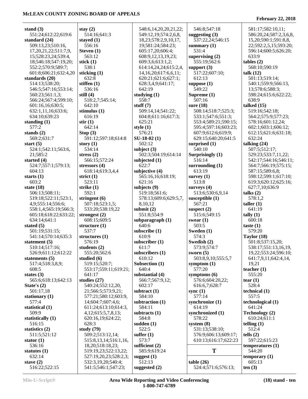| stand $(3)$                | stay $(2)$                | 548:6,14,20,20,21,22;      | 546:8;547:18         | 581:17;582:10,11;      |
|----------------------------|---------------------------|----------------------------|----------------------|------------------------|
| 551:24;612:22;619:6        | 514:16;641:3              | 549:12,19;574:2,6,8,       | suggesting $(3)$     | 586:20,24;587:2,3,6,8, |
| standard $(24)$            | stayed $(1)$              | 18, 23; 578: 2, 9, 10, 17, | 537:22,24;546:15     | 15,20;590:1;591:8,8,   |
| 509:13,23;510:16,          | 556:16                    | 19;581:24;584:23;          | summary $(1)$        | 22;592:2,5,15;593:20;  |
| 17, 20, 21, 22; 511: 7, 9, | Steven (1)                | 605:17,20;606:4;           | 531:4                | 596:14;600:5;626:20;   |
| 15;528:23,24;539:4,        | 563:12                    | 608:9,12,13,19,23;         | supervising $(2)$    | 633:9                  |
|                            |                           |                            |                      |                        |
| 18;546:18;547:19,20;       | stick $(1)$               | 609:3,6;613:1,2;           | 555:19;562:6         | tables (2)             |
| 552:2;570:9;589:7;         | 538:1                     | 614:14,24,24;615:2,4,      | support $(3)$        | 568:10;590:19          |
| 601:8;606:21;632:4,20      | sticking $(1)$            | 14, 16, 20; 617: 6, 6, 11; | 517:22;607:10;       | talk $(12)$            |
| standards (20)             | 632:8                     | 620:21;621:6;627:1;        | 612:13               | 501:13;519:14;         |
| 514:13;538:20;             | stiffen $(1)$             | 628:3,4,9;641:17;          | suppose $(1)$        | 540:1;559:9;566:13,    |
| 546:5;547:16;553:14;       | 536:16                    | 642:19                     | 549:22               | 13;578:6;588:3;        |
| 560:23;561:1,3;            | still $(4)$               | studying $(1)$             | Supreme (1)          | 598:24;615:6;622:22;   |
| 566:24;567:4;599:10;       | 518:2,7;545:14;           | 558:7                      | 507:16               | 638:9                  |
|                            | 642:10                    | stuff $(7)$                | sure $(18)$          | talked $(15)$          |
| 601:16,16;630:5;           |                           |                            |                      |                        |
| 632:1,11,16;633:6;         | stimulus $(1)$            | 509:14,14;541:22;          | 508:14;518:7;525:3;  | 519:16;542:18;         |
| 634:10;639:23              | 616:19                    | 604:8;611:16;617:3;        | 533:1;547:6;551:3;   | 564:2;575:9;577:23;    |
| standing $(1)$             | stir(1)                   | 625:21                     | 553:4;589:21;590:15; | 578:16;601:12,24;      |
| 577:2                      | 642:14                    | style $(1)$                | 595:4;597:16;603:23; | 602:1;603:1;606:12;    |
| stands $(2)$               | Stop $(3)$                | 576:21                     | 607:9;612:6;619:9;   | 612:15;621:6;631:18;   |
| 569:2;631:7                | 591:12;597:18;614:8       | $SU-18-02(1)$              | 629:15;640:20;641:5  | 632:24                 |
| start $(5)$                | story $(1)$               | 502:12                     | surprised (1)        | talking $(24)$         |
|                            | 534:14                    |                            | 540:10               | 507:5;512:17;          |
| 524:1;542:11;563:6,        |                           | subject $(3)$              |                      |                        |
| 21;585:2                   | stress $(2)$              | 502:3;504:19;614:14        | Surprisingly (1)     | 529:23;533:7,11,22;    |
| started $(4)$              | 566:15;572:24             | subjected $(1)$            | 516:14               | 542:17;544:16;546:11;  |
| 524:7;557:1;579:13;        | stressors $(4)$           | 622:7                      | surrounding $(1)$    | 564:7;566:19;575:15;   |
| 604:13                     | 618:14;619:3,4,4          | subjective (4)             | 613:19               | 587:15;589:6,8;        |
| starts $(1)$               | strict $(1)$              | 565:16,16;618:19;          | survey $(1)$         | 598:12;599:1;617:10;   |
| 603:2                      | 523:11                    | 621:16                     | 513:8                | 619:3;620:12;625:16;   |
| state $(18)$               | strike (1)                | subjects (9)               | surveys $(4)$        | 627:7,10;636:9         |
|                            | 592:1                     |                            |                      |                        |
| 506:13;508:11;             |                           | 519:18;561:6;              | 513:6;530:6,9,14     | talks $(2)$            |
| 519:18;522:11;523:1,       | stringent $(6)$           | 578:13;609:6;629:5,7,      | susceptible $(1)$    | 578:1,2                |
| 4,9;555:14;556:6;          | 507:18;523:1,5;           | 8,10,12                    | 567:21               | taller $(1)$           |
| 558:1,4;565:19;566:3;      | 533:20;538:19,22          | submit $(2)$               | suspect $(2)$        | 641:19                 |
| 605:18;618:22;633:22;      | strongest $(2)$           | 551:8;554:9                | 515:6;549:15         | tally $(1)$            |
| 634:14;641:1               | 608:15;609:5              | subparagraph $(1)$         | swear $(1)$          | 600:18                 |
| stated $(5)$               | structure $(1)$           | 640:6                      | 503:5                | taste $(1)$            |
| 501:19;531:15;             | 537:7                     | subscribe (1)              | Sweden (1)           | 579:20                 |
| 541:14;570:14;635:3        | structures $(1)$          | 610:9                      | 574:3                | Taylor $(18)$          |
|                            |                           |                            |                      |                        |
| statement $(5)$            | 576:19                    | subscriber $(1)$           | Swedish (2)          | 501:8;537:15,20;       |
| 510:14;517:16;             | students $(2)$            | 611:7                      | 573:9;574:7          | 538:17;551:13,16,19,   |
| 526:9;611:12;612:22        | 555:20;562:6              | subscribers $(1)$          | sworn $(5)$          | 19,22;553:24;596:10;   |
| statements $(5)$           | studied (6)               | 610:12                     | 503:8,9,10;555:5,7   | 641:7,9,11;642:4,14,   |
| 517:4;518:3,8,9;           | 519:15;520:7;             | Subsection (1)             | symptom $(1)$        | 19,21                  |
| 608:5                      | 553:17;559:11;619:21;     | 640:4                      | 577:20               | teacher $(1)$          |
| states $(3)$               | 641:17                    | substantial (4)            | symptoms $(6)$       | 555:20                 |
| 565:6;618:13;642:13        | studies $(27)$            | 566:7;567:9,12;            | 576:6;604:20,22;     | tear $(1)$             |
|                            |                           |                            |                      | 528:4                  |
| State's $(2)$              | 540:24;552:12,20,         | 602:17                     | 616:6,7;628:7        |                        |
| 501:17,18                  | 21;566:5;573:9,21;        | subtract $(1)$             | sync $(1)$           | technical $(1)$        |
| stationary $(1)$           | 577:21;580:12;603:9,      | 584:10                     | 577:14               | 557:5                  |
| 577:4                      | 14;604:7;607:4,6;         | subtraction (1)            | synchronize (1)      | technological (1)      |
| statistical (1)            | 611:24;613:10;614:3,      | 584:11                     | 614:19               | 641:24                 |
| 509:9                      | 4, 12; 615: 5, 7, 8, 13;  | subtracts (1)              | synchronized (1)     | Technology (2)         |
| statistically (1)          | 620:16,19;624:22;         | 584:8                      | 578:22               | 610:24;611:1           |
| 516:15                     | 628:3                     | sudden $(1)$               | system $(8)$         | telling $(1)$          |
| statistics $(2)$           | study $(79)$              | 522:5                      | 531:13;538:10;       | 512:4                  |
|                            |                           |                            |                      |                        |
| 511:5;521:12               | 509:2;513:12,14;          | suffer $(1)$               | 576:9;606:13;609:17; | tells $(2)$            |
| stator $(1)$               | 515:8, 13, 14; 516:1, 16, | 573:7                      | 610:13;616:17;622:23 | 597:22;615:23          |
| 536:16                     | 18,20;518:18,23;          | sufficient $(2)$           |                      | temperatures (1)       |
| statutes $(1)$             | 519:19,23;522:13,22;      | 585:9;619:24               | T                    | 544:20                 |
| 632:14                     | 527:19,20,23;528:2,3;     | suggest $(1)$              |                      | temporary $(1)$        |
| stave $(2)$                | 532:3,19,20;540:4;        | 512:13                     | table(26)            | 605:13                 |
| 516:22;522:15              | 541:5;546:1;547:23;       | suggested $(2)$            | 524:4;571:6;576:13;  | ten(3)                 |
|                            |                           |                            |                      |                        |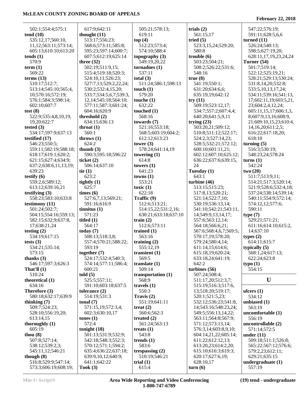| 502:1;554:4;575:1             | 617:9;642:11                     | 505:21;578:13;          | trials $(2)$             | 547:22;576:19;                    |
|-------------------------------|----------------------------------|-------------------------|--------------------------|-----------------------------------|
| tend(10)<br>535:12,17;560:10, | thought $(11)$<br>513:17;556:23; | 619:11                  | 561:15,17<br>tried $(5)$ | 591:11;628:5,6,6<br>turned $(11)$ |
| 11,12;563:11;573:14;          | 568:6;573:11;585:8;              | top(4)<br>512:23;573:4; | 523:3,15,24;529:20;      | 526:24;540:13;                    |
| 605:13;610:10;613:20          | 595:23;597:14;600:7;             | 574:10;588:4            | 580:8                    | 598:5;627:19,20;                  |
| tends(1)                      | 607:5;612:19;625:14              | topography $(3)$        | trouble $(6)$            | 628:11,17,19,23,24,24             |
| 570:9                         | three $(32)$                     | 549:19,20,22            | 503:23;504:21;           | Turner $(54)$                     |
| term $(1)$                    | 502:19;511:9,15;                 | tornadoes(1)            | 508:2;526:22;531:6;      | 501:7;519:14;                     |
| 569:22                        | 515:4;519:18;520:3;              | 537:11                  | 548:16                   | 522:12;525:19,21;                 |
| terms $(13)$                  | 524:10,11;526:23;                | total $(3)$             | true(8)                  | 528:21;529:13;530:24;             |
| 510:17;512:7;                 | 527:7,13;529:2,22,24;            | 511:24;586:1;598:13     | 541:19;550:1;            | 531:8,14,20;532:8;                |
| 513:14;545:10;565:4,          | 530:2;532:4,15,20;               | touch $(1)$             | 631:20;634:6,6;          | 533:5, 10, 13, 17, 24;            |
| 10;570:16;572:19;             | 533:7;534:5,6,7;539:3,           | 579:20                  | 635:19,19;642:12         | 534:11;539:16;541:13,             |
| 576:1;584:3;598:14;           | 12, 14; 545: 18; 564: 10;        | touche $(1)$            | try(11)                  | 17;602:11,19;603:5,21,            |
| 602:10;607:7                  | 577:11;587:3;601:24;             | 632:22                  | 509:19;523:12,17;        | 23;604:2,4,12,24;                 |
| test $(8)$                    | 604:16;620:9                     | touched $(1)$           | 534:7;557:2;607:4,4;     | 605:11,15,17;606:1,3,             |
| 522:9;535:4,8,10,19,          | threshold (2)                    | 568:16                  | 640:20;641:5,9,11        | 8;607:9,13,16;608:9,              |
| 19,20;622:7                   | 634:15;636:13                    | towards $(7)$           | trying $(23)$            | 21;609:10,15,23;610:4,            |
| tested $(3)$                  | throat $(1)$                     | 521:16;553:18;          | 503:20,21;509:12;        | 14, 16, 20; 611: 2, 5;            |
| 534:17;597:9;637:13           | 560:1                            | 568:5;603:19;604:2;     | 510:8;511:12;522:17;     | 616:22;617:18,20;                 |
| testified (17)                | throws $(1)$                     | 612:12;613:23           | 524:2,3;527:14,23;       | 618:10                            |
| 546:23;550:5;                 | 624:2                            | tower $(3)$             | 528:5;532:21;572:12;     | turning $(5)$                     |
| 559:11;582:19;588:18;         | thumb $(3)$                      | 578:24;641:14,19        | 600:10;601:11,21;        | 516:3;530:19;                     |
| 618:17;619:1;620:2;           | 590:3;595:18;596:22              | towering $(1)$          | 602:12;607:10;625:12;    | 548:23,24;578:24                  |
| 621:15;627:4;634:9;           | ticket $(2)$                     | 614:8                   | 636:22;637:6;639:15,     | turns(1)                          |
| 637:2;638:6,11,13,19;         | 506:14;637:10                    | towers $(1)$            | 24                       | 542:24                            |
| 639:23                        | tie $(1)$                        | 641:23                  | Tuesday (1)              | two(20)                           |
| testify $(6)$                 | 623:2                            | towns(1)                | 643:1                    | 511:7;513:9,11;                   |
| 559:2,6;589:12;               | tightly $(1)$                    | 553:21                  | turbine $(46)$           | 514:21;517:3;520:14;              |
| 613:12;639:16,21              | 625:7                            | toxic $(1)$             | 513:15;515:23;           | 521:9;528:6;532:4,18;             |
| testifying $(3)$              | times (6)                        | 622:18                  | 517:8,13;520:21;         | 537:24;538:14;539:14;             |
| 558:23;583:10;633:8           | 527:6,7,13;569:21;               | Traffic (9)             | 521:14;522:7,10;         | 540:11;554:9;572:14;              |
| testimony (11)                | 591:16;616:9                     | 512:6;513:21;           | 530:19;536:13,14;        | 574:12,12;577:6;                  |
| 501:24;502:7;                 | tinnitus(1)                      | 514:15,22;531:2,16;     | 541:10;542:21;543:11,    | 590:11                            |
| 504:15;554:16;559:13;         | 571:23                           | 630:21;633:18;637:10    | 14;549:9,13,14,17;       | type(7)                           |
| 582:15;632:9;637:8,           | titled $(1)$                     | train $(2)$             | 557:6;563:12,14;         | 529:21;571:21;                    |
| 17;638:21,24                  | 564:17                           | 512:6;573:11            | 564:18;566:6,21;         | 611:16;614:10;615:2,              |
| testing $(2)$                 | today $(7)$                      | trained $(1)$           | 567:6;568:4,6,7;569:5;   | 14;637:10                         |
| 534:19;617:15                 | 508:13;518:3,8;                  | 563:16                  | 570:17,19;578:20;        | types $(2)$                       |
| tests $(3)$                   | 557:4;570:21;588:22;             | training $(2)$          | 579:24;580:4,14;         | 614:11;615:7                      |
| 534:21;535:14;                | 593:19                           | 555:12,19               | 611:14,15;614:6;         | typically (5)                     |
| 573:15                        | together $(7)$                   | transient $(1)$         | 615:18,19;620:24;        | 568:1,24;617:13;                  |
| thanks $(3)$                  | 524:17;532:4;540:3;              | 569:5                   | 633:18,24;641:19;        | 622:24;623:8                      |
| 546:17;597:3;626:3            | 574:14;577:11;586:4;             | translate $(1)$         | 642:2                    | type(1)                           |
| That'll $(1)$                 | 600:21                           | 509:14                  | turbines (56)            | 554:15                            |
| 510:24                        | told $(5)$                       | transportation (1)      | 507:24:508:4;            |                                   |
| theoretical (1)               | 525:5;557:11;                    | 568:9                   | 511:17,20;512:3,7;       | U                                 |
| 634:16                        | 591:10;603:18;637:5              | travels $(1)$           | 515:19;516:3;517:6,      |                                   |
| Therefore (3)                 | tolerance $(2)$                  | 550:3                   | 13;518:20;519:17;        | ulcers $(1)$                      |
| 580:18;632:17;639:9           | 514:19;531:3                     | Travis (2)              | 520:1;521:5,23;          | 534:12                            |
| thinking (7)                  | tonal $(7)$                      | 551:19;641:11           | 532:12;536:23;541:8,     | unbiased (1)                      |
| 509:7;524:23;                 | 571:15,19;572:3,4;               | treat $(2)$             | 14;543:16;548:23,24;     | 563:19                            |
| 528:10;556:19,20;             | 602:3;630:10,17                  | 560:6;562:3             | 549:5;556:13,14,22;      | uncomfortable (1)                 |
| 613:14,15                     | tones $(1)$                      | treated $(2)$           | 563:11;564:8;567:9;      | 556:19                            |
| thoroughly $(1)$              | 572:4                            | 561:24;563:13           | 571:12;573:13,14;        | uncontrollable (2)                |
| 605:19                        | tonight $(18)$                   | treats $(1)$            | 576:3,14;603:8,9,10;     | 571:14;572:5                      |
| thou $(8)$                    | 501:13;531:9;532:9;              | 543:8                   | 604:14,21,22;605:14;     | under $(11)$                      |
| 507:8;527:14;                 | 542:18;548:3;552:3;              | trends $(1)$            | 611:22;612:12,13;        | 509:18;511:1;526:8;               |
| 538:12;539:2,3;               | 570:12;571:1;594:2;              | 583:6                   | 613:20,23;614:2,20;      | 565:22;567:12;576:6;              |
| 545:11,12;546:21              | 635:4;636:22;637:18;             | trespassing $(2)$       | 615:10;616:3;619:3;      | 579:2,23;612:11;                  |
| though $(8)$                  | 639:9,10,12;640:9;               | 510:19;546:21           | 620:17;627:6,19;         | 629:21;635:15                     |
| 516:8;529:9;547:14;           | 641:1;642:22                     | trial $(1)$             | 628:10,17                | undergraduate $(1)$               |
| 573:3;606:19;608:19;          | $\textbf{Took}$ (3)              | 615:4                   | turn(6)                  | 557:19                            |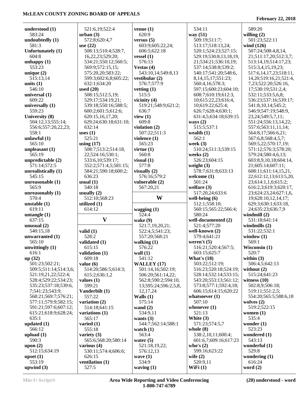| understood (1)           | 521:6,19;522:4           | venue $(1)$           | 534:11                          | 589:20                         |
|--------------------------|--------------------------|-----------------------|---------------------------------|--------------------------------|
| 583:24                   | urban(3)                 | 620:9                 | way $(51)$                      | willing $(2)$                  |
| undoubtedly (1)          | 572:8;620:4,7            | versus $(5)$          | 509:19;511:7;                   | 501:23;522:11                  |
| 581:3                    | use $(22)$               | 603:9;605:22,24;      | 513:17;518:13,24;               | wind (126)                     |
| Unfortunately (1)        | 508:13;510:4;528:7,      | 606:5;622:18          | 520:1;524:23;527:15;            | 507:24;508:4,8,14,             |
| 604:8                    | 16,22,23;529:20;         | vessel $(1)$          | 529:19:530:8,13,18,19,          | 21;511:17,20;512:3,7;          |
| unhappy $(1)$            | 534:21;550:12;560:5;     | 576:13                | 21;534:21;536:10,19;            | 513:14,19;514:17,23;           |
| 553:23                   | 569:9;572:15,15;         | Vestas $(4)$          | 537:14;538:8;539:2;             | 515:3,4,15,19,23;              |
| unique $(2)$             | 575:20,20;583:22;        | 543:10,14;549:8,13    | 540:17;541:20;548:6,            | 517:6, 14, 17, 23; 518: 11,    |
| 515:13,14                | 599:3;602:6,8;605:22;    | vestibular (2)        | 8, 14, 15, 17; 551: 23;         | 14, 20; 519: 16, 21; 521: 4,   |
| units $(1)$              | 632:1;634:20             | 576:7;577:9           | 560:4,16;578:3;                 |                                |
|                          |                          |                       |                                 | 7,23;522:20;526:16,            |
| 546:10                   | used $(20)$              | vetting $(1)$         | 597:15;600:23;604:10;           | 17;530:19;531:2,4;             |
| universal (1)            | 508:15;512:5,19;         | 515:5                 | 608:7;610:19;612:3,             | 532:11;533:5,6,8;              |
| 609:22                   | 529:17;534:19,21;        | vicinity $(4)$        | 10;615:22,23;616:4,             | 536:23;537:16;539:17;          |
| universally (1)          | 539:18;550:16;588:5;     | 519:21;548:9;621:2;   | 10;619:22;625:4;                | 541:8,10,14;545:2;             |
| 559:23                   | 600:2;601:5;612:6;       | 636:7                 | 626:7;628:4;630:1;              | 546:9;547:19;548:9,            |
| University (8)           | 620:15,16,17,20;         | view $(1)$            | 631:4,5;634:18;639:15           | 23, 24; 549: 5, 7, 11;         |
| 504:12,13;555:14;        | 629:24;630:18;631:10;    | 609:8                 | ways $(2)$                      | 551:24;556:13,14,22;           |
| 556:6;557:20,22,23;      | 632:14                   | violation (2)         | 515:5;537:1                     | 557:6;563:11,11,14;            |
| 558:1                    | uses $(1)$               | 507:22;511:3          | wealth $(1)$                    | 564:8,17;566:6,21;             |
| unlawful $(1)$           | 525:21                   | violence (1)          | 562:1                           | 567:6,8;568:4,5,7;             |
| 565:10                   | using $(17)$             | 565:23                | week $(3)$                      | 569:5,22;570:17,19;            |
| unpleasant $(1)$         | 508:7;513:2;514:18,      | virtue $(1)$          | 510:24;511:3;539:15             | 571:12;576:3;578:20;           |
| 565:19                   | 22;524:16;530:1;         | 560:8                 | weeks $(2)$                     | 579:24;580:4,6,13;             |
| unpredictable (2)        | 533:6,10;539:17;         | visual $(1)$          | 526:23;604:15                   | 603:8,9,10,18;604:14,          |
|                          |                          | 577:8                 |                                 | 21;605:14;607:11;              |
| 571:14;572:5             | 552:2;571:4,5;581:15;    |                       | weight $(3)$                    |                                |
| unrealistically (1)      | 584:21;590:18;600:2;     | visually $(2)$        | 578:7;631:8;633:13              | 608:11;611:14,15,21,           |
| 545:15                   | 636:23                   | 576:16;579:2          | welcome $(1)$                   | 22;612:12,13;613:5,20,         |
| unreasonable (1)         | usual $(1)$              | vulnerable (2)        | 501:24                          | 23;614:1,1,6;615:2;            |
| 565:9                    | 540:18                   | 567:20,21             | welfare $(3)$                   | 616:2,3;619:3;620:17,          |
| unreasonably $(1)$       | usually $(2)$            |                       | 517:20,24;633:6                 | 23;624:23,24;627:1,6,          |
| 570:4                    | 512:10;568:23            | W                     | well-being $(6)$                | 19;628:10,12,14,17;            |
|                          |                          |                       |                                 |                                |
| unstable $(1)$           | utilized (1)             |                       | 512:1;558:10;                   | 629:3;630:1;633:18,            |
| 619:11                   | 614:12                   | wagging $(1)$         | 560:15;565:22;566:4;            | 24;635:23;636:7,9              |
| untangle $(1)$           |                          | 524:4                 | 580:24                          | windmill $(2)$                 |
| 637:15                   | $\mathbf{V}$             | wake $(9)$            | well-documented (2)             | 531:18;641:14                  |
| unusual $(2)$            |                          | 521:7,19,20,21;       | 521:4;577:20                    | windmills $(2)$                |
| 540:15,18                | valid $(1)$              | 522:4,5;541:23;       | well-known (2)                  | 531:22;532:1                   |
| unwarranted (1)          | 528:2                    | 557:20;568:21         | 579:4;641:21                    | window $(1)$                   |
| 565:10                   | validated (1)            | walking $(1)$         | weren't $(5)$                   | 569:1                          |
| unwittingly $(1)$        | 615:15                   |                       | 516:21;520:4;567:5;             |                                |
|                          |                          | 576:22                |                                 | Wisconsin (1)<br>520:7         |
| 616:1                    | validation (1)           | wall $(1)$            | 603:15;625:7                    |                                |
| up(32)<br>501:23;502:21; | 609:18<br>value $(6)$    | 541:12<br>WALLEY (17) | What's $(18)$<br>503:22;512:19; | within $(3)$<br>506:4,5;642:13 |
|                          |                          |                       |                                 |                                |
| 509:5;511:14;514:3,6;    | 514:20;586:5;614:3;      | 501:14,16;502:19;     | 516:23;520:18;524:19;           | without $(2)$                  |
| 521:19,21,22;522:4;      | 615:2;636:1,2            | 506:20;561:14,22;     | 528:14;532:14;533:15;           | 515:24;641:23                  |
| 528:4;529:22;534:23;     | values $(1)$             | 562:8;590:2;594:10,   | 543:20;553:13;561:12;           | witness $(10)$                 |
| 535:23;537:18;539:6,     | 599:21                   | 13;595:24;596:2,5,8,  | 573:8;577:1;592:4,18;           | 502:8,9;506:18;                |
| 7;541:23;543:9;          | Vanderbilt (1)           | 12, 17, 24            | 606:15;614:15;620:22            | 519:11;551:2,5;                |
| 568:21;569:7;576:21;     | 557:22                   | Walls $(1)$           | whatsoever $(1)$                | 554:20;565:5;588:6,18          |
| 577:11;579:9;582:15;     | variation (2)            | 575:14                | 507:10                          | wolves $(2)$                   |
| 591:21;597:6;607:12;     | 514:18;641:15            | wand $(2)$            | whenever $(1)$                  | 519:2;522:15                   |
| 615:21;618:9;628:24;     | variations (1)           | 534:9,11              | 521:13                          | women $(1)$                    |
| 635:1                    | 565:17                   | wants $(3)$           | White $(3)$                     | 535:4                          |
| updated $(1)$            | varied $(1)$             | 544:7;562:14;588:1    | 571:23;574:5,7                  | wonder $(1)$                   |
| 566:12                   | 555:18                   | watch $(1)$           | whole $(8)$                     | 523:23                         |
| upload $(1)$             | variety $(3)$            | 563:4                 | 538:2,10,11;600:4;              | wondered (1)                   |
| 590:3                    | 565:6;568:20;580:14      | water $(5)$           | 601:6,7;609:16;617:23           | 543:13                         |
| upon $(2)$               | various $(4)$            | 521:18,19,22;         | who's $(2)$                     | wonderful $(1)$                |
| 512:15;634:19            | 530:11;574:4;606:6;      | 576:12,13             | 599:16;623:22                   | 529:8                          |
| upset $(1)$              | 626:15                   | wave $(1)$            | wife $(2)$                      | wondering $(1)$                |
| 553:19<br>upwind $(3)$   | ventilation (1)<br>527:5 | 534:9<br>waving $(1)$ | 520:9,11<br>WiFi $(1)$          | 616:24<br>word $(2)$           |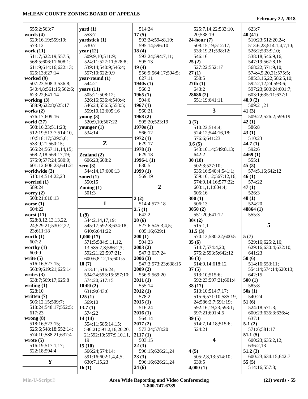|                       | $\text{ yard}(1)$      | 514:24                    |                         | 623:7                  |
|-----------------------|------------------------|---------------------------|-------------------------|------------------------|
| 555:2;563:7           |                        |                           | 525:7,14,22;533:10,     |                        |
| words $(4)$           | 553:7                  | 17(5)                     | 20;538:19               | 40(41)                 |
| 529:16,19;559:19;     | yardstick (1)          | 593:24;594:8,10;          | $24$ -hour $(7)$        | 510:23;512:20,24;      |
| 573:12                | 530:7                  | 595:14;596:10             | 508:15,19;512:17;       | 513:6,23;514:1,4,7,10; |
| work (11)             | year $(12)$            | 18(4)                     | 533:19,21;538:12;       | 526:2;533:9,10;        |
| 511:7;522:19;557:5;   | 509:9,10;511:9;        | 593:24;594:7,11;          | 546:16                  | 538:18;546:9,16;       |
| 568:5;606:11;608:1;   | 524:11;527:11;528:8;   | 595:13                    | 25(2)                   | 547:19;567:8,16;       |
| 611:9;614:16;622:13;  | 539:14;540:9;546:4;    | 19(4)                     | 527:22;552:17           | 568:22;571:9,10;       |
| 625:13;627:14         | 557:10;622:9,9         | 556:9;564:17;594:5;       | 27(1)                   | 574:4,5,20,21;575:5;   |
| worked $(9)$          | year-round (1)         | 627:11                    | 558:5                   | 585:3,16,22;586:5,10;  |
| 507:23;508:3;536:8;   | 544:21                 | 1940s(1)                  | 27th(1)                 | 592:2,12,24;593:6;     |
| 540:4,8;561:15;562:6; | years $(11)$           | 566:2                     | 643:2                   | 597:23;600:24;601:7;   |
| 623:22;641:14         | 505:21;508:12;         | 1965(1)                   | 28686 (2)               | 603:1;635:11;637:1     |
| working $(3)$         | 526:16;536:4;540:4;    | 504:6                     | 551:19;641:11           | 40.9(2)                |
| 588:9;622:8;625:17    | 546:24;556:5;558:5;    | 1967(1)                   |                         | 509:21,21              |
| works $(2)$           | 559:10,12;605:16       | 560:21                    | 3                       | 41 $(3)$               |
| 576:17;609:16         | young $(3)$            | 1968(2)                   |                         | 509:22;526:2;599:19    |
| world $(27)$          | 520:9,10;567:22        | 505:20;523:19             | 3(7)                    | 42(1)                  |
| 508:16,23;511:23;     | younger $(1)$          | 1970s(1)                  | 510:22;514:4;           | 586:8                  |
| 512:19;513:7;514:10,  | 534:14                 | 566:12                    | 524:12;544:16,18;       | 43(1)                  |
| 10;518:17;529:5,6;    |                        | 1972(1)                   | 576:6;641:23            | 510:23                 |
| 533:9,21;560:15;      | ${\bf z}$              | 629:17                    | 3.6(5)                  | 44.7(1)                |
| 565:24;567:11,14,15;  |                        | 1978(1)                   | 543:10,14;549:8,13;     | 592:6                  |
| 568:2,18;569:17,19;   | Zealand $(2)$          | 629:18                    | 642:2                   | 4469(1)                |
| 575:9;577:24;580:9;   | 606:23;608:2           | $1996-1(1)$               | 30(18)                  | 555:1                  |
| 601:12;606:23;641:21  |                        | 630:5                     |                         | 45(3)                  |
|                       | zero $(3)$             | 1999(1)                   | 502:3;527:10;           |                        |
| worldwide (3)         | 544:14,17;600:13       |                           | 535:16;540:4;541:1;     | 574:5,16;642:12        |
| 513:14;514:22,23      | zoned $(1)$            | 569:19                    | 559:10,12;567:12,16;    | 46(1)                  |
| worried $(1)$         | 550:15                 |                           | 574:9,14,16;577:22;     | 574:22                 |
| 589:24                | $\text{Zoning} (1)$    | $\overline{2}$            | 603:1,1,1;604:4;        | 47(1)                  |
| worry $(2)$           | 501:3                  |                           | 605:16                  | 526:3                  |
| 508:21;610:13         |                        | 2(2)                      | 300(1)                  | 48(1)                  |
|                       |                        |                           |                         |                        |
| worse $(1)$           | 1                      | 514:4;577:18              | 506:13                  | 524:20                 |
| 604:22                |                        | 2.5(1)                    | 3050(2)                 | 48864 (1)              |
| worst $(11)$          | 1(9)                   | 642:2                     | 551:20;641:12           | 555:3                  |
| 528:8,12,13,13,22,    | 544:2,14,17,19;        | 20(6)                     | 30s(2)                  |                        |
| 24;529:21;530:2,22,   | 545:17;592:8;634:18;   | 527:6;545:3,4,5;          | 515:1,1                 | 5                      |
| 23;611:18             | 640:6;641:22           | 605:16;629:1              | 31.5(3)                 |                        |
| worth $(1)$           | 1,000(17)              | 200(1)                    | 570:13;580:22;600:5     | 5(7)                   |
| 607:2                 | 571:5;584:9,11,12,     | 504:23                    | 35(6)                   | 529:16;625:2,16;       |
| worthy $(1)$          | 13;585:7,8;586:2,3;    | 2003(2)                   | 514:7;574:4,20;         | 629:16;630:4;632:10;   |
| 609:9                 | 592:21,22;597:21;      | 547:3;637:24              | 575:2;593:5;642:12      | 641:23                 |
| write $(5)$           | 600:6,8,12,15;601:5    | 2006(3)                   | 36(3)                   | 50(6)                  |
| 516:16;527:15;        | 10(7)                  | 547:3;573:23;638:15       | 514:9,14;618:12         | 514:16;553:11;         |
| 563:9;619:21;625:14   | 513:11;516:24;         | 2009(2)                   | 37(5)                   | 554:14;574:14;620:13;  |
| writes $(3)$          | 534:24;553:15;557:10;  | 556:9;569:20              | 513:10;515:6;           | 642:15                 |
| 538:7;569:17;625:8    | 574:20;617:15          |                           | 592:23;597:21;601:4     | 500(1)                 |
| writing $(1)$         |                        | 2011(1)<br>555:14         | 38(17)                  | 585:8                  |
| 528:10                | 10:00(2)               | 2012(1)                   |                         |                        |
| written $(7)$         | 631:9;643:6            |                           | 513:10;514:7,17;        | 50s(1)<br>540:24       |
|                       | 125(1)                 | 578:2                     | 515:6;571:10;585:19,    |                        |
| 506:12,15;509:7;      | 569:10                 | 2015(1)                   | 24;586:2,7;591:19;      | 51(6)<br>524:18;571:3; |
| 518:24;548:17;552:5;  | 13.7(1)                | 516:24                    | 592:16,19,23;593:1;     |                        |
| 617:23                | 574:22                 | 2016(1)                   | 597:21;601:4,5          | 600:23;635:3;636:4;    |
| wrong $(8)$           | 14(14)                 | 564:14                    | 39(5)                   | 637:1                  |
| 518:16;523:15;        | 554:11;585:14,15;      | 2017(2)                   | 514:7,14,18;515:6;      | $5-1(2)$               |
| 525:6;548:18;552:14;  | 586:21;591:2,16,20,20, | 573:24;578:20             | 524:21                  | 571:6;581:17           |
| 574:10;588:21;637:4   | 21;592:10;597:9,10,11, | 2117(1)                   |                         | 51.1(5)                |
| wrote $(5)$           | 19                     | 503:15                    | $\overline{\mathbf{4}}$ | 600:23;635:2,12;       |
| 516:19;517:1,17;      | 15(10)                 | 22(3)                     |                         | 636:2,13               |
| 522:18;594:4          | 566:24;574:14;         | 596:15;626:21,24          | 4(5)                    | 51.2(3)                |
|                       | 591:16;602:1,4,4,5;    | 23(3)                     | 505:2,8,13;514:10;      | 600:23;634:15;642:7    |
| Y                     | 630:7,15,23<br>16(1)   | 596:16;626:21,24<br>24(6) | 630:5<br>4,000(1)       | 55(5)<br>514:16;557:8; |